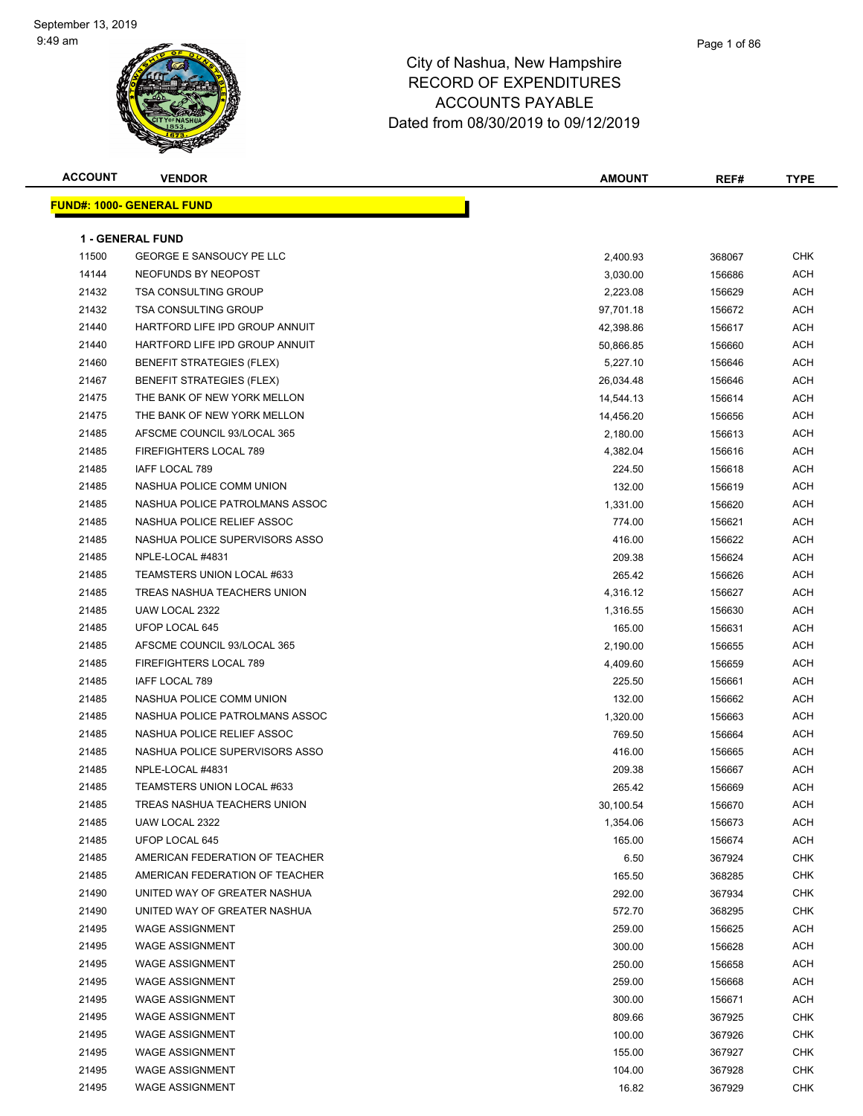### Page 1 of 86

| <b>ACCOUNT</b> | <b>VENDOR</b>                    | <b>AMOUNT</b> | REF#   | TYPE       |
|----------------|----------------------------------|---------------|--------|------------|
|                | <b>FUND#: 1000- GENERAL FUND</b> |               |        |            |
|                |                                  |               |        |            |
|                | <b>1 - GENERAL FUND</b>          |               |        |            |
| 11500          | <b>GEORGE E SANSOUCY PE LLC</b>  | 2,400.93      | 368067 | <b>CHK</b> |
| 14144          | NEOFUNDS BY NEOPOST              | 3,030.00      | 156686 | <b>ACH</b> |
| 21432          | <b>TSA CONSULTING GROUP</b>      | 2,223.08      | 156629 | <b>ACH</b> |
| 21432          | <b>TSA CONSULTING GROUP</b>      | 97,701.18     | 156672 | ACH        |
| 21440          | HARTFORD LIFE IPD GROUP ANNUIT   | 42,398.86     | 156617 | ACH        |
| 21440          | HARTFORD LIFE IPD GROUP ANNUIT   | 50,866.85     | 156660 | ACH        |
| 21460          | <b>BENEFIT STRATEGIES (FLEX)</b> | 5,227.10      | 156646 | ACH        |
| 21467          | <b>BENEFIT STRATEGIES (FLEX)</b> | 26,034.48     | 156646 | ACH        |
| 21475          | THE BANK OF NEW YORK MELLON      | 14,544.13     | 156614 | ACH        |
| 21475          | THE BANK OF NEW YORK MELLON      | 14,456.20     | 156656 | ACH        |
| 21485          | AFSCME COUNCIL 93/LOCAL 365      | 2,180.00      | 156613 | ACH        |
| 21485          | FIREFIGHTERS LOCAL 789           | 4,382.04      | 156616 | ACH        |
| 21485          | IAFF LOCAL 789                   | 224.50        | 156618 | ACH        |
| 21485          | NASHUA POLICE COMM UNION         | 132.00        | 156619 | ACH        |
| 21485          | NASHUA POLICE PATROLMANS ASSOC   | 1,331.00      | 156620 | ACH        |
| 21485          | NASHUA POLICE RELIEF ASSOC       | 774.00        | 156621 | ACH        |
| 21485          | NASHUA POLICE SUPERVISORS ASSO   | 416.00        | 156622 | ACH        |
| 21485          | NPLE-LOCAL #4831                 | 209.38        | 156624 | ACH        |
| 21485          | TEAMSTERS UNION LOCAL #633       | 265.42        | 156626 | ACH        |
| 21485          | TREAS NASHUA TEACHERS UNION      | 4,316.12      | 156627 | ACH        |
| 21485          | UAW LOCAL 2322                   | 1,316.55      | 156630 | ACH        |
| 21485          | UFOP LOCAL 645                   | 165.00        | 156631 | ACH        |
| 21485          | AFSCME COUNCIL 93/LOCAL 365      | 2,190.00      | 156655 | ACH        |
| 21485          | FIREFIGHTERS LOCAL 789           | 4,409.60      | 156659 | <b>ACH</b> |
| 21485          | IAFF LOCAL 789                   | 225.50        | 156661 | ACH        |
| 21485          | NASHUA POLICE COMM UNION         | 132.00        | 156662 | ACH        |
| 21485          | NASHUA POLICE PATROLMANS ASSOC   | 1,320.00      | 156663 | ACH        |
| 21485          | NASHUA POLICE RELIEF ASSOC       | 769.50        | 156664 | ACH        |
| 21485          | NASHUA POLICE SUPERVISORS ASSO   | 416.00        | 156665 | ACH        |
| 21485          | NPLE-LOCAL #4831                 | 209.38        | 156667 | ACH        |
| 21485          | TEAMSTERS UNION LOCAL #633       | 265.42        | 156669 | <b>ACH</b> |
| 21485          | TREAS NASHUA TEACHERS UNION      | 30,100.54     | 156670 | ACH        |
| 21485          | UAW LOCAL 2322                   | 1,354.06      | 156673 | ACH        |
| 21485          | UFOP LOCAL 645                   | 165.00        | 156674 | ACH        |
| 21485          | AMERICAN FEDERATION OF TEACHER   | 6.50          | 367924 | <b>CHK</b> |
| 21485          | AMERICAN FEDERATION OF TEACHER   | 165.50        | 368285 | <b>CHK</b> |
| 21490          | UNITED WAY OF GREATER NASHUA     | 292.00        | 367934 | <b>CHK</b> |
| 21490          | UNITED WAY OF GREATER NASHUA     | 572.70        | 368295 | <b>CHK</b> |
| 21495          | <b>WAGE ASSIGNMENT</b>           | 259.00        | 156625 | ACH        |
| 21495          | <b>WAGE ASSIGNMENT</b>           | 300.00        | 156628 | ACH        |
| 21495          | <b>WAGE ASSIGNMENT</b>           | 250.00        | 156658 | ACH        |
| 21495          | <b>WAGE ASSIGNMENT</b>           | 259.00        | 156668 | ACH        |
| 21495          | <b>WAGE ASSIGNMENT</b>           | 300.00        | 156671 | ACH        |
| 21495          | <b>WAGE ASSIGNMENT</b>           | 809.66        | 367925 | <b>CHK</b> |
| 21495          | <b>WAGE ASSIGNMENT</b>           | 100.00        | 367926 | <b>CHK</b> |
| 21495          | <b>WAGE ASSIGNMENT</b>           | 155.00        | 367927 | <b>CHK</b> |
| 21495          | <b>WAGE ASSIGNMENT</b>           | 104.00        | 367928 | <b>CHK</b> |
| 21495          | <b>WAGE ASSIGNMENT</b>           | 16.82         | 367929 | <b>CHK</b> |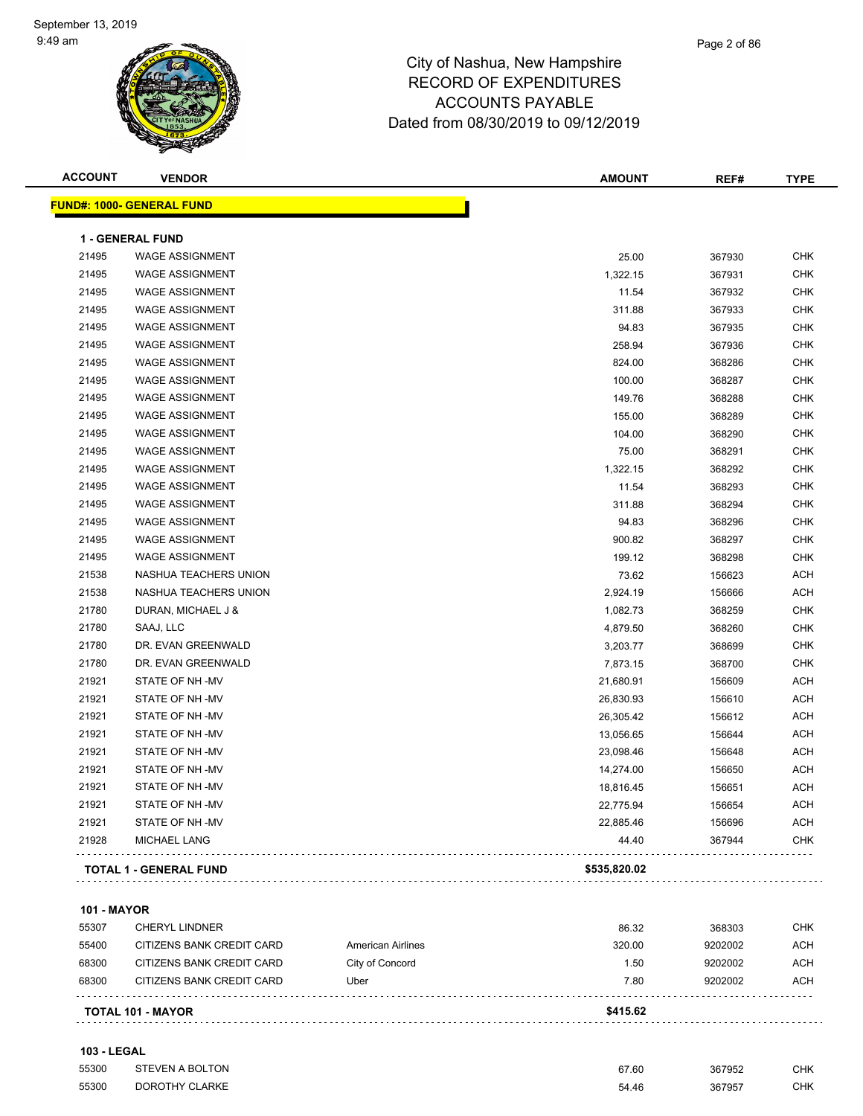| <b>ACCOUNT</b> | <b>VENDOR</b>                    | <b>AMOUNT</b> | REF#   | <b>TYPE</b> |
|----------------|----------------------------------|---------------|--------|-------------|
|                | <b>FUND#: 1000- GENERAL FUND</b> |               |        |             |
|                | <b>1 - GENERAL FUND</b>          |               |        |             |
| 21495          | <b>WAGE ASSIGNMENT</b>           | 25.00         | 367930 | <b>CHK</b>  |
| 21495          | <b>WAGE ASSIGNMENT</b>           | 1,322.15      | 367931 | <b>CHK</b>  |
| 21495          | <b>WAGE ASSIGNMENT</b>           | 11.54         | 367932 | <b>CHK</b>  |
| 21495          | <b>WAGE ASSIGNMENT</b>           | 311.88        | 367933 | <b>CHK</b>  |
| 21495          | <b>WAGE ASSIGNMENT</b>           | 94.83         | 367935 | <b>CHK</b>  |
| 21495          | <b>WAGE ASSIGNMENT</b>           | 258.94        | 367936 | <b>CHK</b>  |
| 21495          | <b>WAGE ASSIGNMENT</b>           | 824.00        | 368286 | <b>CHK</b>  |
| 21495          | <b>WAGE ASSIGNMENT</b>           | 100.00        | 368287 | <b>CHK</b>  |
| 21495          | <b>WAGE ASSIGNMENT</b>           | 149.76        | 368288 | <b>CHK</b>  |
| 21495          | <b>WAGE ASSIGNMENT</b>           | 155.00        | 368289 | <b>CHK</b>  |
| 21495          | <b>WAGE ASSIGNMENT</b>           | 104.00        | 368290 | <b>CHK</b>  |
| 21495          | <b>WAGE ASSIGNMENT</b>           | 75.00         | 368291 | <b>CHK</b>  |
| 21495          | <b>WAGE ASSIGNMENT</b>           | 1,322.15      | 368292 | <b>CHK</b>  |
| 21495          | <b>WAGE ASSIGNMENT</b>           | 11.54         | 368293 | <b>CHK</b>  |
| 21495          | <b>WAGE ASSIGNMENT</b>           | 311.88        | 368294 | <b>CHK</b>  |
| 21495          | <b>WAGE ASSIGNMENT</b>           | 94.83         | 368296 | <b>CHK</b>  |
| 21495          | <b>WAGE ASSIGNMENT</b>           | 900.82        | 368297 | <b>CHK</b>  |
| 21495          | <b>WAGE ASSIGNMENT</b>           | 199.12        | 368298 | <b>CHK</b>  |
| 21538          | NASHUA TEACHERS UNION            | 73.62         | 156623 | <b>ACH</b>  |
| 21538          | NASHUA TEACHERS UNION            | 2,924.19      | 156666 | <b>ACH</b>  |
| 21780          | DURAN, MICHAEL J &               | 1,082.73      | 368259 | <b>CHK</b>  |
| 21780          | SAAJ, LLC                        | 4,879.50      | 368260 | <b>CHK</b>  |
| 21780          | DR. EVAN GREENWALD               | 3,203.77      | 368699 | <b>CHK</b>  |
| 21780          | DR. EVAN GREENWALD               | 7,873.15      | 368700 | <b>CHK</b>  |
| 21921          | STATE OF NH-MV                   | 21,680.91     | 156609 | <b>ACH</b>  |
| 21921          | STATE OF NH-MV                   | 26,830.93     | 156610 | <b>ACH</b>  |
| 21921          | STATE OF NH-MV                   | 26,305.42     | 156612 | <b>ACH</b>  |
| 21921          | STATE OF NH-MV                   | 13,056.65     | 156644 | <b>ACH</b>  |
| 21921          | STATE OF NH-MV                   | 23,098.46     | 156648 | <b>ACH</b>  |
| 21921          | STATE OF NH-MV                   | 14,274.00     | 156650 | ACH         |
| 21921          | STATE OF NH-MV                   | 18,816.45     | 156651 | <b>ACH</b>  |
| 21921          | STATE OF NH-MV                   | 22,775.94     | 156654 | <b>ACH</b>  |
| 21921          | STATE OF NH-MV                   | 22,885.46     | 156696 | <b>ACH</b>  |
| 21928          | <b>MICHAEL LANG</b>              | 44.40         | 367944 | CHK         |
|                |                                  |               |        |             |
|                | <b>TOTAL 1 - GENERAL FUND</b>    | \$535,820.02  |        |             |

#### **101 - MAYOR**

|       | <b>TOTAL 101 - MAYOR</b>  |                   | \$415.62 |         |     |
|-------|---------------------------|-------------------|----------|---------|-----|
| 68300 | CITIZENS BANK CREDIT CARD | Uber              | 7.80     | 9202002 | ACH |
| 68300 | CITIZENS BANK CREDIT CARD | City of Concord   | 1.50     | 9202002 | ACH |
| 55400 | CITIZENS BANK CREDIT CARD | American Airlines | 320.00   | 9202002 | ACH |
| 55307 | <b>CHERYL LINDNER</b>     |                   | 86.32    | 368303  | CHK |

#### **103 - LEGAL**

| 55300 | STEVEN A BOLTON | 67.60 | 367952 | CHK        |
|-------|-----------------|-------|--------|------------|
| 55300 | DOROTHY CLARKE  | 54.46 | 367957 | <b>CHK</b> |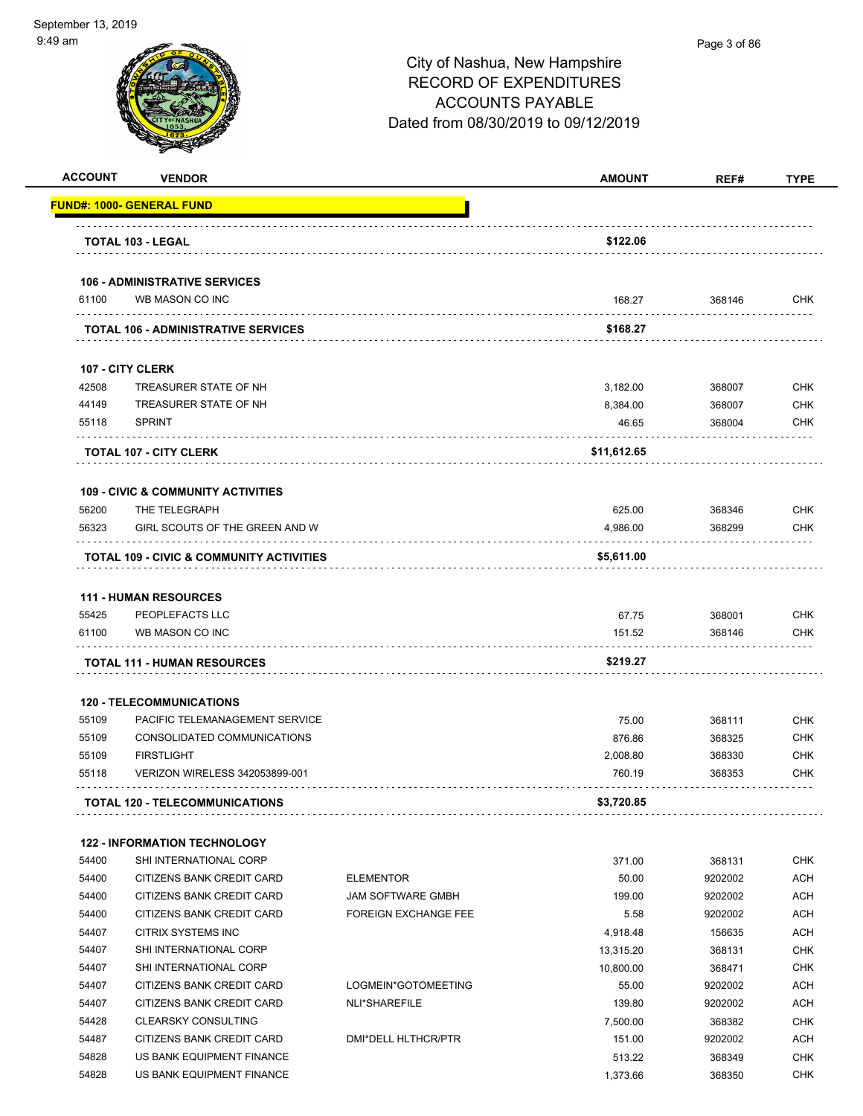|       | <b>VENDOR</b>                                                     |                             | <b>AMOUNT</b> | REF#    | <b>TYPE</b>                                                                                                                                                                                                           |
|-------|-------------------------------------------------------------------|-----------------------------|---------------|---------|-----------------------------------------------------------------------------------------------------------------------------------------------------------------------------------------------------------------------|
|       | <u> FUND#: 1000- GENERAL FUND</u>                                 |                             |               |         |                                                                                                                                                                                                                       |
|       | TOTAL 103 - LEGAL                                                 |                             | \$122.06      |         |                                                                                                                                                                                                                       |
|       | <b>106 - ADMINISTRATIVE SERVICES</b>                              |                             |               |         |                                                                                                                                                                                                                       |
| 61100 | WB MASON CO INC                                                   |                             | 168.27        | 368146  | <b>CHK</b>                                                                                                                                                                                                            |
|       | <b>TOTAL 106 - ADMINISTRATIVE SERVICES</b>                        |                             | \$168.27      |         |                                                                                                                                                                                                                       |
|       | <b>107 - CITY CLERK</b>                                           |                             |               |         |                                                                                                                                                                                                                       |
| 42508 | TREASURER STATE OF NH                                             |                             | 3,182.00      | 368007  | <b>CHK</b>                                                                                                                                                                                                            |
| 44149 | TREASURER STATE OF NH                                             |                             | 8,384.00      | 368007  | <b>CHK</b>                                                                                                                                                                                                            |
| 55118 | <b>SPRINT</b>                                                     |                             | 46.65         | 368004  | <b>CHK</b>                                                                                                                                                                                                            |
|       | <b>TOTAL 107 - CITY CLERK</b>                                     |                             | \$11,612.65   |         |                                                                                                                                                                                                                       |
|       | <b>109 - CIVIC &amp; COMMUNITY ACTIVITIES</b>                     |                             |               |         |                                                                                                                                                                                                                       |
| 56200 | THE TELEGRAPH                                                     |                             | 625.00        | 368346  | <b>CHK</b>                                                                                                                                                                                                            |
| 56323 | GIRL SCOUTS OF THE GREEN AND W                                    |                             | 4,986.00      | 368299  | <b>CHK</b>                                                                                                                                                                                                            |
|       | TOTAL 109 - CIVIC & COMMUNITY ACTIVITIES                          |                             | \$5,611.00    |         |                                                                                                                                                                                                                       |
|       |                                                                   |                             |               |         |                                                                                                                                                                                                                       |
|       | <b>111 - HUMAN RESOURCES</b>                                      |                             |               |         |                                                                                                                                                                                                                       |
| 55425 | PEOPLEFACTS LLC                                                   |                             | 67.75         | 368001  | <b>CHK</b>                                                                                                                                                                                                            |
|       | WB MASON CO INC                                                   |                             | 151.52        | 368146  | <b>CHK</b>                                                                                                                                                                                                            |
| 61100 |                                                                   |                             |               |         |                                                                                                                                                                                                                       |
|       | <b>TOTAL 111 - HUMAN RESOURCES</b>                                |                             | \$219.27      |         |                                                                                                                                                                                                                       |
|       |                                                                   |                             |               |         |                                                                                                                                                                                                                       |
| 55109 | <b>120 - TELECOMMUNICATIONS</b><br>PACIFIC TELEMANAGEMENT SERVICE |                             | 75.00         | 368111  |                                                                                                                                                                                                                       |
| 55109 | CONSOLIDATED COMMUNICATIONS                                       |                             | 876.86        | 368325  |                                                                                                                                                                                                                       |
| 55109 | <b>FIRSTLIGHT</b>                                                 |                             | 2,008.80      | 368330  |                                                                                                                                                                                                                       |
| 55118 | <b>VERIZON WIRELESS 342053899-001</b>                             |                             | 760.19        | 368353  |                                                                                                                                                                                                                       |
|       | <b>TOTAL 120 - TELECOMMUNICATIONS</b>                             |                             | \$3,720.85    |         |                                                                                                                                                                                                                       |
|       | <b>122 - INFORMATION TECHNOLOGY</b>                               |                             |               |         |                                                                                                                                                                                                                       |
| 54400 | SHI INTERNATIONAL CORP                                            |                             | 371.00        | 368131  |                                                                                                                                                                                                                       |
| 54400 | CITIZENS BANK CREDIT CARD                                         | <b>ELEMENTOR</b>            | 50.00         | 9202002 |                                                                                                                                                                                                                       |
| 54400 | CITIZENS BANK CREDIT CARD                                         | <b>JAM SOFTWARE GMBH</b>    | 199.00        | 9202002 |                                                                                                                                                                                                                       |
| 54400 | CITIZENS BANK CREDIT CARD                                         | <b>FOREIGN EXCHANGE FEE</b> | 5.58          | 9202002 |                                                                                                                                                                                                                       |
| 54407 | CITRIX SYSTEMS INC                                                |                             | 4,918.48      | 156635  |                                                                                                                                                                                                                       |
| 54407 | SHI INTERNATIONAL CORP                                            |                             | 13,315.20     | 368131  |                                                                                                                                                                                                                       |
| 54407 | SHI INTERNATIONAL CORP                                            |                             | 10,800.00     | 368471  |                                                                                                                                                                                                                       |
| 54407 | CITIZENS BANK CREDIT CARD                                         | LOGMEIN*GOTOMEETING         | 55.00         | 9202002 |                                                                                                                                                                                                                       |
| 54407 | CITIZENS BANK CREDIT CARD                                         | NLI*SHAREFILE               | 139.80        | 9202002 |                                                                                                                                                                                                                       |
| 54428 | <b>CLEARSKY CONSULTING</b>                                        |                             | 7,500.00      | 368382  |                                                                                                                                                                                                                       |
| 54487 | CITIZENS BANK CREDIT CARD                                         | DMI*DELL HLTHCR/PTR         | 151.00        | 9202002 |                                                                                                                                                                                                                       |
| 54828 | US BANK EQUIPMENT FINANCE                                         |                             | 513.22        | 368349  | <b>CHK</b><br><b>CHK</b><br><b>CHK</b><br><b>CHK</b><br>CHK<br><b>ACH</b><br><b>ACH</b><br><b>ACH</b><br><b>ACH</b><br><b>CHK</b><br><b>CHK</b><br><b>ACH</b><br><b>ACH</b><br><b>CHK</b><br><b>ACH</b><br><b>CHK</b> |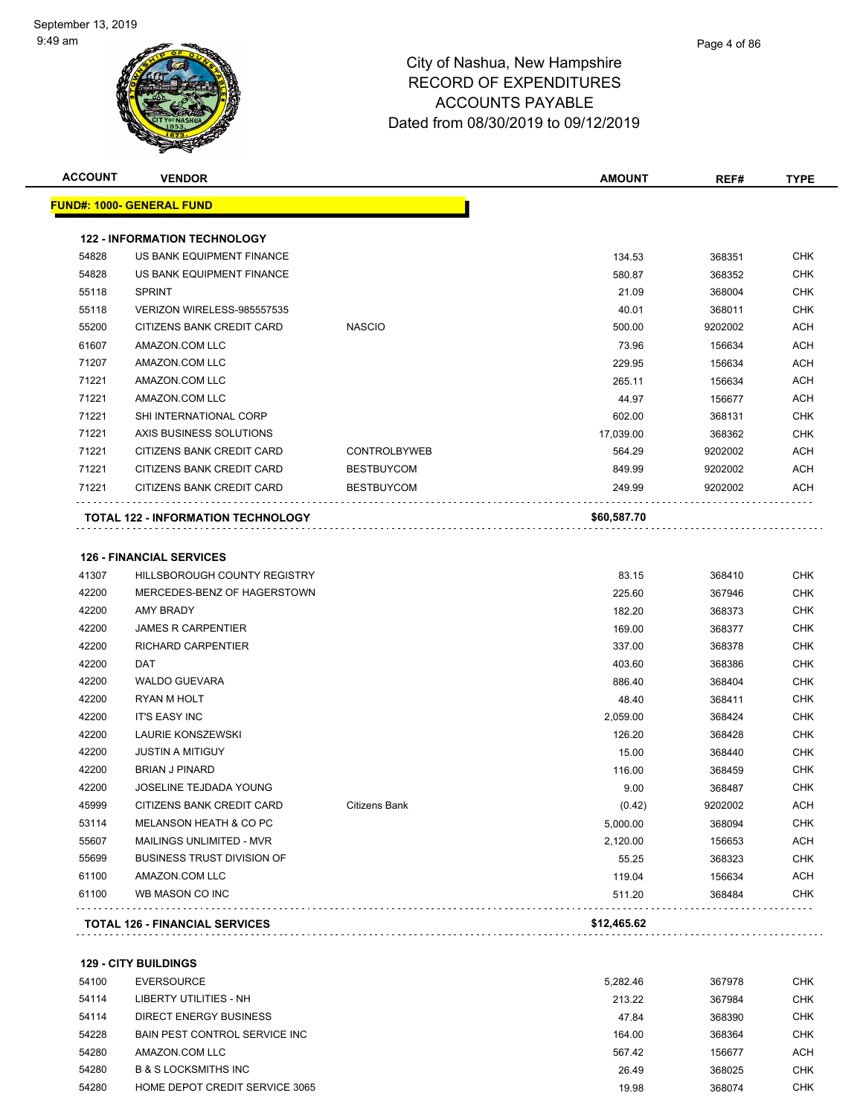| <b>ACCOUNT</b> | <b>VENDOR</b>                             |                     | <b>AMOUNT</b> | REF#    | <b>TYPE</b> |
|----------------|-------------------------------------------|---------------------|---------------|---------|-------------|
|                | <u> FUND#: 1000- GENERAL FUND</u>         |                     |               |         |             |
|                | <b>122 - INFORMATION TECHNOLOGY</b>       |                     |               |         |             |
| 54828          | US BANK EQUIPMENT FINANCE                 |                     | 134.53        | 368351  | <b>CHK</b>  |
| 54828          | US BANK EQUIPMENT FINANCE                 |                     | 580.87        | 368352  | <b>CHK</b>  |
| 55118          | <b>SPRINT</b>                             |                     | 21.09         | 368004  | <b>CHK</b>  |
| 55118          | VERIZON WIRELESS-985557535                |                     | 40.01         | 368011  | <b>CHK</b>  |
| 55200          | CITIZENS BANK CREDIT CARD                 | <b>NASCIO</b>       | 500.00        | 9202002 | <b>ACH</b>  |
| 61607          | AMAZON.COM LLC                            |                     | 73.96         | 156634  | <b>ACH</b>  |
| 71207          | AMAZON.COM LLC                            |                     | 229.95        | 156634  | <b>ACH</b>  |
| 71221          | AMAZON.COM LLC                            |                     | 265.11        | 156634  | <b>ACH</b>  |
| 71221          | AMAZON.COM LLC                            |                     | 44.97         | 156677  | <b>ACH</b>  |
| 71221          | SHI INTERNATIONAL CORP                    |                     | 602.00        | 368131  | <b>CHK</b>  |
| 71221          | AXIS BUSINESS SOLUTIONS                   |                     | 17,039.00     | 368362  | <b>CHK</b>  |
| 71221          | CITIZENS BANK CREDIT CARD                 | <b>CONTROLBYWEB</b> | 564.29        | 9202002 | <b>ACH</b>  |
| 71221          | CITIZENS BANK CREDIT CARD                 | <b>BESTBUYCOM</b>   | 849.99        | 9202002 | <b>ACH</b>  |
| 71221          | CITIZENS BANK CREDIT CARD                 | <b>BESTBUYCOM</b>   | 249.99        | 9202002 | ACH         |
|                | <b>TOTAL 122 - INFORMATION TECHNOLOGY</b> |                     | \$60,587.70   |         |             |
|                |                                           |                     |               |         |             |
|                | <b>126 - FINANCIAL SERVICES</b>           |                     |               |         |             |
| 41307          | HILLSBOROUGH COUNTY REGISTRY              |                     | 83.15         | 368410  | <b>CHK</b>  |
| 42200          | MERCEDES-BENZ OF HAGERSTOWN               |                     | 225.60        | 367946  | <b>CHK</b>  |
| 42200          | AMY BRADY                                 |                     | 182.20        | 368373  | <b>CHK</b>  |
| 42200          | <b>JAMES R CARPENTIER</b>                 |                     | 169.00        | 368377  | <b>CHK</b>  |
| 42200          | RICHARD CARPENTIER                        |                     | 337.00        | 368378  | <b>CHK</b>  |
| 42200          | DAT                                       |                     | 403.60        | 368386  | <b>CHK</b>  |
| 42200          | <b>WALDO GUEVARA</b>                      |                     | 886.40        | 368404  | <b>CHK</b>  |
| 42200          | RYAN M HOLT                               |                     | 48.40         | 368411  | <b>CHK</b>  |
| 42200          | <b>IT'S EASY INC</b>                      |                     | 2,059.00      | 368424  | <b>CHK</b>  |
| 42200          | <b>LAURIE KONSZEWSKI</b>                  |                     | 126.20        | 368428  | <b>CHK</b>  |
| 42200          | <b>JUSTIN A MITIGUY</b>                   |                     | 15.00         | 368440  | <b>CHK</b>  |
| 42200          | <b>BRIAN J PINARD</b>                     |                     | 116.00        | 368459  | <b>CHK</b>  |
| 42200          | <b>JOSELINE TEJDADA YOUNG</b>             |                     | 9.00          | 368487  | <b>CHK</b>  |
| 45999          | CITIZENS BANK CREDIT CARD                 | Citizens Bank       | (0.42)        | 9202002 | <b>ACH</b>  |
| 53114          | MELANSON HEATH & CO PC                    |                     | 5,000.00      | 368094  | <b>CHK</b>  |
| 55607          | MAILINGS UNLIMITED - MVR                  |                     | 2,120.00      | 156653  | <b>ACH</b>  |
| 55699          | <b>BUSINESS TRUST DIVISION OF</b>         |                     | 55.25         | 368323  | <b>CHK</b>  |
| 61100          | AMAZON.COM LLC                            |                     | 119.04        | 156634  | <b>ACH</b>  |
| 61100          | WB MASON CO INC                           |                     | 511.20        | 368484  | <b>CHK</b>  |
|                |                                           |                     |               |         |             |
|                | <b>TOTAL 126 - FINANCIAL SERVICES</b>     |                     | \$12,465.62   |         |             |

**129 - CITY BUILDINGS**

| 54100 | EVERSOURCE                      | 5.282.46 | 367978 | <b>CHK</b> |
|-------|---------------------------------|----------|--------|------------|
| 54114 | LIBERTY UTILITIES - NH          | 213.22   | 367984 | <b>CHK</b> |
| 54114 | DIRECT ENERGY BUSINESS          | 47.84    | 368390 | <b>CHK</b> |
| 54228 | BAIN PEST CONTROL SERVICE INC   | 164.00   | 368364 | <b>CHK</b> |
| 54280 | AMAZON.COM LLC                  | 567.42   | 156677 | ACH        |
| 54280 | <b>B &amp; S LOCKSMITHS INC</b> | 26.49    | 368025 | <b>CHK</b> |
| 54280 | HOME DEPOT CREDIT SERVICE 3065  | 19.98    | 368074 | <b>CHK</b> |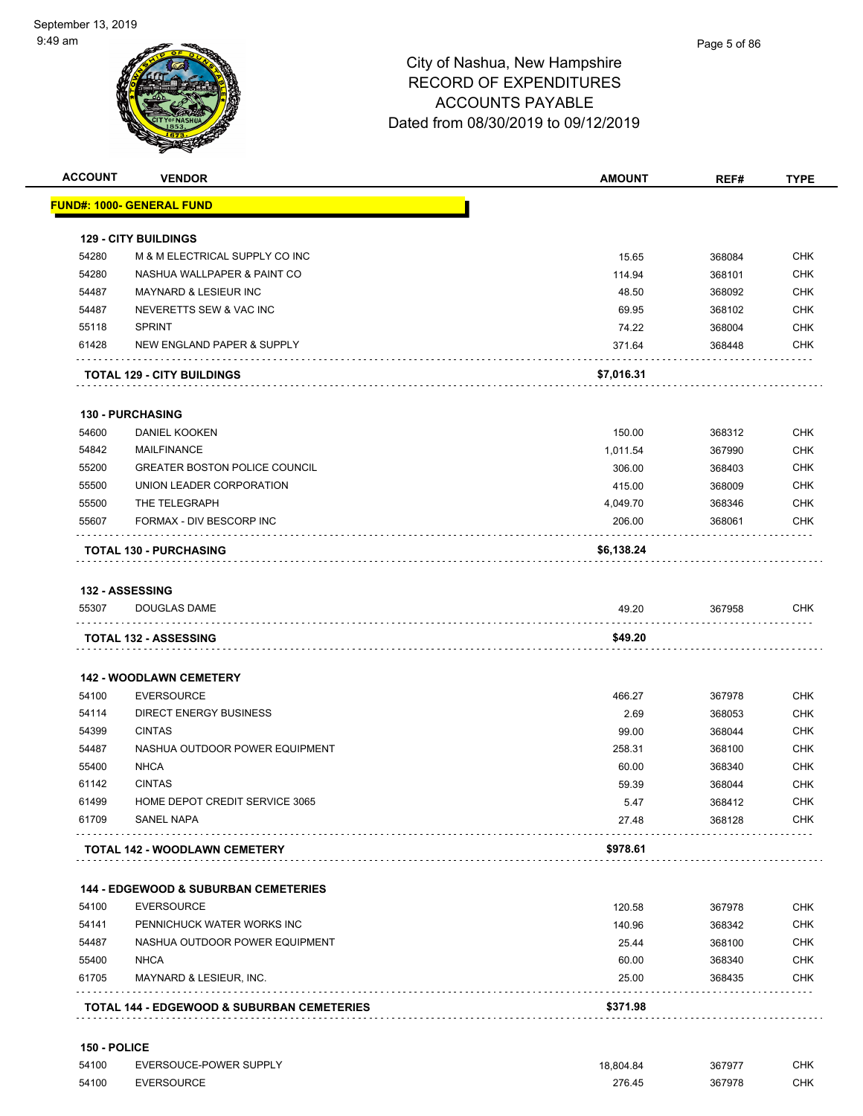|       | <b>VENDOR</b>                                   | <b>AMOUNT</b> | REF#   | <b>TYPE</b>                                                                             |
|-------|-------------------------------------------------|---------------|--------|-----------------------------------------------------------------------------------------|
|       | <u> FUND#: 1000- GENERAL FUND</u>               |               |        |                                                                                         |
|       |                                                 |               |        |                                                                                         |
|       | <b>129 - CITY BUILDINGS</b>                     |               |        |                                                                                         |
| 54280 | M & M ELECTRICAL SUPPLY CO INC                  | 15.65         | 368084 | <b>CHK</b>                                                                              |
| 54280 | NASHUA WALLPAPER & PAINT CO                     | 114.94        | 368101 | <b>CHK</b>                                                                              |
| 54487 | <b>MAYNARD &amp; LESIEUR INC</b>                | 48.50         | 368092 | CHK                                                                                     |
| 54487 | NEVERETTS SEW & VAC INC                         | 69.95         | 368102 | <b>CHK</b>                                                                              |
| 55118 | <b>SPRINT</b>                                   | 74.22         | 368004 | <b>CHK</b>                                                                              |
| 61428 | NEW ENGLAND PAPER & SUPPLY<br>.                 | 371.64        | 368448 | <b>CHK</b>                                                                              |
|       | <b>TOTAL 129 - CITY BUILDINGS</b>               | \$7,016.31    |        |                                                                                         |
|       | <b>130 - PURCHASING</b>                         |               |        |                                                                                         |
| 54600 | <b>DANIEL KOOKEN</b>                            | 150.00        | 368312 | <b>CHK</b>                                                                              |
| 54842 | <b>MAILFINANCE</b>                              | 1,011.54      | 367990 | <b>CHK</b>                                                                              |
| 55200 | <b>GREATER BOSTON POLICE COUNCIL</b>            | 306.00        | 368403 | <b>CHK</b>                                                                              |
| 55500 | UNION LEADER CORPORATION                        | 415.00        | 368009 | <b>CHK</b>                                                                              |
| 55500 | THE TELEGRAPH                                   | 4,049.70      | 368346 | <b>CHK</b>                                                                              |
| 55607 | FORMAX - DIV BESCORP INC                        | 206.00        | 368061 | CHK                                                                                     |
|       | <b>TOTAL 130 - PURCHASING</b>                   | \$6,138.24    |        |                                                                                         |
|       |                                                 |               |        |                                                                                         |
|       | 132 - ASSESSING                                 |               |        |                                                                                         |
| 55307 | <b>DOUGLAS DAME</b>                             | 49.20         | 367958 | <b>CHK</b>                                                                              |
|       |                                                 |               |        |                                                                                         |
|       | <b>TOTAL 132 - ASSESSING</b>                    | \$49.20       |        |                                                                                         |
|       |                                                 |               |        |                                                                                         |
|       | <b>142 - WOODLAWN CEMETERY</b>                  |               |        |                                                                                         |
| 54100 | <b>EVERSOURCE</b>                               | 466.27        | 367978 |                                                                                         |
| 54114 | <b>DIRECT ENERGY BUSINESS</b>                   | 2.69          | 368053 |                                                                                         |
| 54399 | <b>CINTAS</b>                                   | 99.00         | 368044 |                                                                                         |
| 54487 | NASHUA OUTDOOR POWER EQUIPMENT                  | 258.31        | 368100 |                                                                                         |
| 55400 | <b>NHCA</b>                                     | 60.00         | 368340 |                                                                                         |
| 61142 | <b>CINTAS</b>                                   | 59.39         | 368044 |                                                                                         |
| 61499 | HOME DEPOT CREDIT SERVICE 3065                  | 5.47          | 368412 |                                                                                         |
| 61709 | <b>SANEL NAPA</b>                               | 27.48         | 368128 |                                                                                         |
|       | TOTAL 142 - WOODLAWN CEMETERY                   | \$978.61      |        | CHK<br><b>CHK</b><br><b>CHK</b><br>CHK<br><b>CHK</b><br><b>CHK</b><br>CHK<br><b>CHK</b> |
|       | <b>144 - EDGEWOOD &amp; SUBURBAN CEMETERIES</b> |               |        |                                                                                         |
| 54100 | <b>EVERSOURCE</b>                               | 120.58        | 367978 |                                                                                         |
| 54141 | PENNICHUCK WATER WORKS INC                      | 140.96        | 368342 |                                                                                         |
| 54487 | NASHUA OUTDOOR POWER EQUIPMENT                  | 25.44         | 368100 |                                                                                         |
| 55400 | <b>NHCA</b>                                     | 60.00         | 368340 |                                                                                         |
| 61705 | MAYNARD & LESIEUR, INC.                         | 25.00         | 368435 | <b>CHK</b><br>CHK<br><b>CHK</b><br>CHK<br><b>CHK</b>                                    |

| 54100 | EVERSOUCE-POWER SUPPLY | 18.804.84 | 367977 | снк |
|-------|------------------------|-----------|--------|-----|
| 54100 | <b>EVERSOURCE</b>      | 276.45    | 367978 | снк |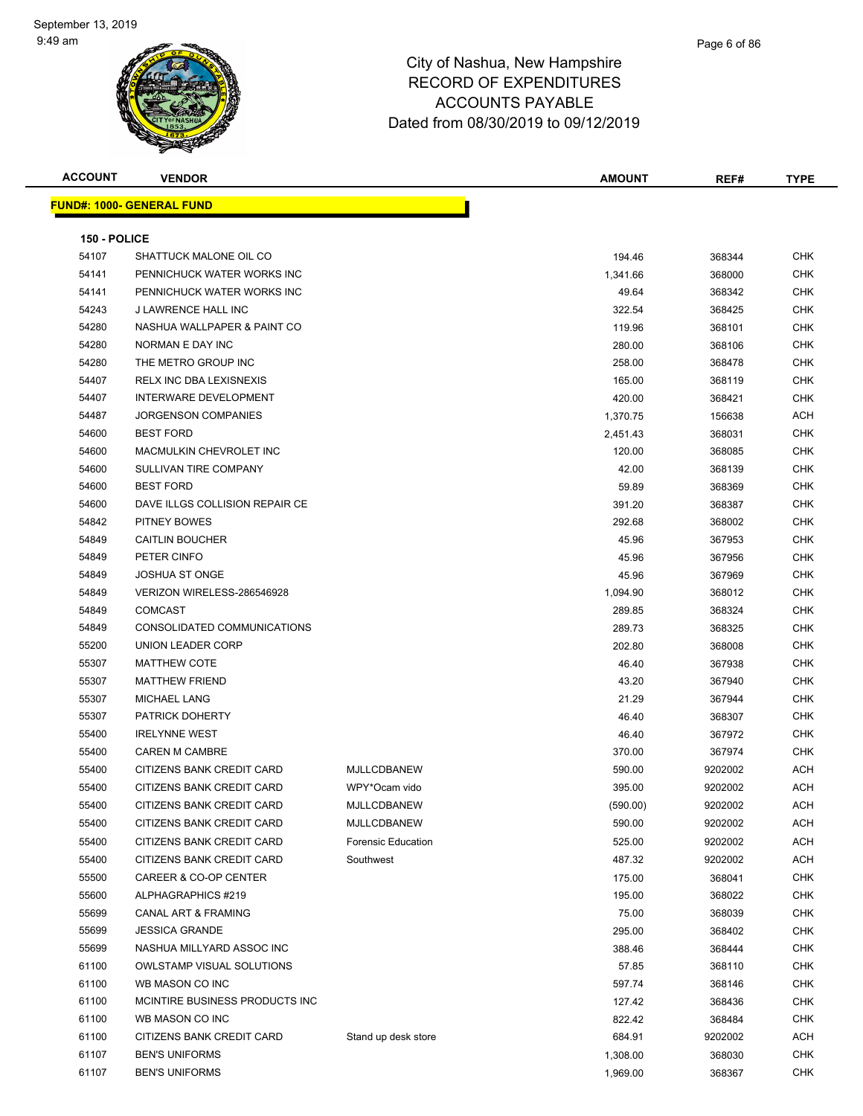| <b>ACCOUNT</b> | <b>VENDOR</b>                    |                           | AMOUNT   | REF#    | <b>TYPE</b> |
|----------------|----------------------------------|---------------------------|----------|---------|-------------|
|                | <b>FUND#: 1000- GENERAL FUND</b> |                           |          |         |             |
|                |                                  |                           |          |         |             |
| 150 - POLICE   |                                  |                           |          |         |             |
| 54107          | SHATTUCK MALONE OIL CO           |                           | 194.46   | 368344  | CHK         |
| 54141          | PENNICHUCK WATER WORKS INC       |                           | 1,341.66 | 368000  | <b>CHK</b>  |
| 54141          | PENNICHUCK WATER WORKS INC       |                           | 49.64    | 368342  | CHK         |
| 54243          | J LAWRENCE HALL INC              |                           | 322.54   | 368425  | <b>CHK</b>  |
| 54280          | NASHUA WALLPAPER & PAINT CO      |                           | 119.96   | 368101  | CHK         |
| 54280          | NORMAN E DAY INC                 |                           | 280.00   | 368106  | CHK         |
| 54280          | THE METRO GROUP INC              |                           | 258.00   | 368478  | <b>CHK</b>  |
| 54407          | <b>RELX INC DBA LEXISNEXIS</b>   |                           | 165.00   | 368119  | CHK         |
| 54407          | INTERWARE DEVELOPMENT            |                           | 420.00   | 368421  | <b>CHK</b>  |
| 54487          | <b>JORGENSON COMPANIES</b>       |                           | 1,370.75 | 156638  | ACH         |
| 54600          | <b>BEST FORD</b>                 |                           | 2,451.43 | 368031  | CHK         |
| 54600          | MACMULKIN CHEVROLET INC          |                           | 120.00   | 368085  | <b>CHK</b>  |
| 54600          | SULLIVAN TIRE COMPANY            |                           | 42.00    | 368139  | <b>CHK</b>  |
| 54600          | <b>BEST FORD</b>                 |                           | 59.89    | 368369  | CHK         |
| 54600          | DAVE ILLGS COLLISION REPAIR CE   |                           | 391.20   | 368387  | CHK         |
| 54842          | PITNEY BOWES                     |                           | 292.68   | 368002  | CHK         |
| 54849          | <b>CAITLIN BOUCHER</b>           |                           | 45.96    | 367953  | CHK         |
| 54849          | PETER CINFO                      |                           | 45.96    | 367956  | <b>CHK</b>  |
| 54849          | <b>JOSHUA ST ONGE</b>            |                           | 45.96    | 367969  | <b>CHK</b>  |
| 54849          | VERIZON WIRELESS-286546928       |                           | 1,094.90 | 368012  | <b>CHK</b>  |
| 54849          | <b>COMCAST</b>                   |                           | 289.85   | 368324  | <b>CHK</b>  |
| 54849          | CONSOLIDATED COMMUNICATIONS      |                           | 289.73   | 368325  | CHK         |
| 55200          | UNION LEADER CORP                |                           | 202.80   | 368008  | <b>CHK</b>  |
| 55307          | <b>MATTHEW COTE</b>              |                           | 46.40    | 367938  | <b>CHK</b>  |
| 55307          | <b>MATTHEW FRIEND</b>            |                           | 43.20    | 367940  | CHK         |
| 55307          | <b>MICHAEL LANG</b>              |                           | 21.29    | 367944  | <b>CHK</b>  |
| 55307          | <b>PATRICK DOHERTY</b>           |                           | 46.40    | 368307  | CHK         |
| 55400          | <b>IRELYNNE WEST</b>             |                           | 46.40    | 367972  | <b>CHK</b>  |
| 55400          | <b>CAREN M CAMBRE</b>            |                           | 370.00   | 367974  | <b>CHK</b>  |
| 55400          | CITIZENS BANK CREDIT CARD        | <b>MJLLCDBANEW</b>        | 590.00   | 9202002 | ACH         |
| 55400          | CITIZENS BANK CREDIT CARD        | WPY*Ocam vido             | 395.00   | 9202002 | ACH         |
| 55400          | CITIZENS BANK CREDIT CARD        | MJLLCDBANEW               | (590.00) | 9202002 | <b>ACH</b>  |
| 55400          | CITIZENS BANK CREDIT CARD        | MJLLCDBANEW               | 590.00   | 9202002 | <b>ACH</b>  |
| 55400          | CITIZENS BANK CREDIT CARD        | <b>Forensic Education</b> | 525.00   | 9202002 | <b>ACH</b>  |
| 55400          | CITIZENS BANK CREDIT CARD        | Southwest                 | 487.32   | 9202002 | <b>ACH</b>  |
| 55500          | CAREER & CO-OP CENTER            |                           | 175.00   | 368041  | <b>CHK</b>  |
| 55600          | ALPHAGRAPHICS #219               |                           | 195.00   | 368022  | <b>CHK</b>  |
| 55699          | <b>CANAL ART &amp; FRAMING</b>   |                           | 75.00    | 368039  | <b>CHK</b>  |
| 55699          | <b>JESSICA GRANDE</b>            |                           | 295.00   | 368402  | <b>CHK</b>  |
| 55699          | NASHUA MILLYARD ASSOC INC        |                           | 388.46   | 368444  | <b>CHK</b>  |
| 61100          | <b>OWLSTAMP VISUAL SOLUTIONS</b> |                           | 57.85    | 368110  | <b>CHK</b>  |
| 61100          | WB MASON CO INC                  |                           | 597.74   | 368146  | <b>CHK</b>  |
| 61100          | MCINTIRE BUSINESS PRODUCTS INC   |                           | 127.42   | 368436  | <b>CHK</b>  |
| 61100          | WB MASON CO INC                  |                           | 822.42   | 368484  | <b>CHK</b>  |
| 61100          | CITIZENS BANK CREDIT CARD        | Stand up desk store       | 684.91   | 9202002 | <b>ACH</b>  |
| 61107          | <b>BEN'S UNIFORMS</b>            |                           | 1,308.00 | 368030  | <b>CHK</b>  |
| 61107          | <b>BEN'S UNIFORMS</b>            |                           | 1,969.00 | 368367  | CHK         |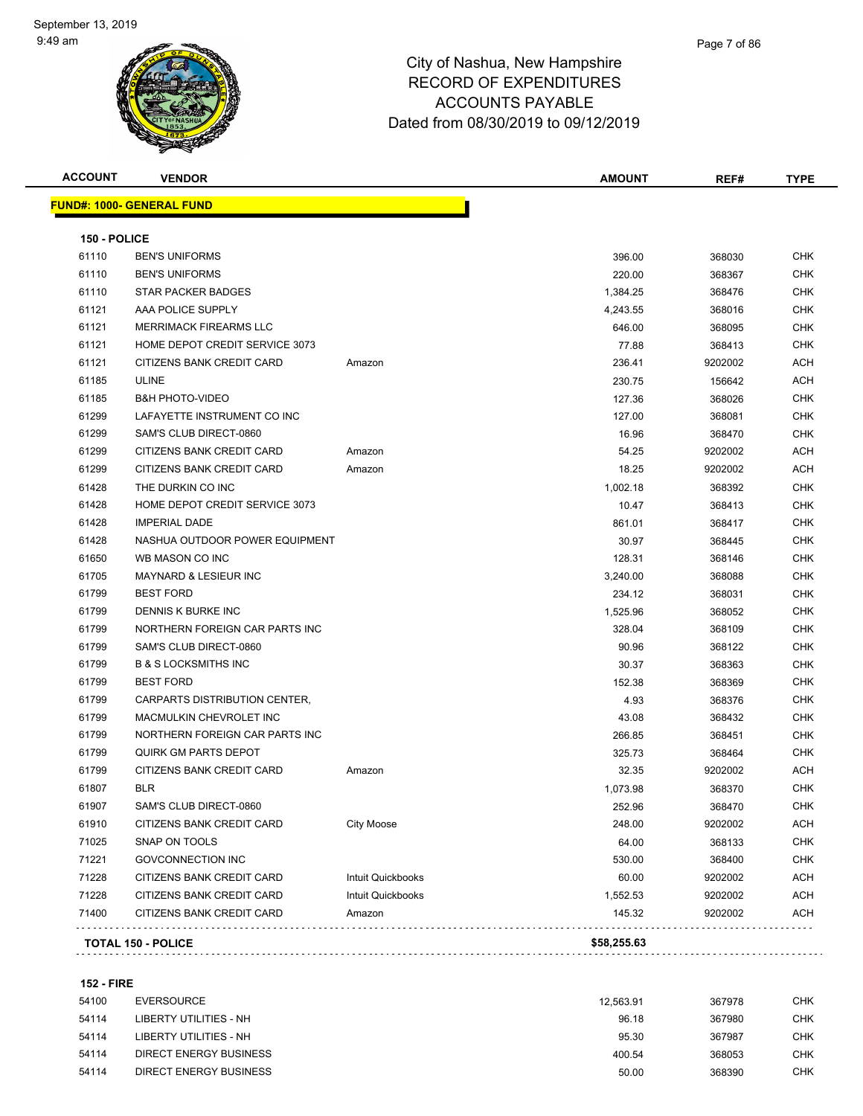| <b>ACCOUNT</b> | <b>VENDOR</b>                    |                   | <b>AMOUNT</b> | REF#    | <b>TYPE</b> |
|----------------|----------------------------------|-------------------|---------------|---------|-------------|
|                | <b>FUND#: 1000- GENERAL FUND</b> |                   |               |         |             |
| 150 - POLICE   |                                  |                   |               |         |             |
| 61110          | <b>BEN'S UNIFORMS</b>            |                   | 396.00        | 368030  | <b>CHK</b>  |
| 61110          | <b>BEN'S UNIFORMS</b>            |                   | 220.00        | 368367  | <b>CHK</b>  |
| 61110          | <b>STAR PACKER BADGES</b>        |                   | 1,384.25      | 368476  | CHK         |
| 61121          | AAA POLICE SUPPLY                |                   | 4,243.55      | 368016  | CHK         |
| 61121          | <b>MERRIMACK FIREARMS LLC</b>    |                   | 646.00        | 368095  | CHK         |
| 61121          | HOME DEPOT CREDIT SERVICE 3073   |                   | 77.88         | 368413  | CHK         |
| 61121          | CITIZENS BANK CREDIT CARD        | Amazon            | 236.41        | 9202002 | <b>ACH</b>  |
| 61185          | <b>ULINE</b>                     |                   | 230.75        | 156642  | ACH         |
| 61185          | <b>B&amp;H PHOTO-VIDEO</b>       |                   | 127.36        | 368026  | <b>CHK</b>  |
| 61299          | LAFAYETTE INSTRUMENT CO INC      |                   | 127.00        | 368081  | CHK         |
| 61299          | SAM'S CLUB DIRECT-0860           |                   | 16.96         | 368470  | CHK         |
| 61299          | CITIZENS BANK CREDIT CARD        | Amazon            | 54.25         | 9202002 | ACH         |
| 61299          | CITIZENS BANK CREDIT CARD        | Amazon            | 18.25         | 9202002 | ACH         |
| 61428          | THE DURKIN CO INC                |                   | 1,002.18      | 368392  | <b>CHK</b>  |
| 61428          | HOME DEPOT CREDIT SERVICE 3073   |                   | 10.47         | 368413  | CHK         |
| 61428          | <b>IMPERIAL DADE</b>             |                   | 861.01        | 368417  | CHK         |
| 61428          | NASHUA OUTDOOR POWER EQUIPMENT   |                   | 30.97         | 368445  | <b>CHK</b>  |
| 61650          | WB MASON CO INC                  |                   | 128.31        | 368146  | CHK         |
| 61705          | <b>MAYNARD &amp; LESIEUR INC</b> |                   | 3,240.00      | 368088  | CHK         |
| 61799          | <b>BEST FORD</b>                 |                   | 234.12        | 368031  | CHK         |
| 61799          | DENNIS K BURKE INC               |                   | 1,525.96      | 368052  | CHK         |
| 61799          | NORTHERN FOREIGN CAR PARTS INC   |                   | 328.04        | 368109  | <b>CHK</b>  |
| 61799          | SAM'S CLUB DIRECT-0860           |                   | 90.96         | 368122  | <b>CHK</b>  |
| 61799          | <b>B &amp; S LOCKSMITHS INC</b>  |                   | 30.37         | 368363  | <b>CHK</b>  |
| 61799          | <b>BEST FORD</b>                 |                   | 152.38        | 368369  | <b>CHK</b>  |
| 61799          | CARPARTS DISTRIBUTION CENTER,    |                   | 4.93          | 368376  | CHK         |
| 61799          | MACMULKIN CHEVROLET INC          |                   | 43.08         | 368432  | <b>CHK</b>  |
| 61799          | NORTHERN FOREIGN CAR PARTS INC   |                   | 266.85        | 368451  | <b>CHK</b>  |
| 61799          | <b>QUIRK GM PARTS DEPOT</b>      |                   | 325.73        | 368464  | CHK         |
| 61799          | CITIZENS BANK CREDIT CARD        | Amazon            | 32.35         | 9202002 | ACH         |
| 61807          | <b>BLR</b>                       |                   | 1,073.98      | 368370  | CHK         |
| 61907          | SAM'S CLUB DIRECT-0860           |                   | 252.96        | 368470  | <b>CHK</b>  |
| 61910          | CITIZENS BANK CREDIT CARD        | <b>City Moose</b> | 248.00        | 9202002 | ACH         |
| 71025          | SNAP ON TOOLS                    |                   | 64.00         | 368133  | <b>CHK</b>  |
| 71221          | <b>GOVCONNECTION INC</b>         |                   | 530.00        | 368400  | <b>CHK</b>  |
| 71228          | CITIZENS BANK CREDIT CARD        | Intuit Quickbooks | 60.00         | 9202002 | ACH         |
| 71228          | CITIZENS BANK CREDIT CARD        | Intuit Quickbooks | 1,552.53      | 9202002 | <b>ACH</b>  |
| 71400          | CITIZENS BANK CREDIT CARD        | Amazon            | 145.32        | 9202002 | <b>ACH</b>  |
|                | <b>TOTAL 150 - POLICE</b>        |                   | \$58,255.63   |         |             |

### **152 - FIRE**

| 54100 | EVERSOURCE             | 12.563.91 | 367978 | снк |
|-------|------------------------|-----------|--------|-----|
| 54114 | LIBERTY UTILITIES - NH | 96.18     | 367980 | снк |
| 54114 | LIBERTY UTILITIES - NH | 95.30     | 367987 | снк |
| 54114 | DIRECT ENERGY BUSINESS | 400.54    | 368053 | снк |
| 54114 | DIRECT ENERGY BUSINESS | 50.00     | 368390 | снк |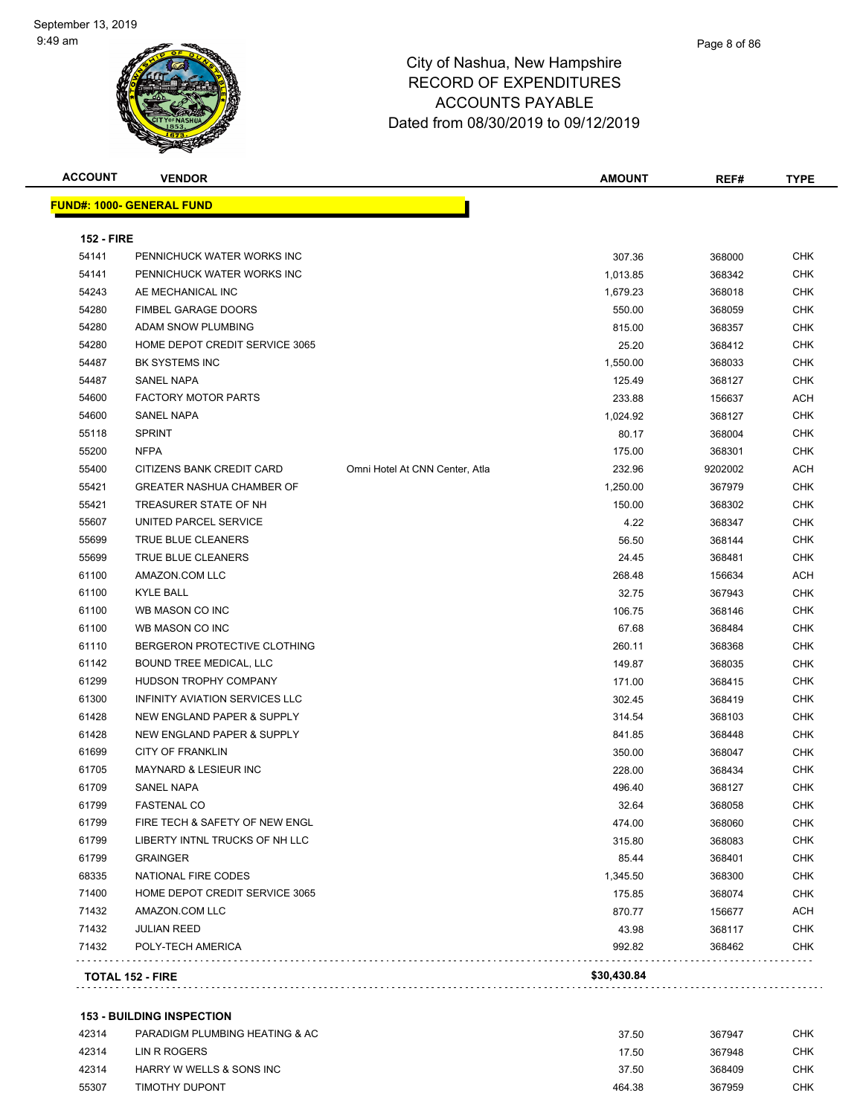

| <b>ACCOUNT</b>    | <b>VENDOR</b>                    |                                | <b>AMOUNT</b> | REF#    | <b>TYPE</b> |
|-------------------|----------------------------------|--------------------------------|---------------|---------|-------------|
|                   | <b>FUND#: 1000- GENERAL FUND</b> |                                |               |         |             |
| <b>152 - FIRE</b> |                                  |                                |               |         |             |
| 54141             | PENNICHUCK WATER WORKS INC       |                                | 307.36        | 368000  | <b>CHK</b>  |
| 54141             | PENNICHUCK WATER WORKS INC       |                                | 1,013.85      | 368342  | <b>CHK</b>  |
| 54243             | AE MECHANICAL INC                |                                | 1,679.23      | 368018  | <b>CHK</b>  |
| 54280             | <b>FIMBEL GARAGE DOORS</b>       |                                | 550.00        | 368059  | <b>CHK</b>  |
| 54280             | ADAM SNOW PLUMBING               |                                | 815.00        | 368357  | <b>CHK</b>  |
| 54280             | HOME DEPOT CREDIT SERVICE 3065   |                                | 25.20         | 368412  | <b>CHK</b>  |
| 54487             | <b>BK SYSTEMS INC</b>            |                                | 1,550.00      | 368033  | <b>CHK</b>  |
| 54487             | <b>SANEL NAPA</b>                |                                | 125.49        | 368127  | <b>CHK</b>  |
| 54600             | <b>FACTORY MOTOR PARTS</b>       |                                | 233.88        | 156637  | <b>ACH</b>  |
| 54600             | SANEL NAPA                       |                                | 1,024.92      | 368127  | CHK         |
| 55118             | <b>SPRINT</b>                    |                                | 80.17         | 368004  | <b>CHK</b>  |
| 55200             | <b>NFPA</b>                      |                                | 175.00        | 368301  | <b>CHK</b>  |
| 55400             | CITIZENS BANK CREDIT CARD        | Omni Hotel At CNN Center, Atla | 232.96        | 9202002 | ACH         |
| 55421             | <b>GREATER NASHUA CHAMBER OF</b> |                                | 1,250.00      | 367979  | <b>CHK</b>  |
| 55421             | TREASURER STATE OF NH            |                                | 150.00        | 368302  | CHK         |
| 55607             | UNITED PARCEL SERVICE            |                                | 4.22          | 368347  | CHK         |
| 55699             | TRUE BLUE CLEANERS               |                                | 56.50         | 368144  | CHK         |
| 55699             | TRUE BLUE CLEANERS               |                                | 24.45         | 368481  | <b>CHK</b>  |
| 61100             | AMAZON.COM LLC                   |                                | 268.48        | 156634  | ACH         |
| 61100             | KYLE BALL                        |                                | 32.75         | 367943  | <b>CHK</b>  |
| 61100             | WB MASON CO INC                  |                                | 106.75        | 368146  | CHK         |
| 61100             | WB MASON CO INC                  |                                | 67.68         | 368484  | <b>CHK</b>  |
| 61110             | BERGERON PROTECTIVE CLOTHING     |                                | 260.11        | 368368  | <b>CHK</b>  |
| 61142             | BOUND TREE MEDICAL, LLC          |                                | 149.87        | 368035  | <b>CHK</b>  |
| 61299             | HUDSON TROPHY COMPANY            |                                | 171.00        | 368415  | <b>CHK</b>  |
| 61300             | INFINITY AVIATION SERVICES LLC   |                                | 302.45        | 368419  | CHK         |
| 61428             | NEW ENGLAND PAPER & SUPPLY       |                                | 314.54        | 368103  | <b>CHK</b>  |
| 61428             | NEW ENGLAND PAPER & SUPPLY       |                                | 841.85        | 368448  | <b>CHK</b>  |
| 61699             | <b>CITY OF FRANKLIN</b>          |                                | 350.00        | 368047  | <b>CHK</b>  |
| 61705             | <b>MAYNARD &amp; LESIEUR INC</b> |                                | 228.00        | 368434  | <b>CHK</b>  |
| 61709             | <b>SANEL NAPA</b>                |                                | 496.40        | 368127  | <b>CHK</b>  |
| 61799             | <b>FASTENAL CO</b>               |                                | 32.64         | 368058  | <b>CHK</b>  |
| 61799             | FIRE TECH & SAFETY OF NEW ENGL   |                                | 474.00        | 368060  | CHK         |
| 61799             | LIBERTY INTNL TRUCKS OF NH LLC   |                                | 315.80        | 368083  | <b>CHK</b>  |
| 61799             | <b>GRAINGER</b>                  |                                | 85.44         | 368401  | <b>CHK</b>  |
| 68335             | NATIONAL FIRE CODES              |                                | 1,345.50      | 368300  | <b>CHK</b>  |
| 71400             | HOME DEPOT CREDIT SERVICE 3065   |                                | 175.85        | 368074  | <b>CHK</b>  |
| 71432             | AMAZON.COM LLC                   |                                | 870.77        | 156677  | <b>ACH</b>  |
| 71432             | <b>JULIAN REED</b>               |                                | 43.98         | 368117  | <b>CHK</b>  |
| 71432             | POLY-TECH AMERICA                |                                | 992.82        | 368462  | <b>CHK</b>  |
|                   | <b>TOTAL 152 - FIRE</b>          |                                | \$30,430.84   |         |             |

| 42314 | PARADIGM PLUMBING HEATING & AC | 37.50  | 367947 | CHK |
|-------|--------------------------------|--------|--------|-----|
| 42314 | LIN R ROGERS                   | 17.50  | 367948 | CHK |
| 42314 | HARRY W WELLS & SONS INC       | 37.50  | 368409 | CHK |
| 55307 | TIMOTHY DUPONT                 | 464.38 | 367959 | CHK |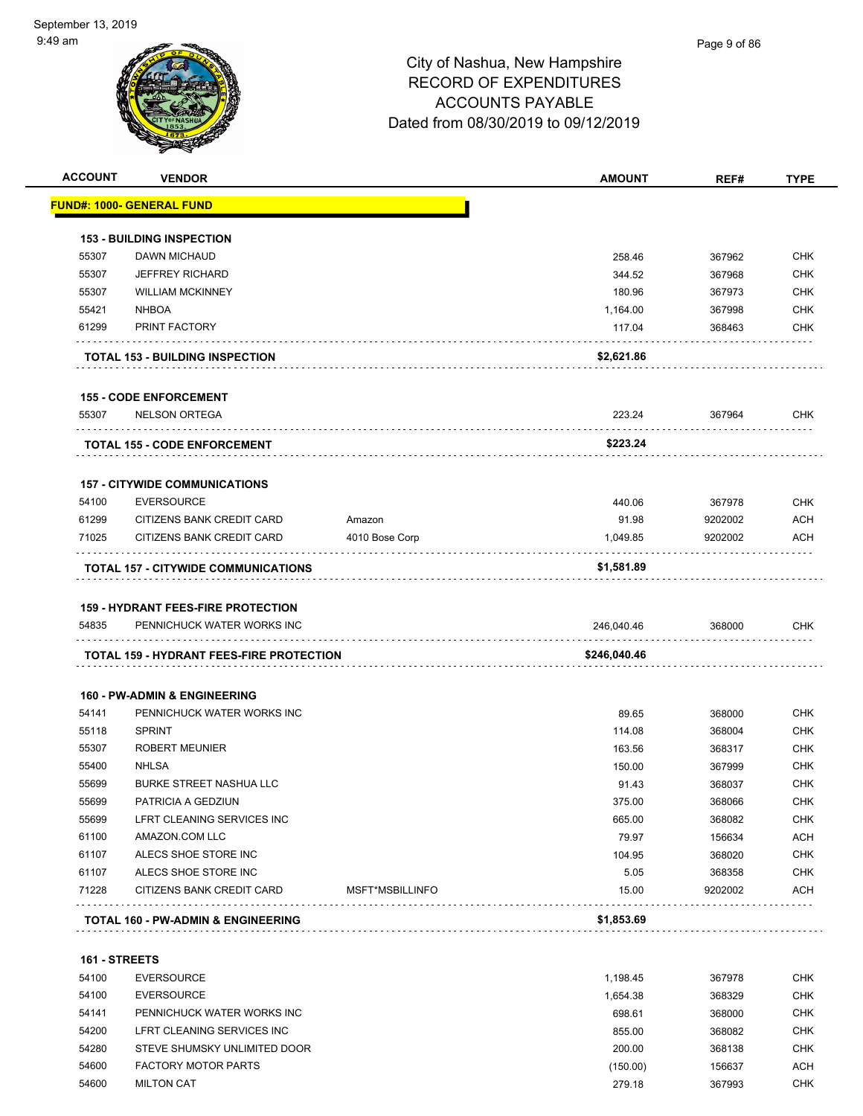

|               | <b>VENDOR</b>                                                           |                 | <b>AMOUNT</b> | REF#    | <b>TYPE</b>                                                                                                                                                                               |
|---------------|-------------------------------------------------------------------------|-----------------|---------------|---------|-------------------------------------------------------------------------------------------------------------------------------------------------------------------------------------------|
|               | <b>FUND#: 1000- GENERAL FUND</b>                                        |                 |               |         |                                                                                                                                                                                           |
|               | <b>153 - BUILDING INSPECTION</b>                                        |                 |               |         |                                                                                                                                                                                           |
| 55307         | DAWN MICHAUD                                                            |                 | 258.46        | 367962  | <b>CHK</b>                                                                                                                                                                                |
| 55307         | <b>JEFFREY RICHARD</b>                                                  |                 | 344.52        | 367968  | <b>CHK</b>                                                                                                                                                                                |
| 55307         | <b>WILLIAM MCKINNEY</b>                                                 |                 | 180.96        | 367973  | <b>CHK</b>                                                                                                                                                                                |
| 55421         | <b>NHBOA</b>                                                            |                 | 1,164.00      | 367998  | <b>CHK</b>                                                                                                                                                                                |
| 61299         | PRINT FACTORY                                                           |                 | 117.04        | 368463  | <b>CHK</b>                                                                                                                                                                                |
|               | <b>TOTAL 153 - BUILDING INSPECTION</b>                                  |                 | \$2,621.86    |         |                                                                                                                                                                                           |
|               | <b>155 - CODE ENFORCEMENT</b>                                           |                 |               |         |                                                                                                                                                                                           |
| 55307         | <b>NELSON ORTEGA</b>                                                    |                 | 223.24        | 367964  | <b>CHK</b>                                                                                                                                                                                |
|               | <b>TOTAL 155 - CODE ENFORCEMENT</b>                                     |                 | \$223.24      |         |                                                                                                                                                                                           |
|               |                                                                         |                 |               |         |                                                                                                                                                                                           |
| 54100         | <b>157 - CITYWIDE COMMUNICATIONS</b><br><b>EVERSOURCE</b>               |                 | 440.06        | 367978  | <b>CHK</b>                                                                                                                                                                                |
| 61299         | CITIZENS BANK CREDIT CARD                                               | Amazon          | 91.98         | 9202002 | <b>ACH</b>                                                                                                                                                                                |
|               |                                                                         |                 |               |         |                                                                                                                                                                                           |
| 71025         | CITIZENS BANK CREDIT CARD                                               | 4010 Bose Corp  | 1,049.85      | 9202002 | <b>ACH</b>                                                                                                                                                                                |
|               |                                                                         |                 |               |         |                                                                                                                                                                                           |
| 54835         | <b>159 - HYDRANT FEES-FIRE PROTECTION</b><br>PENNICHUCK WATER WORKS INC |                 | 246,040.46    | 368000  |                                                                                                                                                                                           |
|               | <b>TOTAL 159 - HYDRANT FEES-FIRE PROTECTION</b>                         |                 | \$246,040.46  |         |                                                                                                                                                                                           |
|               | <b>160 - PW-ADMIN &amp; ENGINEERING</b>                                 |                 |               |         |                                                                                                                                                                                           |
| 54141         | PENNICHUCK WATER WORKS INC                                              |                 | 89.65         | 368000  |                                                                                                                                                                                           |
| 55118         | <b>SPRINT</b>                                                           |                 | 114.08        | 368004  |                                                                                                                                                                                           |
| 55307         | <b>ROBERT MEUNIER</b>                                                   |                 | 163.56        | 368317  |                                                                                                                                                                                           |
| 55400         | <b>NHLSA</b>                                                            |                 | 150.00        | 367999  |                                                                                                                                                                                           |
| 55699         | <b>BURKE STREET NASHUA LLC</b>                                          |                 | 91.43         | 368037  |                                                                                                                                                                                           |
| 55699         | PATRICIA A GEDZIUN                                                      |                 | 375.00        | 368066  |                                                                                                                                                                                           |
| 55699         | LFRT CLEANING SERVICES INC                                              |                 | 665.00        | 368082  |                                                                                                                                                                                           |
| 61100         | AMAZON.COM LLC                                                          |                 | 79.97         | 156634  |                                                                                                                                                                                           |
| 61107         | ALECS SHOE STORE INC                                                    |                 | 104.95        | 368020  |                                                                                                                                                                                           |
| 61107         | ALECS SHOE STORE INC                                                    |                 | 5.05          | 368358  |                                                                                                                                                                                           |
| 71228         | CITIZENS BANK CREDIT CARD                                               | MSFT*MSBILLINFO | 15.00         | 9202002 |                                                                                                                                                                                           |
|               | <b>TOTAL 160 - PW-ADMIN &amp; ENGINEERING</b>                           |                 | \$1,853.69    |         |                                                                                                                                                                                           |
| 161 - STREETS |                                                                         |                 |               |         |                                                                                                                                                                                           |
| 54100         | <b>EVERSOURCE</b>                                                       |                 | 1,198.45      | 367978  |                                                                                                                                                                                           |
| 54100         | <b>EVERSOURCE</b>                                                       |                 | 1,654.38      | 368329  | <b>CHK</b><br><b>CHK</b><br><b>CHK</b><br><b>CHK</b><br><b>CHK</b><br><b>CHK</b><br><b>CHK</b><br>CHK<br><b>ACH</b><br><b>CHK</b><br><b>CHK</b><br><b>ACH</b><br><b>CHK</b><br><b>CHK</b> |
| 54141         | PENNICHUCK WATER WORKS INC                                              |                 | 698.61        | 368000  | <b>CHK</b>                                                                                                                                                                                |

 54280 STEVE SHUMSKY UNLIMITED DOOR 200.00 368138 CHK 54600 FACTORY MOTOR PARTS **Example 20 FACTORY MOTOR PARTS CONSUMING A CHECK CONSUMING A CHECK CONSUMING A CHECK CONSUMING A CHECK CONSUMING A CHECK CONSUMING A CHECK CONSUMING A CHECK CONSUMING A CHECK CONSUMING A CHECK** 54600 MILTON CAT 279.18 367993 CHK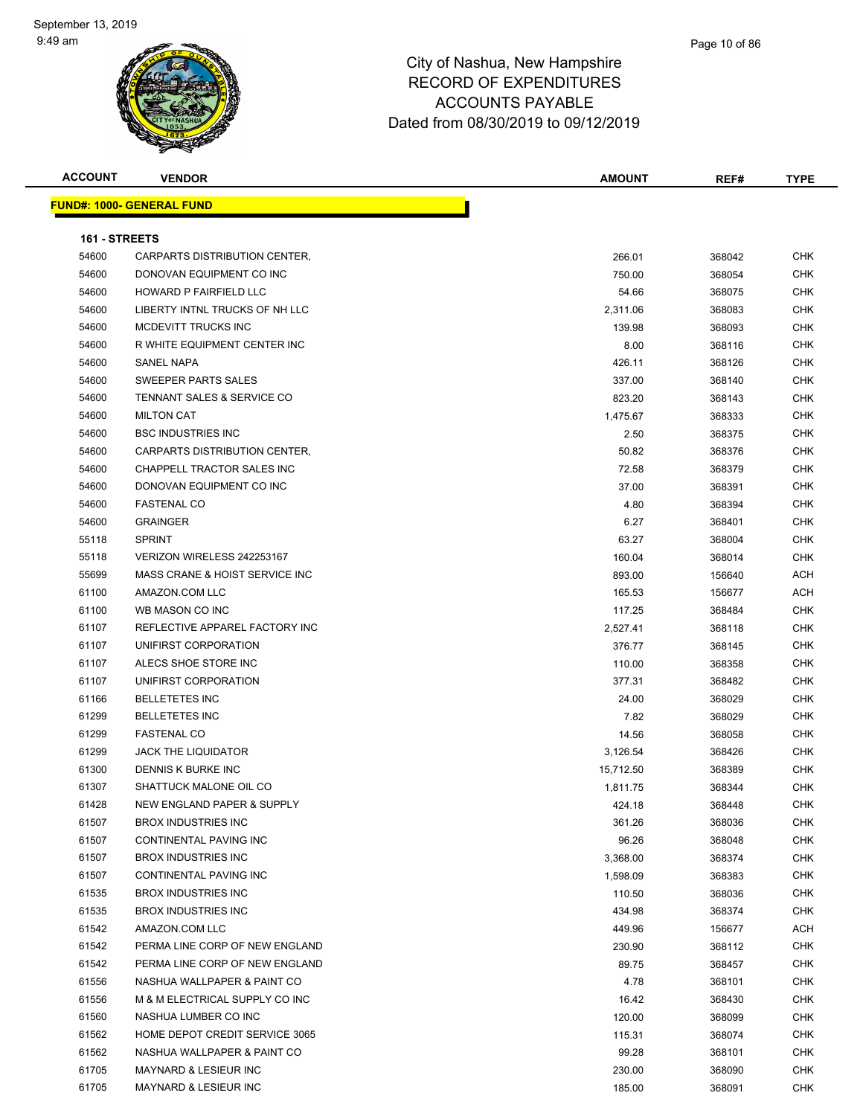#### Page 10 of 86

| <b>ACCOUNT</b> | <b>VENDOR</b>                     | <b>AMOUNT</b> | REF#   | <b>TYPE</b> |
|----------------|-----------------------------------|---------------|--------|-------------|
|                | <b>FUND#: 1000- GENERAL FUND</b>  |               |        |             |
|                |                                   |               |        |             |
| 161 - STREETS  |                                   |               |        |             |
| 54600          | CARPARTS DISTRIBUTION CENTER,     | 266.01        | 368042 | <b>CHK</b>  |
| 54600          | DONOVAN EQUIPMENT CO INC          | 750.00        | 368054 | <b>CHK</b>  |
| 54600          | <b>HOWARD P FAIRFIELD LLC</b>     | 54.66         | 368075 | <b>CHK</b>  |
| 54600          | LIBERTY INTNL TRUCKS OF NH LLC    | 2,311.06      | 368083 | <b>CHK</b>  |
| 54600          | MCDEVITT TRUCKS INC               | 139.98        | 368093 | <b>CHK</b>  |
| 54600          | R WHITE EQUIPMENT CENTER INC      | 8.00          | 368116 | <b>CHK</b>  |
| 54600          | <b>SANEL NAPA</b>                 | 426.11        | 368126 | <b>CHK</b>  |
| 54600          | SWEEPER PARTS SALES               | 337.00        | 368140 | <b>CHK</b>  |
| 54600          | TENNANT SALES & SERVICE CO        | 823.20        | 368143 | <b>CHK</b>  |
| 54600          | <b>MILTON CAT</b>                 | 1,475.67      | 368333 | <b>CHK</b>  |
| 54600          | <b>BSC INDUSTRIES INC</b>         | 2.50          | 368375 | <b>CHK</b>  |
| 54600          | CARPARTS DISTRIBUTION CENTER,     | 50.82         | 368376 | <b>CHK</b>  |
| 54600          | <b>CHAPPELL TRACTOR SALES INC</b> | 72.58         | 368379 | <b>CHK</b>  |
| 54600          | DONOVAN EQUIPMENT CO INC          | 37.00         | 368391 | <b>CHK</b>  |
| 54600          | <b>FASTENAL CO</b>                | 4.80          | 368394 | <b>CHK</b>  |
| 54600          | <b>GRAINGER</b>                   | 6.27          | 368401 | <b>CHK</b>  |
| 55118          | <b>SPRINT</b>                     | 63.27         | 368004 | <b>CHK</b>  |
| 55118          | VERIZON WIRELESS 242253167        | 160.04        | 368014 | <b>CHK</b>  |
| 55699          | MASS CRANE & HOIST SERVICE INC    | 893.00        | 156640 | <b>ACH</b>  |
| 61100          | AMAZON.COM LLC                    | 165.53        | 156677 | <b>ACH</b>  |
| 61100          | WB MASON CO INC                   | 117.25        | 368484 | <b>CHK</b>  |
| 61107          | REFLECTIVE APPAREL FACTORY INC    | 2,527.41      | 368118 | <b>CHK</b>  |
| 61107          | UNIFIRST CORPORATION              | 376.77        | 368145 | <b>CHK</b>  |
| 61107          | ALECS SHOE STORE INC              | 110.00        | 368358 | <b>CHK</b>  |
| 61107          | UNIFIRST CORPORATION              | 377.31        | 368482 | <b>CHK</b>  |
| 61166          | <b>BELLETETES INC</b>             | 24.00         | 368029 | <b>CHK</b>  |
| 61299          | <b>BELLETETES INC</b>             | 7.82          | 368029 | <b>CHK</b>  |
| 61299          | <b>FASTENAL CO</b>                | 14.56         | 368058 | <b>CHK</b>  |
| 61299          | <b>JACK THE LIQUIDATOR</b>        | 3,126.54      | 368426 | <b>CHK</b>  |
| 61300          | DENNIS K BURKE INC                | 15,712.50     | 368389 | <b>CHK</b>  |
| 61307          | SHATTUCK MALONE OIL CO            | 1,811.75      | 368344 | <b>CHK</b>  |
| 61428          | NEW ENGLAND PAPER & SUPPLY        | 424.18        | 368448 | <b>CHK</b>  |
| 61507          | <b>BROX INDUSTRIES INC</b>        | 361.26        | 368036 | <b>CHK</b>  |
| 61507          | CONTINENTAL PAVING INC            | 96.26         | 368048 | <b>CHK</b>  |
| 61507          | <b>BROX INDUSTRIES INC</b>        | 3,368.00      | 368374 | <b>CHK</b>  |
| 61507          | CONTINENTAL PAVING INC            | 1,598.09      | 368383 | <b>CHK</b>  |
| 61535          | <b>BROX INDUSTRIES INC</b>        | 110.50        | 368036 | <b>CHK</b>  |
| 61535          | <b>BROX INDUSTRIES INC</b>        | 434.98        | 368374 | <b>CHK</b>  |
| 61542          | AMAZON.COM LLC                    | 449.96        | 156677 | <b>ACH</b>  |
| 61542          | PERMA LINE CORP OF NEW ENGLAND    | 230.90        | 368112 | <b>CHK</b>  |
| 61542          | PERMA LINE CORP OF NEW ENGLAND    | 89.75         | 368457 | <b>CHK</b>  |
| 61556          | NASHUA WALLPAPER & PAINT CO       | 4.78          | 368101 | <b>CHK</b>  |
| 61556          | M & M ELECTRICAL SUPPLY CO INC    | 16.42         | 368430 | <b>CHK</b>  |
| 61560          | NASHUA LUMBER CO INC              | 120.00        | 368099 | <b>CHK</b>  |
| 61562          | HOME DEPOT CREDIT SERVICE 3065    | 115.31        | 368074 | <b>CHK</b>  |
| 61562          | NASHUA WALLPAPER & PAINT CO       | 99.28         | 368101 | <b>CHK</b>  |
| 61705          | <b>MAYNARD &amp; LESIEUR INC</b>  | 230.00        | 368090 | <b>CHK</b>  |
| 61705          | MAYNARD & LESIEUR INC             | 185.00        | 368091 | <b>CHK</b>  |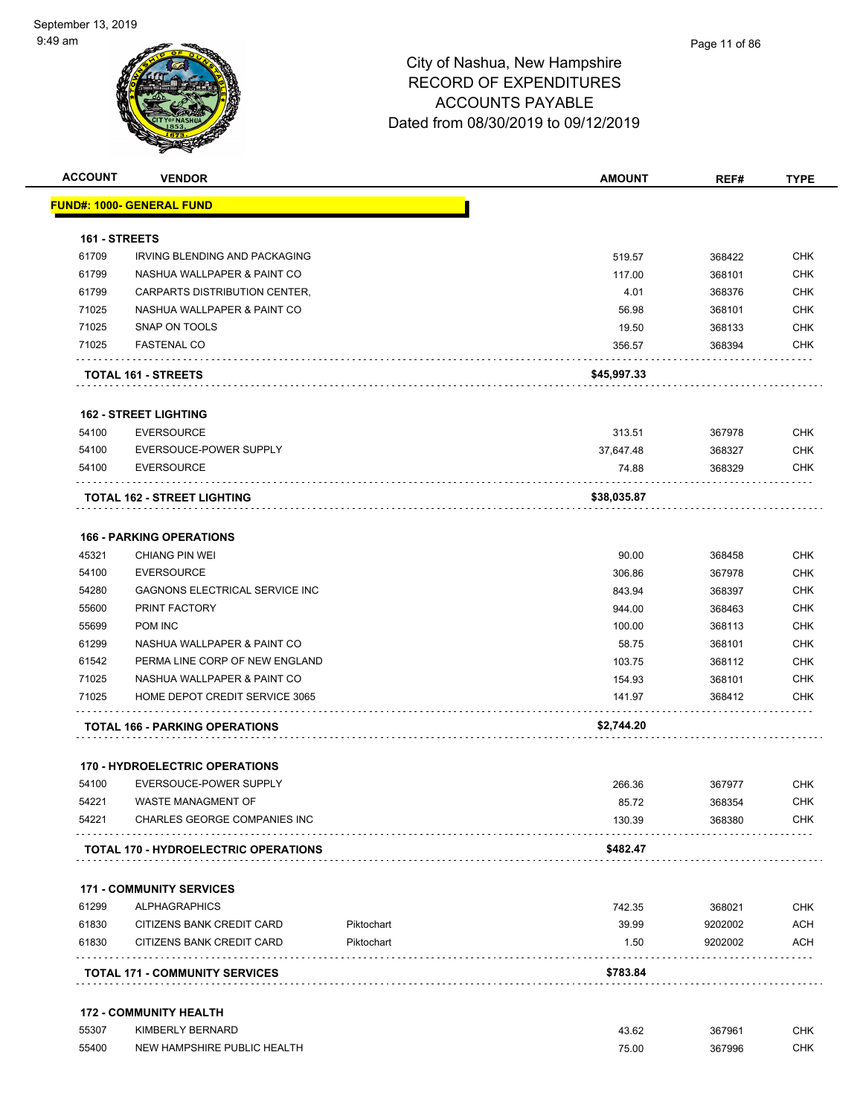| <b>ACCOUNT</b> | <b>VENDOR</b>                                      |            | <b>AMOUNT</b>   | REF#             | <b>TYPE</b>       |
|----------------|----------------------------------------------------|------------|-----------------|------------------|-------------------|
|                | <b>FUND#: 1000- GENERAL FUND</b>                   |            |                 |                  |                   |
| 161 - STREETS  |                                                    |            |                 |                  |                   |
| 61709          | <b>IRVING BLENDING AND PACKAGING</b>               |            | 519.57          | 368422           | <b>CHK</b>        |
| 61799          | NASHUA WALLPAPER & PAINT CO                        |            | 117.00          | 368101           | <b>CHK</b>        |
| 61799          | CARPARTS DISTRIBUTION CENTER,                      |            | 4.01            | 368376           | CHK               |
| 71025          | NASHUA WALLPAPER & PAINT CO                        |            | 56.98           | 368101           | <b>CHK</b>        |
| 71025          | SNAP ON TOOLS                                      |            | 19.50           | 368133           | <b>CHK</b>        |
| 71025          | <b>FASTENAL CO</b>                                 |            | 356.57          | 368394           | <b>CHK</b>        |
|                | <b>TOTAL 161 - STREETS</b>                         |            | \$45,997.33     |                  |                   |
|                | <b>162 - STREET LIGHTING</b>                       |            |                 |                  |                   |
| 54100          | <b>EVERSOURCE</b>                                  |            | 313.51          | 367978           | <b>CHK</b>        |
| 54100          | EVERSOUCE-POWER SUPPLY                             |            | 37,647.48       | 368327           | <b>CHK</b>        |
| 54100          | <b>EVERSOURCE</b>                                  |            | 74.88           | 368329           | CHK               |
|                | <b>TOTAL 162 - STREET LIGHTING</b>                 |            | \$38,035.87     |                  |                   |
|                | <b>166 - PARKING OPERATIONS</b>                    |            |                 |                  |                   |
| 45321          | <b>CHIANG PIN WEI</b>                              |            | 90.00           | 368458           | <b>CHK</b>        |
| 54100          | <b>EVERSOURCE</b>                                  |            | 306.86          | 367978           | <b>CHK</b>        |
| 54280          | GAGNONS ELECTRICAL SERVICE INC                     |            | 843.94          | 368397           | <b>CHK</b>        |
| 55600          | PRINT FACTORY                                      |            | 944.00          | 368463           | <b>CHK</b>        |
| 55699          | <b>POM INC</b>                                     |            | 100.00          | 368113           | CHK               |
| 61299          | NASHUA WALLPAPER & PAINT CO                        |            | 58.75           | 368101           | <b>CHK</b>        |
| 61542          | PERMA LINE CORP OF NEW ENGLAND                     |            | 103.75          | 368112           | <b>CHK</b>        |
| 71025          | NASHUA WALLPAPER & PAINT CO                        |            | 154.93          | 368101           | <b>CHK</b>        |
| 71025          | HOME DEPOT CREDIT SERVICE 3065                     |            | 141.97          | 368412           | <b>CHK</b>        |
|                | <b>TOTAL 166 - PARKING OPERATIONS</b>              |            | \$2,744.20      |                  |                   |
|                |                                                    |            |                 |                  |                   |
|                | <b>170 - HYDROELECTRIC OPERATIONS</b>              |            |                 |                  |                   |
| 54100          | EVERSOUCE-POWER SUPPLY                             |            | 266.36          | 367977           | <b>CHK</b>        |
| 54221<br>54221 | WASTE MANAGMENT OF<br>CHARLES GEORGE COMPANIES INC |            | 85.72<br>130.39 | 368354<br>368380 | <b>CHK</b><br>CHK |
|                | <b>TOTAL 170 - HYDROELECTRIC OPERATIONS</b>        |            | \$482.47        |                  |                   |
|                |                                                    |            |                 |                  |                   |
|                | <b>171 - COMMUNITY SERVICES</b>                    |            |                 |                  |                   |
| 61299          | <b>ALPHAGRAPHICS</b>                               |            | 742.35          | 368021           | <b>CHK</b>        |
| 61830          | CITIZENS BANK CREDIT CARD                          | Piktochart | 39.99           | 9202002          | <b>ACH</b>        |
| 61830          | CITIZENS BANK CREDIT CARD                          | Piktochart | 1.50            | 9202002          | <b>ACH</b>        |
|                | <b>TOTAL 171 - COMMUNITY SERVICES</b>              |            | \$783.84        |                  |                   |
|                | <b>172 - COMMUNITY HEALTH</b>                      |            |                 |                  |                   |
| 55307          | KIMBERLY BERNARD                                   |            | 43.62           | 367961           | <b>CHK</b>        |
| 55400          | NEW HAMPSHIRE PUBLIC HEALTH                        |            | 75.00           | 367996           | <b>CHK</b>        |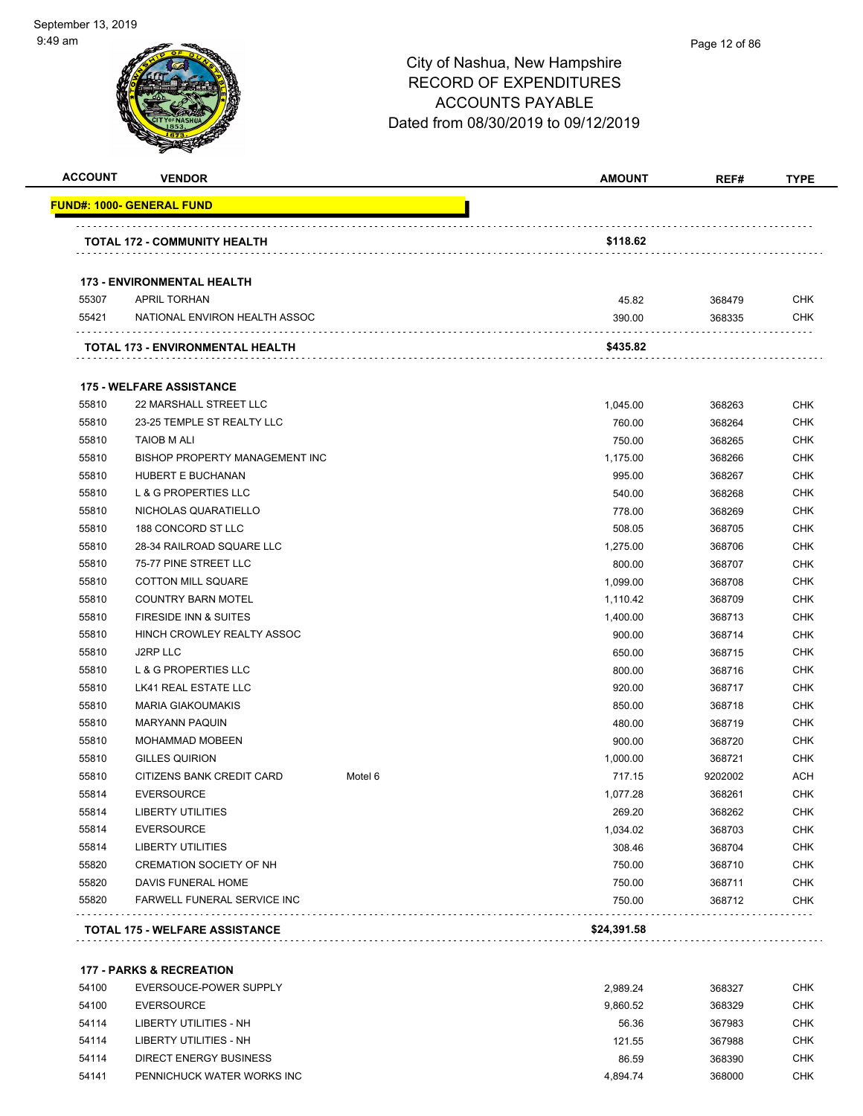| <b>ACCOUNT</b> | <b>VENDOR</b>                           |         | <b>AMOUNT</b> | REF#    | <b>TYPE</b> |
|----------------|-----------------------------------------|---------|---------------|---------|-------------|
|                | <u> FUND#: 1000- GENERAL FUND</u>       |         |               |         |             |
|                | <b>TOTAL 172 - COMMUNITY HEALTH</b>     |         | \$118.62      |         |             |
|                | <b>173 - ENVIRONMENTAL HEALTH</b>       |         |               |         |             |
| 55307          | <b>APRIL TORHAN</b>                     |         | 45.82         | 368479  | <b>CHK</b>  |
| 55421          | NATIONAL ENVIRON HEALTH ASSOC           |         | 390.00        | 368335  | <b>CHK</b>  |
|                | <b>TOTAL 173 - ENVIRONMENTAL HEALTH</b> |         | \$435.82      |         |             |
|                | <b>175 - WELFARE ASSISTANCE</b>         |         |               |         |             |
| 55810          | 22 MARSHALL STREET LLC                  |         | 1,045.00      | 368263  | <b>CHK</b>  |
| 55810          | 23-25 TEMPLE ST REALTY LLC              |         | 760.00        | 368264  | <b>CHK</b>  |
| 55810          | <b>TAIOB M ALI</b>                      |         | 750.00        | 368265  | <b>CHK</b>  |
| 55810          | BISHOP PROPERTY MANAGEMENT INC          |         | 1,175.00      | 368266  | <b>CHK</b>  |
| 55810          | HUBERT E BUCHANAN                       |         | 995.00        | 368267  | <b>CHK</b>  |
| 55810          | <b>L &amp; G PROPERTIES LLC</b>         |         | 540.00        | 368268  | <b>CHK</b>  |
| 55810          | NICHOLAS QUARATIELLO                    |         | 778.00        | 368269  | <b>CHK</b>  |
| 55810          | 188 CONCORD ST LLC                      |         | 508.05        | 368705  | <b>CHK</b>  |
| 55810          | 28-34 RAILROAD SQUARE LLC               |         | 1,275.00      | 368706  | <b>CHK</b>  |
| 55810          | 75-77 PINE STREET LLC                   |         | 800.00        | 368707  | <b>CHK</b>  |
| 55810          | <b>COTTON MILL SQUARE</b>               |         | 1,099.00      | 368708  | <b>CHK</b>  |
| 55810          | <b>COUNTRY BARN MOTEL</b>               |         | 1,110.42      | 368709  | <b>CHK</b>  |
| 55810          | FIRESIDE INN & SUITES                   |         | 1,400.00      | 368713  | <b>CHK</b>  |
| 55810          | HINCH CROWLEY REALTY ASSOC              |         | 900.00        | 368714  | <b>CHK</b>  |
| 55810          | J2RP LLC                                |         | 650.00        | 368715  | <b>CHK</b>  |
| 55810          | L & G PROPERTIES LLC                    |         | 800.00        | 368716  | <b>CHK</b>  |
| 55810          | LK41 REAL ESTATE LLC                    |         | 920.00        | 368717  | <b>CHK</b>  |
| 55810          | <b>MARIA GIAKOUMAKIS</b>                |         | 850.00        | 368718  | <b>CHK</b>  |
| 55810          | <b>MARYANN PAQUIN</b>                   |         | 480.00        | 368719  | <b>CHK</b>  |
| 55810          | <b>MOHAMMAD MOBEEN</b>                  |         | 900.00        | 368720  | <b>CHK</b>  |
| 55810          | <b>GILLES QUIRION</b>                   |         | 1,000.00      | 368721  | <b>CHK</b>  |
| 55810          | CITIZENS BANK CREDIT CARD               | Motel 6 | 717.15        | 9202002 | <b>ACH</b>  |
| 55814          | <b>EVERSOURCE</b>                       |         | 1,077.28      | 368261  | <b>CHK</b>  |
| 55814          | <b>LIBERTY UTILITIES</b>                |         | 269.20        | 368262  | <b>CHK</b>  |
| 55814          | <b>EVERSOURCE</b>                       |         | 1,034.02      | 368703  | <b>CHK</b>  |
| 55814          | <b>LIBERTY UTILITIES</b>                |         | 308.46        | 368704  | <b>CHK</b>  |
| 55820          | <b>CREMATION SOCIETY OF NH</b>          |         | 750.00        | 368710  | CHK         |
| 55820          | DAVIS FUNERAL HOME                      |         | 750.00        | 368711  | <b>CHK</b>  |
| 55820          | <b>FARWELL FUNERAL SERVICE INC</b>      |         | 750.00        | 368712  | <b>CHK</b>  |
|                | <b>TOTAL 175 - WELFARE ASSISTANCE</b>   |         | \$24,391.58   |         |             |

| 54100 | EVERSOUCE-POWER SUPPLY     | 2.989.24 | 368327 | СНК        |
|-------|----------------------------|----------|--------|------------|
| 54100 | EVERSOURCE                 | 9.860.52 | 368329 | <b>CHK</b> |
| 54114 | LIBERTY UTILITIES - NH     | 56.36    | 367983 | <b>CHK</b> |
| 54114 | LIBERTY UTILITIES - NH     | 121.55   | 367988 | CHK        |
| 54114 | DIRECT ENERGY BUSINESS     | 86.59    | 368390 | СНК        |
| 54141 | PENNICHUCK WATER WORKS INC | 4.894.74 | 368000 | снк        |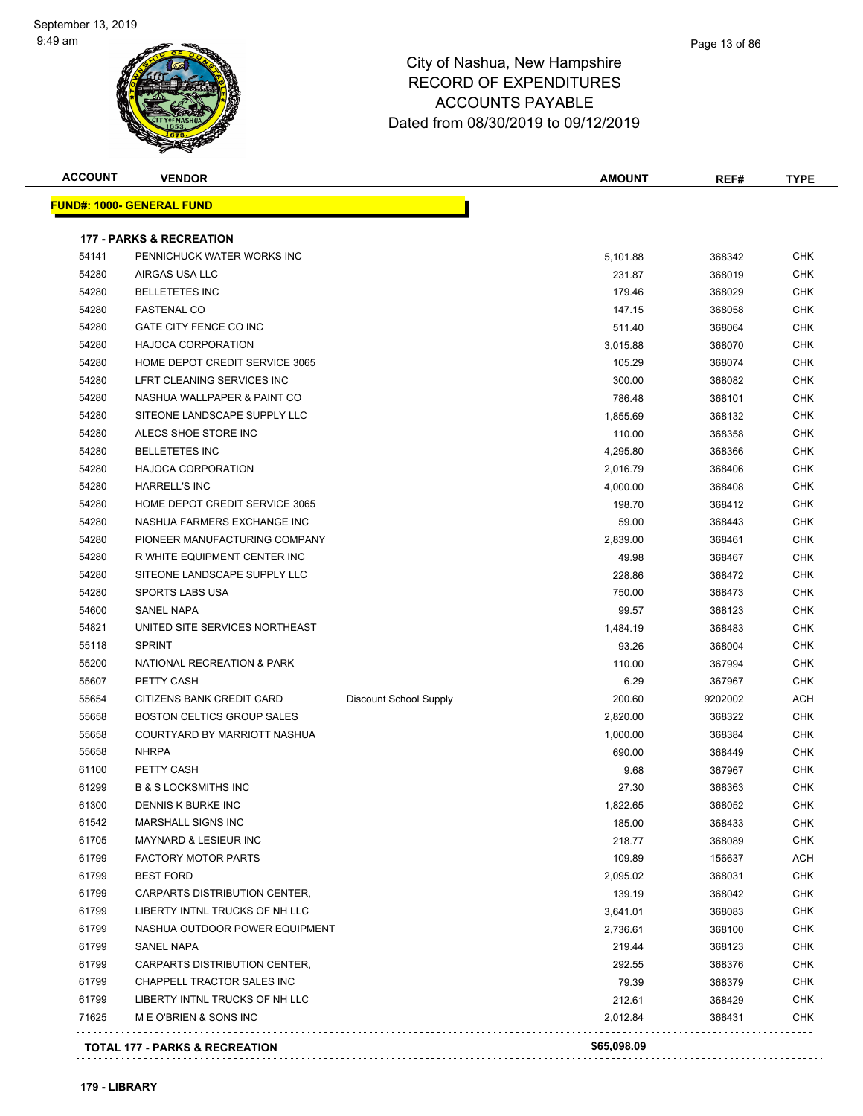

#### Page 13 of 86

| <b>ACCOUNT</b> | <b>VENDOR</b>                             |                        | <b>AMOUNT</b> | REF#    | <b>TYPE</b> |
|----------------|-------------------------------------------|------------------------|---------------|---------|-------------|
|                | <b>FUND#: 1000- GENERAL FUND</b>          |                        |               |         |             |
|                | <b>177 - PARKS &amp; RECREATION</b>       |                        |               |         |             |
| 54141          | PENNICHUCK WATER WORKS INC                |                        | 5,101.88      | 368342  | <b>CHK</b>  |
| 54280          | AIRGAS USA LLC                            |                        | 231.87        | 368019  | <b>CHK</b>  |
| 54280          | <b>BELLETETES INC</b>                     |                        | 179.46        | 368029  | <b>CHK</b>  |
| 54280          | <b>FASTENAL CO</b>                        |                        | 147.15        | 368058  | <b>CHK</b>  |
| 54280          | GATE CITY FENCE CO INC                    |                        | 511.40        | 368064  | <b>CHK</b>  |
| 54280          | <b>HAJOCA CORPORATION</b>                 |                        | 3,015.88      | 368070  | <b>CHK</b>  |
| 54280          | HOME DEPOT CREDIT SERVICE 3065            |                        | 105.29        | 368074  | <b>CHK</b>  |
| 54280          | LFRT CLEANING SERVICES INC                |                        | 300.00        | 368082  | <b>CHK</b>  |
| 54280          | NASHUA WALLPAPER & PAINT CO               |                        | 786.48        | 368101  | <b>CHK</b>  |
| 54280          | SITEONE LANDSCAPE SUPPLY LLC              |                        | 1,855.69      | 368132  | <b>CHK</b>  |
| 54280          | ALECS SHOE STORE INC                      |                        | 110.00        | 368358  | <b>CHK</b>  |
| 54280          | <b>BELLETETES INC</b>                     |                        | 4,295.80      | 368366  | <b>CHK</b>  |
| 54280          | <b>HAJOCA CORPORATION</b>                 |                        | 2,016.79      | 368406  | <b>CHK</b>  |
| 54280          | <b>HARRELL'S INC</b>                      |                        | 4,000.00      | 368408  | <b>CHK</b>  |
| 54280          | HOME DEPOT CREDIT SERVICE 3065            |                        | 198.70        | 368412  | <b>CHK</b>  |
| 54280          | NASHUA FARMERS EXCHANGE INC               |                        | 59.00         | 368443  | <b>CHK</b>  |
| 54280          | PIONEER MANUFACTURING COMPANY             |                        | 2,839.00      | 368461  | <b>CHK</b>  |
| 54280          | R WHITE EQUIPMENT CENTER INC              |                        | 49.98         | 368467  | <b>CHK</b>  |
| 54280          | SITEONE LANDSCAPE SUPPLY LLC              |                        | 228.86        | 368472  | <b>CHK</b>  |
| 54280          | <b>SPORTS LABS USA</b>                    |                        | 750.00        | 368473  | <b>CHK</b>  |
| 54600          | <b>SANEL NAPA</b>                         |                        | 99.57         | 368123  | <b>CHK</b>  |
| 54821          | UNITED SITE SERVICES NORTHEAST            |                        | 1,484.19      | 368483  | <b>CHK</b>  |
| 55118          | <b>SPRINT</b>                             |                        | 93.26         | 368004  | <b>CHK</b>  |
| 55200          | NATIONAL RECREATION & PARK                |                        | 110.00        | 367994  | <b>CHK</b>  |
| 55607          | PETTY CASH                                |                        | 6.29          | 367967  | <b>CHK</b>  |
| 55654          | CITIZENS BANK CREDIT CARD                 | Discount School Supply | 200.60        | 9202002 | <b>ACH</b>  |
| 55658          | BOSTON CELTICS GROUP SALES                |                        | 2,820.00      | 368322  | <b>CHK</b>  |
| 55658          | COURTYARD BY MARRIOTT NASHUA              |                        | 1,000.00      | 368384  | <b>CHK</b>  |
| 55658          | <b>NHRPA</b>                              |                        | 690.00        | 368449  | <b>CHK</b>  |
| 61100          | PETTY CASH                                |                        | 9.68          | 367967  | <b>CHK</b>  |
| 61299          | <b>B &amp; S LOCKSMITHS INC</b>           |                        | 27.30         | 368363  | <b>CHK</b>  |
| 61300          | DENNIS K BURKE INC                        |                        | 1,822.65      | 368052  | <b>CHK</b>  |
| 61542          | <b>MARSHALL SIGNS INC</b>                 |                        | 185.00        | 368433  | <b>CHK</b>  |
| 61705          | <b>MAYNARD &amp; LESIEUR INC</b>          |                        | 218.77        | 368089  | <b>CHK</b>  |
| 61799          | <b>FACTORY MOTOR PARTS</b>                |                        | 109.89        | 156637  | <b>ACH</b>  |
| 61799          | <b>BEST FORD</b>                          |                        | 2,095.02      | 368031  | <b>CHK</b>  |
| 61799          | CARPARTS DISTRIBUTION CENTER,             |                        | 139.19        | 368042  | CHK         |
| 61799          | LIBERTY INTNL TRUCKS OF NH LLC            |                        | 3,641.01      | 368083  | <b>CHK</b>  |
| 61799          | NASHUA OUTDOOR POWER EQUIPMENT            |                        | 2,736.61      | 368100  | <b>CHK</b>  |
| 61799          | SANEL NAPA                                |                        | 219.44        | 368123  | <b>CHK</b>  |
| 61799          | CARPARTS DISTRIBUTION CENTER,             |                        | 292.55        | 368376  | <b>CHK</b>  |
| 61799          | CHAPPELL TRACTOR SALES INC                |                        | 79.39         | 368379  | <b>CHK</b>  |
| 61799          | LIBERTY INTNL TRUCKS OF NH LLC            |                        | 212.61        | 368429  | <b>CHK</b>  |
| 71625          | M E O'BRIEN & SONS INC                    |                        | 2,012.84      | 368431  | <b>CHK</b>  |
|                | <b>TOTAL 177 - PARKS &amp; RECREATION</b> |                        | \$65,098.09   |         |             |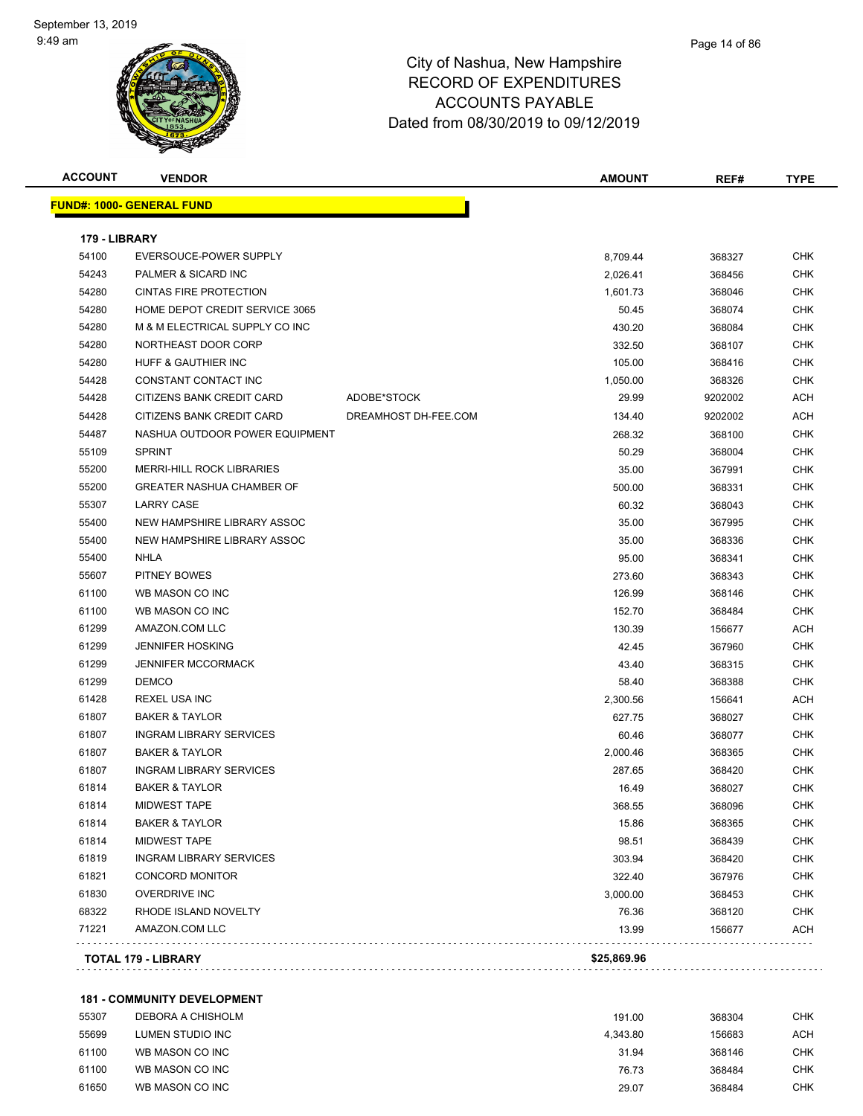

| <b>ACCOUNT</b> | <b>VENDOR</b>                    |                      | <b>AMOUNT</b> | REF#    | <b>TYPE</b> |
|----------------|----------------------------------|----------------------|---------------|---------|-------------|
|                | <b>FUND#: 1000- GENERAL FUND</b> |                      |               |         |             |
| 179 - LIBRARY  |                                  |                      |               |         |             |
| 54100          | EVERSOUCE-POWER SUPPLY           |                      | 8,709.44      | 368327  | <b>CHK</b>  |
| 54243          | PALMER & SICARD INC              |                      | 2,026.41      | 368456  | <b>CHK</b>  |
| 54280          | <b>CINTAS FIRE PROTECTION</b>    |                      | 1,601.73      | 368046  | CHK         |
| 54280          | HOME DEPOT CREDIT SERVICE 3065   |                      | 50.45         | 368074  | <b>CHK</b>  |
| 54280          | M & M ELECTRICAL SUPPLY CO INC   |                      | 430.20        | 368084  | <b>CHK</b>  |
| 54280          | NORTHEAST DOOR CORP              |                      | 332.50        | 368107  | CHK         |
| 54280          | <b>HUFF &amp; GAUTHIER INC</b>   |                      | 105.00        | 368416  | <b>CHK</b>  |
| 54428          | CONSTANT CONTACT INC             |                      | 1,050.00      | 368326  | <b>CHK</b>  |
| 54428          | CITIZENS BANK CREDIT CARD        | ADOBE*STOCK          | 29.99         | 9202002 | ACH         |
| 54428          | CITIZENS BANK CREDIT CARD        | DREAMHOST DH-FEE.COM | 134.40        | 9202002 | <b>ACH</b>  |
| 54487          | NASHUA OUTDOOR POWER EQUIPMENT   |                      | 268.32        | 368100  | CHK         |
| 55109          | <b>SPRINT</b>                    |                      | 50.29         | 368004  | <b>CHK</b>  |
| 55200          | <b>MERRI-HILL ROCK LIBRARIES</b> |                      | 35.00         | 367991  | CHK         |
| 55200          | <b>GREATER NASHUA CHAMBER OF</b> |                      | 500.00        | 368331  | <b>CHK</b>  |
| 55307          | <b>LARRY CASE</b>                |                      | 60.32         | 368043  | <b>CHK</b>  |
| 55400          | NEW HAMPSHIRE LIBRARY ASSOC      |                      | 35.00         | 367995  | CHK         |
| 55400          | NEW HAMPSHIRE LIBRARY ASSOC      |                      | 35.00         | 368336  | <b>CHK</b>  |
| 55400          | NHLA                             |                      | 95.00         | 368341  | CHK         |
| 55607          | PITNEY BOWES                     |                      | 273.60        | 368343  | CHK         |
| 61100          | WB MASON CO INC                  |                      | 126.99        | 368146  | CHK         |
| 61100          | WB MASON CO INC                  |                      | 152.70        | 368484  | CHK         |
| 61299          | AMAZON.COM LLC                   |                      | 130.39        | 156677  | ACH         |
| 61299          | <b>JENNIFER HOSKING</b>          |                      | 42.45         | 367960  | <b>CHK</b>  |
| 61299          | <b>JENNIFER MCCORMACK</b>        |                      | 43.40         | 368315  | CHK         |
| 61299          | <b>DEMCO</b>                     |                      | 58.40         | 368388  | <b>CHK</b>  |
| 61428          | <b>REXEL USA INC</b>             |                      | 2,300.56      | 156641  | ACH         |
| 61807          | <b>BAKER &amp; TAYLOR</b>        |                      | 627.75        | 368027  | CHK         |
| 61807          | <b>INGRAM LIBRARY SERVICES</b>   |                      | 60.46         | 368077  | <b>CHK</b>  |
| 61807          | <b>BAKER &amp; TAYLOR</b>        |                      | 2,000.46      | 368365  | <b>CHK</b>  |
| 61807          | <b>INGRAM LIBRARY SERVICES</b>   |                      | 287.65        | 368420  | <b>CHK</b>  |
| 61814          | <b>BAKER &amp; TAYLOR</b>        |                      | 16.49         | 368027  | CHK         |
| 61814          | MIDWEST TAPE                     |                      | 368.55        | 368096  | <b>CHK</b>  |
| 61814          | <b>BAKER &amp; TAYLOR</b>        |                      | 15.86         | 368365  | CHK         |
| 61814          | <b>MIDWEST TAPE</b>              |                      | 98.51         | 368439  | <b>CHK</b>  |
| 61819          | <b>INGRAM LIBRARY SERVICES</b>   |                      | 303.94        | 368420  | CHK         |
| 61821          | <b>CONCORD MONITOR</b>           |                      | 322.40        | 367976  | <b>CHK</b>  |
| 61830          | <b>OVERDRIVE INC</b>             |                      | 3,000.00      | 368453  | <b>CHK</b>  |
| 68322          | RHODE ISLAND NOVELTY             |                      | 76.36         | 368120  | CHK         |
| 71221          | AMAZON.COM LLC                   |                      | 13.99         | 156677  | <b>ACH</b>  |
|                |                                  |                      |               |         |             |

### **181 - COMMUNITY DEVELOPMENT**

| 55307 | DEBORA A CHISHOLM | 191.00   | 368304 | <b>CHK</b> |
|-------|-------------------|----------|--------|------------|
| 55699 | LUMEN STUDIO INC  | 4.343.80 | 156683 | ACH        |
| 61100 | WB MASON CO INC   | 31.94    | 368146 | CHK        |
| 61100 | WB MASON CO INC   | 76.73    | 368484 | СНК        |
| 61650 | WB MASON CO INC   | 29.07    | 368484 | CHK        |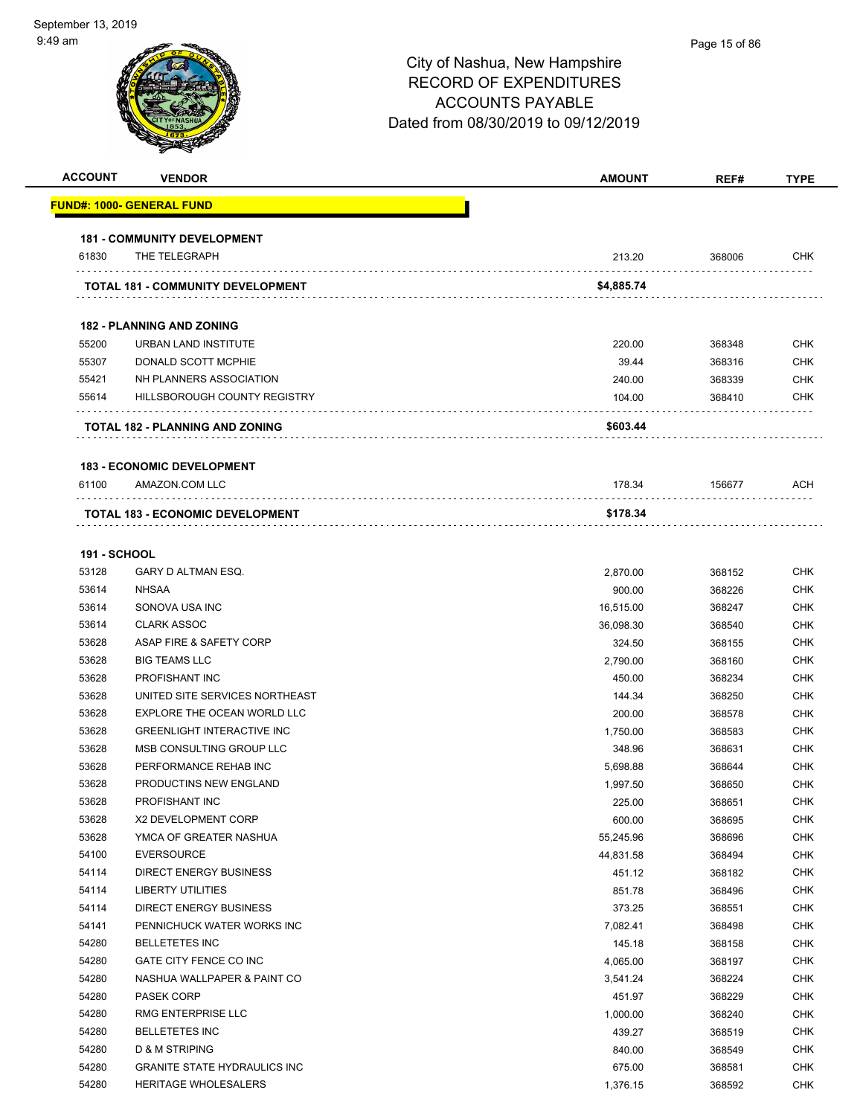| <b>ACCOUNT</b>      | <b>VENDOR</b>                                      | <b>AMOUNT</b>      | REF#             | <b>TYPE</b>              |
|---------------------|----------------------------------------------------|--------------------|------------------|--------------------------|
|                     | <u> FUND#: 1000- GENERAL FUND</u>                  |                    |                  |                          |
|                     | <b>181 - COMMUNITY DEVELOPMENT</b>                 |                    |                  |                          |
| 61830               | THE TELEGRAPH                                      | 213.20             | 368006           | <b>CHK</b>               |
|                     | TOTAL 181 - COMMUNITY DEVELOPMENT                  | \$4,885.74         |                  |                          |
|                     |                                                    |                    |                  |                          |
|                     | <b>182 - PLANNING AND ZONING</b>                   |                    |                  |                          |
| 55200               | URBAN LAND INSTITUTE                               | 220.00             | 368348           | <b>CHK</b>               |
| 55307               | DONALD SCOTT MCPHIE                                | 39.44              | 368316           | <b>CHK</b>               |
| 55421               | NH PLANNERS ASSOCIATION                            | 240.00             | 368339           | CHK                      |
| 55614               | HILLSBOROUGH COUNTY REGISTRY                       | 104.00             | 368410           | CHK                      |
|                     | TOTAL 182 - PLANNING AND ZONING                    | \$603.44           |                  |                          |
|                     | <b>183 - ECONOMIC DEVELOPMENT</b>                  |                    |                  |                          |
| 61100               | AMAZON.COM LLC                                     | 178.34             | 156677           | ACH                      |
|                     | <b>TOTAL 183 - ECONOMIC DEVELOPMENT</b>            | \$178.34           |                  |                          |
|                     |                                                    |                    |                  |                          |
| <b>191 - SCHOOL</b> |                                                    |                    |                  |                          |
| 53128               | GARY D ALTMAN ESQ.                                 | 2,870.00           | 368152           | <b>CHK</b>               |
| 53614               | <b>NHSAA</b>                                       | 900.00             | 368226           | <b>CHK</b>               |
| 53614               | SONOVA USA INC                                     | 16,515.00          | 368247           | <b>CHK</b>               |
| 53614               | <b>CLARK ASSOC</b>                                 | 36,098.30          | 368540           | <b>CHK</b>               |
| 53628               | ASAP FIRE & SAFETY CORP                            | 324.50             | 368155           | <b>CHK</b>               |
| 53628               | <b>BIG TEAMS LLC</b>                               | 2,790.00           | 368160           | <b>CHK</b>               |
| 53628               | <b>PROFISHANT INC</b>                              | 450.00             | 368234           | <b>CHK</b>               |
| 53628               | UNITED SITE SERVICES NORTHEAST                     | 144.34             | 368250           | <b>CHK</b>               |
| 53628               | EXPLORE THE OCEAN WORLD LLC                        | 200.00             | 368578           | <b>CHK</b>               |
| 53628               | <b>GREENLIGHT INTERACTIVE INC</b>                  | 1,750.00           | 368583           | <b>CHK</b>               |
| 53628               | MSB CONSULTING GROUP LLC                           | 348.96             | 368631           | <b>CHK</b>               |
| 53628               | PERFORMANCE REHAB INC                              | 5,698.88           | 368644           | <b>CHK</b>               |
| 53628               | PRODUCTINS NEW ENGLAND                             | 1,997.50           | 368650           | <b>CHK</b>               |
| 53628               | PROFISHANT INC                                     | 225.00             | 368651           | <b>CHK</b>               |
| 53628               | X2 DEVELOPMENT CORP                                | 600.00             | 368695           | <b>CHK</b>               |
| 53628               | YMCA OF GREATER NASHUA                             | 55,245.96          | 368696           | <b>CHK</b>               |
| 54100               | <b>EVERSOURCE</b>                                  | 44,831.58          | 368494           | <b>CHK</b>               |
| 54114               | <b>DIRECT ENERGY BUSINESS</b>                      | 451.12             | 368182           | <b>CHK</b>               |
| 54114               | LIBERTY UTILITIES<br><b>DIRECT ENERGY BUSINESS</b> | 851.78             | 368496           | <b>CHK</b>               |
| 54114               | PENNICHUCK WATER WORKS INC                         | 373.25             | 368551           | <b>CHK</b>               |
| 54141               |                                                    | 7,082.41           | 368498           | <b>CHK</b>               |
| 54280               | <b>BELLETETES INC</b>                              | 145.18             | 368158           | CHK                      |
| 54280<br>54280      | GATE CITY FENCE CO INC                             | 4,065.00           | 368197           | <b>CHK</b><br><b>CHK</b> |
| 54280               | NASHUA WALLPAPER & PAINT CO                        | 3,541.24           | 368224           | <b>CHK</b>               |
| 54280               | PASEK CORP<br>RMG ENTERPRISE LLC                   | 451.97             | 368229           | <b>CHK</b>               |
| 54280               | <b>BELLETETES INC</b>                              | 1,000.00<br>439.27 | 368240           | <b>CHK</b>               |
| 54280               | D & M STRIPING                                     | 840.00             | 368519<br>368549 | <b>CHK</b>               |
| 54280               | <b>GRANITE STATE HYDRAULICS INC</b>                | 675.00             | 368581           | <b>CHK</b>               |
| 54280               | HERITAGE WHOLESALERS                               |                    |                  | <b>CHK</b>               |
|                     |                                                    | 1,376.15           | 368592           |                          |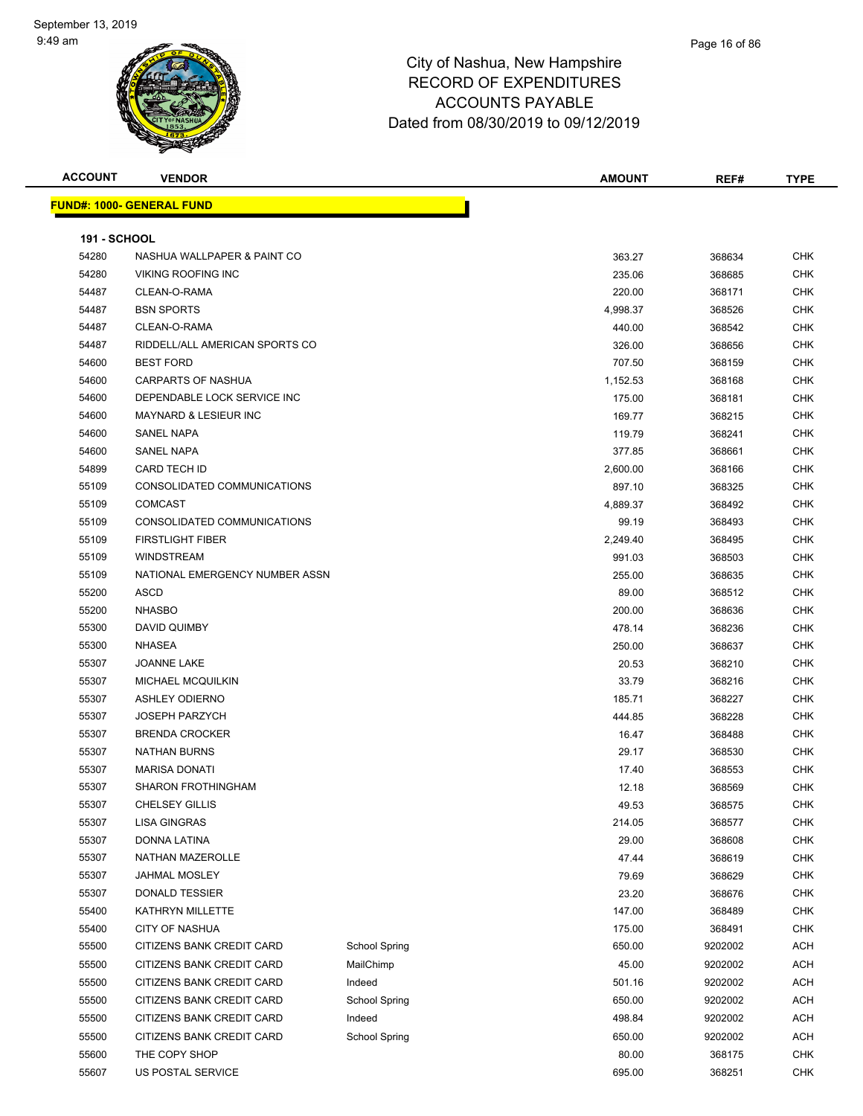### Page 16 of 86

| <b>ACCOUNT</b>      | <b>VENDOR</b>                    |                      | <b>AMOUNT</b> | REF#    | <b>TYPE</b> |
|---------------------|----------------------------------|----------------------|---------------|---------|-------------|
|                     | <b>FUND#: 1000- GENERAL FUND</b> |                      |               |         |             |
|                     |                                  |                      |               |         |             |
| <b>191 - SCHOOL</b> |                                  |                      |               |         |             |
| 54280               | NASHUA WALLPAPER & PAINT CO      |                      | 363.27        | 368634  | <b>CHK</b>  |
| 54280               | <b>VIKING ROOFING INC</b>        |                      | 235.06        | 368685  | <b>CHK</b>  |
| 54487               | CLEAN-O-RAMA                     |                      | 220.00        | 368171  | <b>CHK</b>  |
| 54487               | <b>BSN SPORTS</b>                |                      | 4,998.37      | 368526  | <b>CHK</b>  |
| 54487               | CLEAN-O-RAMA                     |                      | 440.00        | 368542  | <b>CHK</b>  |
| 54487               | RIDDELL/ALL AMERICAN SPORTS CO   |                      | 326.00        | 368656  | <b>CHK</b>  |
| 54600               | <b>BEST FORD</b>                 |                      | 707.50        | 368159  | CHK         |
| 54600               | <b>CARPARTS OF NASHUA</b>        |                      | 1,152.53      | 368168  | <b>CHK</b>  |
| 54600               | DEPENDABLE LOCK SERVICE INC      |                      | 175.00        | 368181  | CHK         |
| 54600               | <b>MAYNARD &amp; LESIEUR INC</b> |                      | 169.77        | 368215  | CHK         |
| 54600               | <b>SANEL NAPA</b>                |                      | 119.79        | 368241  | <b>CHK</b>  |
| 54600               | <b>SANEL NAPA</b>                |                      | 377.85        | 368661  | CHK         |
| 54899               | <b>CARD TECH ID</b>              |                      | 2,600.00      | 368166  | CHK         |
| 55109               | CONSOLIDATED COMMUNICATIONS      |                      | 897.10        | 368325  | <b>CHK</b>  |
| 55109               | <b>COMCAST</b>                   |                      | 4,889.37      | 368492  | <b>CHK</b>  |
| 55109               | CONSOLIDATED COMMUNICATIONS      |                      | 99.19         | 368493  | <b>CHK</b>  |
| 55109               | <b>FIRSTLIGHT FIBER</b>          |                      | 2,249.40      | 368495  | <b>CHK</b>  |
| 55109               | <b>WINDSTREAM</b>                |                      | 991.03        | 368503  | <b>CHK</b>  |
| 55109               | NATIONAL EMERGENCY NUMBER ASSN   |                      | 255.00        | 368635  | <b>CHK</b>  |
| 55200               | ASCD                             |                      | 89.00         | 368512  | CHK         |
| 55200               | <b>NHASBO</b>                    |                      | 200.00        | 368636  | <b>CHK</b>  |
| 55300               | DAVID QUIMBY                     |                      | 478.14        | 368236  | <b>CHK</b>  |
| 55300               | <b>NHASEA</b>                    |                      | 250.00        | 368637  | <b>CHK</b>  |
| 55307               | <b>JOANNE LAKE</b>               |                      | 20.53         | 368210  | <b>CHK</b>  |
| 55307               | MICHAEL MCQUILKIN                |                      | 33.79         | 368216  | <b>CHK</b>  |
| 55307               | <b>ASHLEY ODIERNO</b>            |                      | 185.71        | 368227  | <b>CHK</b>  |
| 55307               | <b>JOSEPH PARZYCH</b>            |                      | 444.85        | 368228  | <b>CHK</b>  |
| 55307               | <b>BRENDA CROCKER</b>            |                      | 16.47         | 368488  | <b>CHK</b>  |
| 55307               | <b>NATHAN BURNS</b>              |                      | 29.17         | 368530  | CHK         |
| 55307               | <b>MARISA DONATI</b>             |                      | 17.40         | 368553  | <b>CHK</b>  |
| 55307               | <b>SHARON FROTHINGHAM</b>        |                      | 12.18         | 368569  | <b>CHK</b>  |
| 55307               | <b>CHELSEY GILLIS</b>            |                      | 49.53         | 368575  | <b>CHK</b>  |
| 55307               | <b>LISA GINGRAS</b>              |                      | 214.05        | 368577  | <b>CHK</b>  |
| 55307               | DONNA LATINA                     |                      | 29.00         | 368608  | <b>CHK</b>  |
| 55307               | NATHAN MAZEROLLE                 |                      | 47.44         | 368619  | <b>CHK</b>  |
| 55307               | <b>JAHMAL MOSLEY</b>             |                      | 79.69         | 368629  | <b>CHK</b>  |
| 55307               | <b>DONALD TESSIER</b>            |                      | 23.20         | 368676  | <b>CHK</b>  |
| 55400               | KATHRYN MILLETTE                 |                      | 147.00        | 368489  | <b>CHK</b>  |
| 55400               | <b>CITY OF NASHUA</b>            |                      | 175.00        | 368491  | <b>CHK</b>  |
| 55500               | CITIZENS BANK CREDIT CARD        | <b>School Spring</b> | 650.00        | 9202002 | <b>ACH</b>  |
| 55500               | CITIZENS BANK CREDIT CARD        | MailChimp            | 45.00         | 9202002 | <b>ACH</b>  |
| 55500               | CITIZENS BANK CREDIT CARD        | Indeed               | 501.16        | 9202002 | <b>ACH</b>  |
| 55500               | CITIZENS BANK CREDIT CARD        | <b>School Spring</b> | 650.00        | 9202002 | ACH         |
| 55500               | CITIZENS BANK CREDIT CARD        | Indeed               | 498.84        | 9202002 | <b>ACH</b>  |
| 55500               | CITIZENS BANK CREDIT CARD        | <b>School Spring</b> | 650.00        | 9202002 | ACH         |
| 55600               | THE COPY SHOP                    |                      | 80.00         | 368175  | <b>CHK</b>  |
| 55607               | US POSTAL SERVICE                |                      | 695.00        | 368251  | <b>CHK</b>  |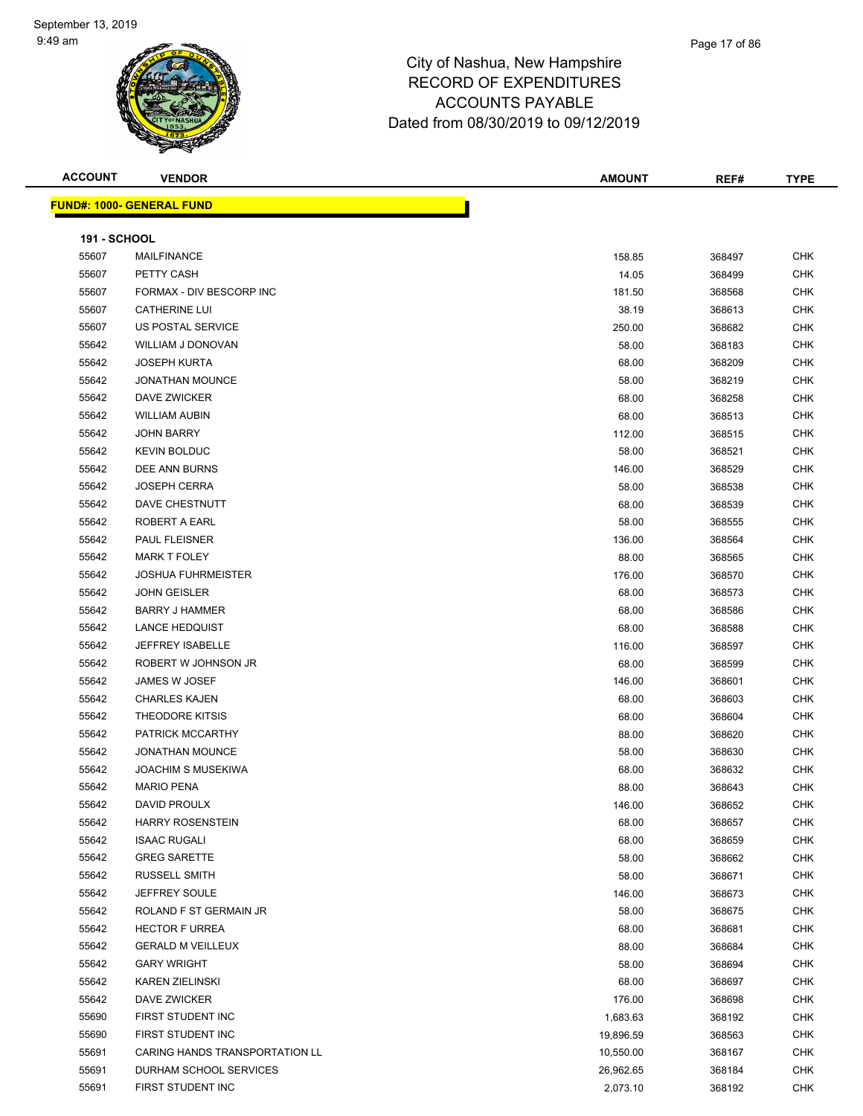#### Page 17 of 86

| <b>ACCOUNT</b>      | <b>VENDOR</b>                              | <b>AMOUNT</b> | REF#   | <b>TYPE</b>              |
|---------------------|--------------------------------------------|---------------|--------|--------------------------|
|                     | <b>FUND#: 1000- GENERAL FUND</b>           |               |        |                          |
|                     |                                            |               |        |                          |
| <b>191 - SCHOOL</b> |                                            |               |        |                          |
| 55607               | <b>MAILFINANCE</b>                         | 158.85        | 368497 | <b>CHK</b>               |
| 55607               | PETTY CASH                                 | 14.05         | 368499 | <b>CHK</b>               |
| 55607               | FORMAX - DIV BESCORP INC                   | 181.50        | 368568 | <b>CHK</b>               |
| 55607               | <b>CATHERINE LUI</b>                       | 38.19         | 368613 | <b>CHK</b>               |
| 55607               | US POSTAL SERVICE                          | 250.00        | 368682 | <b>CHK</b>               |
| 55642               | WILLIAM J DONOVAN                          | 58.00         | 368183 | <b>CHK</b>               |
| 55642               | <b>JOSEPH KURTA</b>                        | 68.00         | 368209 | <b>CHK</b>               |
| 55642               | <b>JONATHAN MOUNCE</b>                     | 58.00         | 368219 | <b>CHK</b>               |
| 55642               | DAVE ZWICKER                               | 68.00         | 368258 | <b>CHK</b>               |
| 55642               | <b>WILLIAM AUBIN</b>                       | 68.00         | 368513 | <b>CHK</b>               |
| 55642               | <b>JOHN BARRY</b>                          | 112.00        | 368515 | <b>CHK</b>               |
| 55642               | <b>KEVIN BOLDUC</b>                        | 58.00         | 368521 | <b>CHK</b>               |
| 55642               | DEE ANN BURNS                              | 146.00        | 368529 | <b>CHK</b>               |
| 55642               | <b>JOSEPH CERRA</b>                        | 58.00         | 368538 | CHK                      |
| 55642               | <b>DAVE CHESTNUTT</b>                      | 68.00         | 368539 | <b>CHK</b>               |
| 55642               | ROBERT A EARL                              | 58.00         | 368555 | <b>CHK</b>               |
| 55642               | PAUL FLEISNER                              | 136.00        | 368564 | <b>CHK</b>               |
| 55642               | <b>MARK T FOLEY</b>                        | 88.00         | 368565 | <b>CHK</b>               |
| 55642               | <b>JOSHUA FUHRMEISTER</b>                  | 176.00        | 368570 | <b>CHK</b>               |
| 55642               | <b>JOHN GEISLER</b>                        | 68.00         | 368573 | <b>CHK</b>               |
| 55642               | <b>BARRY J HAMMER</b>                      |               |        | <b>CHK</b>               |
| 55642               | <b>LANCE HEDQUIST</b>                      | 68.00         | 368586 |                          |
| 55642               | <b>JEFFREY ISABELLE</b>                    | 68.00         | 368588 | CHK<br><b>CHK</b>        |
| 55642               |                                            | 116.00        | 368597 |                          |
|                     | ROBERT W JOHNSON JR                        | 68.00         | 368599 | <b>CHK</b>               |
| 55642               | JAMES W JOSEF<br><b>CHARLES KAJEN</b>      | 146.00        | 368601 | <b>CHK</b><br><b>CHK</b> |
| 55642               |                                            | 68.00         | 368603 |                          |
| 55642               | THEODORE KITSIS<br>PATRICK MCCARTHY        | 68.00         | 368604 | <b>CHK</b>               |
| 55642               |                                            | 88.00         | 368620 | <b>CHK</b>               |
| 55642               | <b>JONATHAN MOUNCE</b>                     | 58.00         | 368630 | <b>CHK</b>               |
| 55642               | <b>JOACHIM S MUSEKIWA</b>                  | 68.00         | 368632 | <b>CHK</b>               |
| 55642               | <b>MARIO PENA</b>                          | 88.00         | 368643 | <b>CHK</b>               |
| 55642               | DAVID PROULX<br><b>HARRY ROSENSTEIN</b>    | 146.00        | 368652 | <b>CHK</b>               |
| 55642               |                                            | 68.00         | 368657 | <b>CHK</b>               |
| 55642               | <b>ISAAC RUGALI</b><br><b>GREG SARETTE</b> | 68.00         | 368659 | <b>CHK</b>               |
| 55642               |                                            | 58.00         | 368662 | <b>CHK</b>               |
| 55642               | RUSSELL SMITH                              | 58.00         | 368671 | <b>CHK</b>               |
| 55642               | JEFFREY SOULE                              | 146.00        | 368673 | <b>CHK</b>               |
| 55642               | ROLAND F ST GERMAIN JR                     | 58.00         | 368675 | <b>CHK</b>               |
| 55642               | <b>HECTOR F URREA</b>                      | 68.00         | 368681 | <b>CHK</b>               |
| 55642               | <b>GERALD M VEILLEUX</b>                   | 88.00         | 368684 | <b>CHK</b>               |
| 55642               | <b>GARY WRIGHT</b>                         | 58.00         | 368694 | <b>CHK</b>               |
| 55642               | <b>KAREN ZIELINSKI</b>                     | 68.00         | 368697 | <b>CHK</b>               |
| 55642               | DAVE ZWICKER                               | 176.00        | 368698 | <b>CHK</b>               |
| 55690               | FIRST STUDENT INC                          | 1,683.63      | 368192 | <b>CHK</b>               |
| 55690               | FIRST STUDENT INC                          | 19,896.59     | 368563 | <b>CHK</b>               |
| 55691               | CARING HANDS TRANSPORTATION LL             | 10,550.00     | 368167 | <b>CHK</b>               |
| 55691               | DURHAM SCHOOL SERVICES                     | 26,962.65     | 368184 | <b>CHK</b>               |
| 55691               | FIRST STUDENT INC                          | 2,073.10      | 368192 | <b>CHK</b>               |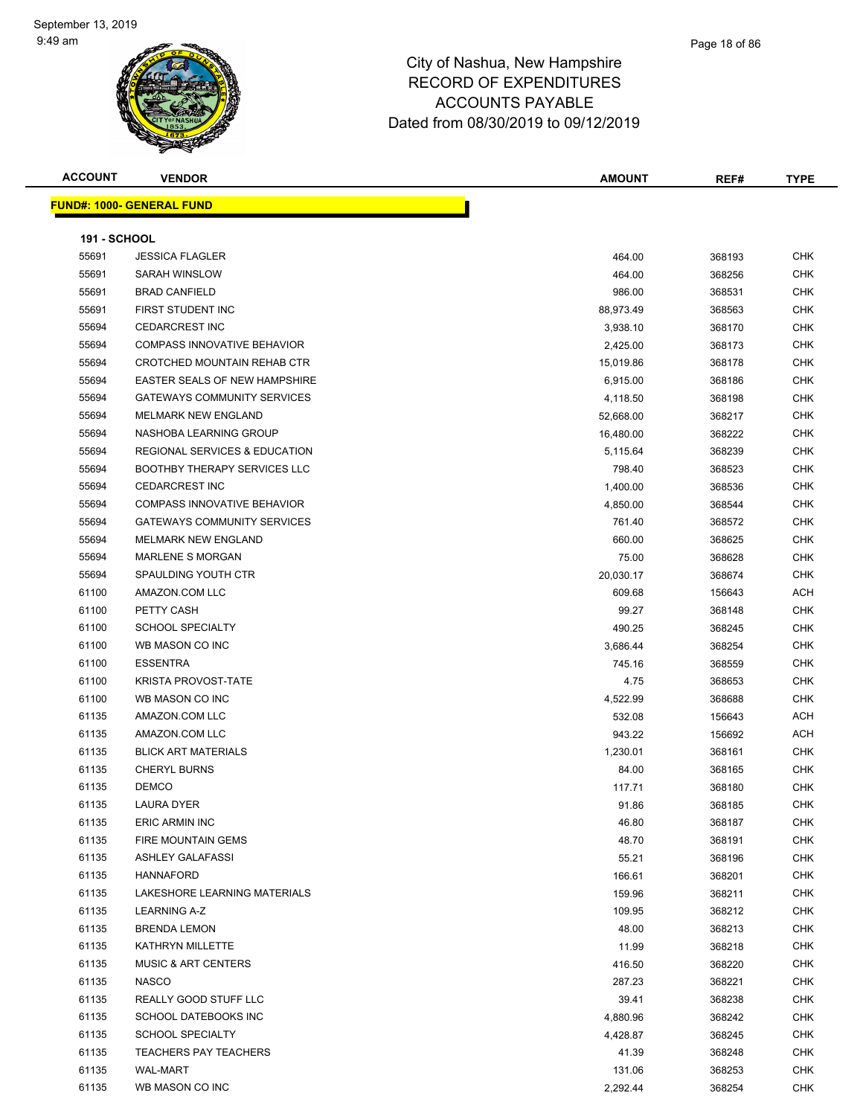**FUND#: 1000- GENERA** 

|  |  | ------- |  |
|--|--|---------|--|
|  |  |         |  |
|  |  |         |  |
|  |  |         |  |
|  |  |         |  |
|  |  |         |  |
|  |  |         |  |

| <b>ACCOUNT</b>      | <b>VENDOR</b>                            | <b>AMOUNT</b> | REF#   | <b>TYPE</b> |
|---------------------|------------------------------------------|---------------|--------|-------------|
|                     | <u> IND#: 1000- GENERAL FUND</u>         |               |        |             |
| <b>191 - SCHOOL</b> |                                          |               |        |             |
| 55691               | <b>JESSICA FLAGLER</b>                   | 464.00        | 368193 | <b>CHK</b>  |
| 55691               | <b>SARAH WINSLOW</b>                     | 464.00        | 368256 | <b>CHK</b>  |
| 55691               | <b>BRAD CANFIELD</b>                     | 986.00        | 368531 | <b>CHK</b>  |
| 55691               | FIRST STUDENT INC                        | 88,973.49     | 368563 | <b>CHK</b>  |
| 55694               | <b>CEDARCREST INC</b>                    | 3,938.10      | 368170 | <b>CHK</b>  |
| 55694               | COMPASS INNOVATIVE BEHAVIOR              | 2,425.00      | 368173 | <b>CHK</b>  |
| 55694               | <b>CROTCHED MOUNTAIN REHAB CTR</b>       | 15,019.86     | 368178 | <b>CHK</b>  |
| 55694               | <b>EASTER SEALS OF NEW HAMPSHIRE</b>     | 6,915.00      | 368186 | <b>CHK</b>  |
| 55694               | <b>GATEWAYS COMMUNITY SERVICES</b>       | 4,118.50      | 368198 | <b>CHK</b>  |
| 55694               | <b>MELMARK NEW ENGLAND</b>               | 52,668.00     | 368217 | <b>CHK</b>  |
| 55694               | NASHOBA LEARNING GROUP                   | 16,480.00     | 368222 | <b>CHK</b>  |
| 55694               | <b>REGIONAL SERVICES &amp; EDUCATION</b> | 5,115.64      | 368239 | <b>CHK</b>  |
| 55694               | <b>BOOTHBY THERAPY SERVICES LLC</b>      | 798.40        | 368523 | <b>CHK</b>  |
| 55694               | <b>CEDARCREST INC</b>                    | 1,400.00      | 368536 | <b>CHK</b>  |
| 55694               | <b>COMPASS INNOVATIVE BEHAVIOR</b>       | 4,850.00      | 368544 | <b>CHK</b>  |
| 55694               | <b>GATEWAYS COMMUNITY SERVICES</b>       | 761.40        | 368572 | <b>CHK</b>  |
| 55694               | <b>MELMARK NEW ENGLAND</b>               | 660.00        | 368625 | <b>CHK</b>  |
| 55694               | <b>MARLENE S MORGAN</b>                  | 75.00         | 368628 | <b>CHK</b>  |
|                     |                                          |               |        |             |

| 55694 | NASHOBA LEARNING GROUP                   | 16,480.00 | 368222 | <b>CHK</b> |
|-------|------------------------------------------|-----------|--------|------------|
| 55694 | <b>REGIONAL SERVICES &amp; EDUCATION</b> | 5,115.64  | 368239 | <b>CHK</b> |
| 55694 | <b>BOOTHBY THERAPY SERVICES LLC</b>      | 798.40    | 368523 | <b>CHK</b> |
| 55694 | <b>CEDARCREST INC</b>                    | 1,400.00  | 368536 | <b>CHK</b> |
| 55694 | <b>COMPASS INNOVATIVE BEHAVIOR</b>       | 4,850.00  | 368544 | <b>CHK</b> |
| 55694 | <b>GATEWAYS COMMUNITY SERVICES</b>       | 761.40    | 368572 | <b>CHK</b> |
| 55694 | <b>MELMARK NEW ENGLAND</b>               | 660.00    | 368625 | <b>CHK</b> |
| 55694 | <b>MARLENE S MORGAN</b>                  | 75.00     | 368628 | <b>CHK</b> |
| 55694 | SPAULDING YOUTH CTR                      | 20,030.17 | 368674 | <b>CHK</b> |
| 61100 | AMAZON.COM LLC                           | 609.68    | 156643 | <b>ACH</b> |
| 61100 | PETTY CASH                               | 99.27     | 368148 | <b>CHK</b> |
| 61100 | <b>SCHOOL SPECIALTY</b>                  | 490.25    | 368245 | <b>CHK</b> |
| 61100 | WB MASON CO INC                          | 3,686.44  | 368254 | <b>CHK</b> |
| 61100 | <b>ESSENTRA</b>                          | 745.16    | 368559 | <b>CHK</b> |
| 61100 | KRISTA PROVOST-TATE                      | 4.75      | 368653 | <b>CHK</b> |
| 61100 | WB MASON CO INC                          | 4,522.99  | 368688 | <b>CHK</b> |
| 61135 | AMAZON.COM LLC                           | 532.08    | 156643 | <b>ACH</b> |
| 61135 | AMAZON.COM LLC                           | 943.22    | 156692 | ACH        |
| 61135 | <b>BLICK ART MATERIALS</b>               | 1,230.01  | 368161 | <b>CHK</b> |
| 61135 | <b>CHERYL BURNS</b>                      | 84.00     | 368165 | <b>CHK</b> |
| 61135 | <b>DEMCO</b>                             | 117.71    | 368180 | <b>CHK</b> |
| 61135 | LAURA DYER                               | 91.86     | 368185 | <b>CHK</b> |
| 61135 | <b>ERIC ARMIN INC</b>                    | 46.80     | 368187 | <b>CHK</b> |
| 61135 | FIRE MOUNTAIN GEMS                       | 48.70     | 368191 | <b>CHK</b> |
| 61135 | <b>ASHLEY GALAFASSI</b>                  | 55.21     | 368196 | <b>CHK</b> |
| 61135 | <b>HANNAFORD</b>                         | 166.61    | 368201 | <b>CHK</b> |
| 61135 | LAKESHORE LEARNING MATERIALS             | 159.96    | 368211 | <b>CHK</b> |
| 61135 | <b>LEARNING A-Z</b>                      | 109.95    | 368212 | <b>CHK</b> |
| 61135 | <b>BRENDA LEMON</b>                      | 48.00     | 368213 | <b>CHK</b> |
| 61135 | KATHRYN MILLETTE                         | 11.99     | 368218 | <b>CHK</b> |
| 61135 | <b>MUSIC &amp; ART CENTERS</b>           | 416.50    | 368220 | <b>CHK</b> |
| 61135 | <b>NASCO</b>                             | 287.23    | 368221 | <b>CHK</b> |
| 61135 | REALLY GOOD STUFF LLC                    | 39.41     | 368238 | <b>CHK</b> |
| 61135 | SCHOOL DATEBOOKS INC                     | 4,880.96  | 368242 | <b>CHK</b> |
| 61135 | <b>SCHOOL SPECIALTY</b>                  | 4,428.87  | 368245 | <b>CHK</b> |
| 61135 | <b>TEACHERS PAY TEACHERS</b>             | 41.39     | 368248 | <b>CHK</b> |
| 61135 | <b>WAL-MART</b>                          | 131.06    | 368253 | <b>CHK</b> |
| 61135 | WB MASON CO INC                          | 2,292.44  | 368254 | <b>CHK</b> |
|       |                                          |           |        |            |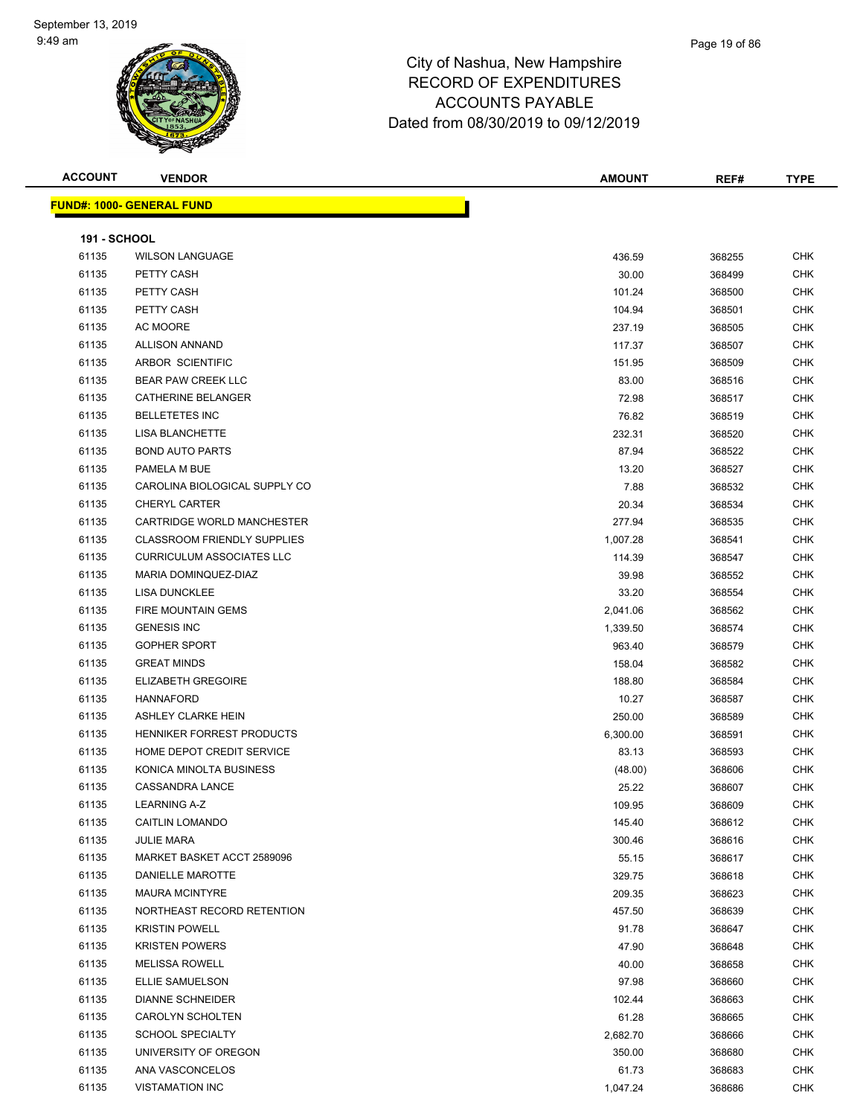#### Page 19 of 86

| <b>ACCOUNT</b>      | <b>VENDOR</b>                      | <b>AMOUNT</b> | REF#   | <b>TYPE</b> |
|---------------------|------------------------------------|---------------|--------|-------------|
|                     | <b>FUND#: 1000- GENERAL FUND</b>   |               |        |             |
|                     |                                    |               |        |             |
| <b>191 - SCHOOL</b> |                                    |               |        |             |
| 61135               | <b>WILSON LANGUAGE</b>             | 436.59        | 368255 | <b>CHK</b>  |
| 61135               | PETTY CASH                         | 30.00         | 368499 | <b>CHK</b>  |
| 61135               | PETTY CASH                         | 101.24        | 368500 | <b>CHK</b>  |
| 61135               | PETTY CASH                         | 104.94        | 368501 | <b>CHK</b>  |
| 61135               | AC MOORE                           | 237.19        | 368505 | CHK         |
| 61135               | <b>ALLISON ANNAND</b>              | 117.37        | 368507 | <b>CHK</b>  |
| 61135               | ARBOR SCIENTIFIC                   | 151.95        | 368509 | <b>CHK</b>  |
| 61135               | <b>BEAR PAW CREEK LLC</b>          | 83.00         | 368516 | <b>CHK</b>  |
| 61135               | CATHERINE BELANGER                 | 72.98         | 368517 | CHK         |
| 61135               | <b>BELLETETES INC</b>              | 76.82         | 368519 | CHK         |
| 61135               | <b>LISA BLANCHETTE</b>             | 232.31        | 368520 | CHK         |
| 61135               | <b>BOND AUTO PARTS</b>             | 87.94         | 368522 | CHK         |
| 61135               | PAMELA M BUE                       | 13.20         | 368527 | CHK         |
| 61135               | CAROLINA BIOLOGICAL SUPPLY CO      | 7.88          | 368532 | <b>CHK</b>  |
| 61135               | <b>CHERYL CARTER</b>               | 20.34         | 368534 | <b>CHK</b>  |
| 61135               | CARTRIDGE WORLD MANCHESTER         | 277.94        | 368535 | <b>CHK</b>  |
| 61135               | <b>CLASSROOM FRIENDLY SUPPLIES</b> | 1,007.28      | 368541 | <b>CHK</b>  |
| 61135               | <b>CURRICULUM ASSOCIATES LLC</b>   | 114.39        | 368547 | <b>CHK</b>  |
| 61135               | MARIA DOMINQUEZ-DIAZ               | 39.98         | 368552 | <b>CHK</b>  |
| 61135               | <b>LISA DUNCKLEE</b>               | 33.20         | 368554 | <b>CHK</b>  |
| 61135               | <b>FIRE MOUNTAIN GEMS</b>          | 2,041.06      | 368562 | CHK         |
| 61135               | <b>GENESIS INC</b>                 | 1,339.50      | 368574 | <b>CHK</b>  |
| 61135               | <b>GOPHER SPORT</b>                | 963.40        | 368579 | <b>CHK</b>  |
| 61135               | <b>GREAT MINDS</b>                 | 158.04        | 368582 | <b>CHK</b>  |
| 61135               | <b>ELIZABETH GREGOIRE</b>          | 188.80        | 368584 | <b>CHK</b>  |
| 61135               | <b>HANNAFORD</b>                   | 10.27         | 368587 | <b>CHK</b>  |
| 61135               | <b>ASHLEY CLARKE HEIN</b>          | 250.00        | 368589 | CHK         |
| 61135               | HENNIKER FORREST PRODUCTS          | 6,300.00      | 368591 | <b>CHK</b>  |
| 61135               | HOME DEPOT CREDIT SERVICE          | 83.13         | 368593 | <b>CHK</b>  |
| 61135               | KONICA MINOLTA BUSINESS            | (48.00)       | 368606 | <b>CHK</b>  |
| 61135               | <b>CASSANDRA LANCE</b>             | 25.22         | 368607 | <b>CHK</b>  |
| 61135               | <b>LEARNING A-Z</b>                | 109.95        | 368609 | <b>CHK</b>  |
| 61135               | <b>CAITLIN LOMANDO</b>             | 145.40        | 368612 | <b>CHK</b>  |
| 61135               | <b>JULIE MARA</b>                  | 300.46        | 368616 | CHK         |
| 61135               | MARKET BASKET ACCT 2589096         | 55.15         | 368617 | <b>CHK</b>  |
| 61135               | <b>DANIELLE MAROTTE</b>            | 329.75        | 368618 | CHK         |
| 61135               | <b>MAURA MCINTYRE</b>              | 209.35        | 368623 | <b>CHK</b>  |
| 61135               | NORTHEAST RECORD RETENTION         | 457.50        | 368639 | <b>CHK</b>  |
| 61135               | <b>KRISTIN POWELL</b>              | 91.78         | 368647 | CHK         |
| 61135               | <b>KRISTEN POWERS</b>              | 47.90         | 368648 | <b>CHK</b>  |
| 61135               | <b>MELISSA ROWELL</b>              | 40.00         | 368658 | <b>CHK</b>  |
| 61135               | ELLIE SAMUELSON                    | 97.98         | 368660 | CHK         |
| 61135               | <b>DIANNE SCHNEIDER</b>            | 102.44        | 368663 | <b>CHK</b>  |
| 61135               | CAROLYN SCHOLTEN                   | 61.28         | 368665 | CHK         |
| 61135               | <b>SCHOOL SPECIALTY</b>            | 2,682.70      | 368666 | CHK         |
| 61135               | UNIVERSITY OF OREGON               | 350.00        | 368680 | <b>CHK</b>  |
| 61135               | ANA VASCONCELOS                    | 61.73         | 368683 | CHK         |
| 61135               | <b>VISTAMATION INC</b>             | 1,047.24      | 368686 | CHK         |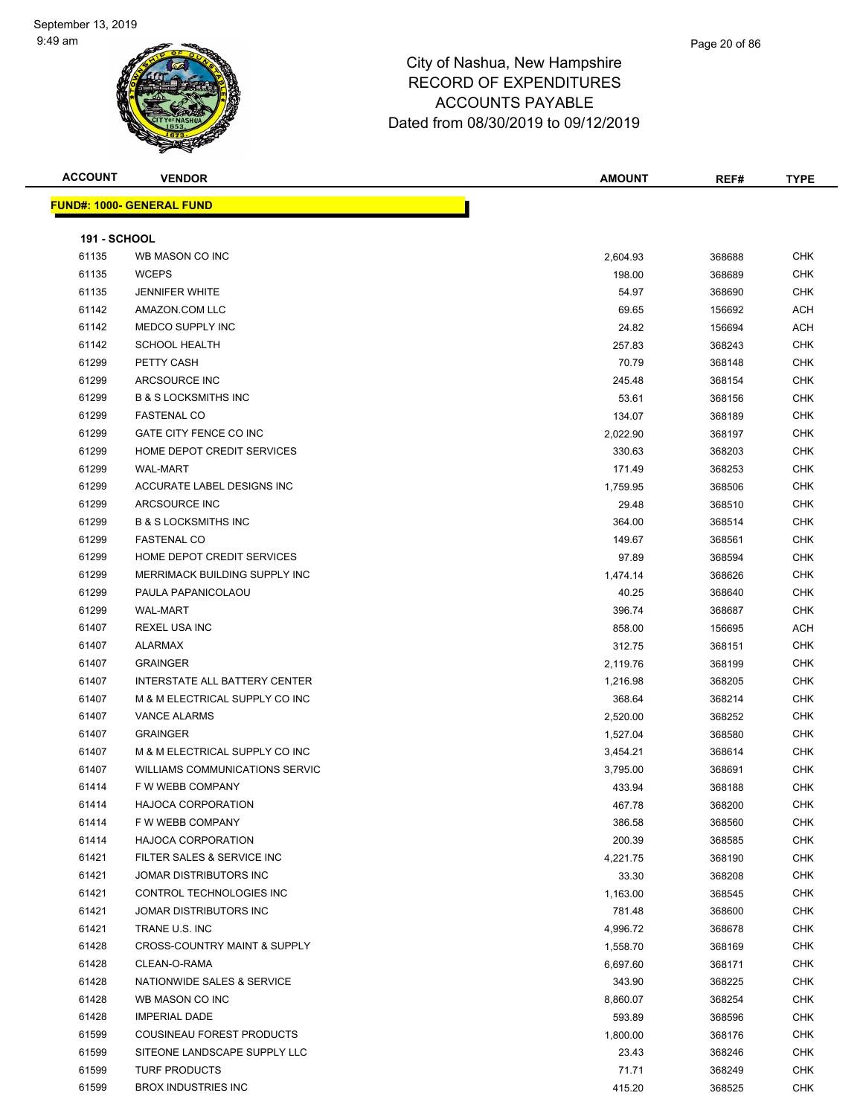| <b>ACCOUNT</b> |  |
|----------------|--|
|----------------|--|

**FUND#: 1000- GENERAL FUND**

| ACCOUNT             | <b>VENDOR</b>                     | <b>AMOUNT</b> | REF#   | <b>TYPE</b> |
|---------------------|-----------------------------------|---------------|--------|-------------|
|                     |                                   |               |        |             |
|                     | <u>  IND#: 1000- GENERAL FUND</u> |               |        |             |
|                     |                                   |               |        |             |
| <b>191 - SCHOOL</b> |                                   |               |        |             |
| 61135               | WB MASON CO INC                   | 2.604.93      | 368688 | СНК         |

| 61135 | WB MASON CO INC                       | 2,604.93 | 368688 | CHK        |
|-------|---------------------------------------|----------|--------|------------|
| 61135 | <b>WCEPS</b>                          | 198.00   | 368689 | <b>CHK</b> |
| 61135 | <b>JENNIFER WHITE</b>                 | 54.97    | 368690 | <b>CHK</b> |
| 61142 | AMAZON.COM LLC                        | 69.65    | 156692 | ACH        |
| 61142 | MEDCO SUPPLY INC                      | 24.82    | 156694 | ACH        |
| 61142 | <b>SCHOOL HEALTH</b>                  | 257.83   | 368243 | <b>CHK</b> |
| 61299 | PETTY CASH                            | 70.79    | 368148 | <b>CHK</b> |
| 61299 | ARCSOURCE INC                         | 245.48   | 368154 | CHK        |
| 61299 | <b>B &amp; S LOCKSMITHS INC</b>       | 53.61    | 368156 | CHK        |
| 61299 | <b>FASTENAL CO</b>                    | 134.07   | 368189 | <b>CHK</b> |
| 61299 | GATE CITY FENCE CO INC                | 2,022.90 | 368197 | <b>CHK</b> |
| 61299 | HOME DEPOT CREDIT SERVICES            | 330.63   | 368203 | <b>CHK</b> |
| 61299 | <b>WAL-MART</b>                       | 171.49   | 368253 | CHK        |
| 61299 | ACCURATE LABEL DESIGNS INC            | 1,759.95 | 368506 | <b>CHK</b> |
| 61299 | ARCSOURCE INC                         | 29.48    | 368510 | <b>CHK</b> |
| 61299 | <b>B &amp; S LOCKSMITHS INC</b>       | 364.00   | 368514 | <b>CHK</b> |
| 61299 | <b>FASTENAL CO</b>                    | 149.67   | 368561 | <b>CHK</b> |
| 61299 | HOME DEPOT CREDIT SERVICES            | 97.89    | 368594 | <b>CHK</b> |
| 61299 | MERRIMACK BUILDING SUPPLY INC         | 1,474.14 | 368626 | CHK        |
| 61299 | PAULA PAPANICOLAOU                    | 40.25    | 368640 | CHK        |
| 61299 | <b>WAL-MART</b>                       | 396.74   | 368687 | <b>CHK</b> |
| 61407 | REXEL USA INC                         | 858.00   | 156695 | ACH        |
| 61407 | <b>ALARMAX</b>                        | 312.75   | 368151 | <b>CHK</b> |
| 61407 | <b>GRAINGER</b>                       | 2,119.76 | 368199 | <b>CHK</b> |
| 61407 | INTERSTATE ALL BATTERY CENTER         | 1,216.98 | 368205 | <b>CHK</b> |
| 61407 | M & M ELECTRICAL SUPPLY CO INC        | 368.64   | 368214 | <b>CHK</b> |
| 61407 | <b>VANCE ALARMS</b>                   | 2,520.00 | 368252 | <b>CHK</b> |
| 61407 | <b>GRAINGER</b>                       | 1,527.04 | 368580 | <b>CHK</b> |
| 61407 | M & M ELECTRICAL SUPPLY CO INC        | 3,454.21 | 368614 | <b>CHK</b> |
| 61407 | <b>WILLIAMS COMMUNICATIONS SERVIC</b> | 3,795.00 | 368691 | CHK        |
| 61414 | F W WEBB COMPANY                      | 433.94   | 368188 | CHK        |
| 61414 | <b>HAJOCA CORPORATION</b>             | 467.78   | 368200 | <b>CHK</b> |
| 61414 | F W WEBB COMPANY                      | 386.58   | 368560 | CHK        |
| 61414 | <b>HAJOCA CORPORATION</b>             | 200.39   | 368585 | CHK        |
| 61421 | FILTER SALES & SERVICE INC            | 4,221.75 | 368190 | <b>CHK</b> |
| 61421 | JOMAR DISTRIBUTORS INC                | 33.30    | 368208 | CHK        |
| 61421 | CONTROL TECHNOLOGIES INC              | 1,163.00 | 368545 | CHK        |
| 61421 | JOMAR DISTRIBUTORS INC                | 781.48   | 368600 | <b>CHK</b> |
| 61421 | TRANE U.S. INC                        | 4,996.72 | 368678 | <b>CHK</b> |
| 61428 | CROSS-COUNTRY MAINT & SUPPLY          | 1,558.70 | 368169 | <b>CHK</b> |
| 61428 | CLEAN-O-RAMA                          | 6,697.60 | 368171 | CHK        |
| 61428 | NATIONWIDE SALES & SERVICE            | 343.90   | 368225 | CHK        |
| 61428 | WB MASON CO INC                       | 8,860.07 | 368254 | <b>CHK</b> |
| 61428 | <b>IMPERIAL DADE</b>                  | 593.89   | 368596 | CHK        |
| 61599 | COUSINEAU FOREST PRODUCTS             | 1,800.00 | 368176 | CHK        |
| 61599 | SITEONE LANDSCAPE SUPPLY LLC          | 23.43    | 368246 | CHK        |
| 61599 | <b>TURF PRODUCTS</b>                  | 71.71    | 368249 | CHK        |
| 61599 | <b>BROX INDUSTRIES INC</b>            | 415.20   | 368525 | <b>CHK</b> |
|       |                                       |          |        |            |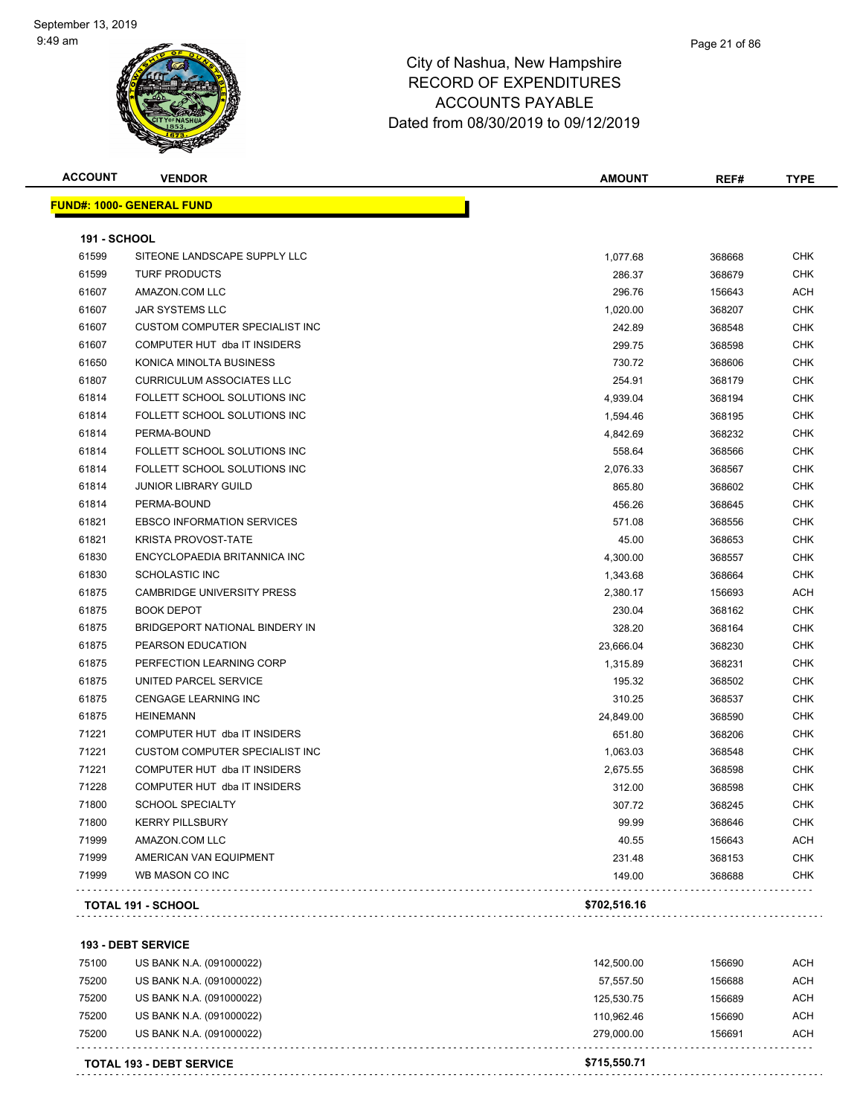#### Page 21 of 86

### City of Nashua, New Hampshire RECORD OF EXPENDITURES ACCOUNTS PAYABLE Dated from 08/30/2019 to 09/12/2019

| <b>ACCOUNT</b>      | <b>VENDOR</b>                     | AMOUNT       | REF#   | TYPE       |
|---------------------|-----------------------------------|--------------|--------|------------|
|                     | <b>FUND#: 1000- GENERAL FUND</b>  |              |        |            |
| <b>191 - SCHOOL</b> |                                   |              |        |            |
| 61599               | SITEONE LANDSCAPE SUPPLY LLC      | 1,077.68     | 368668 | <b>CHK</b> |
| 61599               | <b>TURF PRODUCTS</b>              | 286.37       | 368679 | <b>CHK</b> |
| 61607               | AMAZON.COM LLC                    | 296.76       | 156643 | ACH        |
| 61607               | <b>JAR SYSTEMS LLC</b>            | 1,020.00     | 368207 | CHK        |
| 61607               | CUSTOM COMPUTER SPECIALIST INC    | 242.89       | 368548 | <b>CHK</b> |
| 61607               | COMPUTER HUT dba IT INSIDERS      | 299.75       | 368598 | <b>CHK</b> |
| 61650               | KONICA MINOLTA BUSINESS           | 730.72       | 368606 | <b>CHK</b> |
| 61807               | <b>CURRICULUM ASSOCIATES LLC</b>  | 254.91       | 368179 | <b>CHK</b> |
| 61814               | FOLLETT SCHOOL SOLUTIONS INC      | 4,939.04     | 368194 | <b>CHK</b> |
| 61814               | FOLLETT SCHOOL SOLUTIONS INC      | 1,594.46     | 368195 | <b>CHK</b> |
| 61814               | PERMA-BOUND                       | 4,842.69     | 368232 | <b>CHK</b> |
| 61814               | FOLLETT SCHOOL SOLUTIONS INC      | 558.64       | 368566 | CHK        |
| 61814               | FOLLETT SCHOOL SOLUTIONS INC      | 2,076.33     | 368567 | <b>CHK</b> |
| 61814               | <b>JUNIOR LIBRARY GUILD</b>       | 865.80       | 368602 | CHK        |
| 61814               | PERMA-BOUND                       | 456.26       | 368645 | CHK        |
| 61821               | <b>EBSCO INFORMATION SERVICES</b> | 571.08       | 368556 | <b>CHK</b> |
| 61821               | <b>KRISTA PROVOST-TATE</b>        | 45.00        | 368653 | <b>CHK</b> |
| 61830               | ENCYCLOPAEDIA BRITANNICA INC      | 4,300.00     | 368557 | <b>CHK</b> |
| 61830               | <b>SCHOLASTIC INC</b>             | 1,343.68     | 368664 | <b>CHK</b> |
| 61875               | <b>CAMBRIDGE UNIVERSITY PRESS</b> | 2,380.17     | 156693 | ACH        |
| 61875               | <b>BOOK DEPOT</b>                 | 230.04       | 368162 | <b>CHK</b> |
| 61875               | BRIDGEPORT NATIONAL BINDERY IN    | 328.20       | 368164 | CHK        |
| 61875               | PEARSON EDUCATION                 | 23,666.04    | 368230 | <b>CHK</b> |
| 61875               | PERFECTION LEARNING CORP          | 1,315.89     | 368231 | <b>CHK</b> |
| 61875               | UNITED PARCEL SERVICE             | 195.32       | 368502 | CHK        |
| 61875               | <b>CENGAGE LEARNING INC</b>       | 310.25       | 368537 | CHK        |
| 61875               | <b>HEINEMANN</b>                  | 24,849.00    | 368590 | <b>CHK</b> |
| 71221               | COMPUTER HUT dba IT INSIDERS      | 651.80       | 368206 | <b>CHK</b> |
| 71221               | CUSTOM COMPUTER SPECIALIST INC    | 1,063.03     | 368548 | <b>CHK</b> |
| 71221               | COMPUTER HUT dba IT INSIDERS      | 2,675.55     | 368598 | <b>CHK</b> |
| 71228               | COMPUTER HUT dba IT INSIDERS      | 312.00       | 368598 | <b>CHK</b> |
| 71800               | SCHOOL SPECIALTY                  | 307.72       | 368245 | <b>CHK</b> |
| 71800               | <b>KERRY PILLSBURY</b>            | 99.99        | 368646 | <b>CHK</b> |
| 71999               | AMAZON.COM LLC                    | 40.55        | 156643 | <b>ACH</b> |
| 71999               | AMERICAN VAN EQUIPMENT            | 231.48       | 368153 | <b>CHK</b> |
| 71999               | WB MASON CO INC                   | 149.00       | 368688 | <b>CHK</b> |
|                     | TOTAL 191 - SCHOOL                | \$702,516.16 |        |            |

**193 - DEBT SERVICE**

|       | <b>TOTAL 193 - DEBT SERVICE</b> | \$715,550.71 |        |            |
|-------|---------------------------------|--------------|--------|------------|
| 75200 | US BANK N.A. (091000022)        | 279.000.00   | 156691 | <b>ACH</b> |
| 75200 | US BANK N.A. (091000022)        | 110.962.46   | 156690 | ACH        |
| 75200 | US BANK N.A. (091000022)        | 125.530.75   | 156689 | <b>ACH</b> |
| 75200 | US BANK N.A. (091000022)        | 57,557.50    | 156688 | <b>ACH</b> |
| 75100 | US BANK N.A. (091000022)        | 142.500.00   | 156690 | <b>ACH</b> |
|       |                                 |              |        |            |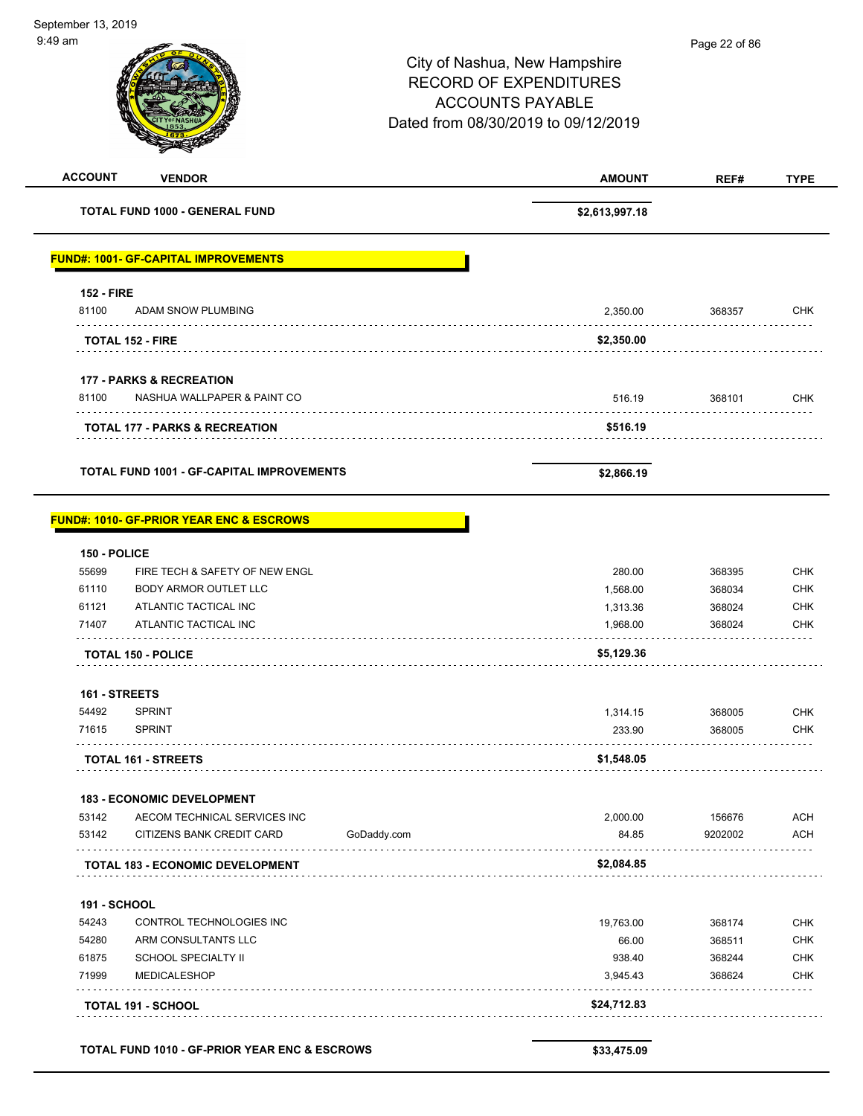| <b>ACCOUNT</b>      | <b>VENDOR</b>                                       | <b>AMOUNT</b>  | REF#    | <b>TYPE</b> |
|---------------------|-----------------------------------------------------|----------------|---------|-------------|
|                     | TOTAL FUND 1000 - GENERAL FUND                      | \$2,613,997.18 |         |             |
|                     | <b>FUND#: 1001- GF-CAPITAL IMPROVEMENTS</b>         |                |         |             |
| <b>152 - FIRE</b>   |                                                     |                |         |             |
| 81100               | ADAM SNOW PLUMBING                                  | 2,350.00       | 368357  | CHK         |
|                     | <b>TOTAL 152 - FIRE</b>                             | \$2,350.00     |         |             |
|                     | <b>177 - PARKS &amp; RECREATION</b>                 |                |         |             |
| 81100               | NASHUA WALLPAPER & PAINT CO                         | 516.19         | 368101  | CHK         |
|                     | <b>TOTAL 177 - PARKS &amp; RECREATION</b>           | \$516.19       |         |             |
|                     | <b>TOTAL FUND 1001 - GF-CAPITAL IMPROVEMENTS</b>    | \$2,866.19     |         |             |
|                     | <b>FUND#: 1010- GF-PRIOR YEAR ENC &amp; ESCROWS</b> |                |         |             |
| 150 - POLICE        |                                                     |                |         |             |
| 55699               | FIRE TECH & SAFETY OF NEW ENGL                      | 280.00         | 368395  | <b>CHK</b>  |
| 61110               | BODY ARMOR OUTLET LLC                               | 1,568.00       | 368034  | <b>CHK</b>  |
| 61121               | ATLANTIC TACTICAL INC                               | 1,313.36       | 368024  | <b>CHK</b>  |
| 71407               | ATLANTIC TACTICAL INC                               | 1,968.00       | 368024  | <b>CHK</b>  |
|                     | <b>TOTAL 150 - POLICE</b>                           | \$5,129.36     |         |             |
| 161 - STREETS       |                                                     |                |         |             |
| 54492               | <b>SPRINT</b>                                       | 1,314.15       | 368005  | <b>CHK</b>  |
| 71615               | <b>SPRINT</b>                                       | 233.90         | 368005  | CHK         |
|                     | <b>TOTAL 161 - STREETS</b>                          | \$1,548.05     |         |             |
|                     | <b>183 - ECONOMIC DEVELOPMENT</b>                   |                |         |             |
| 53142               | AECOM TECHNICAL SERVICES INC                        | 2,000.00       | 156676  | <b>ACH</b>  |
| 53142               | CITIZENS BANK CREDIT CARD<br>GoDaddy.com            | 84.85          | 9202002 | <b>ACH</b>  |
|                     | TOTAL 183 - ECONOMIC DEVELOPMENT                    | \$2,084.85     |         |             |
| <b>191 - SCHOOL</b> |                                                     |                |         |             |
| 54243               | CONTROL TECHNOLOGIES INC                            | 19,763.00      | 368174  | <b>CHK</b>  |
| 54280               | ARM CONSULTANTS LLC                                 | 66.00          | 368511  | <b>CHK</b>  |
| 61875               | <b>SCHOOL SPECIALTY II</b>                          | 938.40         | 368244  | <b>CHK</b>  |
| 71999               | <b>MEDICALESHOP</b>                                 | 3,945.43       | 368624  | <b>CHK</b>  |
|                     | <b>TOTAL 191 - SCHOOL</b>                           | \$24,712.83    |         |             |
|                     |                                                     |                |         |             |
|                     | TOTAL FUND 1010 - GF-PRIOR YEAR ENC & ESCROWS       | \$33,475.09    |         |             |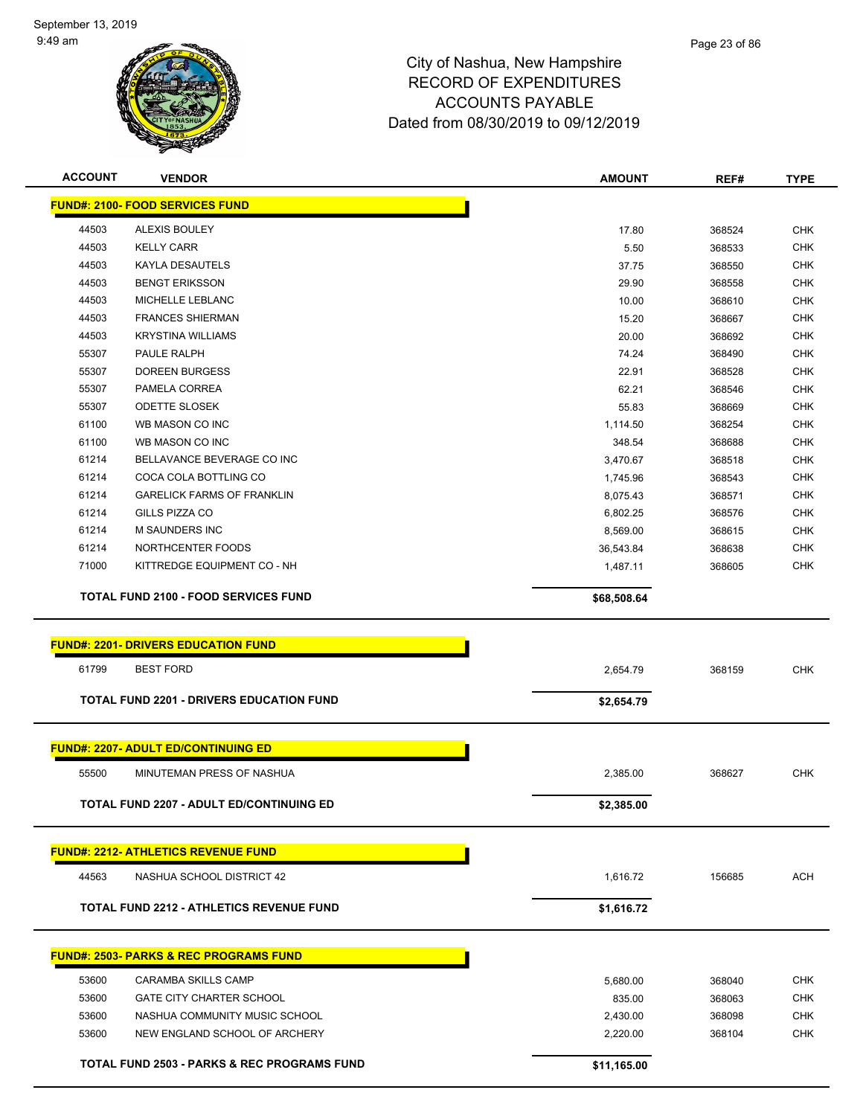

| <b>ACCOUNT</b> | <b>VENDOR</b>                                          | <b>AMOUNT</b> | REF#   | <b>TYPE</b> |
|----------------|--------------------------------------------------------|---------------|--------|-------------|
|                | <b>FUND#: 2100- FOOD SERVICES FUND</b>                 |               |        |             |
| 44503          | <b>ALEXIS BOULEY</b>                                   | 17.80         | 368524 | <b>CHK</b>  |
| 44503          | <b>KELLY CARR</b>                                      | 5.50          | 368533 | <b>CHK</b>  |
| 44503          | <b>KAYLA DESAUTELS</b>                                 | 37.75         | 368550 | <b>CHK</b>  |
| 44503          | <b>BENGT ERIKSSON</b>                                  | 29.90         | 368558 | <b>CHK</b>  |
| 44503          | MICHELLE LEBLANC                                       | 10.00         | 368610 | <b>CHK</b>  |
| 44503          | <b>FRANCES SHIERMAN</b>                                | 15.20         | 368667 | <b>CHK</b>  |
| 44503          | <b>KRYSTINA WILLIAMS</b>                               | 20.00         | 368692 | <b>CHK</b>  |
| 55307          | PAULE RALPH                                            | 74.24         | 368490 | <b>CHK</b>  |
| 55307          | <b>DOREEN BURGESS</b>                                  | 22.91         | 368528 | <b>CHK</b>  |
| 55307          | PAMELA CORREA                                          | 62.21         | 368546 | <b>CHK</b>  |
| 55307          | <b>ODETTE SLOSEK</b>                                   | 55.83         | 368669 | <b>CHK</b>  |
| 61100          | WB MASON CO INC                                        | 1,114.50      | 368254 | <b>CHK</b>  |
| 61100          | WB MASON CO INC                                        | 348.54        | 368688 | <b>CHK</b>  |
| 61214          | BELLAVANCE BEVERAGE CO INC                             | 3,470.67      | 368518 | <b>CHK</b>  |
| 61214          | COCA COLA BOTTLING CO                                  | 1,745.96      | 368543 | <b>CHK</b>  |
| 61214          | <b>GARELICK FARMS OF FRANKLIN</b>                      | 8,075.43      | 368571 | <b>CHK</b>  |
| 61214          | <b>GILLS PIZZA CO</b>                                  | 6,802.25      | 368576 | <b>CHK</b>  |
| 61214          | <b>M SAUNDERS INC</b>                                  | 8,569.00      | 368615 | <b>CHK</b>  |
| 61214          | NORTHCENTER FOODS                                      | 36,543.84     | 368638 | <b>CHK</b>  |
| 71000          | KITTREDGE EQUIPMENT CO - NH                            | 1,487.11      | 368605 | <b>CHK</b>  |
|                | <b>TOTAL FUND 2100 - FOOD SERVICES FUND</b>            | \$68,508.64   |        |             |
|                | <b>FUND#: 2201- DRIVERS EDUCATION FUND</b>             |               |        |             |
|                |                                                        |               |        |             |
| 61799          | <b>BEST FORD</b>                                       | 2,654.79      | 368159 | <b>CHK</b>  |
|                | <b>TOTAL FUND 2201 - DRIVERS EDUCATION FUND</b>        | \$2,654.79    |        |             |
|                | <b>FUND#: 2207- ADULT ED/CONTINUING ED</b>             |               |        |             |
| 55500          | MINUTEMAN PRESS OF NASHUA                              | 2,385.00      | 368627 | <b>CHK</b>  |
|                |                                                        |               |        |             |
|                | TOTAL FUND 2207 - ADULT ED/CONTINUING ED               | \$2,385.00    |        |             |
|                | <b>FUND#: 2212- ATHLETICS REVENUE FUND</b>             |               |        |             |
| 44563          | NASHUA SCHOOL DISTRICT 42                              | 1,616.72      | 156685 | <b>ACH</b>  |
|                | <b>TOTAL FUND 2212 - ATHLETICS REVENUE FUND</b>        | \$1,616.72    |        |             |
|                | <b>FUND#: 2503- PARKS &amp; REC PROGRAMS FUND</b>      |               |        |             |
|                |                                                        |               |        |             |
| 53600          | <b>CARAMBA SKILLS CAMP</b>                             | 5,680.00      | 368040 | <b>CHK</b>  |
| 53600          | <b>GATE CITY CHARTER SCHOOL</b>                        | 835.00        | 368063 | CHK         |
| 53600          | NASHUA COMMUNITY MUSIC SCHOOL                          | 2,430.00      | 368098 | <b>CHK</b>  |
| 53600          | NEW ENGLAND SCHOOL OF ARCHERY                          | 2,220.00      | 368104 | <b>CHK</b>  |
|                | <b>TOTAL FUND 2503 - PARKS &amp; REC PROGRAMS FUND</b> | \$11,165.00   |        |             |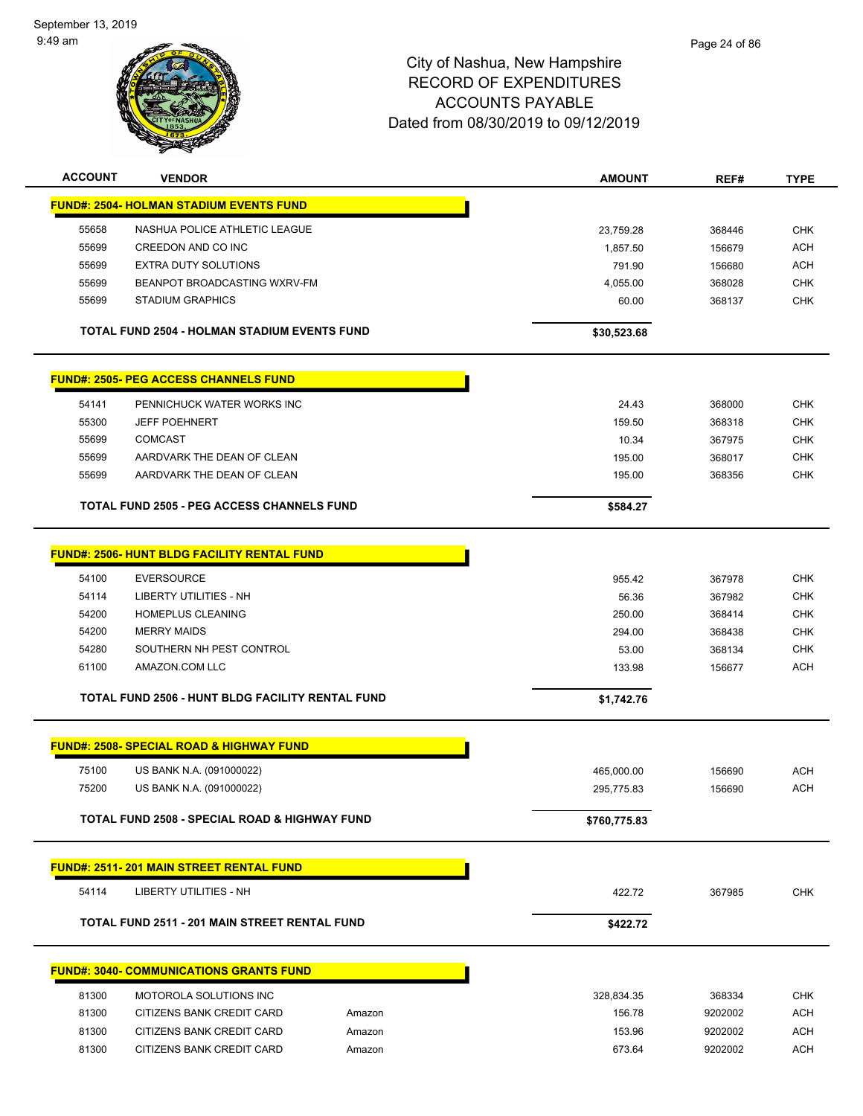September 13, 2019 9:49 am



| <b>ACCOUNT</b> | <b>VENDOR</b>                                            |        | <b>AMOUNT</b> | REF#    | <b>TYPE</b> |
|----------------|----------------------------------------------------------|--------|---------------|---------|-------------|
|                | <b>FUND#: 2504- HOLMAN STADIUM EVENTS FUND</b>           |        |               |         |             |
| 55658          | NASHUA POLICE ATHLETIC LEAGUE                            |        | 23,759.28     | 368446  | <b>CHK</b>  |
| 55699          | CREEDON AND CO INC                                       |        | 1,857.50      | 156679  | <b>ACH</b>  |
| 55699          | <b>EXTRA DUTY SOLUTIONS</b>                              |        | 791.90        | 156680  | <b>ACH</b>  |
| 55699          | BEANPOT BROADCASTING WXRV-FM                             |        | 4,055.00      | 368028  | <b>CHK</b>  |
| 55699          | <b>STADIUM GRAPHICS</b>                                  |        | 60.00         | 368137  | <b>CHK</b>  |
|                | <b>TOTAL FUND 2504 - HOLMAN STADIUM EVENTS FUND</b>      |        | \$30,523.68   |         |             |
|                | <b>FUND#: 2505- PEG ACCESS CHANNELS FUND</b>             |        |               |         |             |
| 54141          | PENNICHUCK WATER WORKS INC                               |        | 24.43         | 368000  | CHK         |
| 55300          | <b>JEFF POEHNERT</b>                                     |        | 159.50        | 368318  | <b>CHK</b>  |
| 55699          | <b>COMCAST</b>                                           |        | 10.34         | 367975  | <b>CHK</b>  |
| 55699          | AARDVARK THE DEAN OF CLEAN                               |        | 195.00        | 368017  | <b>CHK</b>  |
| 55699          | AARDVARK THE DEAN OF CLEAN                               |        | 195.00        | 368356  | <b>CHK</b>  |
|                | <b>TOTAL FUND 2505 - PEG ACCESS CHANNELS FUND</b>        |        | \$584.27      |         |             |
|                |                                                          |        |               |         |             |
|                | <b>FUND#: 2506- HUNT BLDG FACILITY RENTAL FUND</b>       |        |               |         |             |
| 54100          | <b>EVERSOURCE</b>                                        |        | 955.42        | 367978  | <b>CHK</b>  |
| 54114          | LIBERTY UTILITIES - NH                                   |        | 56.36         | 367982  | <b>CHK</b>  |
| 54200          | HOMEPLUS CLEANING                                        |        | 250.00        | 368414  | <b>CHK</b>  |
| 54200          | <b>MERRY MAIDS</b>                                       |        | 294.00        | 368438  | <b>CHK</b>  |
| 54280          | SOUTHERN NH PEST CONTROL                                 |        | 53.00         | 368134  | <b>CHK</b>  |
| 61100          | AMAZON.COM LLC                                           |        | 133.98        | 156677  | <b>ACH</b>  |
|                | TOTAL FUND 2506 - HUNT BLDG FACILITY RENTAL FUND         |        | \$1,742.76    |         |             |
|                | <b>FUND#: 2508- SPECIAL ROAD &amp; HIGHWAY FUND</b>      |        |               |         |             |
| 75100          | US BANK N.A. (091000022)                                 |        | 465,000.00    | 156690  | <b>ACH</b>  |
| 75200          | US BANK N.A. (091000022)                                 |        | 295,775.83    | 156690  | <b>ACH</b>  |
|                |                                                          |        |               |         |             |
|                | <b>TOTAL FUND 2508 - SPECIAL ROAD &amp; HIGHWAY FUND</b> |        | \$760,775.83  |         |             |
|                | <b>FUND#: 2511-201 MAIN STREET RENTAL FUND</b>           |        |               |         |             |
| 54114          | LIBERTY UTILITIES - NH                                   |        | 422.72        | 367985  | <b>CHK</b>  |
|                | <b>TOTAL FUND 2511 - 201 MAIN STREET RENTAL FUND</b>     |        |               |         |             |
|                |                                                          |        | \$422.72      |         |             |
|                | <b>FUND#: 3040- COMMUNICATIONS GRANTS FUND</b>           |        |               |         |             |
| 81300          | MOTOROLA SOLUTIONS INC                                   |        | 328,834.35    | 368334  | <b>CHK</b>  |
| 81300          | CITIZENS BANK CREDIT CARD                                | Amazon | 156.78        | 9202002 | <b>ACH</b>  |
| 81300          | CITIZENS BANK CREDIT CARD                                | Amazon | 153.96        | 9202002 | <b>ACH</b>  |
| 81300          | CITIZENS BANK CREDIT CARD                                | Amazon | 673.64        | 9202002 | <b>ACH</b>  |
|                |                                                          |        |               |         |             |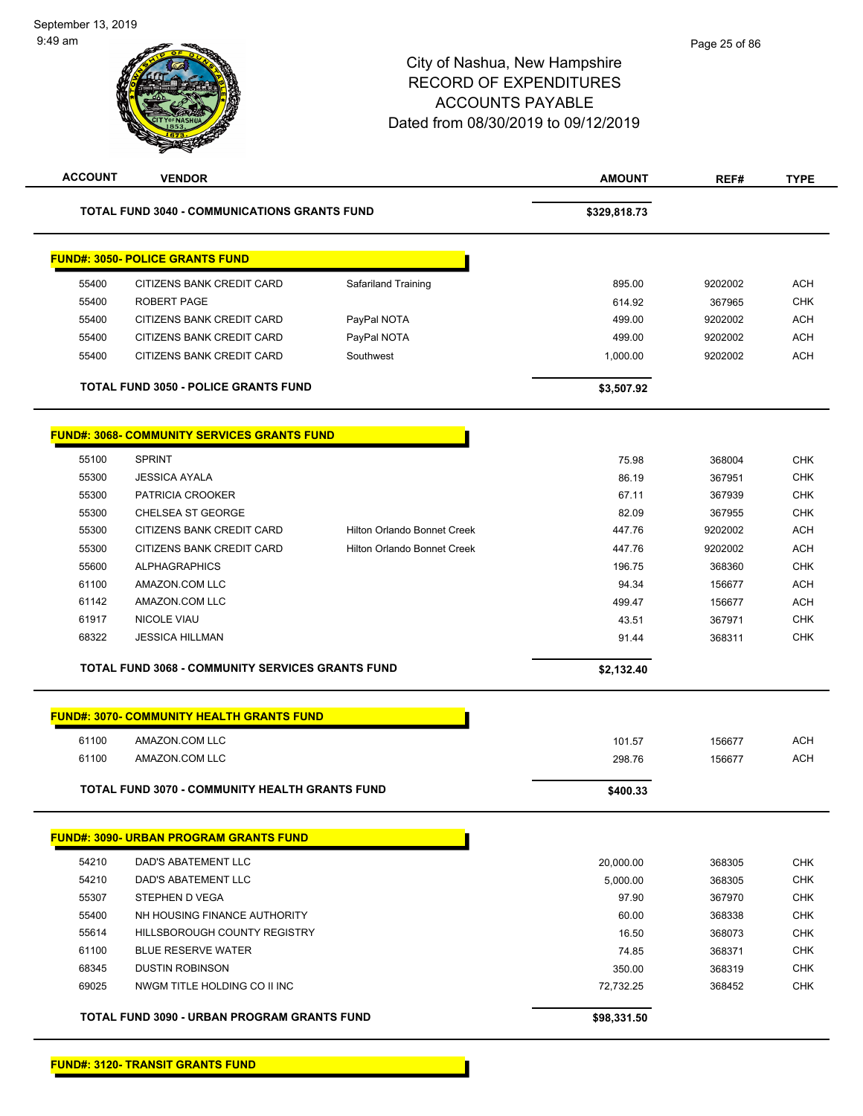| <b>ACCOUNT</b> | <b>VENDOR</b>                                                       |                                    | <b>AMOUNT</b>   | REF#             | <b>TYPE</b>              |
|----------------|---------------------------------------------------------------------|------------------------------------|-----------------|------------------|--------------------------|
|                | <b>TOTAL FUND 3040 - COMMUNICATIONS GRANTS FUND</b>                 |                                    | \$329,818.73    |                  |                          |
|                | <b>FUND#: 3050- POLICE GRANTS FUND</b>                              |                                    |                 |                  |                          |
| 55400          | CITIZENS BANK CREDIT CARD                                           | Safariland Training                | 895.00          | 9202002          | <b>ACH</b>               |
| 55400          | <b>ROBERT PAGE</b>                                                  |                                    | 614.92          | 367965           | CHK                      |
| 55400          | CITIZENS BANK CREDIT CARD                                           | PayPal NOTA                        | 499.00          | 9202002          | <b>ACH</b>               |
| 55400          | CITIZENS BANK CREDIT CARD                                           | PayPal NOTA                        | 499.00          | 9202002          | <b>ACH</b>               |
| 55400          | CITIZENS BANK CREDIT CARD                                           | Southwest                          | 1,000.00        | 9202002          | <b>ACH</b>               |
|                | <b>TOTAL FUND 3050 - POLICE GRANTS FUND</b>                         |                                    | \$3,507.92      |                  |                          |
|                | <b>FUND#: 3068- COMMUNITY SERVICES GRANTS FUND</b>                  |                                    |                 |                  |                          |
| 55100          | <b>SPRINT</b>                                                       |                                    | 75.98           | 368004           | <b>CHK</b>               |
| 55300          | <b>JESSICA AYALA</b>                                                |                                    | 86.19           | 367951           | <b>CHK</b>               |
| 55300          | PATRICIA CROOKER                                                    |                                    | 67.11           | 367939           | <b>CHK</b>               |
| 55300          | CHELSEA ST GEORGE                                                   |                                    | 82.09           | 367955           | CHK                      |
| 55300          | CITIZENS BANK CREDIT CARD                                           | Hilton Orlando Bonnet Creek        | 447.76          | 9202002          | <b>ACH</b>               |
| 55300          | <b>CITIZENS BANK CREDIT CARD</b>                                    | <b>Hilton Orlando Bonnet Creek</b> | 447.76          | 9202002          | <b>ACH</b>               |
| 55600          | <b>ALPHAGRAPHICS</b>                                                |                                    | 196.75          | 368360           | <b>CHK</b>               |
| 61100          | AMAZON.COM LLC                                                      |                                    | 94.34           | 156677           | <b>ACH</b>               |
| 61142          | AMAZON.COM LLC                                                      |                                    | 499.47          | 156677           | <b>ACH</b>               |
| 61917          | NICOLE VIAU                                                         |                                    | 43.51           | 367971           | <b>CHK</b>               |
| 68322          | <b>JESSICA HILLMAN</b>                                              |                                    | 91.44           | 368311           | <b>CHK</b>               |
|                | <b>TOTAL FUND 3068 - COMMUNITY SERVICES GRANTS FUND</b>             |                                    | \$2,132.40      |                  |                          |
|                | <b>FUND#: 3070- COMMUNITY HEALTH GRANTS FUND</b>                    |                                    |                 |                  |                          |
| 61100          | AMAZON.COM LLC                                                      |                                    | 101.57          | 156677           | <b>ACH</b>               |
| 61100          | AMAZON.COM LLC                                                      |                                    | 298.76          | 156677           | <b>ACH</b>               |
|                | <b>TOTAL FUND 3070 - COMMUNITY HEALTH GRANTS FUND</b>               |                                    | \$400.33        |                  |                          |
|                | <b>FUND#: 3090- URBAN PROGRAM GRANTS FUND</b>                       |                                    |                 |                  |                          |
|                |                                                                     |                                    |                 |                  |                          |
| 54210          | DAD'S ABATEMENT LLC                                                 |                                    | 20,000.00       | 368305           | <b>CHK</b>               |
| 54210          | DAD'S ABATEMENT LLC                                                 |                                    | 5,000.00        | 368305           | <b>CHK</b>               |
| 55307          | STEPHEN D VEGA                                                      |                                    | 97.90           | 367970           | <b>CHK</b>               |
| 55400<br>55614 | NH HOUSING FINANCE AUTHORITY<br><b>HILLSBOROUGH COUNTY REGISTRY</b> |                                    | 60.00<br>16.50  | 368338<br>368073 | <b>CHK</b><br><b>CHK</b> |
| 61100          | <b>BLUE RESERVE WATER</b>                                           |                                    |                 |                  | <b>CHK</b>               |
| 68345          | <b>DUSTIN ROBINSON</b>                                              |                                    | 74.85<br>350.00 | 368371<br>368319 | <b>CHK</b>               |
| 69025          | NWGM TITLE HOLDING CO II INC                                        |                                    | 72,732.25       | 368452           | <b>CHK</b>               |
|                |                                                                     |                                    |                 |                  |                          |
|                | TOTAL FUND 3090 - URBAN PROGRAM GRANTS FUND                         |                                    | \$98,331.50     |                  |                          |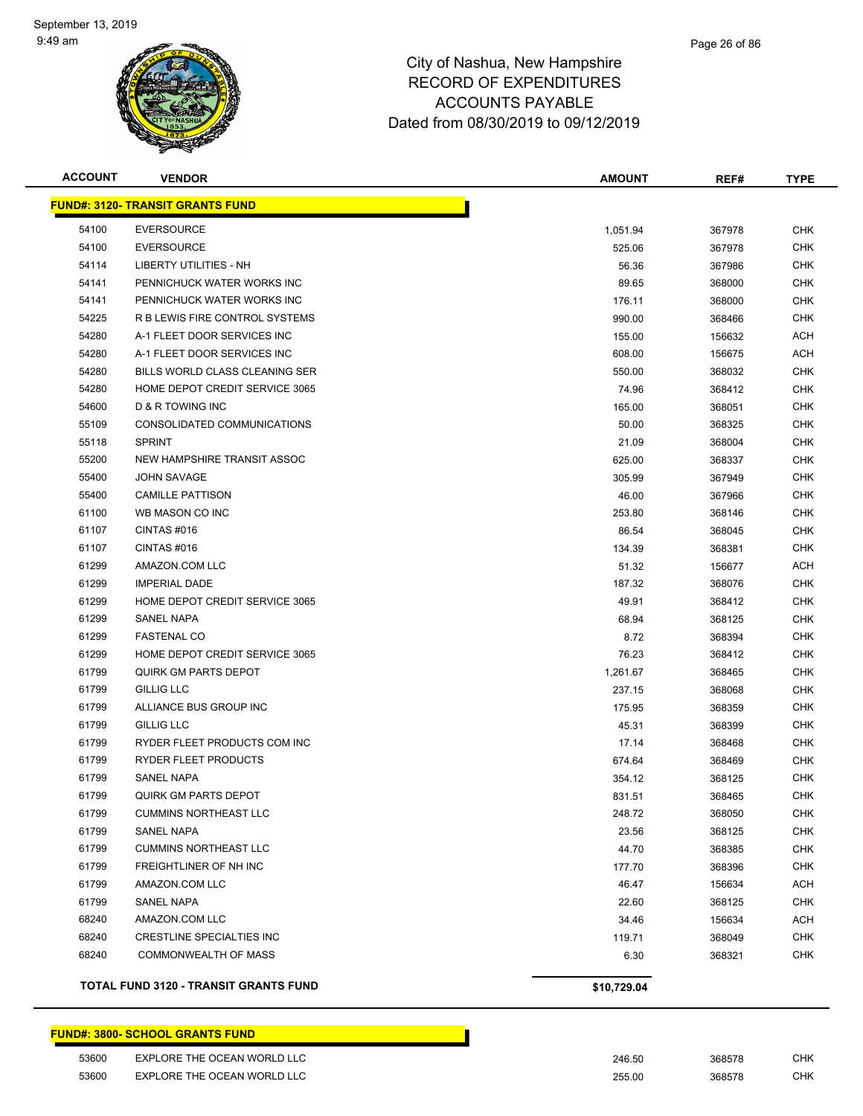

# Page 26 of 86

## City of Nashua, New Hampshire RECORD OF EXPENDITURES ACCOUNTS PAYABLE Dated from 08/30/2019 to 09/12/2019

| <b>ACCOUNT</b> | <b>VENDOR</b>                                | <b>AMOUNT</b> | REF#   | TYPE       |
|----------------|----------------------------------------------|---------------|--------|------------|
|                | <b>FUND#: 3120- TRANSIT GRANTS FUND</b>      |               |        |            |
| 54100          | <b>EVERSOURCE</b>                            | 1,051.94      | 367978 | <b>CHK</b> |
| 54100          | <b>EVERSOURCE</b>                            | 525.06        | 367978 | <b>CHK</b> |
| 54114          | LIBERTY UTILITIES - NH                       | 56.36         | 367986 | <b>CHK</b> |
| 54141          | PENNICHUCK WATER WORKS INC                   | 89.65         | 368000 | <b>CHK</b> |
| 54141          | PENNICHUCK WATER WORKS INC                   | 176.11        | 368000 | <b>CHK</b> |
| 54225          | R B LEWIS FIRE CONTROL SYSTEMS               | 990.00        | 368466 | <b>CHK</b> |
| 54280          | A-1 FLEET DOOR SERVICES INC                  | 155.00        | 156632 | <b>ACH</b> |
| 54280          | A-1 FLEET DOOR SERVICES INC                  | 608.00        | 156675 | ACH        |
| 54280          | BILLS WORLD CLASS CLEANING SER               | 550.00        | 368032 | <b>CHK</b> |
| 54280          | HOME DEPOT CREDIT SERVICE 3065               | 74.96         | 368412 | <b>CHK</b> |
| 54600          | D & R TOWING INC                             | 165.00        | 368051 | <b>CHK</b> |
| 55109          | CONSOLIDATED COMMUNICATIONS                  | 50.00         | 368325 | <b>CHK</b> |
| 55118          | <b>SPRINT</b>                                | 21.09         | 368004 | <b>CHK</b> |
| 55200          | NEW HAMPSHIRE TRANSIT ASSOC                  | 625.00        | 368337 | <b>CHK</b> |
| 55400          | <b>JOHN SAVAGE</b>                           | 305.99        | 367949 | <b>CHK</b> |
| 55400          | <b>CAMILLE PATTISON</b>                      | 46.00         | 367966 | <b>CHK</b> |
| 61100          | WB MASON CO INC                              | 253.80        | 368146 | <b>CHK</b> |
| 61107          | CINTAS#016                                   | 86.54         | 368045 | <b>CHK</b> |
| 61107          | CINTAS#016                                   | 134.39        | 368381 | <b>CHK</b> |
| 61299          | AMAZON.COM LLC                               | 51.32         | 156677 | <b>ACH</b> |
| 61299          | <b>IMPERIAL DADE</b>                         | 187.32        | 368076 | <b>CHK</b> |
| 61299          | HOME DEPOT CREDIT SERVICE 3065               | 49.91         | 368412 | <b>CHK</b> |
| 61299          | <b>SANEL NAPA</b>                            | 68.94         | 368125 | <b>CHK</b> |
| 61299          | <b>FASTENAL CO</b>                           | 8.72          | 368394 | <b>CHK</b> |
| 61299          | HOME DEPOT CREDIT SERVICE 3065               | 76.23         | 368412 | <b>CHK</b> |
| 61799          | <b>QUIRK GM PARTS DEPOT</b>                  | 1,261.67      | 368465 | <b>CHK</b> |
| 61799          | <b>GILLIG LLC</b>                            | 237.15        | 368068 | <b>CHK</b> |
| 61799          | ALLIANCE BUS GROUP INC                       | 175.95        | 368359 | <b>CHK</b> |
| 61799          | <b>GILLIG LLC</b>                            | 45.31         | 368399 | <b>CHK</b> |
| 61799          | RYDER FLEET PRODUCTS COM INC                 | 17.14         | 368468 | <b>CHK</b> |
| 61799          | RYDER FLEET PRODUCTS                         | 674.64        | 368469 | <b>CHK</b> |
| 61799          | <b>SANEL NAPA</b>                            | 354.12        | 368125 | <b>CHK</b> |
| 61799          | <b>QUIRK GM PARTS DEPOT</b>                  | 831.51        | 368465 | <b>CHK</b> |
| 61799          | <b>CUMMINS NORTHEAST LLC</b>                 | 248.72        | 368050 | <b>CHK</b> |
| 61799          | <b>SANEL NAPA</b>                            | 23.56         | 368125 | <b>CHK</b> |
| 61799          | <b>CUMMINS NORTHEAST LLC</b>                 | 44.70         | 368385 | <b>CHK</b> |
| 61799          | FREIGHTLINER OF NH INC                       | 177.70        | 368396 | <b>CHK</b> |
| 61799          | AMAZON.COM LLC                               | 46.47         | 156634 | ACH        |
| 61799          | SANEL NAPA                                   | 22.60         | 368125 | <b>CHK</b> |
| 68240          | AMAZON.COM LLC                               | 34.46         | 156634 | <b>ACH</b> |
| 68240          | <b>CRESTLINE SPECIALTIES INC</b>             | 119.71        | 368049 | <b>CHK</b> |
| 68240          | COMMONWEALTH OF MASS                         | 6.30          | 368321 | <b>CHK</b> |
|                | <b>TOTAL FUND 3120 - TRANSIT GRANTS FUND</b> | \$10,729.04   |        |            |

#### **FUND#: 3800- SCHOOL GRANTS FUND**

| 53600 | EXPLORE THE OCEAN WORLD LLC | 246.50 | 368578 | СНК |
|-------|-----------------------------|--------|--------|-----|
| 53600 | EXPLORE THE OCEAN WORLD LLC | 255.00 | 368578 | СНК |

 $\blacksquare$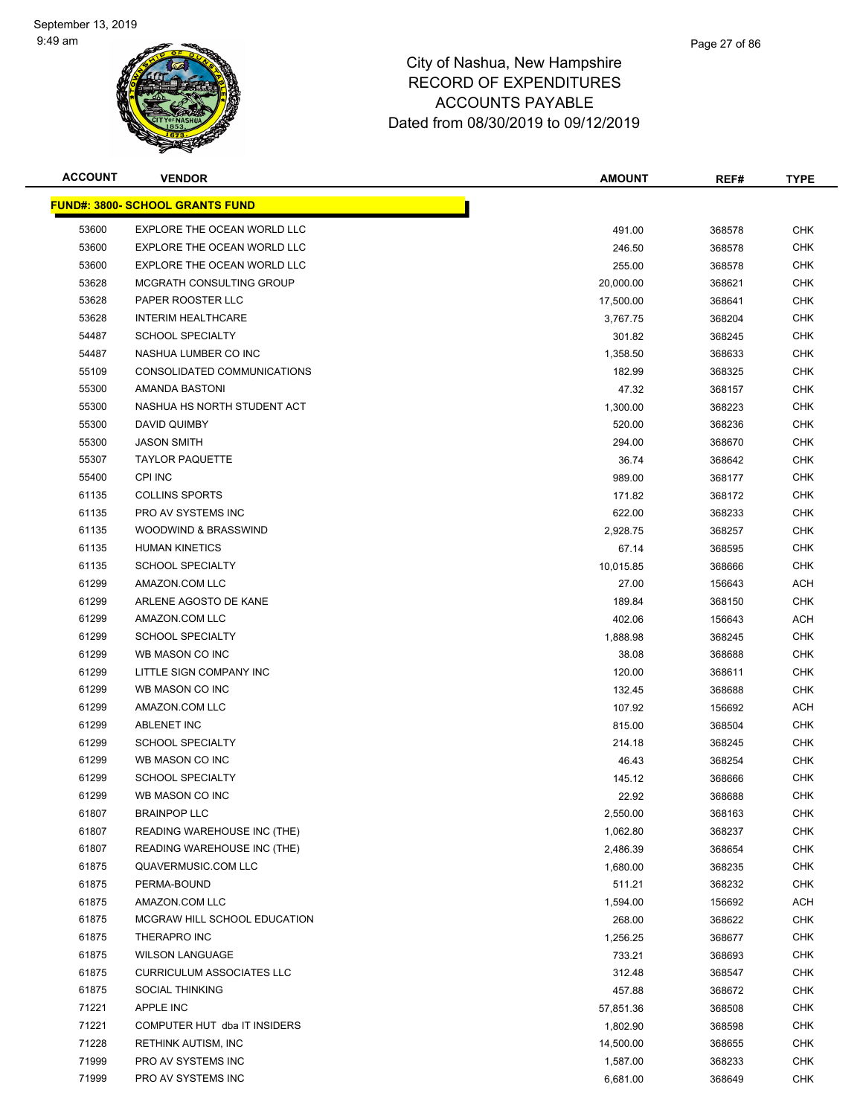

| <b>ACCOUNT</b> | <b>VENDOR</b>                          | <b>AMOUNT</b> | REF#   | <b>TYPE</b> |
|----------------|----------------------------------------|---------------|--------|-------------|
|                | <b>FUND#: 3800- SCHOOL GRANTS FUND</b> |               |        |             |
| 53600          | EXPLORE THE OCEAN WORLD LLC            | 491.00        | 368578 | <b>CHK</b>  |
| 53600          | EXPLORE THE OCEAN WORLD LLC            | 246.50        | 368578 | <b>CHK</b>  |
| 53600          | EXPLORE THE OCEAN WORLD LLC            | 255.00        | 368578 | <b>CHK</b>  |
| 53628          | MCGRATH CONSULTING GROUP               | 20,000.00     | 368621 | <b>CHK</b>  |
| 53628          | PAPER ROOSTER LLC                      | 17,500.00     | 368641 | <b>CHK</b>  |
| 53628          | <b>INTERIM HEALTHCARE</b>              | 3,767.75      | 368204 | <b>CHK</b>  |
| 54487          | <b>SCHOOL SPECIALTY</b>                | 301.82        | 368245 | <b>CHK</b>  |
| 54487          | NASHUA LUMBER CO INC                   | 1,358.50      | 368633 | <b>CHK</b>  |
| 55109          | CONSOLIDATED COMMUNICATIONS            | 182.99        | 368325 | CHK         |
| 55300          | AMANDA BASTONI                         | 47.32         | 368157 | <b>CHK</b>  |
| 55300          | NASHUA HS NORTH STUDENT ACT            | 1,300.00      | 368223 | CHK         |
| 55300          | DAVID QUIMBY                           | 520.00        | 368236 | <b>CHK</b>  |
| 55300          | <b>JASON SMITH</b>                     | 294.00        | 368670 | <b>CHK</b>  |
| 55307          | <b>TAYLOR PAQUETTE</b>                 | 36.74         | 368642 | <b>CHK</b>  |
| 55400          | CPI INC                                | 989.00        | 368177 | <b>CHK</b>  |
| 61135          | <b>COLLINS SPORTS</b>                  | 171.82        | 368172 | <b>CHK</b>  |
| 61135          | PRO AV SYSTEMS INC                     | 622.00        | 368233 | <b>CHK</b>  |
| 61135          | WOODWIND & BRASSWIND                   | 2,928.75      | 368257 | <b>CHK</b>  |
| 61135          | <b>HUMAN KINETICS</b>                  | 67.14         | 368595 | <b>CHK</b>  |
| 61135          | <b>SCHOOL SPECIALTY</b>                | 10,015.85     | 368666 | CHK         |
| 61299          | AMAZON.COM LLC                         | 27.00         | 156643 | <b>ACH</b>  |
| 61299          | ARLENE AGOSTO DE KANE                  | 189.84        | 368150 | <b>CHK</b>  |
| 61299          | AMAZON.COM LLC                         | 402.06        | 156643 | <b>ACH</b>  |
| 61299          | <b>SCHOOL SPECIALTY</b>                | 1,888.98      | 368245 | <b>CHK</b>  |
| 61299          | WB MASON CO INC                        | 38.08         | 368688 | <b>CHK</b>  |
| 61299          | LITTLE SIGN COMPANY INC                | 120.00        | 368611 | <b>CHK</b>  |
| 61299          | WB MASON CO INC                        | 132.45        | 368688 | <b>CHK</b>  |
| 61299          | AMAZON.COM LLC                         | 107.92        | 156692 | ACH         |
| 61299          | <b>ABLENET INC</b>                     | 815.00        | 368504 | <b>CHK</b>  |
| 61299          | <b>SCHOOL SPECIALTY</b>                | 214.18        | 368245 | <b>CHK</b>  |
| 61299          | WB MASON CO INC                        | 46.43         | 368254 | CHK         |
| 61299          | <b>SCHOOL SPECIALTY</b>                | 145.12        | 368666 | <b>CHK</b>  |
| 61299          | WB MASON CO INC                        | 22.92         | 368688 | <b>CHK</b>  |
| 61807          | <b>BRAINPOP LLC</b>                    | 2,550.00      | 368163 | <b>CHK</b>  |
| 61807          | READING WAREHOUSE INC (THE)            | 1,062.80      | 368237 | <b>CHK</b>  |
| 61807          | READING WAREHOUSE INC (THE)            | 2,486.39      | 368654 | <b>CHK</b>  |
| 61875          | QUAVERMUSIC.COM LLC                    | 1,680.00      | 368235 | <b>CHK</b>  |
| 61875          | PERMA-BOUND                            | 511.21        | 368232 | <b>CHK</b>  |
| 61875          | AMAZON.COM LLC                         | 1,594.00      | 156692 | <b>ACH</b>  |
| 61875          | MCGRAW HILL SCHOOL EDUCATION           | 268.00        | 368622 | <b>CHK</b>  |
| 61875          | THERAPRO INC                           | 1,256.25      | 368677 | <b>CHK</b>  |
| 61875          | <b>WILSON LANGUAGE</b>                 | 733.21        | 368693 | <b>CHK</b>  |
| 61875          | <b>CURRICULUM ASSOCIATES LLC</b>       | 312.48        | 368547 | <b>CHK</b>  |
| 61875          | <b>SOCIAL THINKING</b>                 | 457.88        | 368672 | <b>CHK</b>  |
| 71221          | APPLE INC                              | 57,851.36     | 368508 | <b>CHK</b>  |
| 71221          | COMPUTER HUT dba IT INSIDERS           | 1,802.90      | 368598 | <b>CHK</b>  |
| 71228          | <b>RETHINK AUTISM, INC</b>             | 14,500.00     | 368655 | CHK         |
| 71999          | PRO AV SYSTEMS INC                     | 1,587.00      | 368233 | <b>CHK</b>  |
| 71999          | PRO AV SYSTEMS INC                     | 6,681.00      | 368649 | <b>CHK</b>  |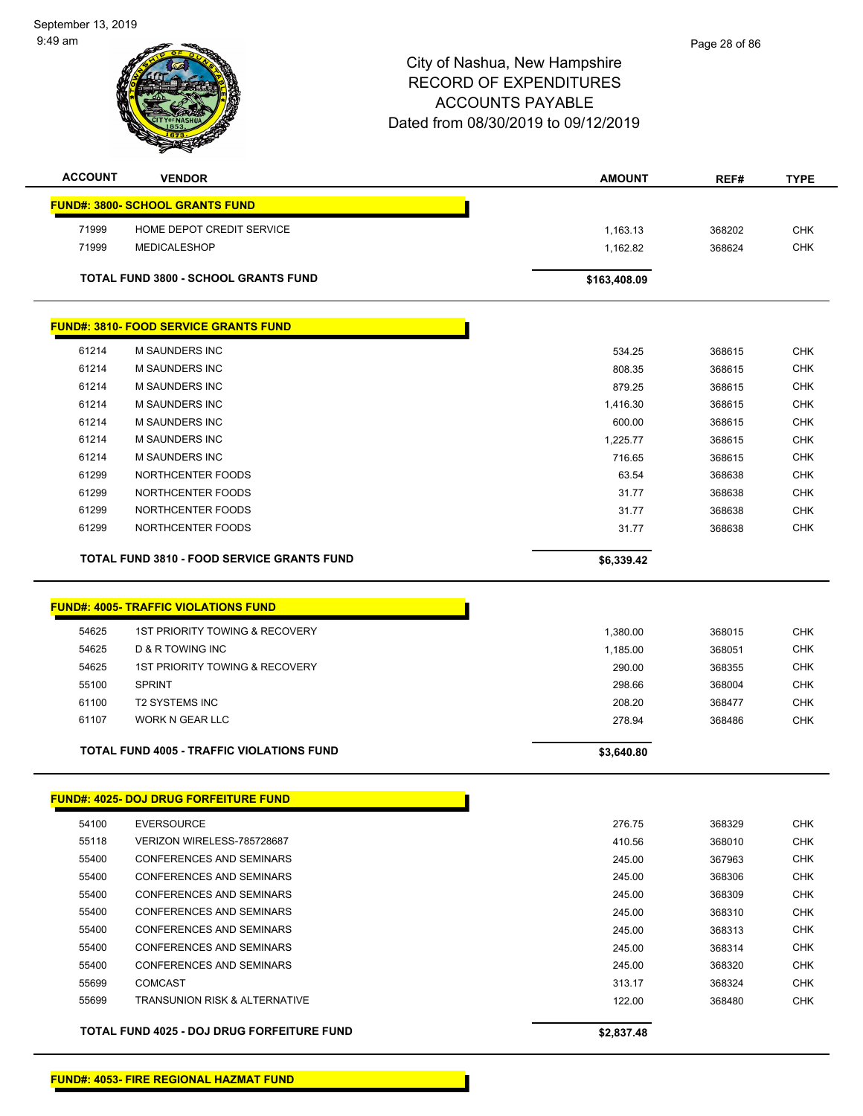September 13, 2019 9:49 am



| <b>FUND#: 3800- SCHOOL GRANTS FUND</b><br>71999<br>HOME DEPOT CREDIT SERVICE<br>368202<br>1,163.13<br>71999<br><b>MEDICALESHOP</b><br>368624<br>1,162.82<br><b>TOTAL FUND 3800 - SCHOOL GRANTS FUND</b><br>\$163,408.09<br><b>FUND#: 3810- FOOD SERVICE GRANTS FUND</b><br>61214<br>M SAUNDERS INC<br>534.25<br>368615<br>61214<br><b>M SAUNDERS INC</b><br>808.35<br>368615<br>61214<br>M SAUNDERS INC<br>879.25<br>368615<br>61214<br>M SAUNDERS INC<br>368615<br>1,416.30<br>61214<br><b>M SAUNDERS INC</b><br>600.00<br>368615<br>61214<br>M SAUNDERS INC<br>1,225.77<br>368615<br>61214<br><b>M SAUNDERS INC</b><br>716.65<br>368615<br>61299<br>NORTHCENTER FOODS<br>63.54<br>368638<br>61299<br>NORTHCENTER FOODS<br>31.77<br>368638<br>61299<br>NORTHCENTER FOODS<br>31.77<br>368638<br>61299<br>NORTHCENTER FOODS<br>31.77<br>368638<br><b>TOTAL FUND 3810 - FOOD SERVICE GRANTS FUND</b><br>\$6,339.42<br><u> FUND#: 4005- TRAFFIC VIOLATIONS FUND</u> | <b>CHK</b><br><b>CHK</b><br><b>CHK</b><br>CHK<br><b>CHK</b><br><b>CHK</b><br><b>CHK</b><br><b>CHK</b><br><b>CHK</b><br><b>CHK</b><br><b>CHK</b><br><b>CHK</b> |
|------------------------------------------------------------------------------------------------------------------------------------------------------------------------------------------------------------------------------------------------------------------------------------------------------------------------------------------------------------------------------------------------------------------------------------------------------------------------------------------------------------------------------------------------------------------------------------------------------------------------------------------------------------------------------------------------------------------------------------------------------------------------------------------------------------------------------------------------------------------------------------------------------------------------------------------------------------------|---------------------------------------------------------------------------------------------------------------------------------------------------------------|
|                                                                                                                                                                                                                                                                                                                                                                                                                                                                                                                                                                                                                                                                                                                                                                                                                                                                                                                                                                  |                                                                                                                                                               |
|                                                                                                                                                                                                                                                                                                                                                                                                                                                                                                                                                                                                                                                                                                                                                                                                                                                                                                                                                                  |                                                                                                                                                               |
|                                                                                                                                                                                                                                                                                                                                                                                                                                                                                                                                                                                                                                                                                                                                                                                                                                                                                                                                                                  |                                                                                                                                                               |
|                                                                                                                                                                                                                                                                                                                                                                                                                                                                                                                                                                                                                                                                                                                                                                                                                                                                                                                                                                  |                                                                                                                                                               |
|                                                                                                                                                                                                                                                                                                                                                                                                                                                                                                                                                                                                                                                                                                                                                                                                                                                                                                                                                                  |                                                                                                                                                               |
|                                                                                                                                                                                                                                                                                                                                                                                                                                                                                                                                                                                                                                                                                                                                                                                                                                                                                                                                                                  |                                                                                                                                                               |
|                                                                                                                                                                                                                                                                                                                                                                                                                                                                                                                                                                                                                                                                                                                                                                                                                                                                                                                                                                  |                                                                                                                                                               |
|                                                                                                                                                                                                                                                                                                                                                                                                                                                                                                                                                                                                                                                                                                                                                                                                                                                                                                                                                                  |                                                                                                                                                               |
|                                                                                                                                                                                                                                                                                                                                                                                                                                                                                                                                                                                                                                                                                                                                                                                                                                                                                                                                                                  |                                                                                                                                                               |
|                                                                                                                                                                                                                                                                                                                                                                                                                                                                                                                                                                                                                                                                                                                                                                                                                                                                                                                                                                  |                                                                                                                                                               |
|                                                                                                                                                                                                                                                                                                                                                                                                                                                                                                                                                                                                                                                                                                                                                                                                                                                                                                                                                                  |                                                                                                                                                               |
|                                                                                                                                                                                                                                                                                                                                                                                                                                                                                                                                                                                                                                                                                                                                                                                                                                                                                                                                                                  |                                                                                                                                                               |
|                                                                                                                                                                                                                                                                                                                                                                                                                                                                                                                                                                                                                                                                                                                                                                                                                                                                                                                                                                  |                                                                                                                                                               |
|                                                                                                                                                                                                                                                                                                                                                                                                                                                                                                                                                                                                                                                                                                                                                                                                                                                                                                                                                                  |                                                                                                                                                               |
|                                                                                                                                                                                                                                                                                                                                                                                                                                                                                                                                                                                                                                                                                                                                                                                                                                                                                                                                                                  |                                                                                                                                                               |
|                                                                                                                                                                                                                                                                                                                                                                                                                                                                                                                                                                                                                                                                                                                                                                                                                                                                                                                                                                  |                                                                                                                                                               |
|                                                                                                                                                                                                                                                                                                                                                                                                                                                                                                                                                                                                                                                                                                                                                                                                                                                                                                                                                                  |                                                                                                                                                               |
|                                                                                                                                                                                                                                                                                                                                                                                                                                                                                                                                                                                                                                                                                                                                                                                                                                                                                                                                                                  | <b>CHK</b>                                                                                                                                                    |
|                                                                                                                                                                                                                                                                                                                                                                                                                                                                                                                                                                                                                                                                                                                                                                                                                                                                                                                                                                  |                                                                                                                                                               |
|                                                                                                                                                                                                                                                                                                                                                                                                                                                                                                                                                                                                                                                                                                                                                                                                                                                                                                                                                                  |                                                                                                                                                               |
|                                                                                                                                                                                                                                                                                                                                                                                                                                                                                                                                                                                                                                                                                                                                                                                                                                                                                                                                                                  |                                                                                                                                                               |
| 54625<br>1ST PRIORITY TOWING & RECOVERY<br>368015<br>1,380.00                                                                                                                                                                                                                                                                                                                                                                                                                                                                                                                                                                                                                                                                                                                                                                                                                                                                                                    | <b>CHK</b>                                                                                                                                                    |
| 54625<br><b>D &amp; R TOWING INC</b><br>1,185.00<br>368051                                                                                                                                                                                                                                                                                                                                                                                                                                                                                                                                                                                                                                                                                                                                                                                                                                                                                                       | <b>CHK</b>                                                                                                                                                    |
| 54625<br><b>1ST PRIORITY TOWING &amp; RECOVERY</b><br>290.00<br>368355                                                                                                                                                                                                                                                                                                                                                                                                                                                                                                                                                                                                                                                                                                                                                                                                                                                                                           | <b>CHK</b>                                                                                                                                                    |
| 55100<br><b>SPRINT</b><br>298.66<br>368004                                                                                                                                                                                                                                                                                                                                                                                                                                                                                                                                                                                                                                                                                                                                                                                                                                                                                                                       | <b>CHK</b>                                                                                                                                                    |
| 61100<br><b>T2 SYSTEMS INC</b><br>208.20<br>368477                                                                                                                                                                                                                                                                                                                                                                                                                                                                                                                                                                                                                                                                                                                                                                                                                                                                                                               | CHK                                                                                                                                                           |
| 61107<br>WORK N GEAR LLC<br>278.94<br>368486                                                                                                                                                                                                                                                                                                                                                                                                                                                                                                                                                                                                                                                                                                                                                                                                                                                                                                                     | <b>CHK</b>                                                                                                                                                    |
|                                                                                                                                                                                                                                                                                                                                                                                                                                                                                                                                                                                                                                                                                                                                                                                                                                                                                                                                                                  |                                                                                                                                                               |
| <b>TOTAL FUND 4005 - TRAFFIC VIOLATIONS FUND</b><br>\$3,640.80                                                                                                                                                                                                                                                                                                                                                                                                                                                                                                                                                                                                                                                                                                                                                                                                                                                                                                   |                                                                                                                                                               |
|                                                                                                                                                                                                                                                                                                                                                                                                                                                                                                                                                                                                                                                                                                                                                                                                                                                                                                                                                                  |                                                                                                                                                               |
| <b>FUND#: 4025- DOJ DRUG FORFEITURE FUND</b>                                                                                                                                                                                                                                                                                                                                                                                                                                                                                                                                                                                                                                                                                                                                                                                                                                                                                                                     |                                                                                                                                                               |
| 54100<br><b>EVERSOURCE</b><br>276.75<br>368329                                                                                                                                                                                                                                                                                                                                                                                                                                                                                                                                                                                                                                                                                                                                                                                                                                                                                                                   | <b>CHK</b>                                                                                                                                                    |
| 55118<br>VERIZON WIRELESS-785728687<br>410.56<br>368010                                                                                                                                                                                                                                                                                                                                                                                                                                                                                                                                                                                                                                                                                                                                                                                                                                                                                                          | <b>CHK</b>                                                                                                                                                    |
| 55400<br><b>CONFERENCES AND SEMINARS</b><br>245.00<br>367963                                                                                                                                                                                                                                                                                                                                                                                                                                                                                                                                                                                                                                                                                                                                                                                                                                                                                                     | <b>CHK</b>                                                                                                                                                    |
| 55400<br>CONFERENCES AND SEMINARS<br>245.00<br>368306                                                                                                                                                                                                                                                                                                                                                                                                                                                                                                                                                                                                                                                                                                                                                                                                                                                                                                            | <b>CHK</b>                                                                                                                                                    |
| 55400<br><b>CONFERENCES AND SEMINARS</b><br>245.00<br>368309                                                                                                                                                                                                                                                                                                                                                                                                                                                                                                                                                                                                                                                                                                                                                                                                                                                                                                     | <b>CHK</b>                                                                                                                                                    |
| 55400<br><b>CONFERENCES AND SEMINARS</b><br>245.00<br>368310                                                                                                                                                                                                                                                                                                                                                                                                                                                                                                                                                                                                                                                                                                                                                                                                                                                                                                     | <b>CHK</b>                                                                                                                                                    |
| 55400<br>245.00<br><b>CONFERENCES AND SEMINARS</b><br>368313                                                                                                                                                                                                                                                                                                                                                                                                                                                                                                                                                                                                                                                                                                                                                                                                                                                                                                     | <b>CHK</b>                                                                                                                                                    |
| 55400<br><b>CONFERENCES AND SEMINARS</b><br>245.00<br>368314                                                                                                                                                                                                                                                                                                                                                                                                                                                                                                                                                                                                                                                                                                                                                                                                                                                                                                     | <b>CHK</b>                                                                                                                                                    |
| 55400<br>CONFERENCES AND SEMINARS<br>245.00<br>368320                                                                                                                                                                                                                                                                                                                                                                                                                                                                                                                                                                                                                                                                                                                                                                                                                                                                                                            | <b>CHK</b>                                                                                                                                                    |
| 55699<br><b>COMCAST</b><br>313.17<br>368324                                                                                                                                                                                                                                                                                                                                                                                                                                                                                                                                                                                                                                                                                                                                                                                                                                                                                                                      | <b>CHK</b>                                                                                                                                                    |
| 55699<br><b>TRANSUNION RISK &amp; ALTERNATIVE</b><br>122.00<br>368480                                                                                                                                                                                                                                                                                                                                                                                                                                                                                                                                                                                                                                                                                                                                                                                                                                                                                            |                                                                                                                                                               |
| TOTAL FUND 4025 - DOJ DRUG FORFEITURE FUND<br>\$2,837.48                                                                                                                                                                                                                                                                                                                                                                                                                                                                                                                                                                                                                                                                                                                                                                                                                                                                                                         | <b>CHK</b>                                                                                                                                                    |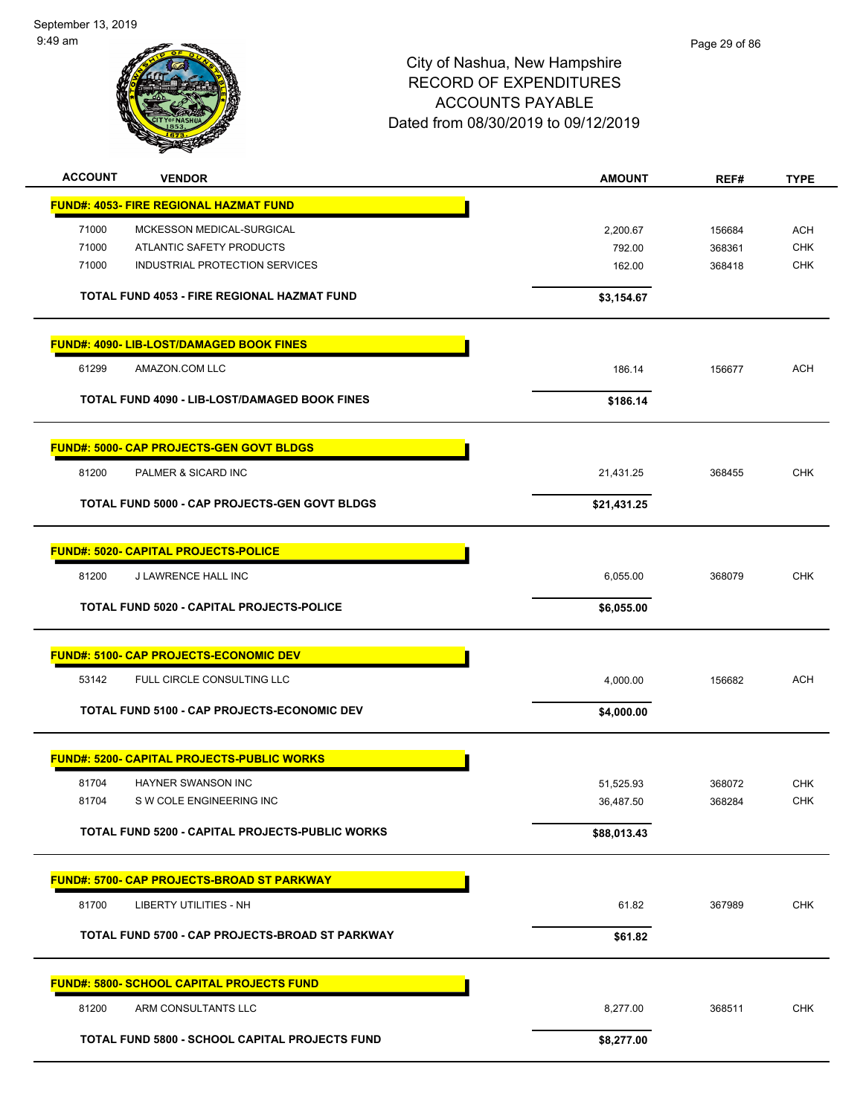September 13, 2019 9:49 am



| <b>ACCOUNT</b> | <b>VENDOR</b>                                          | <b>AMOUNT</b> | REF#   | <b>TYPE</b> |
|----------------|--------------------------------------------------------|---------------|--------|-------------|
|                | <b>FUND#: 4053- FIRE REGIONAL HAZMAT FUND</b>          |               |        |             |
| 71000          | MCKESSON MEDICAL-SURGICAL                              | 2,200.67      | 156684 | <b>ACH</b>  |
| 71000          | ATLANTIC SAFETY PRODUCTS                               | 792.00        | 368361 | <b>CHK</b>  |
| 71000          | INDUSTRIAL PROTECTION SERVICES                         | 162.00        | 368418 | <b>CHK</b>  |
|                | TOTAL FUND 4053 - FIRE REGIONAL HAZMAT FUND            | \$3,154.67    |        |             |
|                | <b>FUND#: 4090- LIB-LOST/DAMAGED BOOK FINES</b>        |               |        |             |
| 61299          | AMAZON.COM LLC                                         | 186.14        | 156677 | <b>ACH</b>  |
|                | TOTAL FUND 4090 - LIB-LOST/DAMAGED BOOK FINES          | \$186.14      |        |             |
|                | <b>FUND#: 5000- CAP PROJECTS-GEN GOVT BLDGS</b>        |               |        |             |
| 81200          | PALMER & SICARD INC                                    | 21,431.25     | 368455 | <b>CHK</b>  |
|                | TOTAL FUND 5000 - CAP PROJECTS-GEN GOVT BLDGS          | \$21,431.25   |        |             |
|                | <b>FUND#: 5020- CAPITAL PROJECTS-POLICE</b>            |               |        |             |
| 81200          | J LAWRENCE HALL INC                                    | 6,055.00      | 368079 | <b>CHK</b>  |
|                | TOTAL FUND 5020 - CAPITAL PROJECTS-POLICE              | \$6,055.00    |        |             |
|                |                                                        |               |        |             |
|                | <b>FUND#: 5100- CAP PROJECTS-ECONOMIC DEV</b>          |               |        |             |
| 53142          | FULL CIRCLE CONSULTING LLC                             | 4,000.00      | 156682 | <b>ACH</b>  |
|                | TOTAL FUND 5100 - CAP PROJECTS-ECONOMIC DEV            | \$4,000.00    |        |             |
|                | <b>FUND#: 5200- CAPITAL PROJECTS-PUBLIC WORKS</b>      |               |        |             |
| 81704          | <b>HAYNER SWANSON INC</b>                              | 51,525.93     | 368072 | <b>CHK</b>  |
| 81704          | S W COLE ENGINEERING INC                               | 36,487.50     | 368284 | <b>CHK</b>  |
|                | <b>TOTAL FUND 5200 - CAPITAL PROJECTS-PUBLIC WORKS</b> | \$88,013.43   |        |             |
|                | <u> FUND#: 5700- CAP PROJECTS-BROAD ST PARKWAY</u>     |               |        |             |
| 81700          | <b>LIBERTY UTILITIES - NH</b>                          | 61.82         | 367989 | <b>CHK</b>  |
|                | TOTAL FUND 5700 - CAP PROJECTS-BROAD ST PARKWAY        | \$61.82       |        |             |
|                | <b>FUND#: 5800- SCHOOL CAPITAL PROJECTS FUND</b>       |               |        |             |
| 81200          | ARM CONSULTANTS LLC                                    | 8,277.00      | 368511 | <b>CHK</b>  |
|                | TOTAL FUND 5800 - SCHOOL CAPITAL PROJECTS FUND         | \$8,277.00    |        |             |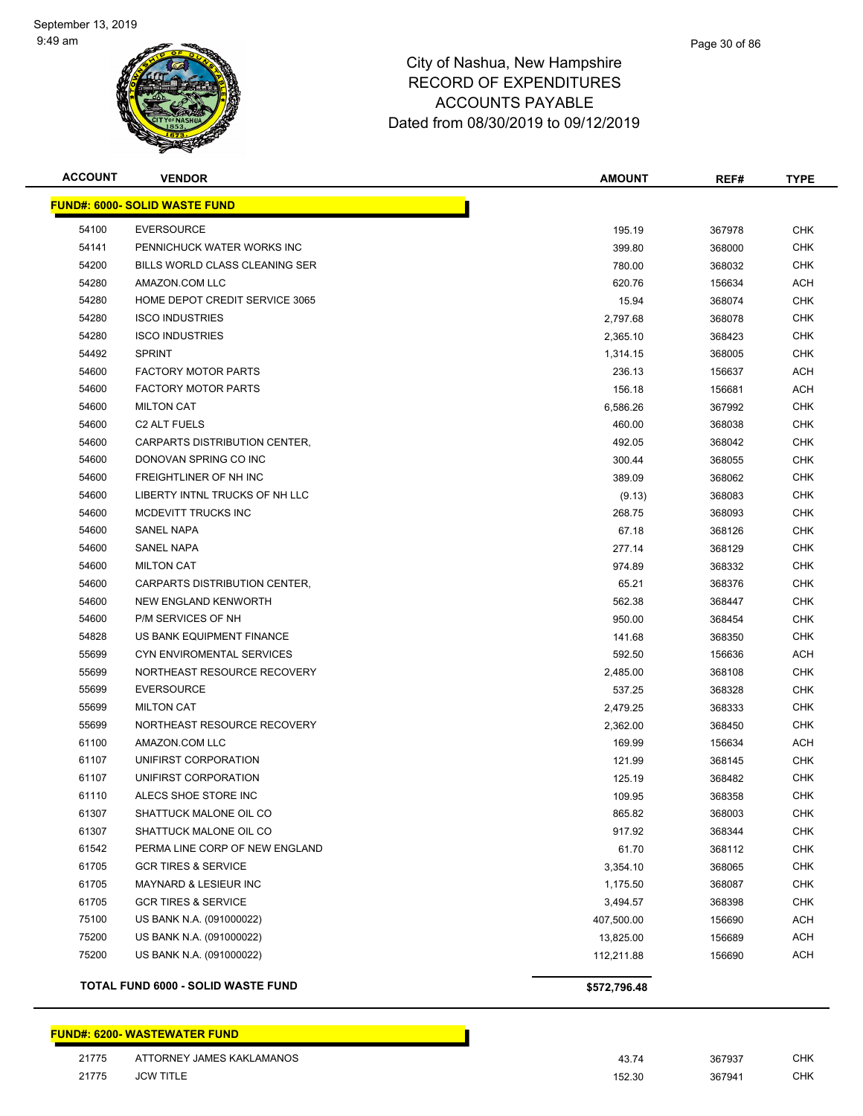

#### Page 30 of 86

## City of Nashua, New Hampshire RECORD OF EXPENDITURES ACCOUNTS PAYABLE Dated from 08/30/2019 to 09/12/2019

| <b>ACCOUNT</b> | <b>VENDOR</b>                        | <b>AMOUNT</b> | REF#   | <b>TYPE</b> |
|----------------|--------------------------------------|---------------|--------|-------------|
|                | <b>FUND#: 6000- SOLID WASTE FUND</b> |               |        |             |
| 54100          | <b>EVERSOURCE</b>                    | 195.19        | 367978 | <b>CHK</b>  |
| 54141          | PENNICHUCK WATER WORKS INC           | 399.80        | 368000 | <b>CHK</b>  |
| 54200          | BILLS WORLD CLASS CLEANING SER       | 780.00        | 368032 | <b>CHK</b>  |
| 54280          | AMAZON.COM LLC                       | 620.76        | 156634 | <b>ACH</b>  |
| 54280          | HOME DEPOT CREDIT SERVICE 3065       | 15.94         | 368074 | <b>CHK</b>  |
| 54280          | <b>ISCO INDUSTRIES</b>               | 2,797.68      | 368078 | <b>CHK</b>  |
| 54280          | <b>ISCO INDUSTRIES</b>               | 2,365.10      | 368423 | <b>CHK</b>  |
| 54492          | <b>SPRINT</b>                        | 1,314.15      | 368005 | <b>CHK</b>  |
| 54600          | <b>FACTORY MOTOR PARTS</b>           | 236.13        | 156637 | ACH         |
| 54600          | <b>FACTORY MOTOR PARTS</b>           | 156.18        | 156681 | ACH         |
| 54600          | <b>MILTON CAT</b>                    | 6,586.26      | 367992 | <b>CHK</b>  |
| 54600          | C <sub>2</sub> ALT FUELS             | 460.00        | 368038 | <b>CHK</b>  |
| 54600          | CARPARTS DISTRIBUTION CENTER,        | 492.05        | 368042 | <b>CHK</b>  |
| 54600          | DONOVAN SPRING CO INC                | 300.44        | 368055 | <b>CHK</b>  |
| 54600          | FREIGHTLINER OF NH INC               | 389.09        | 368062 | CHK         |
| 54600          | LIBERTY INTNL TRUCKS OF NH LLC       | (9.13)        | 368083 | <b>CHK</b>  |
| 54600          | MCDEVITT TRUCKS INC                  | 268.75        | 368093 | <b>CHK</b>  |
| 54600          | SANEL NAPA                           | 67.18         | 368126 | <b>CHK</b>  |
| 54600          | <b>SANEL NAPA</b>                    | 277.14        | 368129 | <b>CHK</b>  |
| 54600          | <b>MILTON CAT</b>                    | 974.89        | 368332 | <b>CHK</b>  |
| 54600          | CARPARTS DISTRIBUTION CENTER,        | 65.21         | 368376 | <b>CHK</b>  |
| 54600          | NEW ENGLAND KENWORTH                 | 562.38        | 368447 | <b>CHK</b>  |
| 54600          | P/M SERVICES OF NH                   | 950.00        | 368454 | <b>CHK</b>  |
| 54828          | US BANK EQUIPMENT FINANCE            | 141.68        | 368350 | <b>CHK</b>  |
| 55699          | CYN ENVIROMENTAL SERVICES            | 592.50        | 156636 | ACH         |
| 55699          | NORTHEAST RESOURCE RECOVERY          | 2,485.00      | 368108 | <b>CHK</b>  |
| 55699          | <b>EVERSOURCE</b>                    | 537.25        | 368328 | <b>CHK</b>  |
| 55699          | <b>MILTON CAT</b>                    | 2,479.25      | 368333 | <b>CHK</b>  |
| 55699          | NORTHEAST RESOURCE RECOVERY          | 2,362.00      | 368450 | <b>CHK</b>  |
| 61100          | AMAZON.COM LLC                       | 169.99        | 156634 | <b>ACH</b>  |
| 61107          | UNIFIRST CORPORATION                 | 121.99        | 368145 | <b>CHK</b>  |
| 61107          | UNIFIRST CORPORATION                 | 125.19        | 368482 | <b>CHK</b>  |
| 61110          | ALECS SHOE STORE INC                 | 109.95        | 368358 | <b>CHK</b>  |
| 61307          | SHATTUCK MALONE OIL CO               | 865.82        | 368003 | <b>CHK</b>  |
| 61307          | SHATTUCK MALONE OIL CO               | 917.92        | 368344 | <b>CHK</b>  |
| 61542          | PERMA LINE CORP OF NEW ENGLAND       | 61.70         | 368112 | <b>CHK</b>  |
| 61705          | <b>GCR TIRES &amp; SERVICE</b>       | 3,354.10      | 368065 | <b>CHK</b>  |
| 61705          | MAYNARD & LESIEUR INC                | 1,175.50      | 368087 | <b>CHK</b>  |
| 61705          | <b>GCR TIRES &amp; SERVICE</b>       | 3,494.57      | 368398 | <b>CHK</b>  |
| 75100          | US BANK N.A. (091000022)             | 407,500.00    | 156690 | <b>ACH</b>  |
| 75200          | US BANK N.A. (091000022)             | 13,825.00     | 156689 | <b>ACH</b>  |
| 75200          | US BANK N.A. (091000022)             | 112,211.88    | 156690 | <b>ACH</b>  |
|                | TOTAL FUND 6000 - SOLID WASTE FUND   | \$572,796.48  |        |             |

Г

#### **FUND#: 6200- WASTEWATER FUND**

| 21775 | ATTORNEY JAMES KAKLAMANOS | 43.74  | 367937 | СНК |
|-------|---------------------------|--------|--------|-----|
| 21775 | <b>JCW TITLE</b>          | 152.30 | 367941 | СНК |

| 43.74  | 367937 | CHK |
|--------|--------|-----|
| 152.30 | 367941 | CHK |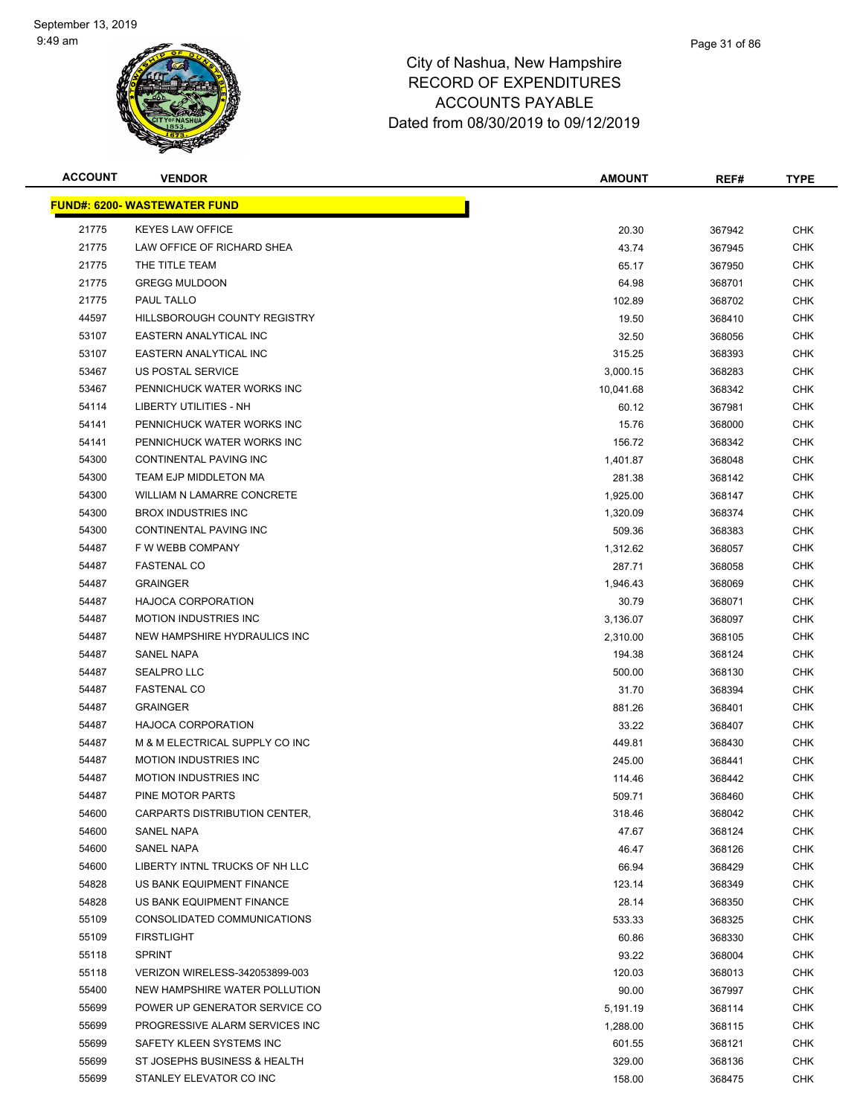

| <b>ACCOUNT</b> | <b>VENDOR</b>                       | <b>AMOUNT</b> | REF#   | <b>TYPE</b> |
|----------------|-------------------------------------|---------------|--------|-------------|
|                | <b>FUND#: 6200- WASTEWATER FUND</b> |               |        |             |
| 21775          | <b>KEYES LAW OFFICE</b>             | 20.30         | 367942 | <b>CHK</b>  |
| 21775          | LAW OFFICE OF RICHARD SHEA          | 43.74         | 367945 | <b>CHK</b>  |
| 21775          | THE TITLE TEAM                      | 65.17         | 367950 | <b>CHK</b>  |
| 21775          | <b>GREGG MULDOON</b>                | 64.98         | 368701 | <b>CHK</b>  |
| 21775          | PAUL TALLO                          | 102.89        | 368702 | <b>CHK</b>  |
| 44597          | HILLSBOROUGH COUNTY REGISTRY        | 19.50         | 368410 | <b>CHK</b>  |
| 53107          | <b>EASTERN ANALYTICAL INC</b>       | 32.50         | 368056 | <b>CHK</b>  |
| 53107          | EASTERN ANALYTICAL INC              | 315.25        | 368393 | CHK         |
| 53467          | US POSTAL SERVICE                   | 3,000.15      | 368283 | <b>CHK</b>  |
| 53467          | PENNICHUCK WATER WORKS INC          | 10,041.68     | 368342 | <b>CHK</b>  |
| 54114          | LIBERTY UTILITIES - NH              | 60.12         | 367981 | CHK         |
| 54141          | PENNICHUCK WATER WORKS INC          | 15.76         | 368000 | CHK         |
| 54141          | PENNICHUCK WATER WORKS INC          | 156.72        | 368342 | <b>CHK</b>  |
| 54300          | CONTINENTAL PAVING INC              | 1,401.87      | 368048 | <b>CHK</b>  |
| 54300          | TEAM EJP MIDDLETON MA               | 281.38        | 368142 | <b>CHK</b>  |
| 54300          | WILLIAM N LAMARRE CONCRETE          | 1,925.00      | 368147 | <b>CHK</b>  |
| 54300          | <b>BROX INDUSTRIES INC</b>          | 1,320.09      | 368374 | <b>CHK</b>  |
| 54300          | CONTINENTAL PAVING INC              | 509.36        | 368383 | <b>CHK</b>  |
| 54487          | F W WEBB COMPANY                    | 1,312.62      | 368057 | CHK         |
| 54487          | <b>FASTENAL CO</b>                  | 287.71        | 368058 | <b>CHK</b>  |
| 54487          | <b>GRAINGER</b>                     | 1,946.43      | 368069 | <b>CHK</b>  |
| 54487          | <b>HAJOCA CORPORATION</b>           | 30.79         | 368071 | <b>CHK</b>  |
| 54487          | <b>MOTION INDUSTRIES INC</b>        | 3,136.07      | 368097 | <b>CHK</b>  |
| 54487          | NEW HAMPSHIRE HYDRAULICS INC        | 2,310.00      | 368105 | CHK         |
| 54487          | <b>SANEL NAPA</b>                   | 194.38        | 368124 | <b>CHK</b>  |
| 54487          | <b>SEALPRO LLC</b>                  | 500.00        | 368130 | <b>CHK</b>  |
| 54487          | <b>FASTENAL CO</b>                  | 31.70         | 368394 | <b>CHK</b>  |
| 54487          | <b>GRAINGER</b>                     | 881.26        | 368401 | CHK         |
| 54487          | <b>HAJOCA CORPORATION</b>           | 33.22         | 368407 | <b>CHK</b>  |
| 54487          | M & M ELECTRICAL SUPPLY CO INC      | 449.81        | 368430 | CHK         |
| 54487          | <b>MOTION INDUSTRIES INC</b>        | 245.00        | 368441 | CHK         |
| 54487          | <b>MOTION INDUSTRIES INC</b>        | 114.46        | 368442 | CHK         |
| 54487          | PINE MOTOR PARTS                    | 509.71        | 368460 | CHK         |
| 54600          | CARPARTS DISTRIBUTION CENTER,       | 318.46        | 368042 | <b>CHK</b>  |
| 54600          | SANEL NAPA                          | 47.67         | 368124 | <b>CHK</b>  |
| 54600          | SANEL NAPA                          | 46.47         | 368126 | <b>CHK</b>  |
| 54600          | LIBERTY INTNL TRUCKS OF NH LLC      | 66.94         | 368429 | <b>CHK</b>  |
| 54828          | US BANK EQUIPMENT FINANCE           | 123.14        | 368349 | <b>CHK</b>  |
| 54828          | US BANK EQUIPMENT FINANCE           | 28.14         | 368350 | <b>CHK</b>  |
| 55109          | CONSOLIDATED COMMUNICATIONS         | 533.33        | 368325 | <b>CHK</b>  |
| 55109          | <b>FIRSTLIGHT</b>                   | 60.86         | 368330 | <b>CHK</b>  |
| 55118          | <b>SPRINT</b>                       | 93.22         | 368004 | <b>CHK</b>  |
| 55118          | VERIZON WIRELESS-342053899-003      | 120.03        | 368013 | <b>CHK</b>  |
| 55400          | NEW HAMPSHIRE WATER POLLUTION       | 90.00         | 367997 | <b>CHK</b>  |
| 55699          | POWER UP GENERATOR SERVICE CO       | 5,191.19      | 368114 | <b>CHK</b>  |
| 55699          | PROGRESSIVE ALARM SERVICES INC      | 1,288.00      | 368115 | <b>CHK</b>  |
| 55699          | SAFETY KLEEN SYSTEMS INC            | 601.55        | 368121 | <b>CHK</b>  |
| 55699          | ST JOSEPHS BUSINESS & HEALTH        | 329.00        | 368136 | <b>CHK</b>  |
| 55699          | STANLEY ELEVATOR CO INC             | 158.00        | 368475 | <b>CHK</b>  |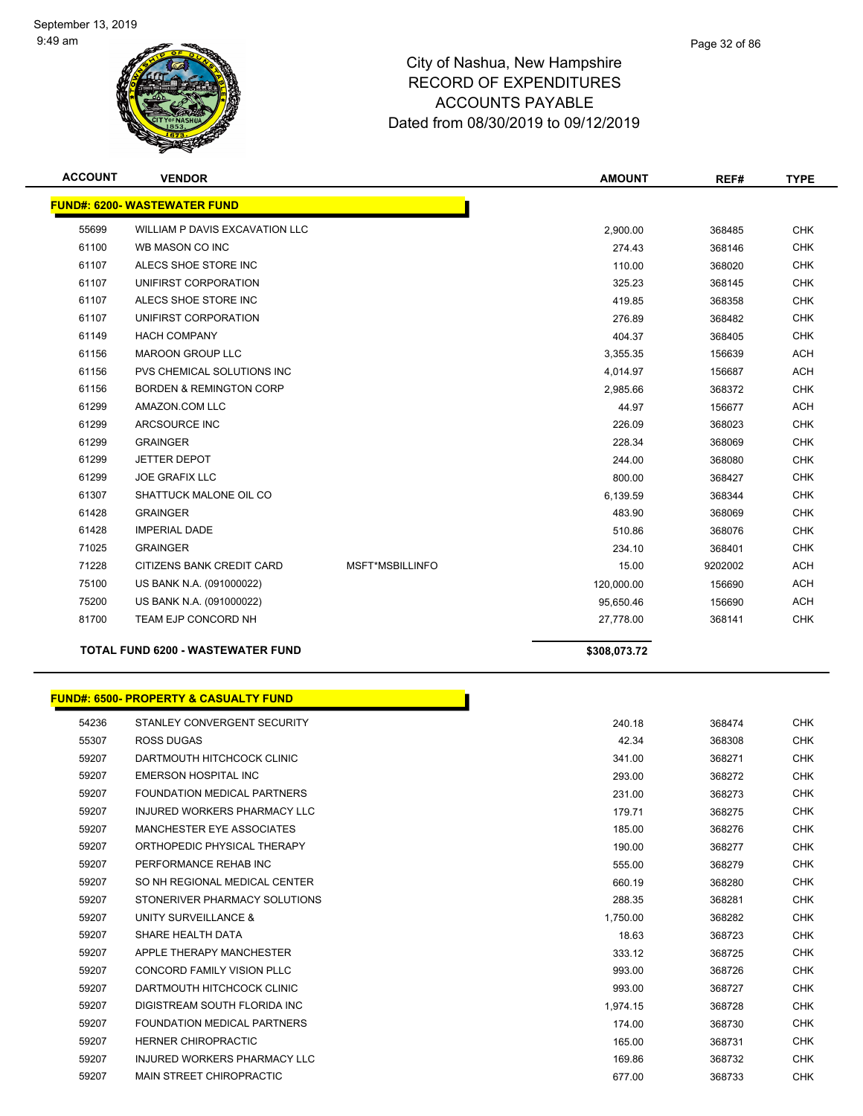

| <b>ACCOUNT</b> | <b>VENDOR</b>                            |                        | <b>AMOUNT</b> | REF#    | <b>TYPE</b> |
|----------------|------------------------------------------|------------------------|---------------|---------|-------------|
|                | <b>FUND#: 6200- WASTEWATER FUND</b>      |                        |               |         |             |
| 55699          | WILLIAM P DAVIS EXCAVATION LLC           |                        | 2,900.00      | 368485  | <b>CHK</b>  |
| 61100          | WB MASON CO INC                          |                        | 274.43        | 368146  | <b>CHK</b>  |
| 61107          | ALECS SHOE STORE INC                     |                        | 110.00        | 368020  | <b>CHK</b>  |
| 61107          | UNIFIRST CORPORATION                     |                        | 325.23        | 368145  | <b>CHK</b>  |
| 61107          | ALECS SHOE STORE INC                     |                        | 419.85        | 368358  | <b>CHK</b>  |
| 61107          | UNIFIRST CORPORATION                     |                        | 276.89        | 368482  | <b>CHK</b>  |
| 61149          | <b>HACH COMPANY</b>                      |                        | 404.37        | 368405  | <b>CHK</b>  |
| 61156          | <b>MAROON GROUP LLC</b>                  |                        | 3,355.35      | 156639  | <b>ACH</b>  |
| 61156          | PVS CHEMICAL SOLUTIONS INC               |                        | 4,014.97      | 156687  | <b>ACH</b>  |
| 61156          | <b>BORDEN &amp; REMINGTON CORP</b>       |                        | 2,985.66      | 368372  | <b>CHK</b>  |
| 61299          | AMAZON.COM LLC                           |                        | 44.97         | 156677  | <b>ACH</b>  |
| 61299          | ARCSOURCE INC                            |                        | 226.09        | 368023  | <b>CHK</b>  |
| 61299          | <b>GRAINGER</b>                          |                        | 228.34        | 368069  | <b>CHK</b>  |
| 61299          | <b>JETTER DEPOT</b>                      |                        | 244.00        | 368080  | <b>CHK</b>  |
| 61299          | <b>JOE GRAFIX LLC</b>                    |                        | 800.00        | 368427  | <b>CHK</b>  |
| 61307          | SHATTUCK MALONE OIL CO                   |                        | 6,139.59      | 368344  | <b>CHK</b>  |
| 61428          | <b>GRAINGER</b>                          |                        | 483.90        | 368069  | <b>CHK</b>  |
| 61428          | <b>IMPERIAL DADE</b>                     |                        | 510.86        | 368076  | <b>CHK</b>  |
| 71025          | <b>GRAINGER</b>                          |                        | 234.10        | 368401  | <b>CHK</b>  |
| 71228          | CITIZENS BANK CREDIT CARD                | <b>MSFT*MSBILLINFO</b> | 15.00         | 9202002 | <b>ACH</b>  |
| 75100          | US BANK N.A. (091000022)                 |                        | 120,000.00    | 156690  | <b>ACH</b>  |
| 75200          | US BANK N.A. (091000022)                 |                        | 95,650.46     | 156690  | <b>ACH</b>  |
| 81700          | TEAM EJP CONCORD NH                      |                        | 27,778.00     | 368141  | <b>CHK</b>  |
|                | <b>TOTAL FUND 6200 - WASTEWATER FUND</b> |                        | \$308,073.72  |         |             |

|  |  | <b>FUND#: 6500- PROPERTY &amp; CASUALTY FUND</b> |  |  |
|--|--|--------------------------------------------------|--|--|
|--|--|--------------------------------------------------|--|--|

| 54236 | STANLEY CONVERGENT SECURITY         | 240.18   | 368474 | <b>CHK</b> |
|-------|-------------------------------------|----------|--------|------------|
| 55307 | <b>ROSS DUGAS</b>                   | 42.34    | 368308 | <b>CHK</b> |
| 59207 | DARTMOUTH HITCHCOCK CLINIC          | 341.00   | 368271 | <b>CHK</b> |
| 59207 | EMERSON HOSPITAL INC                | 293.00   | 368272 | <b>CHK</b> |
| 59207 | FOUNDATION MEDICAL PARTNERS         | 231.00   | 368273 | <b>CHK</b> |
| 59207 | <b>INJURED WORKERS PHARMACY LLC</b> | 179.71   | 368275 | <b>CHK</b> |
| 59207 | MANCHESTER EYE ASSOCIATES           | 185.00   | 368276 | <b>CHK</b> |
| 59207 | ORTHOPEDIC PHYSICAL THERAPY         | 190.00   | 368277 | <b>CHK</b> |
| 59207 | PERFORMANCE REHAB INC               | 555.00   | 368279 | <b>CHK</b> |
| 59207 | SO NH REGIONAL MEDICAL CENTER       | 660.19   | 368280 | <b>CHK</b> |
| 59207 | STONERIVER PHARMACY SOLUTIONS       | 288.35   | 368281 | <b>CHK</b> |
| 59207 | UNITY SURVEILLANCE &                | 1,750.00 | 368282 | <b>CHK</b> |
| 59207 | SHARE HEALTH DATA                   | 18.63    | 368723 | <b>CHK</b> |
| 59207 | APPLE THERAPY MANCHESTER            | 333.12   | 368725 | <b>CHK</b> |
| 59207 | <b>CONCORD FAMILY VISION PLLC</b>   | 993.00   | 368726 | <b>CHK</b> |
| 59207 | DARTMOUTH HITCHCOCK CLINIC          | 993.00   | 368727 | <b>CHK</b> |
| 59207 | DIGISTREAM SOUTH FLORIDA INC.       | 1,974.15 | 368728 | <b>CHK</b> |
| 59207 | FOUNDATION MEDICAL PARTNERS         | 174.00   | 368730 | <b>CHK</b> |
| 59207 | <b>HERNER CHIROPRACTIC</b>          | 165.00   | 368731 | <b>CHK</b> |
| 59207 | <b>INJURED WORKERS PHARMACY LLC</b> | 169.86   | 368732 | CHK        |
| 59207 | <b>MAIN STREET CHIROPRACTIC</b>     | 677.00   | 368733 | <b>CHK</b> |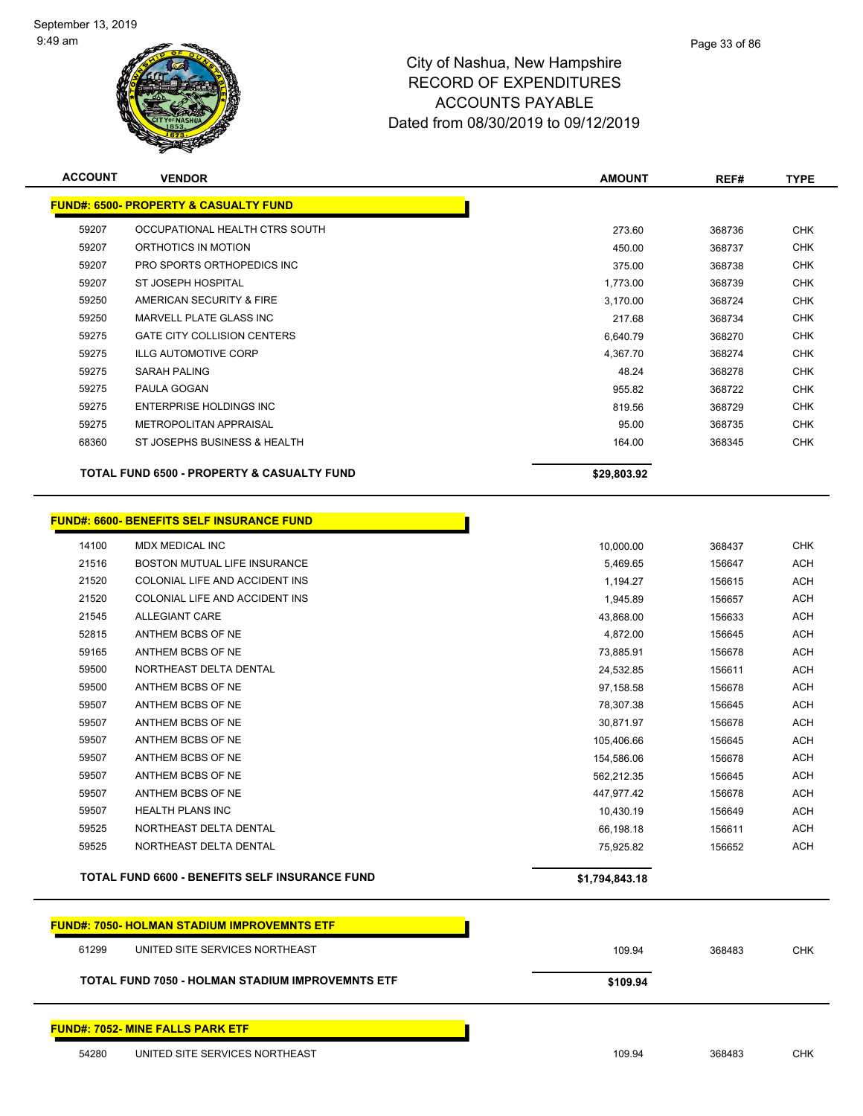

| <b>ACCOUNT</b> | <b>VENDOR</b>                                         | <b>AMOUNT</b>  | REF#   | <b>TYPE</b> |
|----------------|-------------------------------------------------------|----------------|--------|-------------|
|                | <b>FUND#: 6500- PROPERTY &amp; CASUALTY FUND</b>      |                |        |             |
| 59207          | OCCUPATIONAL HEALTH CTRS SOUTH                        | 273.60         | 368736 | <b>CHK</b>  |
| 59207          | ORTHOTICS IN MOTION                                   | 450.00         | 368737 | <b>CHK</b>  |
| 59207          | PRO SPORTS ORTHOPEDICS INC                            | 375.00         | 368738 | <b>CHK</b>  |
| 59207          | ST JOSEPH HOSPITAL                                    | 1,773.00       | 368739 | <b>CHK</b>  |
| 59250          | AMERICAN SECURITY & FIRE                              | 3,170.00       | 368724 | <b>CHK</b>  |
| 59250          | <b>MARVELL PLATE GLASS INC</b>                        | 217.68         | 368734 | CHK         |
| 59275          | <b>GATE CITY COLLISION CENTERS</b>                    | 6,640.79       | 368270 | <b>CHK</b>  |
| 59275          | <b>ILLG AUTOMOTIVE CORP</b>                           | 4,367.70       | 368274 | <b>CHK</b>  |
| 59275          | <b>SARAH PALING</b>                                   | 48.24          | 368278 | <b>CHK</b>  |
| 59275          | PAULA GOGAN                                           | 955.82         | 368722 | <b>CHK</b>  |
| 59275          | <b>ENTERPRISE HOLDINGS INC</b>                        | 819.56         | 368729 | <b>CHK</b>  |
| 59275          | METROPOLITAN APPRAISAL                                | 95.00          | 368735 | <b>CHK</b>  |
| 68360          | ST JOSEPHS BUSINESS & HEALTH                          | 164.00         | 368345 | <b>CHK</b>  |
|                |                                                       |                |        |             |
|                | TOTAL FUND 6500 - PROPERTY & CASUALTY FUND            | \$29,803.92    |        |             |
|                |                                                       |                |        |             |
|                | <b>FUND#: 6600- BENEFITS SELF INSURANCE FUND</b>      |                |        |             |
| 14100          | <b>MDX MEDICAL INC</b>                                | 10,000.00      | 368437 | <b>CHK</b>  |
| 21516          | <b>BOSTON MUTUAL LIFE INSURANCE</b>                   | 5,469.65       | 156647 | <b>ACH</b>  |
| 21520          | COLONIAL LIFE AND ACCIDENT INS                        | 1,194.27       | 156615 | <b>ACH</b>  |
| 21520          | COLONIAL LIFE AND ACCIDENT INS                        | 1,945.89       | 156657 | <b>ACH</b>  |
| 21545          | <b>ALLEGIANT CARE</b>                                 | 43,868.00      | 156633 | <b>ACH</b>  |
| 52815          | ANTHEM BCBS OF NE                                     | 4,872.00       | 156645 | <b>ACH</b>  |
| 59165          | ANTHEM BCBS OF NE                                     | 73,885.91      | 156678 | <b>ACH</b>  |
| 59500          | NORTHEAST DELTA DENTAL                                | 24,532.85      | 156611 | <b>ACH</b>  |
| 59500          | ANTHEM BCBS OF NE                                     | 97,158.58      | 156678 | <b>ACH</b>  |
| 59507          | ANTHEM BCBS OF NE                                     | 78,307.38      | 156645 | <b>ACH</b>  |
| 59507          | ANTHEM BCBS OF NE                                     | 30,871.97      | 156678 | <b>ACH</b>  |
| 59507          | ANTHEM BCBS OF NE                                     | 105,406.66     | 156645 | <b>ACH</b>  |
| 59507          | ANTHEM BCBS OF NE                                     | 154,586.06     | 156678 | <b>ACH</b>  |
| 59507          | ANTHEM BCBS OF NE                                     | 562,212.35     | 156645 | <b>ACH</b>  |
| 59507          | ANTHEM BCBS OF NE                                     | 447,977.42     | 156678 | <b>ACH</b>  |
| 59507          | <b>HEALTH PLANS INC</b>                               | 10,430.19      | 156649 | <b>ACH</b>  |
| 59525          | NORTHEAST DELTA DENTAL                                | 66,198.18      | 156611 | <b>ACH</b>  |
| 59525          | NORTHEAST DELTA DENTAL                                | 75,925.82      | 156652 | <b>ACH</b>  |
|                | <b>TOTAL FUND 6600 - BENEFITS SELF INSURANCE FUND</b> | \$1,794,843.18 |        |             |
|                |                                                       |                |        |             |
|                | <b>FUND#: 7050- HOLMAN STADIUM IMPROVEMNTS ETF</b>    |                |        |             |
| 61299          | UNITED SITE SERVICES NORTHEAST                        | 109.94         | 368483 | <b>CHK</b>  |
|                | TOTAL FUND 7050 - HOLMAN STADIUM IMPROVEMNTS ETF      | \$109.94       |        |             |
|                |                                                       |                |        |             |
|                | <b>FUND#: 7052- MINE FALLS PARK ETF</b>               |                |        |             |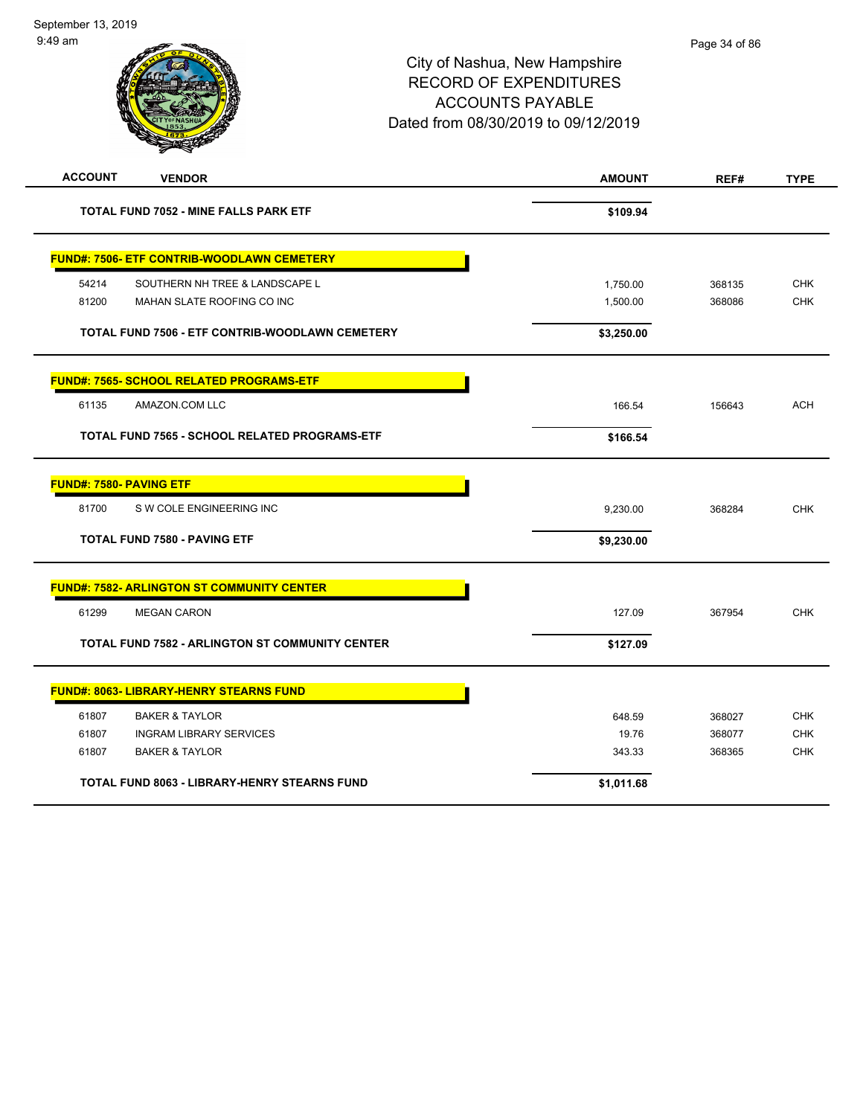| <b>ACCOUNT</b>                                 | <b>VENDOR</b>                                          | <b>AMOUNT</b> | REF#   | <b>TYPE</b> |
|------------------------------------------------|--------------------------------------------------------|---------------|--------|-------------|
|                                                | TOTAL FUND 7052 - MINE FALLS PARK ETF                  | \$109.94      |        |             |
|                                                | <b>FUND#: 7506- ETF CONTRIB-WOODLAWN CEMETERY</b>      |               |        |             |
| 54214                                          | SOUTHERN NH TREE & LANDSCAPE L                         | 1,750.00      | 368135 | <b>CHK</b>  |
| 81200                                          | MAHAN SLATE ROOFING CO INC                             | 1,500.00      | 368086 | <b>CHK</b>  |
|                                                | TOTAL FUND 7506 - ETF CONTRIB-WOODLAWN CEMETERY        | \$3,250.00    |        |             |
|                                                | <b>FUND#: 7565- SCHOOL RELATED PROGRAMS-ETF</b>        |               |        |             |
| 61135<br>AMAZON.COM LLC                        |                                                        | 166.54        | 156643 | <b>ACH</b>  |
|                                                | TOTAL FUND 7565 - SCHOOL RELATED PROGRAMS-ETF          | \$166.54      |        |             |
| <b>FUND#: 7580- PAVING ETF</b>                 |                                                        |               |        |             |
| 81700                                          | S W COLE ENGINEERING INC                               | 9,230.00      | 368284 | <b>CHK</b>  |
| <b>TOTAL FUND 7580 - PAVING ETF</b>            |                                                        | \$9,230.00    |        |             |
|                                                | <b>FUND#: 7582- ARLINGTON ST COMMUNITY CENTER</b>      |               |        |             |
| 61299<br><b>MEGAN CARON</b>                    |                                                        | 127.09        | 367954 | <b>CHK</b>  |
|                                                | <b>TOTAL FUND 7582 - ARLINGTON ST COMMUNITY CENTER</b> | \$127.09      |        |             |
| <b>FUND#: 8063- LIBRARY-HENRY STEARNS FUND</b> |                                                        |               |        |             |
| 61807<br><b>BAKER &amp; TAYLOR</b>             |                                                        | 648.59        | 368027 | <b>CHK</b>  |
| 61807                                          | <b>INGRAM LIBRARY SERVICES</b>                         | 19.76         | 368077 | <b>CHK</b>  |
| 61807<br><b>BAKER &amp; TAYLOR</b>             |                                                        | 343.33        | 368365 | <b>CHK</b>  |
|                                                | <b>TOTAL FUND 8063 - LIBRARY-HENRY STEARNS FUND</b>    | \$1,011.68    |        |             |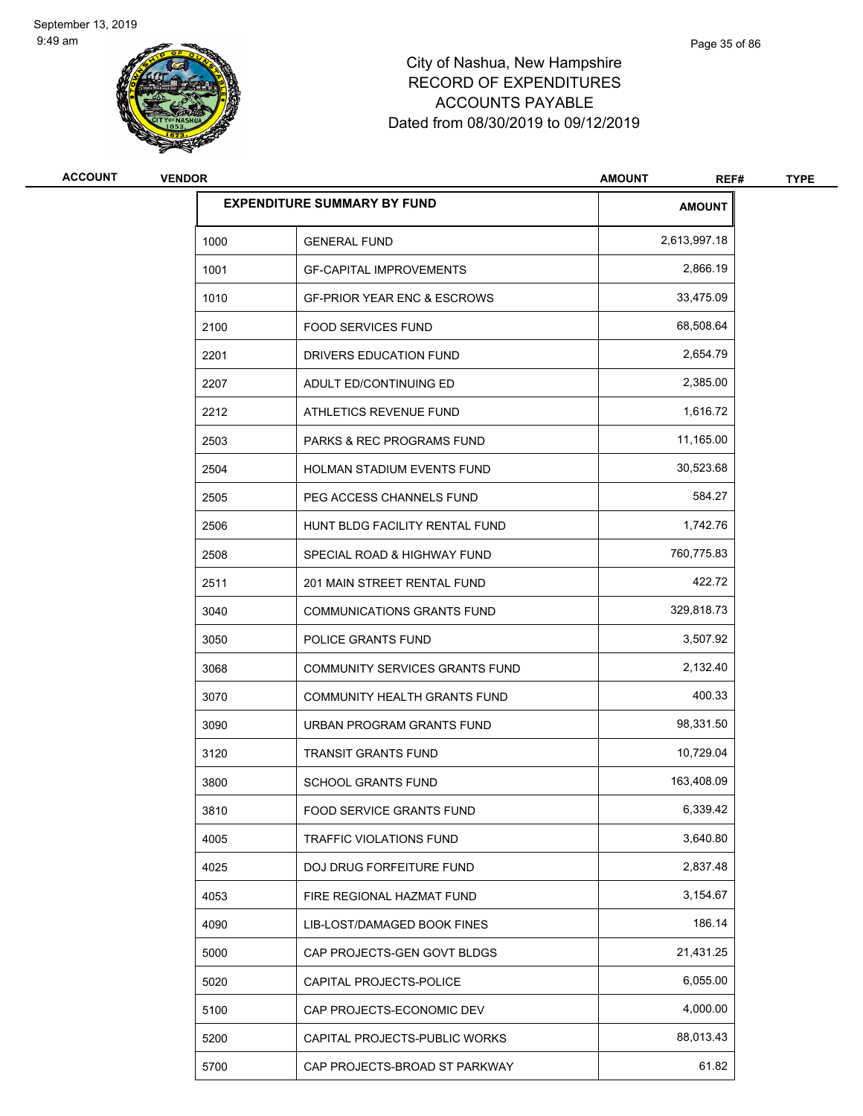

| <b>ACCOUNT</b> | <b>VENDOR</b> |                                        | <b>AMOUNT</b><br>REF# | <b>TYPE</b> |
|----------------|---------------|----------------------------------------|-----------------------|-------------|
|                |               | <b>EXPENDITURE SUMMARY BY FUND</b>     | <b>AMOUNT</b>         |             |
|                | 1000          | <b>GENERAL FUND</b>                    | 2,613,997.18          |             |
|                | 1001          | <b>GF-CAPITAL IMPROVEMENTS</b>         | 2,866.19              |             |
|                | 1010          | <b>GF-PRIOR YEAR ENC &amp; ESCROWS</b> | 33,475.09             |             |
|                | 2100          | <b>FOOD SERVICES FUND</b>              | 68,508.64             |             |
|                | 2201          | DRIVERS EDUCATION FUND                 | 2,654.79              |             |
|                | 2207          | ADULT ED/CONTINUING ED                 | 2,385.00              |             |
|                | 2212          | ATHLETICS REVENUE FUND                 | 1,616.72              |             |
|                | 2503          | PARKS & REC PROGRAMS FUND              | 11,165.00             |             |
|                | 2504          | HOLMAN STADIUM EVENTS FUND             | 30,523.68             |             |
|                | 2505          | PEG ACCESS CHANNELS FUND               | 584.27                |             |
|                | 2506          | HUNT BLDG FACILITY RENTAL FUND         | 1,742.76              |             |
|                | 2508          | SPECIAL ROAD & HIGHWAY FUND            | 760,775.83            |             |
|                | 2511          | 201 MAIN STREET RENTAL FUND            | 422.72                |             |
|                | 3040          | <b>COMMUNICATIONS GRANTS FUND</b>      | 329,818.73            |             |
|                | 3050          | POLICE GRANTS FUND                     | 3,507.92              |             |
|                | 3068          | COMMUNITY SERVICES GRANTS FUND         | 2,132.40              |             |
|                | 3070          | COMMUNITY HEALTH GRANTS FUND           | 400.33                |             |
|                | 3090          | URBAN PROGRAM GRANTS FUND              | 98,331.50             |             |
|                | 3120          | <b>TRANSIT GRANTS FUND</b>             | 10,729.04             |             |
|                | 3800          | <b>SCHOOL GRANTS FUND</b>              | 163,408.09            |             |
|                | 3810          | FOOD SERVICE GRANTS FUND               | 6,339.42              |             |
|                | 4005          | <b>TRAFFIC VIOLATIONS FUND</b>         | 3,640.80              |             |
|                | 4025          | DOJ DRUG FORFEITURE FUND               | 2,837.48              |             |
|                | 4053          | FIRE REGIONAL HAZMAT FUND              | 3,154.67              |             |
|                | 4090          | LIB-LOST/DAMAGED BOOK FINES            | 186.14                |             |
|                | 5000          | CAP PROJECTS-GEN GOVT BLDGS            | 21,431.25             |             |
|                | 5020          | CAPITAL PROJECTS-POLICE                | 6,055.00              |             |
|                | 5100          | CAP PROJECTS-ECONOMIC DEV              | 4,000.00              |             |
|                | 5200          | CAPITAL PROJECTS-PUBLIC WORKS          | 88,013.43             |             |
|                | 5700          | CAP PROJECTS-BROAD ST PARKWAY          | 61.82                 |             |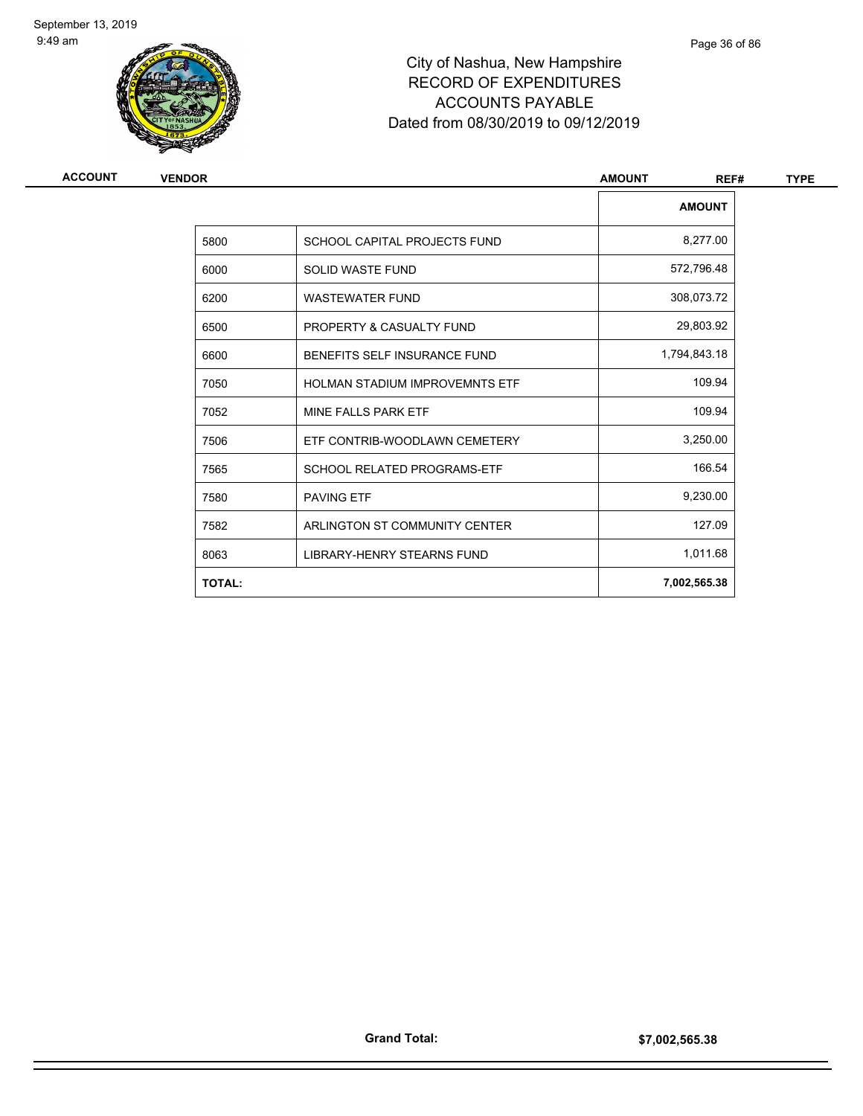

| <b>ACCOUNT</b> | <b>VENDOR</b> |                                       | <b>AMOUNT</b><br>REF# | <b>TYPE</b> |
|----------------|---------------|---------------------------------------|-----------------------|-------------|
|                |               |                                       | <b>AMOUNT</b>         |             |
|                | 5800          | SCHOOL CAPITAL PROJECTS FUND          | 8,277.00              |             |
|                | 6000          | <b>SOLID WASTE FUND</b>               | 572,796.48            |             |
|                | 6200          | <b>WASTEWATER FUND</b>                | 308,073.72            |             |
|                | 6500          | PROPERTY & CASUALTY FUND              | 29,803.92             |             |
|                | 6600          | BENEFITS SELF INSURANCE FUND          | 1,794,843.18          |             |
|                | 7050          | <b>HOLMAN STADIUM IMPROVEMNTS ETF</b> | 109.94                |             |
|                | 7052          | MINE FALLS PARK ETF                   | 109.94                |             |
|                | 7506          | ETF CONTRIB-WOODLAWN CEMETERY         | 3,250.00              |             |
|                | 7565          | <b>SCHOOL RELATED PROGRAMS-ETF</b>    | 166.54                |             |
|                | 7580          | <b>PAVING ETF</b>                     | 9,230.00              |             |
|                | 7582          | ARLINGTON ST COMMUNITY CENTER         | 127.09                |             |
|                | 8063          | <b>LIBRARY-HENRY STEARNS FUND</b>     | 1,011.68              |             |
|                | <b>TOTAL:</b> |                                       | 7,002,565.38          |             |
|                |               |                                       |                       |             |

Page 36 of 86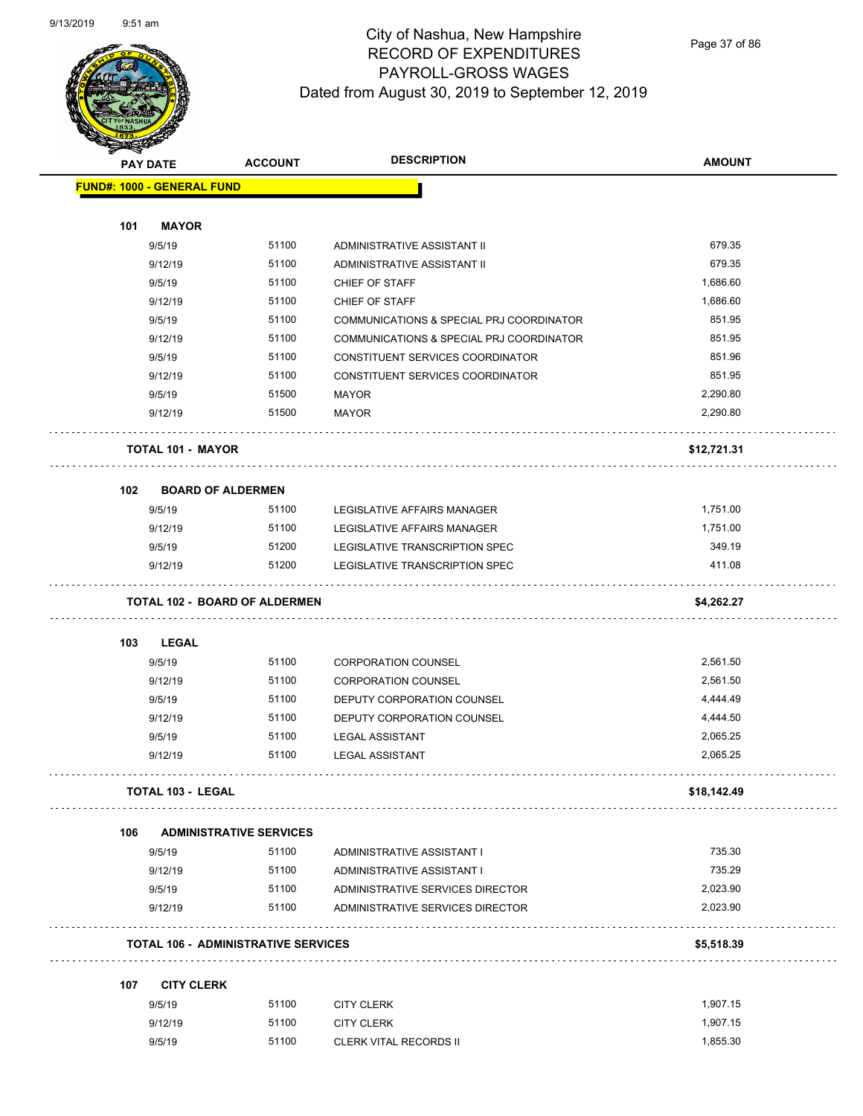

Page 37 of 86

|     | <b>PAY DATE</b>                   | <b>ACCOUNT</b>                             | <b>DESCRIPTION</b>                       | <b>AMOUNT</b> |
|-----|-----------------------------------|--------------------------------------------|------------------------------------------|---------------|
|     | <b>FUND#: 1000 - GENERAL FUND</b> |                                            |                                          |               |
| 101 | <b>MAYOR</b>                      |                                            |                                          |               |
|     | 9/5/19                            | 51100                                      | ADMINISTRATIVE ASSISTANT II              | 679.35        |
|     | 9/12/19                           | 51100                                      | ADMINISTRATIVE ASSISTANT II              | 679.35        |
|     | 9/5/19                            | 51100                                      | CHIEF OF STAFF                           | 1,686.60      |
|     | 9/12/19                           | 51100                                      | CHIEF OF STAFF                           | 1,686.60      |
|     | 9/5/19                            | 51100                                      | COMMUNICATIONS & SPECIAL PRJ COORDINATOR | 851.95        |
|     | 9/12/19                           | 51100                                      | COMMUNICATIONS & SPECIAL PRJ COORDINATOR | 851.95        |
|     | 9/5/19                            | 51100                                      | CONSTITUENT SERVICES COORDINATOR         | 851.96        |
|     | 9/12/19                           | 51100                                      | CONSTITUENT SERVICES COORDINATOR         | 851.95        |
|     | 9/5/19                            | 51500                                      | <b>MAYOR</b>                             | 2,290.80      |
|     | 9/12/19                           | 51500                                      | <b>MAYOR</b>                             | 2,290.80      |
|     | <b>TOTAL 101 - MAYOR</b>          |                                            |                                          | \$12,721.31   |
| 102 | <b>BOARD OF ALDERMEN</b>          |                                            |                                          |               |
|     | 9/5/19                            | 51100                                      | LEGISLATIVE AFFAIRS MANAGER              | 1,751.00      |
|     | 9/12/19                           | 51100                                      | LEGISLATIVE AFFAIRS MANAGER              | 1,751.00      |
|     | 9/5/19                            | 51200                                      | LEGISLATIVE TRANSCRIPTION SPEC           | 349.19        |
|     | 9/12/19                           | 51200                                      | LEGISLATIVE TRANSCRIPTION SPEC           | 411.08        |
|     |                                   | <b>TOTAL 102 - BOARD OF ALDERMEN</b>       |                                          | \$4,262.27    |
| 103 | LEGAL                             |                                            |                                          |               |
|     | 9/5/19                            | 51100                                      | <b>CORPORATION COUNSEL</b>               | 2,561.50      |
|     | 9/12/19                           | 51100                                      | <b>CORPORATION COUNSEL</b>               | 2,561.50      |
|     | 9/5/19                            | 51100                                      | DEPUTY CORPORATION COUNSEL               | 4,444.49      |
|     | 9/12/19                           | 51100                                      | DEPUTY CORPORATION COUNSEL               | 4,444.50      |
|     | 9/5/19                            | 51100                                      | <b>LEGAL ASSISTANT</b>                   | 2,065.25      |
|     | 9/12/19                           | 51100                                      | <b>LEGAL ASSISTANT</b>                   | 2,065.25      |
|     | TOTAL 103 - LEGAL                 |                                            |                                          | \$18,142.49   |
| 106 |                                   | <b>ADMINISTRATIVE SERVICES</b>             |                                          |               |
|     | 9/5/19                            | 51100                                      | ADMINISTRATIVE ASSISTANT I               | 735.30        |
|     | 9/12/19                           | 51100                                      | ADMINISTRATIVE ASSISTANT I               | 735.29        |
|     | 9/5/19                            | 51100                                      | ADMINISTRATIVE SERVICES DIRECTOR         | 2,023.90      |
|     | 9/12/19                           | 51100                                      | ADMINISTRATIVE SERVICES DIRECTOR         | 2,023.90      |
|     |                                   | <b>TOTAL 106 - ADMINISTRATIVE SERVICES</b> |                                          | \$5,518.39    |
|     | <b>CITY CLERK</b>                 |                                            |                                          |               |
| 107 |                                   |                                            | <b>CITY CLERK</b>                        | 1,907.15      |
|     | 9/5/19                            | 51100                                      |                                          |               |
|     | 9/12/19                           | 51100                                      | <b>CITY CLERK</b>                        | 1,907.15      |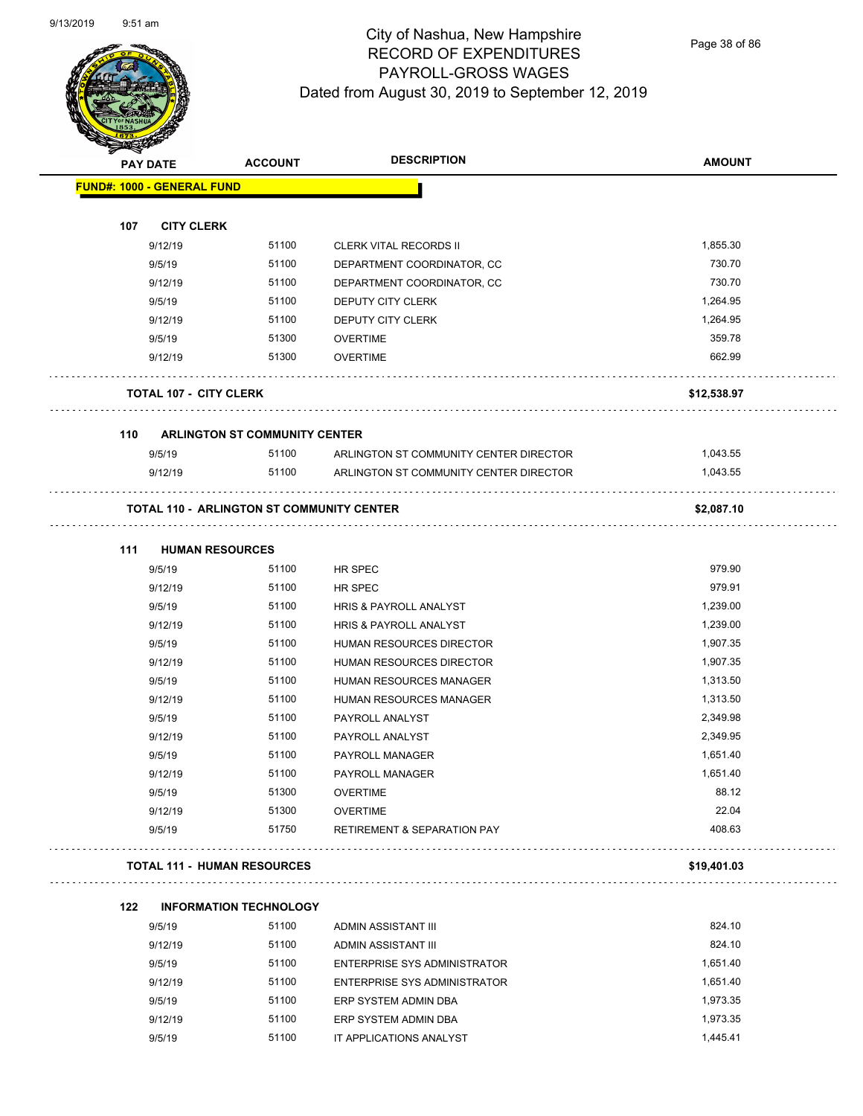Page 38 of 86

| <b>MERRY</b>                      |                                                  |                                        |               |
|-----------------------------------|--------------------------------------------------|----------------------------------------|---------------|
| <b>PAY DATE</b>                   | <b>ACCOUNT</b>                                   | <b>DESCRIPTION</b>                     | <b>AMOUNT</b> |
| <b>FUND#: 1000 - GENERAL FUND</b> |                                                  |                                        |               |
|                                   |                                                  |                                        |               |
| 107<br><b>CITY CLERK</b>          |                                                  |                                        |               |
| 9/12/19                           | 51100                                            | <b>CLERK VITAL RECORDS II</b>          | 1,855.30      |
| 9/5/19                            | 51100                                            | DEPARTMENT COORDINATOR, CC             | 730.70        |
| 9/12/19                           | 51100                                            | DEPARTMENT COORDINATOR, CC             | 730.70        |
| 9/5/19                            | 51100                                            | DEPUTY CITY CLERK                      | 1,264.95      |
| 9/12/19                           | 51100                                            | DEPUTY CITY CLERK                      | 1,264.95      |
| 9/5/19                            | 51300                                            | <b>OVERTIME</b>                        | 359.78        |
| 9/12/19                           | 51300                                            | <b>OVERTIME</b>                        | 662.99        |
| <b>TOTAL 107 - CITY CLERK</b>     |                                                  |                                        | \$12,538.97   |
| 110                               | <b>ARLINGTON ST COMMUNITY CENTER</b>             |                                        |               |
| 9/5/19                            | 51100                                            | ARLINGTON ST COMMUNITY CENTER DIRECTOR | 1,043.55      |
| 9/12/19                           | 51100                                            | ARLINGTON ST COMMUNITY CENTER DIRECTOR | 1,043.55      |
|                                   | <b>TOTAL 110 - ARLINGTON ST COMMUNITY CENTER</b> |                                        | \$2,087.10    |
| 111                               | <b>HUMAN RESOURCES</b>                           |                                        |               |
| 9/5/19                            | 51100                                            | HR SPEC                                | 979.90        |
| 9/12/19                           | 51100                                            | HR SPEC                                | 979.91        |
| 9/5/19                            | 51100                                            | HRIS & PAYROLL ANALYST                 | 1,239.00      |
| 9/12/19                           | 51100                                            | HRIS & PAYROLL ANALYST                 | 1,239.00      |
| 9/5/19                            | 51100                                            | HUMAN RESOURCES DIRECTOR               | 1,907.35      |
| 9/12/19                           | 51100                                            | HUMAN RESOURCES DIRECTOR               | 1,907.35      |
| 9/5/19                            | 51100                                            | HUMAN RESOURCES MANAGER                | 1,313.50      |
| 9/12/19                           | 51100                                            | HUMAN RESOURCES MANAGER                | 1,313.50      |
| 9/5/19                            | 51100                                            | PAYROLL ANALYST                        | 2,349.98      |
| 9/12/19                           | 51100                                            | PAYROLL ANALYST                        | 2,349.95      |
| 9/5/19                            | 51100                                            | PAYROLL MANAGER                        | 1,651.40      |
| 9/12/19                           | 51100                                            | PAYROLL MANAGER                        | 1,651.40      |
| 9/5/19                            | 51300                                            | <b>OVERTIME</b>                        | 88.12         |
| 9/12/19                           | 51300                                            | <b>OVERTIME</b>                        | 22.04         |
| 9/5/19                            | 51750                                            | <b>RETIREMENT &amp; SEPARATION PAY</b> | 408.63        |
|                                   | <b>TOTAL 111 - HUMAN RESOURCES</b>               |                                        | \$19,401.03   |
| 122                               | <b>INFORMATION TECHNOLOGY</b>                    |                                        |               |
| 9/5/19                            | 51100                                            | ADMIN ASSISTANT III                    | 824.10        |
| 9/12/19                           | 51100                                            | ADMIN ASSISTANT III                    | 824.10        |
| 9/5/19                            | 51100                                            | <b>ENTERPRISE SYS ADMINISTRATOR</b>    | 1,651.40      |
| 9/12/19                           | 51100                                            | <b>ENTERPRISE SYS ADMINISTRATOR</b>    | 1,651.40      |
| 9/5/19                            | 51100                                            | ERP SYSTEM ADMIN DBA                   | 1,973.35      |
| 9/12/19                           | 51100                                            | ERP SYSTEM ADMIN DBA                   | 1,973.35      |

9/5/19 51100 IT APPLICATIONS ANALYST 1,445.41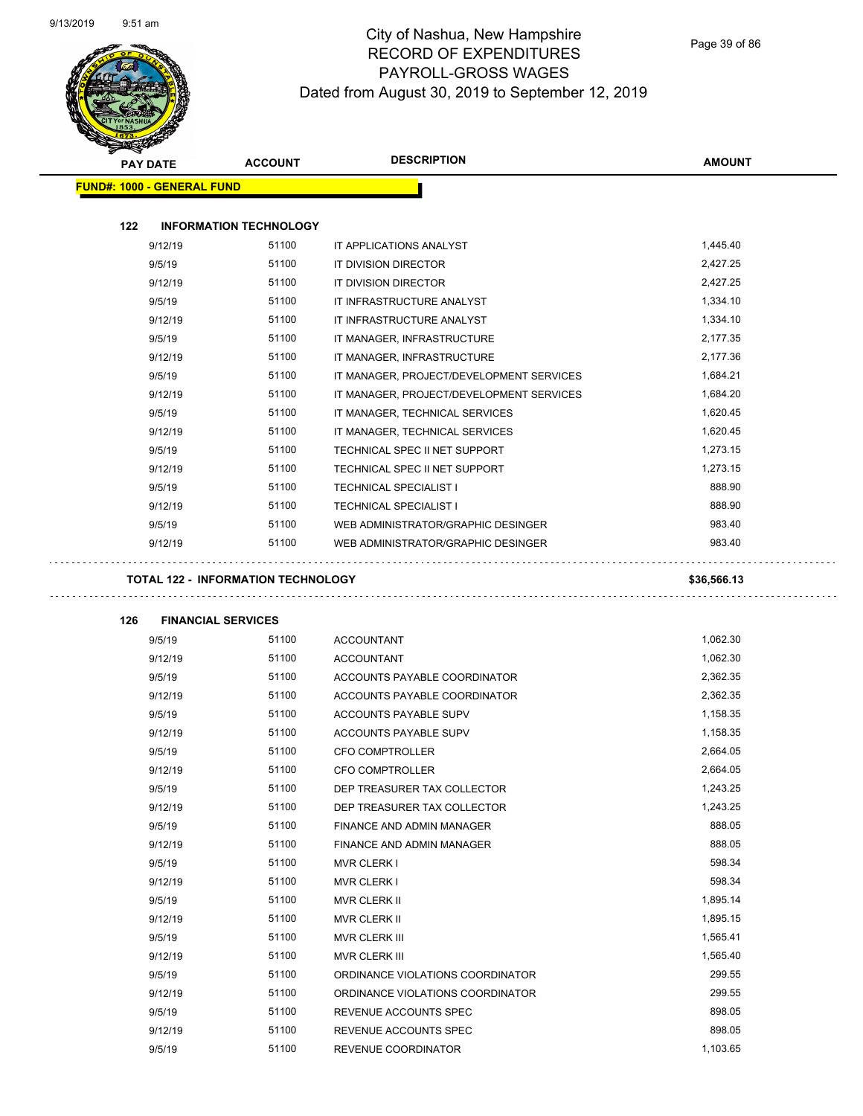

| <b>STARTER</b> |                                           |                |                                          |               |
|----------------|-------------------------------------------|----------------|------------------------------------------|---------------|
|                | <b>PAY DATE</b>                           | <b>ACCOUNT</b> | <b>DESCRIPTION</b>                       | <b>AMOUNT</b> |
|                | <b>FUND#: 1000 - GENERAL FUND</b>         |                |                                          |               |
|                |                                           |                |                                          |               |
| 122            | <b>INFORMATION TECHNOLOGY</b>             |                |                                          |               |
|                | 9/12/19                                   | 51100          | IT APPLICATIONS ANALYST                  | 1,445.40      |
|                | 9/5/19                                    | 51100          | IT DIVISION DIRECTOR                     | 2,427.25      |
|                | 9/12/19                                   | 51100          | IT DIVISION DIRECTOR                     | 2,427.25      |
|                | 9/5/19                                    | 51100          | IT INFRASTRUCTURE ANALYST                | 1,334.10      |
|                | 9/12/19                                   | 51100          | IT INFRASTRUCTURE ANALYST                | 1,334.10      |
|                | 9/5/19                                    | 51100          | IT MANAGER, INFRASTRUCTURE               | 2,177.35      |
|                | 9/12/19                                   | 51100          | IT MANAGER, INFRASTRUCTURE               | 2,177.36      |
|                | 9/5/19                                    | 51100          | IT MANAGER, PROJECT/DEVELOPMENT SERVICES | 1,684.21      |
|                | 9/12/19                                   | 51100          | IT MANAGER, PROJECT/DEVELOPMENT SERVICES | 1,684.20      |
|                | 9/5/19                                    | 51100          | IT MANAGER, TECHNICAL SERVICES           | 1,620.45      |
|                | 9/12/19                                   | 51100          | IT MANAGER, TECHNICAL SERVICES           | 1,620.45      |
|                | 9/5/19                                    | 51100          | TECHNICAL SPEC II NET SUPPORT            | 1,273.15      |
|                | 9/12/19                                   | 51100          | TECHNICAL SPEC II NET SUPPORT            | 1,273.15      |
|                | 9/5/19                                    | 51100          | <b>TECHNICAL SPECIALIST I</b>            | 888.90        |
|                | 9/12/19                                   | 51100          | <b>TECHNICAL SPECIALIST I</b>            | 888.90        |
|                | 9/5/19                                    | 51100          | WEB ADMINISTRATOR/GRAPHIC DESINGER       | 983.40        |
|                | 9/12/19                                   | 51100          | WEB ADMINISTRATOR/GRAPHIC DESINGER       | 983.40        |
|                |                                           |                |                                          |               |
|                | <b>TOTAL 122 - INFORMATION TECHNOLOGY</b> |                |                                          | \$36,566.13   |
| 126            | <b>FINANCIAL SERVICES</b>                 |                |                                          |               |
|                | 9/5/19                                    | 51100          | <b>ACCOUNTANT</b>                        | 1,062.30      |
|                | 9/12/19                                   | 51100          | <b>ACCOUNTANT</b>                        | 1,062.30      |
|                | 9/5/19                                    | 51100          | ACCOUNTS PAYABLE COORDINATOR             | 2,362.35      |
|                | 9/12/19                                   | 51100          | ACCOUNTS PAYABLE COORDINATOR             | 2,362.35      |
|                | 9/5/19                                    | 51100          | ACCOUNTS PAYABLE SUPV                    | 1,158.35      |
|                | 9/12/19                                   | 51100          | ACCOUNTS PAYABLE SUPV                    | 1,158.35      |
|                | 9/5/19                                    | 51100          | <b>CFO COMPTROLLER</b>                   | 2,664.05      |
|                | 9/12/19                                   | 51100          | <b>CFO COMPTROLLER</b>                   | 2,664.05      |
|                | 9/5/19                                    | 51100          | DEP TREASURER TAX COLLECTOR              | 1,243.25      |
|                | 9/12/19                                   | 51100          | DEP TREASURER TAX COLLECTOR              | 1,243.25      |
|                | 9/5/19                                    | 51100          | FINANCE AND ADMIN MANAGER                | 888.05        |
|                | 9/12/19                                   | 51100          | FINANCE AND ADMIN MANAGER                | 888.05        |
|                | 9/5/19                                    | 51100          | <b>MVR CLERK I</b>                       | 598.34        |
|                | 9/12/19                                   | 51100          | MVR CLERK I                              | 598.34        |
|                | 9/5/19                                    | 51100          | MVR CLERK II                             | 1,895.14      |
|                | 9/12/19                                   | 51100          | MVR CLERK II                             | 1,895.15      |
|                | 9/5/19                                    | 51100          | MVR CLERK III                            | 1,565.41      |
|                | 9/12/19                                   | 51100          | MVR CLERK III                            | 1,565.40      |
|                | 9/5/19                                    | 51100          | ORDINANCE VIOLATIONS COORDINATOR         | 299.55        |
|                | 9/12/19                                   | 51100          | ORDINANCE VIOLATIONS COORDINATOR         | 299.55        |
|                | 9/5/19                                    | 51100          | REVENUE ACCOUNTS SPEC                    | 898.05        |
|                | 9/12/19                                   | 51100          | REVENUE ACCOUNTS SPEC                    | 898.05        |
|                | 9/5/19                                    | 51100          | REVENUE COORDINATOR                      | 1,103.65      |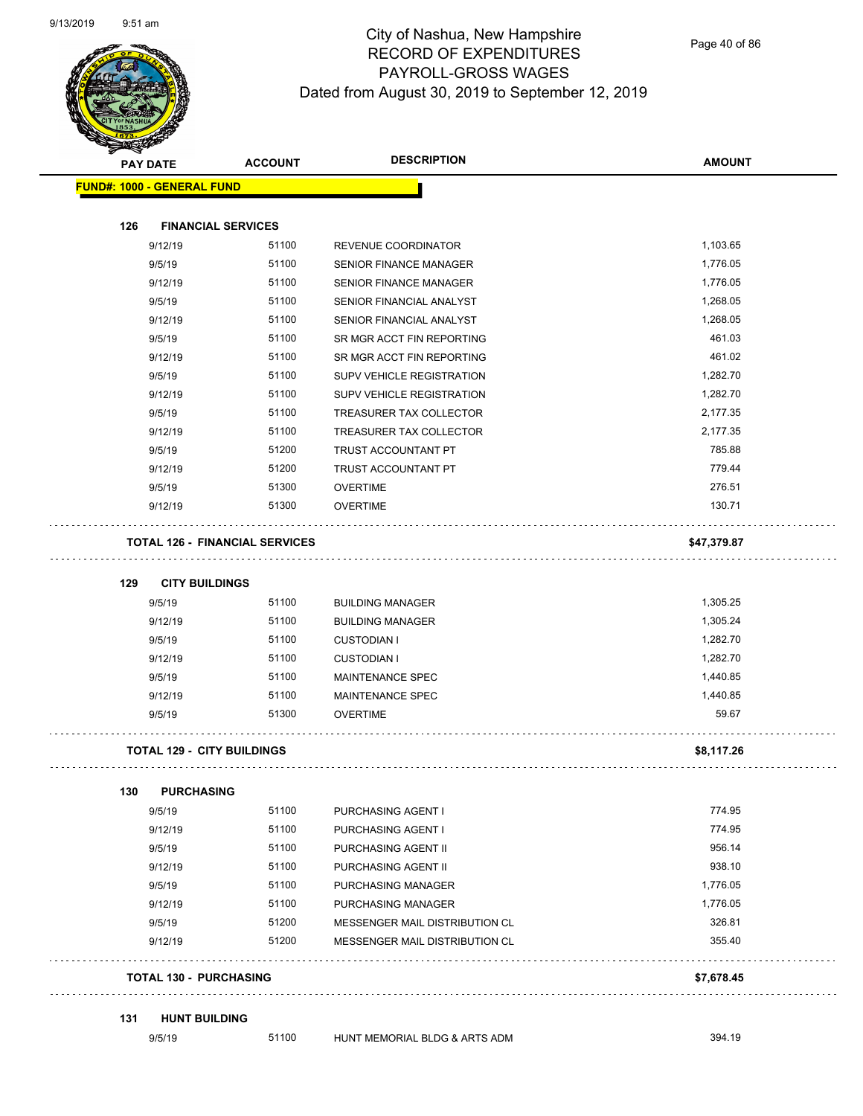

Page 40 of 86

|     | <b>PAY DATE</b>   | <b>ACCOUNT</b>                        | <b>DESCRIPTION</b>                                               | <b>AMOUNT</b> |
|-----|-------------------|---------------------------------------|------------------------------------------------------------------|---------------|
|     |                   | <b>FUND#: 1000 - GENERAL FUND</b>     |                                                                  |               |
| 126 |                   | <b>FINANCIAL SERVICES</b>             |                                                                  |               |
|     | 9/12/19           | 51100                                 | REVENUE COORDINATOR                                              | 1,103.65      |
|     | 9/5/19            | 51100                                 | <b>SENIOR FINANCE MANAGER</b>                                    | 1,776.05      |
|     | 9/12/19           | 51100                                 | SENIOR FINANCE MANAGER                                           | 1,776.05      |
|     | 9/5/19            | 51100                                 | SENIOR FINANCIAL ANALYST                                         | 1,268.05      |
|     | 9/12/19           | 51100                                 | SENIOR FINANCIAL ANALYST                                         | 1,268.05      |
|     | 9/5/19            | 51100                                 | SR MGR ACCT FIN REPORTING                                        | 461.03        |
|     | 9/12/19           | 51100                                 | SR MGR ACCT FIN REPORTING                                        | 461.02        |
|     | 9/5/19            | 51100                                 | SUPV VEHICLE REGISTRATION                                        | 1,282.70      |
|     | 9/12/19           | 51100                                 | SUPV VEHICLE REGISTRATION                                        | 1,282.70      |
|     | 9/5/19            | 51100                                 | TREASURER TAX COLLECTOR                                          | 2,177.35      |
|     | 9/12/19           | 51100                                 | TREASURER TAX COLLECTOR                                          | 2,177.35      |
|     | 9/5/19            | 51200                                 | <b>TRUST ACCOUNTANT PT</b>                                       | 785.88        |
|     | 9/12/19           | 51200                                 | TRUST ACCOUNTANT PT                                              | 779.44        |
|     | 9/5/19            | 51300                                 | <b>OVERTIME</b>                                                  | 276.51        |
|     | 9/12/19           | 51300                                 | <b>OVERTIME</b>                                                  | 130.71        |
|     |                   | <b>TOTAL 126 - FINANCIAL SERVICES</b> |                                                                  | \$47,379.87   |
| 129 |                   | <b>CITY BUILDINGS</b>                 |                                                                  |               |
|     | 9/5/19            | 51100                                 | <b>BUILDING MANAGER</b>                                          | 1,305.25      |
|     | 9/12/19           | 51100                                 | <b>BUILDING MANAGER</b>                                          | 1,305.24      |
|     | 9/5/19            | 51100                                 | <b>CUSTODIAN I</b>                                               | 1,282.70      |
|     | 9/12/19           | 51100                                 | <b>CUSTODIAN I</b>                                               | 1,282.70      |
|     | 9/5/19            | 51100                                 | MAINTENANCE SPEC                                                 | 1,440.85      |
|     | 9/12/19           | 51100                                 | MAINTENANCE SPEC                                                 | 1,440.85      |
|     | 9/5/19            | 51300                                 | <b>OVERTIME</b>                                                  | 59.67         |
|     |                   | <b>TOTAL 129 - CITY BUILDINGS</b>     |                                                                  | \$8,117.26    |
|     |                   |                                       |                                                                  |               |
| 130 | 9/5/19            | <b>PURCHASING</b><br>51100            | <b>PURCHASING AGENT I</b>                                        | 774.95        |
|     | 9/12/19           | 51100                                 | PURCHASING AGENT I                                               | 774.95        |
|     | 9/5/19            | 51100                                 | PURCHASING AGENT II                                              | 956.14        |
|     | 9/12/19           | 51100                                 | PURCHASING AGENT II                                              | 938.10        |
|     | 9/5/19            | 51100                                 | PURCHASING MANAGER                                               | 1,776.05      |
|     | 9/12/19           | 51100                                 | <b>PURCHASING MANAGER</b>                                        | 1,776.05      |
|     |                   |                                       |                                                                  | 326.81        |
|     | 9/5/19<br>9/12/19 | 51200<br>51200                        | MESSENGER MAIL DISTRIBUTION CL<br>MESSENGER MAIL DISTRIBUTION CL | 355.40        |
|     |                   | <b>TOTAL 130 - PURCHASING</b>         |                                                                  | \$7,678.45    |
|     |                   |                                       |                                                                  |               |
| 131 |                   | <b>HUNT BUILDING</b>                  |                                                                  |               |
|     | 9/5/19            | 51100                                 | HUNT MEMORIAL BLDG & ARTS ADM                                    | 394.19        |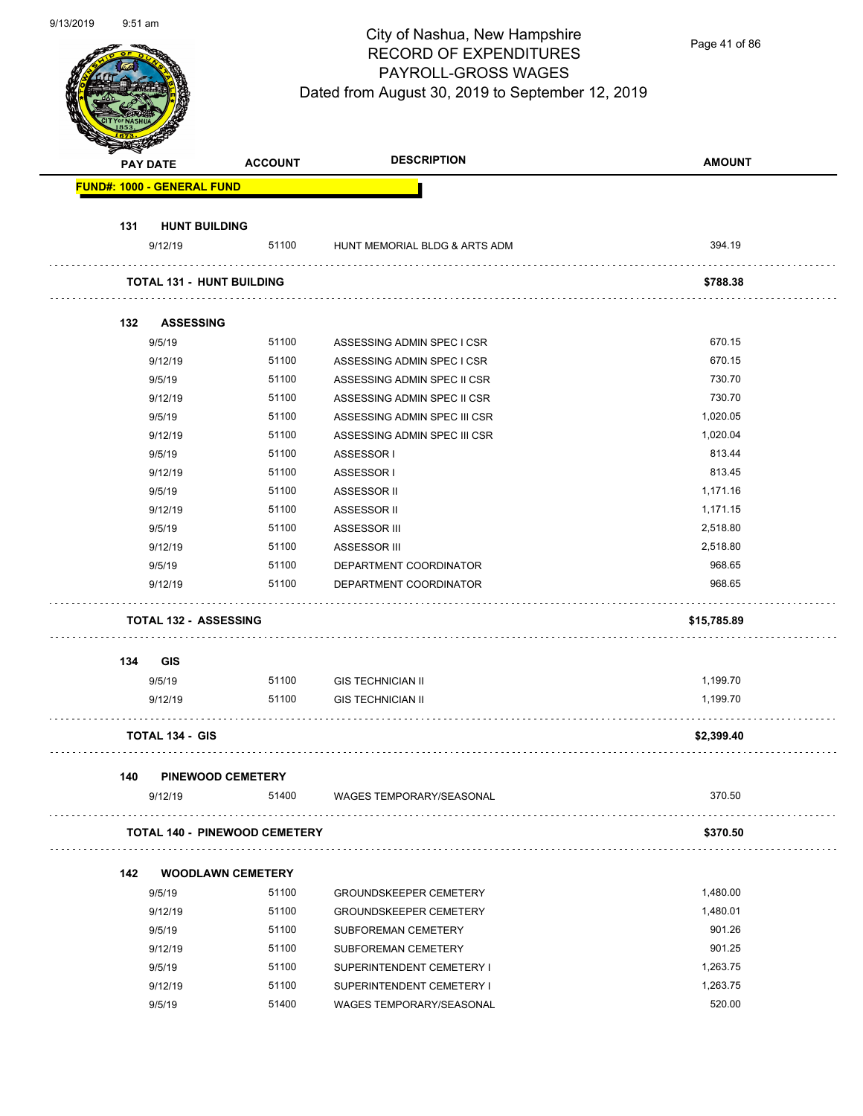Page 41 of 86

|                  | <b>PAY DATE</b>                      | <b>ACCOUNT</b> | <b>DESCRIPTION</b>            | <b>AMOUNT</b> |
|------------------|--------------------------------------|----------------|-------------------------------|---------------|
|                  | <b>FUND#: 1000 - GENERAL FUND</b>    |                |                               |               |
| 131              | <b>HUNT BUILDING</b>                 |                |                               |               |
|                  | 9/12/19                              | 51100          | HUNT MEMORIAL BLDG & ARTS ADM | 394.19        |
|                  | <b>TOTAL 131 - HUNT BUILDING</b>     |                |                               | \$788.38      |
| 132 <sub>2</sub> | <b>ASSESSING</b>                     |                |                               |               |
|                  | 9/5/19                               | 51100          | ASSESSING ADMIN SPEC I CSR    | 670.15        |
|                  | 9/12/19                              | 51100          | ASSESSING ADMIN SPEC I CSR    | 670.15        |
|                  | 9/5/19                               | 51100          | ASSESSING ADMIN SPEC II CSR   | 730.70        |
|                  | 9/12/19                              | 51100          | ASSESSING ADMIN SPEC II CSR   | 730.70        |
|                  | 9/5/19                               | 51100          | ASSESSING ADMIN SPEC III CSR  | 1,020.05      |
|                  | 9/12/19                              | 51100          | ASSESSING ADMIN SPEC III CSR  | 1,020.04      |
|                  | 9/5/19                               | 51100          | ASSESSOR I                    | 813.44        |
|                  | 9/12/19                              | 51100          | ASSESSOR I                    | 813.45        |
|                  | 9/5/19                               | 51100          | ASSESSOR II                   | 1,171.16      |
|                  | 9/12/19                              | 51100          | ASSESSOR II                   | 1,171.15      |
|                  | 9/5/19                               | 51100          | ASSESSOR III                  | 2,518.80      |
|                  | 9/12/19                              | 51100          | ASSESSOR III                  | 2,518.80      |
|                  | 9/5/19                               | 51100          | DEPARTMENT COORDINATOR        | 968.65        |
|                  | 9/12/19                              | 51100          | DEPARTMENT COORDINATOR        | 968.65        |
|                  | <b>TOTAL 132 - ASSESSING</b>         |                |                               | \$15,785.89   |
| 134              | <b>GIS</b>                           |                |                               |               |
|                  | 9/5/19                               | 51100          | <b>GIS TECHNICIAN II</b>      | 1,199.70      |
|                  | 9/12/19                              | 51100          | <b>GIS TECHNICIAN II</b>      | 1,199.70      |
|                  | <b>TOTAL 134 - GIS</b>               |                |                               | \$2,399.40    |
| 140              | <b>PINEWOOD CEMETERY</b>             |                |                               |               |
|                  | 9/12/19                              | 51400          | WAGES TEMPORARY/SEASONAL      | 370.50        |
|                  | <b>TOTAL 140 - PINEWOOD CEMETERY</b> |                |                               | \$370.50      |
| 142              | <b>WOODLAWN CEMETERY</b>             |                |                               |               |
|                  | 9/5/19                               | 51100          | <b>GROUNDSKEEPER CEMETERY</b> | 1,480.00      |
|                  | 9/12/19                              | 51100          | <b>GROUNDSKEEPER CEMETERY</b> | 1,480.01      |
|                  | 9/5/19                               | 51100          | SUBFOREMAN CEMETERY           | 901.26        |
|                  | 9/12/19                              | 51100          | SUBFOREMAN CEMETERY           | 901.25        |
|                  | 9/5/19                               | 51100          | SUPERINTENDENT CEMETERY I     | 1,263.75      |
|                  | 9/12/19                              | 51100          | SUPERINTENDENT CEMETERY I     | 1,263.75      |
|                  | 9/5/19                               | 51400          | WAGES TEMPORARY/SEASONAL      | 520.00        |
|                  |                                      |                |                               |               |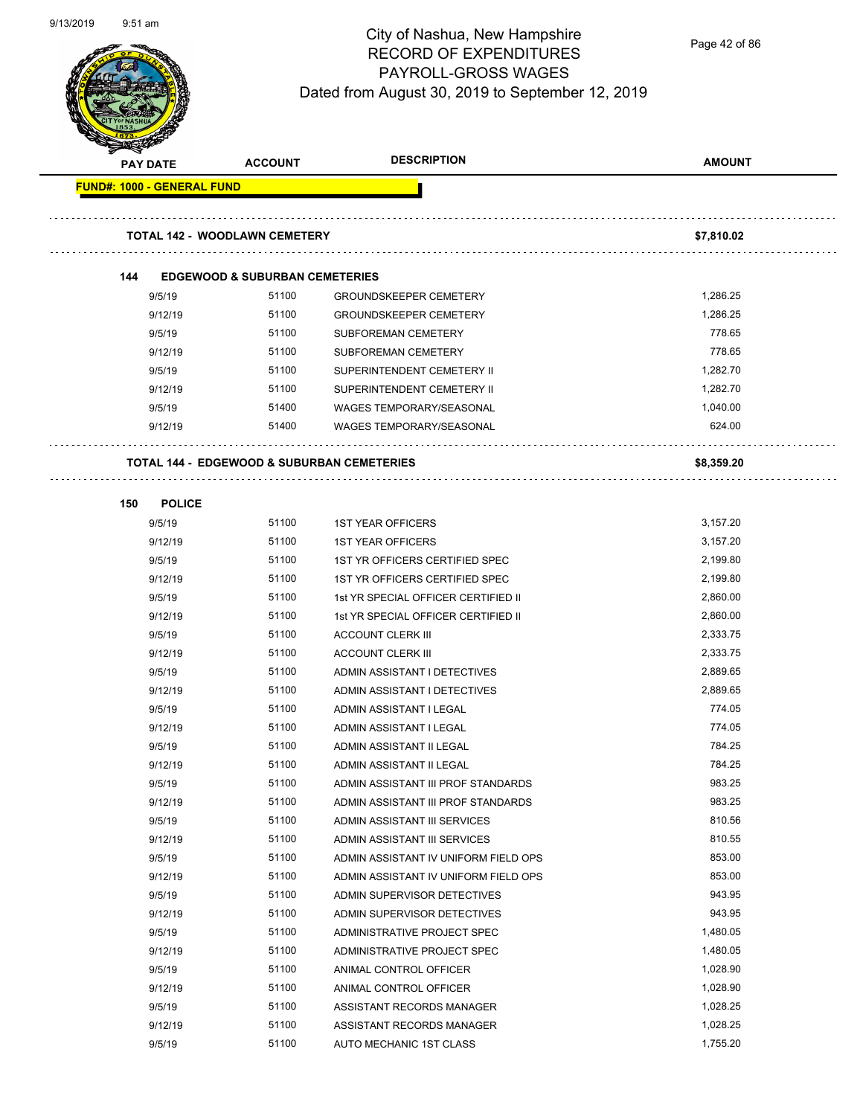

Page 42 of 86

|                                   |                                                       | <b>DESCRIPTION</b>                   |               |
|-----------------------------------|-------------------------------------------------------|--------------------------------------|---------------|
| <b>PAY DATE</b>                   | <b>ACCOUNT</b>                                        |                                      | <b>AMOUNT</b> |
| <b>FUND#: 1000 - GENERAL FUND</b> |                                                       |                                      |               |
|                                   | <b>TOTAL 142 - WOODLAWN CEMETERY</b>                  |                                      | \$7,810.02    |
| 144                               | <b>EDGEWOOD &amp; SUBURBAN CEMETERIES</b>             |                                      |               |
| 9/5/19                            | 51100                                                 | <b>GROUNDSKEEPER CEMETERY</b>        | 1,286.25      |
| 9/12/19                           | 51100                                                 | <b>GROUNDSKEEPER CEMETERY</b>        | 1,286.25      |
| 9/5/19                            | 51100                                                 | <b>SUBFOREMAN CEMETERY</b>           | 778.65        |
| 9/12/19                           | 51100                                                 | <b>SUBFOREMAN CEMETERY</b>           | 778.65        |
| 9/5/19                            | 51100                                                 | SUPERINTENDENT CEMETERY II           | 1,282.70      |
| 9/12/19                           | 51100                                                 | SUPERINTENDENT CEMETERY II           | 1,282.70      |
| 9/5/19                            | 51400                                                 | <b>WAGES TEMPORARY/SEASONAL</b>      | 1,040.00      |
| 9/12/19                           | 51400                                                 | <b>WAGES TEMPORARY/SEASONAL</b>      | 624.00        |
|                                   | <b>TOTAL 144 - EDGEWOOD &amp; SUBURBAN CEMETERIES</b> |                                      | \$8,359.20    |
| 150<br><b>POLICE</b>              |                                                       |                                      |               |
| 9/5/19                            | 51100                                                 | <b>1ST YEAR OFFICERS</b>             | 3,157.20      |
| 9/12/19                           | 51100                                                 | <b>1ST YEAR OFFICERS</b>             | 3,157.20      |
| 9/5/19                            | 51100                                                 | 1ST YR OFFICERS CERTIFIED SPEC       | 2,199.80      |
| 9/12/19                           | 51100                                                 | 1ST YR OFFICERS CERTIFIED SPEC       | 2,199.80      |
| 9/5/19                            | 51100                                                 | 1st YR SPECIAL OFFICER CERTIFIED II  | 2,860.00      |
| 9/12/19                           | 51100                                                 | 1st YR SPECIAL OFFICER CERTIFIED II  | 2,860.00      |
| 9/5/19                            | 51100                                                 | <b>ACCOUNT CLERK III</b>             | 2,333.75      |
| 9/12/19                           | 51100                                                 | <b>ACCOUNT CLERK III</b>             | 2,333.75      |
| 9/5/19                            | 51100                                                 | ADMIN ASSISTANT I DETECTIVES         | 2,889.65      |
| 9/12/19                           | 51100                                                 | ADMIN ASSISTANT I DETECTIVES         | 2,889.65      |
| 9/5/19                            | 51100                                                 | ADMIN ASSISTANT I LEGAL              | 774.05        |
| 9/12/19                           | 51100                                                 | ADMIN ASSISTANT I LEGAL              | 774.05        |
| 9/5/19                            | 51100                                                 | ADMIN ASSISTANT II LEGAL             | 784.25        |
| 9/12/19                           | 51100                                                 | ADMIN ASSISTANT II LEGAL             | 784.25        |
| 9/5/19                            | 51100                                                 | ADMIN ASSISTANT III PROF STANDARDS   | 983.25        |
| 9/12/19                           | 51100                                                 | ADMIN ASSISTANT III PROF STANDARDS   | 983.25        |
| 9/5/19                            | 51100                                                 | ADMIN ASSISTANT III SERVICES         | 810.56        |
| 9/12/19                           | 51100                                                 | ADMIN ASSISTANT III SERVICES         | 810.55        |
| 9/5/19                            | 51100                                                 | ADMIN ASSISTANT IV UNIFORM FIELD OPS | 853.00        |
| 9/12/19                           | 51100                                                 | ADMIN ASSISTANT IV UNIFORM FIELD OPS | 853.00        |
| 9/5/19                            | 51100                                                 | ADMIN SUPERVISOR DETECTIVES          | 943.95        |
| 9/12/19                           | 51100                                                 | ADMIN SUPERVISOR DETECTIVES          | 943.95        |
| 9/5/19                            | 51100                                                 | ADMINISTRATIVE PROJECT SPEC          | 1,480.05      |
| 9/12/19                           | 51100                                                 | ADMINISTRATIVE PROJECT SPEC          | 1,480.05      |
| 9/5/19                            | 51100                                                 | ANIMAL CONTROL OFFICER               | 1,028.90      |
| 9/12/19                           | 51100                                                 | ANIMAL CONTROL OFFICER               | 1,028.90      |
| 9/5/19                            | 51100                                                 | ASSISTANT RECORDS MANAGER            | 1,028.25      |
| 9/12/19                           | 51100                                                 | ASSISTANT RECORDS MANAGER            | 1,028.25      |
| 9/5/19                            | 51100                                                 | AUTO MECHANIC 1ST CLASS              | 1,755.20      |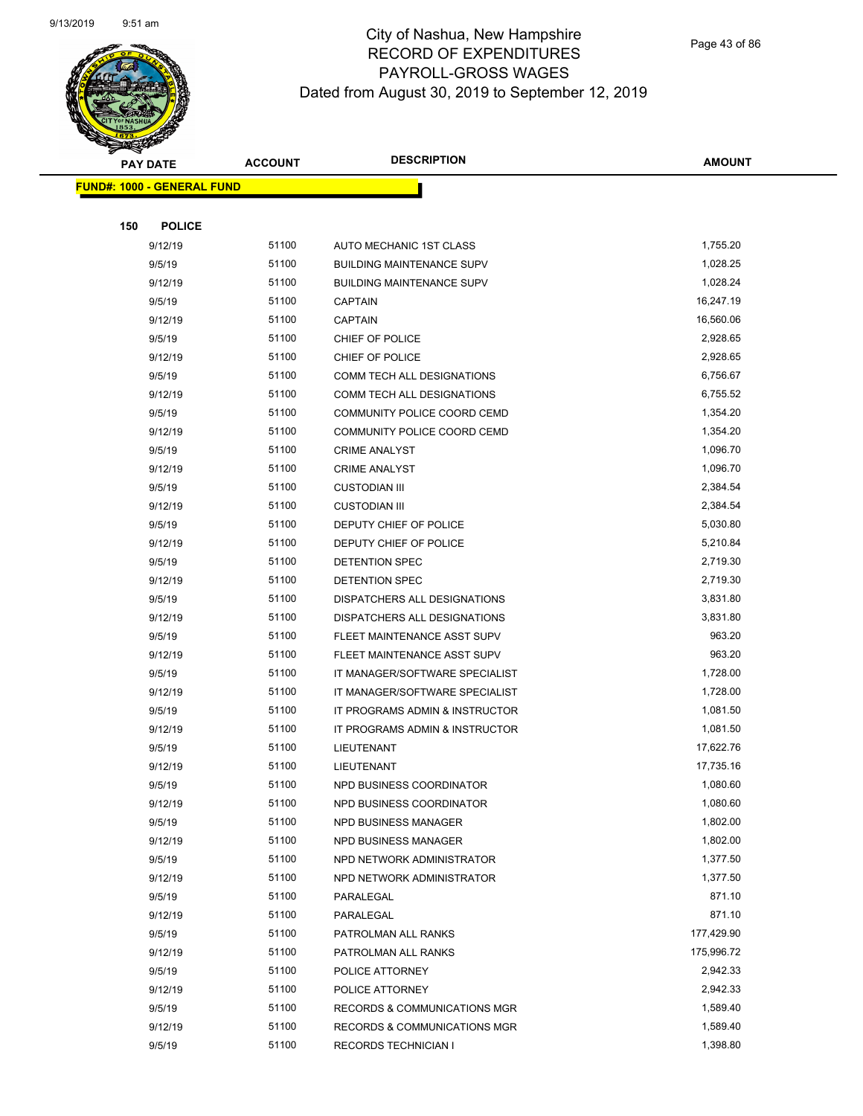

Page 43 of 86

|     | <b>PAY DATE</b>                   | <b>ACCOUNT</b> | <b>DESCRIPTION</b>               | <b>AMOUNT</b> |
|-----|-----------------------------------|----------------|----------------------------------|---------------|
|     | <b>FUND#: 1000 - GENERAL FUND</b> |                |                                  |               |
|     |                                   |                |                                  |               |
| 150 | <b>POLICE</b>                     |                |                                  |               |
|     | 9/12/19                           | 51100          | AUTO MECHANIC 1ST CLASS          | 1,755.20      |
|     | 9/5/19                            | 51100          | <b>BUILDING MAINTENANCE SUPV</b> | 1,028.25      |
|     | 9/12/19                           | 51100          | <b>BUILDING MAINTENANCE SUPV</b> | 1,028.24      |
|     | 9/5/19                            | 51100          | <b>CAPTAIN</b>                   | 16,247.19     |
|     | 9/12/19                           | 51100          | <b>CAPTAIN</b>                   | 16,560.06     |
|     | 9/5/19                            | 51100          | CHIEF OF POLICE                  | 2,928.65      |
|     | 9/12/19                           | 51100          | CHIEF OF POLICE                  | 2,928.65      |
|     | 9/5/19                            | 51100          | COMM TECH ALL DESIGNATIONS       | 6,756.67      |
|     | 9/12/19                           | 51100          | COMM TECH ALL DESIGNATIONS       | 6,755.52      |
|     | 9/5/19                            | 51100          | COMMUNITY POLICE COORD CEMD      | 1,354.20      |
|     | 9/12/19                           | 51100          | COMMUNITY POLICE COORD CEMD      | 1,354.20      |
|     | 9/5/19                            | 51100          | <b>CRIME ANALYST</b>             | 1,096.70      |
|     | 9/12/19                           | 51100          | <b>CRIME ANALYST</b>             | 1,096.70      |
|     | 9/5/19                            | 51100          | <b>CUSTODIAN III</b>             | 2,384.54      |
|     | 9/12/19                           | 51100          | <b>CUSTODIAN III</b>             | 2,384.54      |
|     | 9/5/19                            | 51100          | DEPUTY CHIEF OF POLICE           | 5,030.80      |
|     | 9/12/19                           | 51100          | DEPUTY CHIEF OF POLICE           | 5,210.84      |
|     | 9/5/19                            | 51100          | DETENTION SPEC                   | 2,719.30      |
|     | 9/12/19                           | 51100          | DETENTION SPEC                   | 2,719.30      |
|     | 9/5/19                            | 51100          | DISPATCHERS ALL DESIGNATIONS     | 3,831.80      |
|     | 9/12/19                           | 51100          | DISPATCHERS ALL DESIGNATIONS     | 3,831.80      |
|     | 9/5/19                            | 51100          | FLEET MAINTENANCE ASST SUPV      | 963.20        |
|     | 9/12/19                           | 51100          | FLEET MAINTENANCE ASST SUPV      | 963.20        |
|     | 9/5/19                            | 51100          | IT MANAGER/SOFTWARE SPECIALIST   | 1,728.00      |
|     | 9/12/19                           | 51100          | IT MANAGER/SOFTWARE SPECIALIST   | 1,728.00      |
|     | 9/5/19                            | 51100          | IT PROGRAMS ADMIN & INSTRUCTOR   | 1,081.50      |
|     | 9/12/19                           | 51100          | IT PROGRAMS ADMIN & INSTRUCTOR   | 1,081.50      |
|     | 9/5/19                            | 51100          | LIEUTENANT                       | 17,622.76     |
|     | 9/12/19                           | 51100          | LIEUTENANT                       | 17,735.16     |
|     | 9/5/19                            | 51100          | NPD BUSINESS COORDINATOR         | 1,080.60      |
|     | 9/12/19                           | 51100          | NPD BUSINESS COORDINATOR         | 1,080.60      |
|     | 9/5/19                            | 51100          | NPD BUSINESS MANAGER             | 1,802.00      |
|     | 9/12/19                           | 51100          | NPD BUSINESS MANAGER             | 1,802.00      |
|     | 9/5/19                            | 51100          | NPD NETWORK ADMINISTRATOR        | 1,377.50      |
|     | 9/12/19                           | 51100          | NPD NETWORK ADMINISTRATOR        | 1,377.50      |
|     | 9/5/19                            | 51100          | PARALEGAL                        | 871.10        |
|     | 9/12/19                           | 51100          | PARALEGAL                        | 871.10        |
|     | 9/5/19                            | 51100          | PATROLMAN ALL RANKS              | 177,429.90    |
|     | 9/12/19                           | 51100          | PATROLMAN ALL RANKS              | 175,996.72    |
|     | 9/5/19                            | 51100          | POLICE ATTORNEY                  | 2,942.33      |
|     | 9/12/19                           | 51100          | POLICE ATTORNEY                  | 2,942.33      |
|     | 9/5/19                            | 51100          | RECORDS & COMMUNICATIONS MGR     | 1,589.40      |
|     | 9/12/19                           | 51100          | RECORDS & COMMUNICATIONS MGR     | 1,589.40      |
|     | 9/5/19                            | 51100          | <b>RECORDS TECHNICIAN I</b>      | 1,398.80      |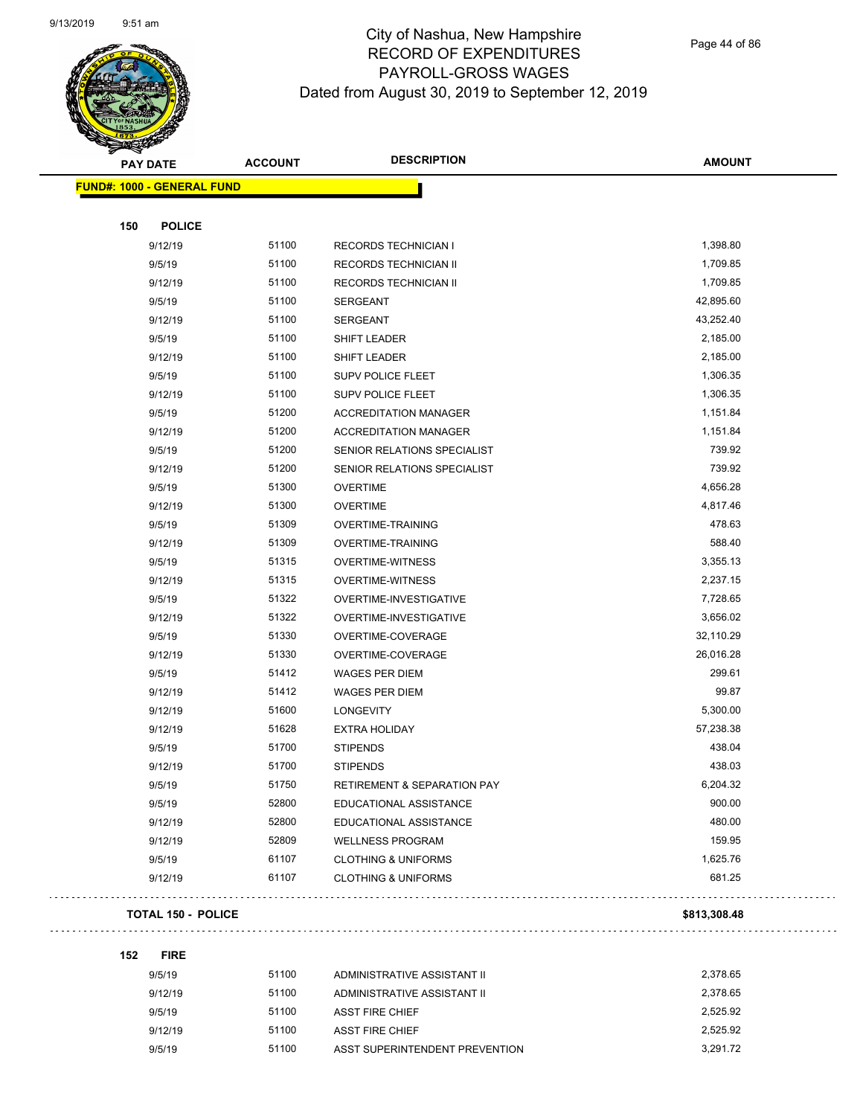

Page 44 of 86

| <b>PAY DATE</b>                   | <b>ACCOUNT</b> | <b>DESCRIPTION</b>                     | <b>AMOUNT</b> |
|-----------------------------------|----------------|----------------------------------------|---------------|
| <b>FUND#: 1000 - GENERAL FUND</b> |                |                                        |               |
|                                   |                |                                        |               |
| 150<br><b>POLICE</b>              |                |                                        |               |
| 9/12/19                           | 51100          | <b>RECORDS TECHNICIAN I</b>            | 1,398.80      |
| 9/5/19                            | 51100          | RECORDS TECHNICIAN II                  | 1,709.85      |
| 9/12/19                           | 51100          | RECORDS TECHNICIAN II                  | 1,709.85      |
| 9/5/19                            | 51100          | <b>SERGEANT</b>                        | 42,895.60     |
| 9/12/19                           | 51100          | <b>SERGEANT</b>                        | 43,252.40     |
| 9/5/19                            | 51100          | SHIFT LEADER                           | 2,185.00      |
| 9/12/19                           | 51100          | SHIFT LEADER                           | 2,185.00      |
| 9/5/19                            | 51100          | <b>SUPV POLICE FLEET</b>               | 1,306.35      |
| 9/12/19                           | 51100          | <b>SUPV POLICE FLEET</b>               | 1,306.35      |
| 9/5/19                            | 51200          | <b>ACCREDITATION MANAGER</b>           | 1,151.84      |
| 9/12/19                           | 51200          | <b>ACCREDITATION MANAGER</b>           | 1,151.84      |
| 9/5/19                            | 51200          | SENIOR RELATIONS SPECIALIST            | 739.92        |
| 9/12/19                           | 51200          | SENIOR RELATIONS SPECIALIST            | 739.92        |
| 9/5/19                            | 51300          | <b>OVERTIME</b>                        | 4,656.28      |
| 9/12/19                           | 51300          | <b>OVERTIME</b>                        | 4,817.46      |
| 9/5/19                            | 51309          | <b>OVERTIME-TRAINING</b>               | 478.63        |
| 9/12/19                           | 51309          | <b>OVERTIME-TRAINING</b>               | 588.40        |
| 9/5/19                            | 51315          | <b>OVERTIME-WITNESS</b>                | 3,355.13      |
| 9/12/19                           | 51315          | <b>OVERTIME-WITNESS</b>                | 2,237.15      |
| 9/5/19                            | 51322          | OVERTIME-INVESTIGATIVE                 | 7,728.65      |
| 9/12/19                           | 51322          | OVERTIME-INVESTIGATIVE                 | 3,656.02      |
| 9/5/19                            | 51330          | OVERTIME-COVERAGE                      | 32,110.29     |
| 9/12/19                           | 51330          | OVERTIME-COVERAGE                      | 26,016.28     |
| 9/5/19                            | 51412          | <b>WAGES PER DIEM</b>                  | 299.61        |
| 9/12/19                           | 51412          | <b>WAGES PER DIEM</b>                  | 99.87         |
| 9/12/19                           | 51600          | LONGEVITY                              | 5,300.00      |
| 9/12/19                           | 51628          | <b>EXTRA HOLIDAY</b>                   | 57,238.38     |
| 9/5/19                            | 51700          | <b>STIPENDS</b>                        | 438.04        |
| 9/12/19                           | 51700          | <b>STIPENDS</b>                        | 438.03        |
| 9/5/19                            | 51750          | <b>RETIREMENT &amp; SEPARATION PAY</b> | 6,204.32      |
| 9/5/19                            | 52800          | EDUCATIONAL ASSISTANCE                 | 900.00        |
| 9/12/19                           | 52800          | EDUCATIONAL ASSISTANCE                 | 480.00        |
| 9/12/19                           | 52809          | <b>WELLNESS PROGRAM</b>                | 159.95        |
| 9/5/19                            | 61107          | <b>CLOTHING &amp; UNIFORMS</b>         | 1,625.76      |
| 9/12/19                           | 61107          | <b>CLOTHING &amp; UNIFORMS</b>         | 681.25        |
| <b>TOTAL 150 - POLICE</b>         |                |                                        | \$813,308.48  |

**152 FIRE**

| 9/5/19  | 51100 | ADMINISTRATIVE ASSISTANT II    | 2.378.65 |
|---------|-------|--------------------------------|----------|
| 9/12/19 | 51100 | ADMINISTRATIVE ASSISTANT II    | 2.378.65 |
| 9/5/19  | 51100 | <b>ASST FIRE CHIEF</b>         | 2.525.92 |
| 9/12/19 | 51100 | <b>ASST FIRE CHIEF</b>         | 2.525.92 |
| 9/5/19  | 51100 | ASST SUPERINTENDENT PREVENTION | 3.291.72 |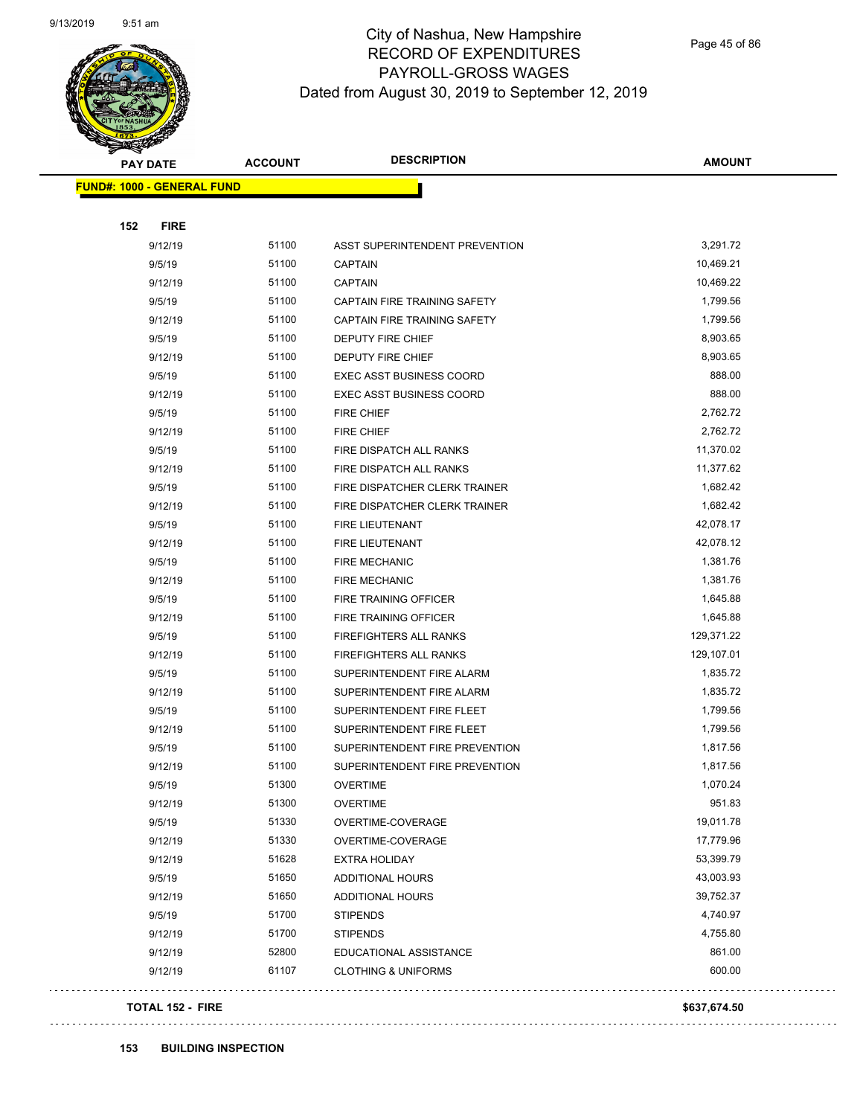

Page 45 of 86

| <b>PAY DATE</b>                   | <b>ACCOUNT</b> | <b>DESCRIPTION</b>                  | <b>AMOUNT</b> |
|-----------------------------------|----------------|-------------------------------------|---------------|
| <b>FUND#: 1000 - GENERAL FUND</b> |                |                                     |               |
|                                   |                |                                     |               |
| 152                               | <b>FIRE</b>    |                                     |               |
| 9/12/19                           | 51100          | ASST SUPERINTENDENT PREVENTION      | 3,291.72      |
| 9/5/19                            | 51100          | <b>CAPTAIN</b>                      | 10,469.21     |
| 9/12/19                           | 51100          | <b>CAPTAIN</b>                      | 10,469.22     |
| 9/5/19                            | 51100          | <b>CAPTAIN FIRE TRAINING SAFETY</b> | 1,799.56      |
| 9/12/19                           | 51100          | CAPTAIN FIRE TRAINING SAFETY        | 1,799.56      |
| 9/5/19                            | 51100          | <b>DEPUTY FIRE CHIEF</b>            | 8,903.65      |
| 9/12/19                           | 51100          | DEPUTY FIRE CHIEF                   | 8,903.65      |
| 9/5/19                            | 51100          | <b>EXEC ASST BUSINESS COORD</b>     | 888.00        |
| 9/12/19                           | 51100          | <b>EXEC ASST BUSINESS COORD</b>     | 888.00        |
| 9/5/19                            | 51100          | <b>FIRE CHIEF</b>                   | 2,762.72      |
| 9/12/19                           | 51100          | <b>FIRE CHIEF</b>                   | 2,762.72      |
| 9/5/19                            | 51100          | <b>FIRE DISPATCH ALL RANKS</b>      | 11,370.02     |
| 9/12/19                           | 51100          | FIRE DISPATCH ALL RANKS             | 11,377.62     |
| 9/5/19                            | 51100          | FIRE DISPATCHER CLERK TRAINER       | 1,682.42      |
| 9/12/19                           | 51100          | FIRE DISPATCHER CLERK TRAINER       | 1,682.42      |
| 9/5/19                            | 51100          | FIRE LIEUTENANT                     | 42,078.17     |
| 9/12/19                           | 51100          | FIRE LIEUTENANT                     | 42,078.12     |
| 9/5/19                            | 51100          | <b>FIRE MECHANIC</b>                | 1,381.76      |
| 9/12/19                           | 51100          | <b>FIRE MECHANIC</b>                | 1,381.76      |
| 9/5/19                            | 51100          | FIRE TRAINING OFFICER               | 1,645.88      |
| 9/12/19                           | 51100          | FIRE TRAINING OFFICER               | 1,645.88      |
| 9/5/19                            | 51100          | <b>FIREFIGHTERS ALL RANKS</b>       | 129,371.22    |
| 9/12/19                           | 51100          | <b>FIREFIGHTERS ALL RANKS</b>       | 129,107.01    |
| 9/5/19                            | 51100          | SUPERINTENDENT FIRE ALARM           | 1,835.72      |
| 9/12/19                           | 51100          | SUPERINTENDENT FIRE ALARM           | 1,835.72      |
| 9/5/19                            | 51100          | SUPERINTENDENT FIRE FLEET           | 1,799.56      |
| 9/12/19                           | 51100          | SUPERINTENDENT FIRE FLEET           | 1,799.56      |
| 9/5/19                            | 51100          | SUPERINTENDENT FIRE PREVENTION      | 1,817.56      |
| 9/12/19                           | 51100          | SUPERINTENDENT FIRE PREVENTION      | 1,817.56      |
| 9/5/19                            | 51300          | OVERTIME                            | 1,070.24      |
| 9/12/19                           | 51300          | <b>OVERTIME</b>                     | 951.83        |
| 9/5/19                            | 51330          | OVERTIME-COVERAGE                   | 19,011.78     |
| 9/12/19                           | 51330          | OVERTIME-COVERAGE                   | 17,779.96     |
| 9/12/19                           | 51628          | <b>EXTRA HOLIDAY</b>                | 53,399.79     |
| 9/5/19                            | 51650          | <b>ADDITIONAL HOURS</b>             | 43,003.93     |
| 9/12/19                           | 51650          | ADDITIONAL HOURS                    | 39,752.37     |
| 9/5/19                            | 51700          | <b>STIPENDS</b>                     | 4,740.97      |
| 9/12/19                           | 51700          | <b>STIPENDS</b>                     | 4,755.80      |
| 9/12/19                           | 52800          | EDUCATIONAL ASSISTANCE              | 861.00        |
| 9/12/19                           | 61107          | <b>CLOTHING &amp; UNIFORMS</b>      | 600.00        |
|                                   |                |                                     |               |

#### **TOTAL 152 - FIRE \$637,674.50**

 $\ddot{\phantom{a}}$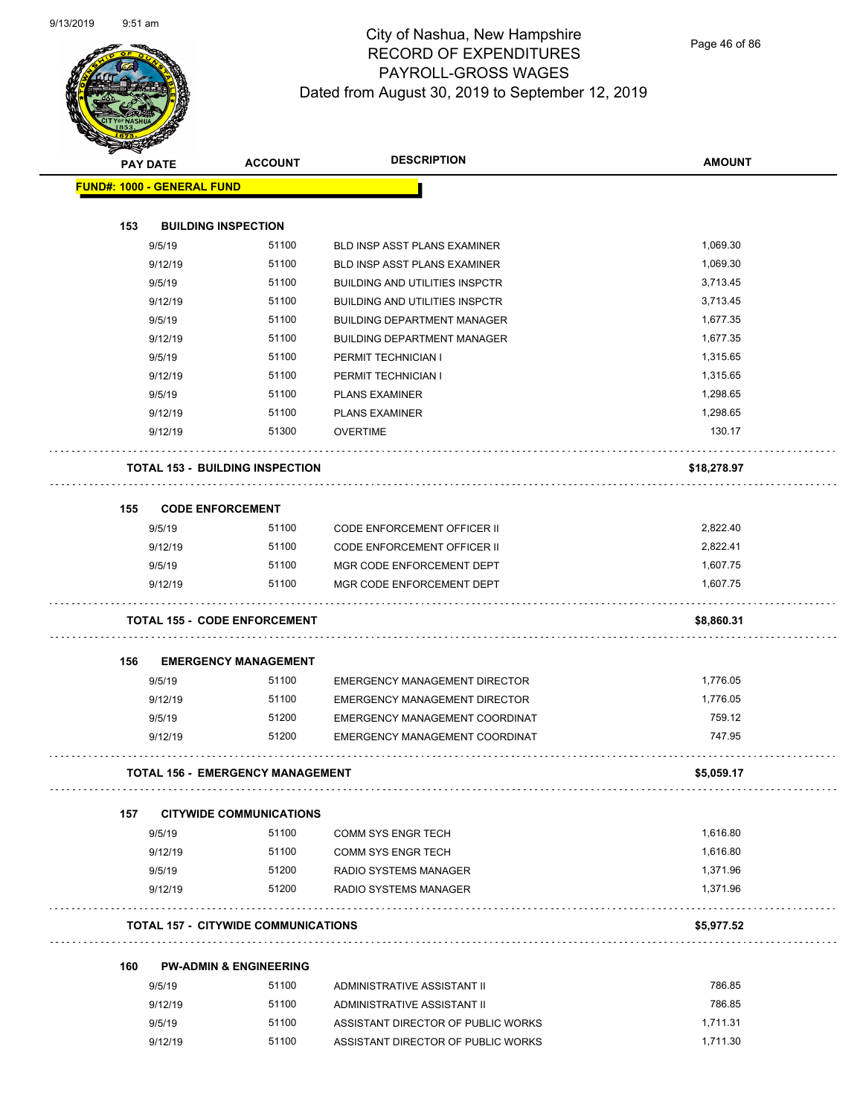

Page 46 of 86

|     | <b>PAY DATE</b>                            | <b>ACCOUNT</b> | <b>DESCRIPTION</b>                    | <b>AMOUNT</b> |
|-----|--------------------------------------------|----------------|---------------------------------------|---------------|
|     | <b>FUND#: 1000 - GENERAL FUND</b>          |                |                                       |               |
|     |                                            |                |                                       |               |
| 153 | <b>BUILDING INSPECTION</b>                 |                |                                       |               |
|     | 9/5/19                                     | 51100          | <b>BLD INSP ASST PLANS EXAMINER</b>   | 1,069.30      |
|     | 9/12/19                                    | 51100          | <b>BLD INSP ASST PLANS EXAMINER</b>   | 1,069.30      |
|     | 9/5/19                                     | 51100          | <b>BUILDING AND UTILITIES INSPCTR</b> | 3,713.45      |
|     | 9/12/19                                    | 51100          | <b>BUILDING AND UTILITIES INSPCTR</b> | 3,713.45      |
|     | 9/5/19                                     | 51100          | <b>BUILDING DEPARTMENT MANAGER</b>    | 1,677.35      |
|     | 9/12/19                                    | 51100          | <b>BUILDING DEPARTMENT MANAGER</b>    | 1,677.35      |
|     | 9/5/19                                     | 51100          | PERMIT TECHNICIAN I                   | 1,315.65      |
|     | 9/12/19                                    | 51100          | PERMIT TECHNICIAN I                   | 1,315.65      |
|     | 9/5/19                                     | 51100          | <b>PLANS EXAMINER</b>                 | 1,298.65      |
|     | 9/12/19                                    | 51100          | <b>PLANS EXAMINER</b>                 | 1,298.65      |
|     | 9/12/19                                    | 51300          | <b>OVERTIME</b>                       | 130.17        |
|     |                                            |                |                                       |               |
|     | <b>TOTAL 153 - BUILDING INSPECTION</b>     |                |                                       | \$18,278.97   |
|     |                                            |                |                                       |               |
| 155 | <b>CODE ENFORCEMENT</b>                    |                |                                       |               |
|     | 9/5/19                                     | 51100          | <b>CODE ENFORCEMENT OFFICER II</b>    | 2,822.40      |
|     | 9/12/19                                    | 51100          | <b>CODE ENFORCEMENT OFFICER II</b>    | 2,822.41      |
|     | 9/5/19                                     | 51100          | MGR CODE ENFORCEMENT DEPT             | 1,607.75      |
|     | 9/12/19                                    | 51100          | MGR CODE ENFORCEMENT DEPT             | 1,607.75      |
|     |                                            |                |                                       |               |
|     | <b>TOTAL 155 - CODE ENFORCEMENT</b>        |                |                                       | \$8,860.31    |
|     |                                            |                |                                       |               |
| 156 | <b>EMERGENCY MANAGEMENT</b>                |                |                                       |               |
|     | 9/5/19                                     | 51100          | EMERGENCY MANAGEMENT DIRECTOR         | 1,776.05      |
|     | 9/12/19                                    | 51100          | <b>EMERGENCY MANAGEMENT DIRECTOR</b>  | 1,776.05      |
|     | 9/5/19                                     | 51200          | EMERGENCY MANAGEMENT COORDINAT        | 759.12        |
|     | 9/12/19                                    | 51200          | EMERGENCY MANAGEMENT COORDINAT        | 747.95        |
|     |                                            |                |                                       |               |
|     | TOTAL 156 - EMERGENCY MANAGEMENT           |                |                                       | \$5,059.17    |
|     |                                            |                |                                       |               |
| 157 | <b>CITYWIDE COMMUNICATIONS</b>             |                |                                       |               |
|     | 9/5/19                                     | 51100          | <b>COMM SYS ENGR TECH</b>             | 1,616.80      |
|     | 9/12/19                                    | 51100          | <b>COMM SYS ENGR TECH</b>             | 1,616.80      |
|     | 9/5/19                                     | 51200          | <b>RADIO SYSTEMS MANAGER</b>          | 1,371.96      |
|     | 9/12/19                                    | 51200          | RADIO SYSTEMS MANAGER                 | 1,371.96      |
|     |                                            |                |                                       |               |
|     | <b>TOTAL 157 - CITYWIDE COMMUNICATIONS</b> |                |                                       | \$5,977.52    |
|     |                                            |                |                                       |               |
| 160 | <b>PW-ADMIN &amp; ENGINEERING</b>          |                |                                       |               |
|     | 9/5/19                                     | 51100          | ADMINISTRATIVE ASSISTANT II           | 786.85        |
|     | 9/12/19                                    | 51100          | ADMINISTRATIVE ASSISTANT II           | 786.85        |
|     | 9/5/19                                     | 51100          | ASSISTANT DIRECTOR OF PUBLIC WORKS    | 1,711.31      |
|     | 9/12/19                                    | 51100          | ASSISTANT DIRECTOR OF PUBLIC WORKS    | 1,711.30      |
|     |                                            |                |                                       |               |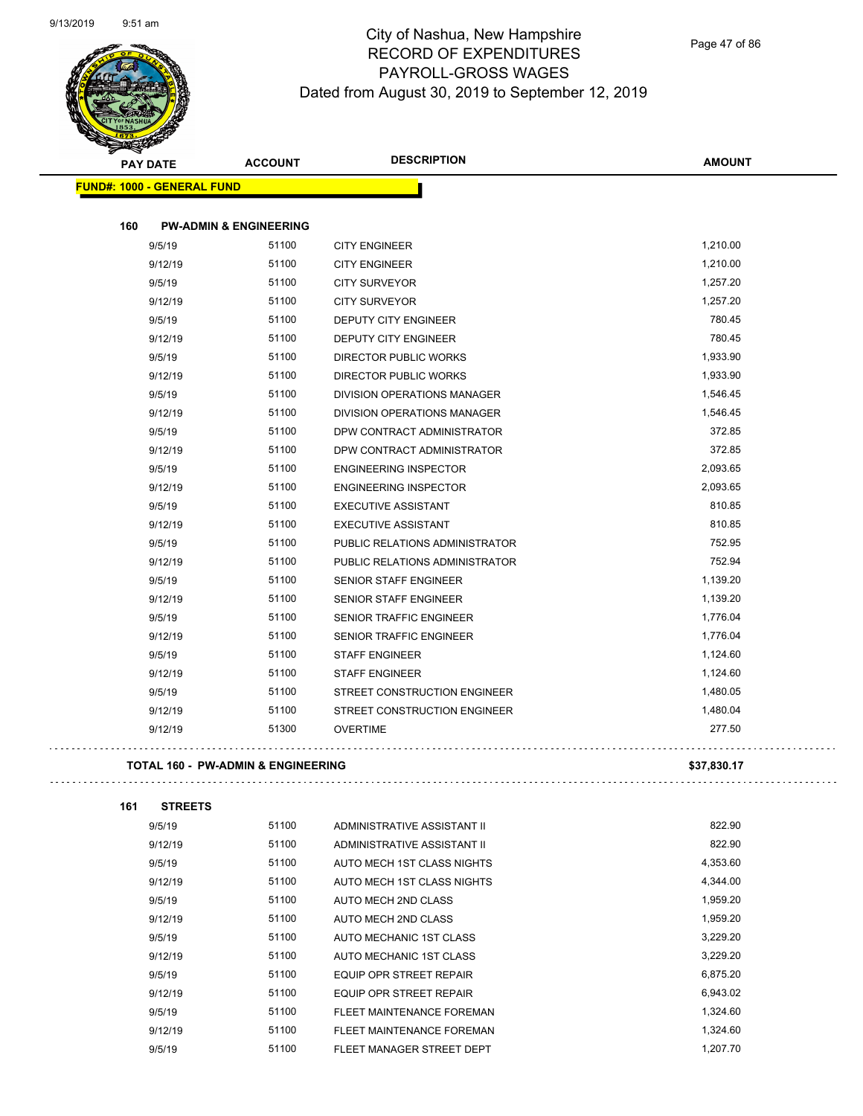

Page 47 of 86

| <b>PAY DATE</b>                               | <b>ACCOUNT</b>                    | <b>DESCRIPTION</b>                           | <b>AMOUNT</b> |
|-----------------------------------------------|-----------------------------------|----------------------------------------------|---------------|
| <b>FUND#: 1000 - GENERAL FUND</b>             |                                   |                                              |               |
| 160                                           | <b>PW-ADMIN &amp; ENGINEERING</b> |                                              |               |
|                                               | 51100                             |                                              | 1,210.00      |
| 9/5/19<br>9/12/19                             | 51100                             | <b>CITY ENGINEER</b><br><b>CITY ENGINEER</b> | 1,210.00      |
| 9/5/19                                        | 51100                             | <b>CITY SURVEYOR</b>                         | 1,257.20      |
| 9/12/19                                       | 51100                             | <b>CITY SURVEYOR</b>                         | 1,257.20      |
| 9/5/19                                        | 51100                             | <b>DEPUTY CITY ENGINEER</b>                  | 780.45        |
| 9/12/19                                       | 51100                             | <b>DEPUTY CITY ENGINEER</b>                  | 780.45        |
| 9/5/19                                        | 51100                             | <b>DIRECTOR PUBLIC WORKS</b>                 | 1,933.90      |
| 9/12/19                                       | 51100                             | <b>DIRECTOR PUBLIC WORKS</b>                 | 1,933.90      |
| 9/5/19                                        | 51100                             | DIVISION OPERATIONS MANAGER                  | 1,546.45      |
| 9/12/19                                       | 51100                             | <b>DIVISION OPERATIONS MANAGER</b>           | 1,546.45      |
| 9/5/19                                        | 51100                             | DPW CONTRACT ADMINISTRATOR                   | 372.85        |
| 9/12/19                                       | 51100                             | DPW CONTRACT ADMINISTRATOR                   | 372.85        |
| 9/5/19                                        | 51100                             | <b>ENGINEERING INSPECTOR</b>                 | 2,093.65      |
| 9/12/19                                       | 51100                             | <b>ENGINEERING INSPECTOR</b>                 | 2,093.65      |
| 9/5/19                                        | 51100                             | <b>EXECUTIVE ASSISTANT</b>                   | 810.85        |
| 9/12/19                                       | 51100                             | <b>EXECUTIVE ASSISTANT</b>                   | 810.85        |
| 9/5/19                                        | 51100                             | PUBLIC RELATIONS ADMINISTRATOR               | 752.95        |
| 9/12/19                                       | 51100                             | PUBLIC RELATIONS ADMINISTRATOR               | 752.94        |
| 9/5/19                                        | 51100                             | <b>SENIOR STAFF ENGINEER</b>                 | 1,139.20      |
| 9/12/19                                       | 51100                             | <b>SENIOR STAFF ENGINEER</b>                 | 1,139.20      |
| 9/5/19                                        | 51100                             | <b>SENIOR TRAFFIC ENGINEER</b>               | 1,776.04      |
| 9/12/19                                       | 51100                             | <b>SENIOR TRAFFIC ENGINEER</b>               | 1,776.04      |
| 9/5/19                                        | 51100                             | <b>STAFF ENGINEER</b>                        | 1,124.60      |
| 9/12/19                                       | 51100                             | <b>STAFF ENGINEER</b>                        | 1,124.60      |
| 9/5/19                                        | 51100                             | STREET CONSTRUCTION ENGINEER                 | 1,480.05      |
| 9/12/19                                       | 51100                             | STREET CONSTRUCTION ENGINEER                 | 1,480.04      |
| 9/12/19                                       | 51300                             | <b>OVERTIME</b>                              | 277.50        |
| <b>TOTAL 160 - PW-ADMIN &amp; ENGINEERING</b> |                                   |                                              | \$37,830.17   |

| 161 | <b>STREETS</b> |       |                             |          |
|-----|----------------|-------|-----------------------------|----------|
|     | 9/5/19         | 51100 | ADMINISTRATIVE ASSISTANT II | 822.90   |
|     | 9/12/19        | 51100 | ADMINISTRATIVE ASSISTANT II | 822.90   |
|     | 9/5/19         | 51100 | AUTO MECH 1ST CLASS NIGHTS  | 4,353.60 |
|     | 9/12/19        | 51100 | AUTO MECH 1ST CLASS NIGHTS  | 4.344.00 |
|     | 9/5/19         | 51100 | AUTO MECH 2ND CLASS         | 1.959.20 |
|     | 9/12/19        | 51100 | AUTO MECH 2ND CLASS         | 1.959.20 |
|     | 9/5/19         | 51100 | AUTO MECHANIC 1ST CLASS     | 3.229.20 |
|     | 9/12/19        | 51100 | AUTO MECHANIC 1ST CLASS     | 3.229.20 |
|     | 9/5/19         | 51100 | EQUIP OPR STREET REPAIR     | 6.875.20 |

9/12/19 51100 EQUIP OPR STREET REPAIR 6,943.02 9/5/19 51100 FLEET MAINTENANCE FOREMAN 1,324.60 9/12/19 51100 FLEET MAINTENANCE FOREMAN 1,324.60 9/5/19 51100 FLEET MANAGER STREET DEPT 1,207.70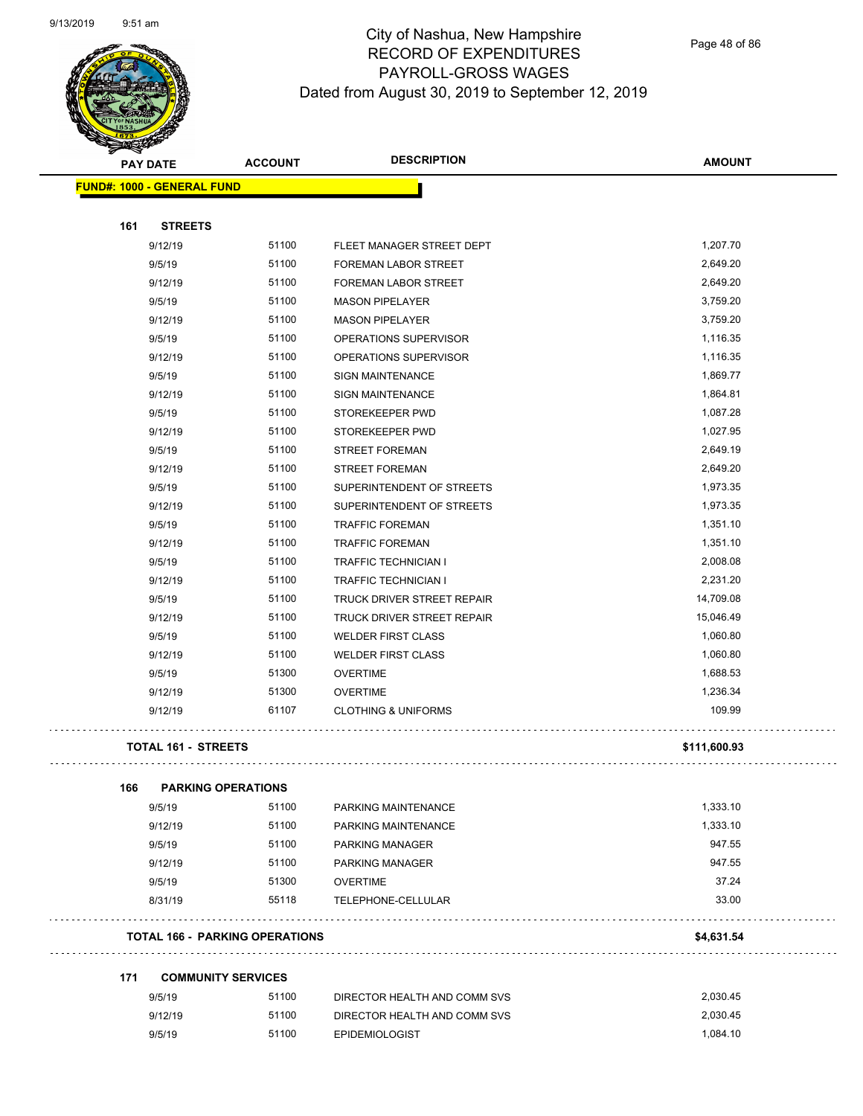

Page 48 of 86

| <b>STATES DE</b> |                                   |                                       | <b>DESCRIPTION</b>             |               |
|------------------|-----------------------------------|---------------------------------------|--------------------------------|---------------|
|                  | <b>PAY DATE</b>                   | <b>ACCOUNT</b>                        |                                | <b>AMOUNT</b> |
|                  | <b>FUND#: 1000 - GENERAL FUND</b> |                                       |                                |               |
|                  |                                   |                                       |                                |               |
| 161              | <b>STREETS</b>                    |                                       |                                |               |
|                  | 9/12/19                           | 51100                                 | FLEET MANAGER STREET DEPT      | 1,207.70      |
|                  | 9/5/19                            | 51100                                 | FOREMAN LABOR STREET           | 2,649.20      |
|                  | 9/12/19                           | 51100                                 | FOREMAN LABOR STREET           | 2,649.20      |
|                  | 9/5/19                            | 51100                                 | <b>MASON PIPELAYER</b>         | 3,759.20      |
|                  | 9/12/19                           | 51100                                 | <b>MASON PIPELAYER</b>         | 3,759.20      |
|                  | 9/5/19                            | 51100                                 | OPERATIONS SUPERVISOR          | 1,116.35      |
|                  | 9/12/19                           | 51100                                 | OPERATIONS SUPERVISOR          | 1,116.35      |
|                  | 9/5/19                            | 51100                                 | <b>SIGN MAINTENANCE</b>        | 1,869.77      |
|                  | 9/12/19                           | 51100                                 | <b>SIGN MAINTENANCE</b>        | 1,864.81      |
|                  | 9/5/19                            | 51100                                 | STOREKEEPER PWD                | 1,087.28      |
|                  | 9/12/19                           | 51100                                 | STOREKEEPER PWD                | 1,027.95      |
|                  | 9/5/19                            | 51100                                 | <b>STREET FOREMAN</b>          | 2,649.19      |
|                  | 9/12/19                           | 51100                                 | <b>STREET FOREMAN</b>          | 2,649.20      |
|                  | 9/5/19                            | 51100                                 | SUPERINTENDENT OF STREETS      | 1,973.35      |
|                  | 9/12/19                           | 51100                                 | SUPERINTENDENT OF STREETS      | 1,973.35      |
|                  | 9/5/19                            | 51100                                 | <b>TRAFFIC FOREMAN</b>         | 1,351.10      |
|                  | 9/12/19                           | 51100                                 | <b>TRAFFIC FOREMAN</b>         | 1,351.10      |
|                  | 9/5/19                            | 51100                                 | <b>TRAFFIC TECHNICIAN I</b>    | 2,008.08      |
|                  | 9/12/19                           | 51100                                 | TRAFFIC TECHNICIAN I           | 2,231.20      |
|                  | 9/5/19                            | 51100                                 | TRUCK DRIVER STREET REPAIR     | 14,709.08     |
|                  | 9/12/19                           | 51100                                 | TRUCK DRIVER STREET REPAIR     | 15,046.49     |
|                  | 9/5/19                            | 51100                                 | <b>WELDER FIRST CLASS</b>      | 1,060.80      |
|                  | 9/12/19                           | 51100                                 | <b>WELDER FIRST CLASS</b>      | 1,060.80      |
|                  | 9/5/19                            | 51300                                 | <b>OVERTIME</b>                | 1,688.53      |
|                  | 9/12/19                           | 51300                                 | <b>OVERTIME</b>                | 1,236.34      |
|                  |                                   | 61107                                 | <b>CLOTHING &amp; UNIFORMS</b> | 109.99        |
|                  | 9/12/19                           |                                       |                                |               |
|                  | <b>TOTAL 161 - STREETS</b>        |                                       |                                | \$111,600.93  |
| 166              | <b>PARKING OPERATIONS</b>         |                                       |                                |               |
|                  | 9/5/19                            | 51100                                 | PARKING MAINTENANCE            | 1,333.10      |
|                  | 9/12/19                           | 51100                                 | PARKING MAINTENANCE            | 1,333.10      |
|                  | 9/5/19                            | 51100                                 | <b>PARKING MANAGER</b>         | 947.55        |
|                  | 9/12/19                           | 51100                                 | <b>PARKING MANAGER</b>         | 947.55        |
|                  | 9/5/19                            | 51300                                 | <b>OVERTIME</b>                | 37.24         |
|                  | 8/31/19                           | 55118                                 | TELEPHONE-CELLULAR             | 33.00         |
|                  |                                   |                                       |                                |               |
|                  |                                   | <b>TOTAL 166 - PARKING OPERATIONS</b> |                                | \$4,631.54    |
| 171              | <b>COMMUNITY SERVICES</b>         |                                       |                                |               |
|                  | 9/5/19                            | 51100                                 | DIRECTOR HEALTH AND COMM SVS   | 2,030.45      |
|                  | 9/12/19                           | 51100                                 | DIRECTOR HEALTH AND COMM SVS   | 2,030.45      |
|                  | 9/5/19                            | 51100                                 | <b>EPIDEMIOLOGIST</b>          | 1,084.10      |
|                  |                                   |                                       |                                |               |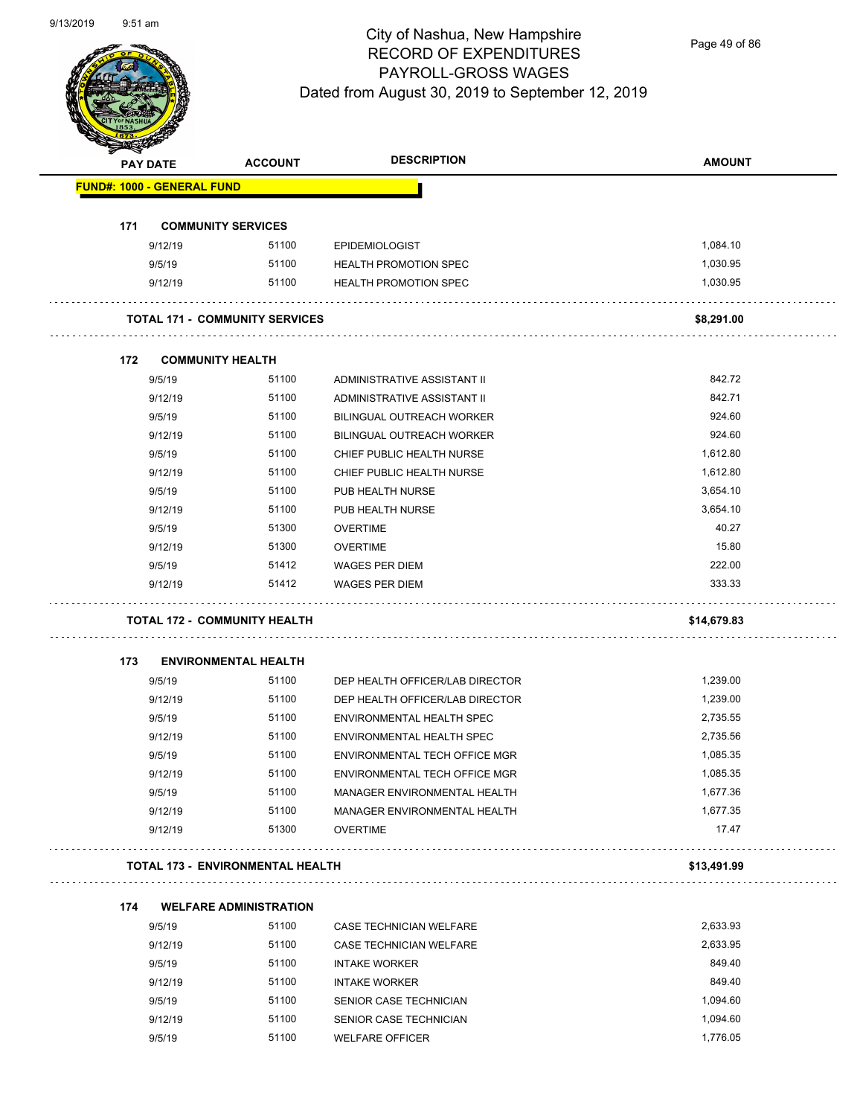

Page 49 of 86

|     | <b>PAY DATE</b>                   | <b>ACCOUNT</b>                          | <b>DESCRIPTION</b>               | <b>AMOUNT</b> |
|-----|-----------------------------------|-----------------------------------------|----------------------------------|---------------|
|     | <b>FUND#: 1000 - GENERAL FUND</b> |                                         |                                  |               |
| 171 |                                   | <b>COMMUNITY SERVICES</b>               |                                  |               |
|     | 9/12/19                           | 51100                                   | <b>EPIDEMIOLOGIST</b>            | 1,084.10      |
|     | 9/5/19                            | 51100                                   | <b>HEALTH PROMOTION SPEC</b>     | 1,030.95      |
|     | 9/12/19                           | 51100                                   | <b>HEALTH PROMOTION SPEC</b>     | 1,030.95      |
|     |                                   | <b>TOTAL 171 - COMMUNITY SERVICES</b>   |                                  | \$8,291.00    |
| 172 |                                   | <b>COMMUNITY HEALTH</b>                 |                                  |               |
|     | 9/5/19                            | 51100                                   | ADMINISTRATIVE ASSISTANT II      | 842.72        |
|     | 9/12/19                           | 51100                                   | ADMINISTRATIVE ASSISTANT II      | 842.71        |
|     | 9/5/19                            | 51100                                   | <b>BILINGUAL OUTREACH WORKER</b> | 924.60        |
|     | 9/12/19                           | 51100                                   | <b>BILINGUAL OUTREACH WORKER</b> | 924.60        |
|     | 9/5/19                            | 51100                                   | CHIEF PUBLIC HEALTH NURSE        | 1,612.80      |
|     | 9/12/19                           | 51100                                   | CHIEF PUBLIC HEALTH NURSE        | 1,612.80      |
|     | 9/5/19                            | 51100                                   | PUB HEALTH NURSE                 | 3,654.10      |
|     | 9/12/19                           | 51100                                   | PUB HEALTH NURSE                 | 3,654.10      |
|     | 9/5/19                            | 51300                                   | <b>OVERTIME</b>                  | 40.27         |
|     | 9/12/19                           | 51300                                   | <b>OVERTIME</b>                  | 15.80         |
|     | 9/5/19                            | 51412                                   | <b>WAGES PER DIEM</b>            | 222.00        |
|     | 9/12/19                           | 51412                                   | <b>WAGES PER DIEM</b>            | 333.33        |
|     |                                   | <b>TOTAL 172 - COMMUNITY HEALTH</b>     |                                  | \$14,679.83   |
|     |                                   |                                         |                                  |               |
| 173 |                                   | <b>ENVIRONMENTAL HEALTH</b>             |                                  |               |
|     | 9/5/19                            | 51100                                   | DEP HEALTH OFFICER/LAB DIRECTOR  | 1,239.00      |
|     | 9/12/19                           | 51100                                   | DEP HEALTH OFFICER/LAB DIRECTOR  | 1,239.00      |
|     | 9/5/19                            | 51100                                   | ENVIRONMENTAL HEALTH SPEC        | 2,735.55      |
|     | 9/12/19                           | 51100                                   | ENVIRONMENTAL HEALTH SPEC        | 2,735.56      |
|     | 9/5/19                            | 51100                                   | ENVIRONMENTAL TECH OFFICE MGR    | 1,085.35      |
|     | 9/12/19                           | 51100                                   | ENVIRONMENTAL TECH OFFICE MGR    | 1,085.35      |
|     | 9/5/19                            | 51100                                   | MANAGER ENVIRONMENTAL HEALTH     | 1,677.36      |
|     | 9/12/19                           | 51100                                   | MANAGER ENVIRONMENTAL HEALTH     | 1,677.35      |
|     | 9/12/19                           | 51300                                   | <b>OVERTIME</b>                  | 17.47         |
|     |                                   | <b>TOTAL 173 - ENVIRONMENTAL HEALTH</b> |                                  | \$13,491.99   |
| 174 |                                   | <b>WELFARE ADMINISTRATION</b>           |                                  |               |
|     | 9/5/19                            | 51100                                   | CASE TECHNICIAN WELFARE          | 2,633.93      |
|     | 9/12/19                           | 51100                                   | CASE TECHNICIAN WELFARE          | 2,633.95      |
|     | 9/5/19                            | 51100                                   | <b>INTAKE WORKER</b>             | 849.40        |
|     | 9/12/19                           | 51100                                   | <b>INTAKE WORKER</b>             | 849.40        |
|     | 9/5/19                            | 51100                                   | SENIOR CASE TECHNICIAN           | 1,094.60      |
|     |                                   |                                         |                                  |               |
|     | 9/12/19                           | 51100                                   | SENIOR CASE TECHNICIAN           | 1,094.60      |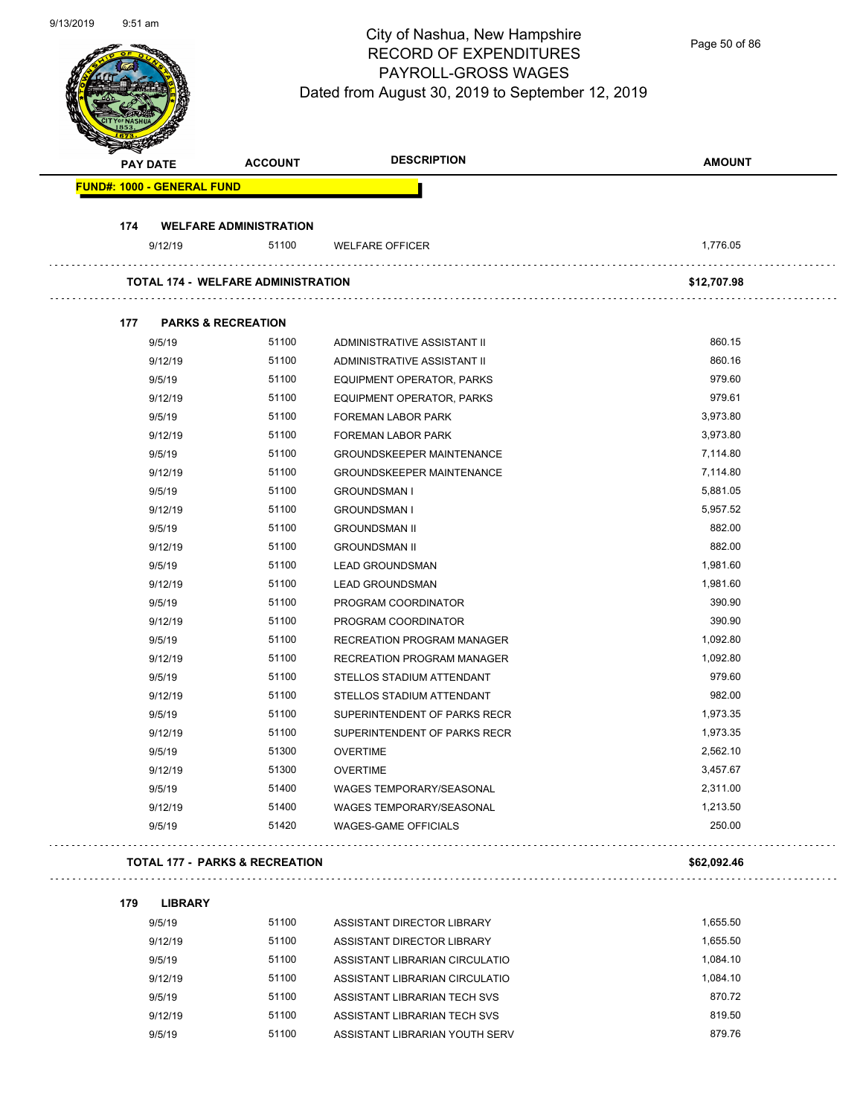#### City of Nashua, New Hampshire RECORD OF EXPENDITURES PAYROLL-GROSS WAGES  $\frac{1}{2}$

Page 50 of 86

|     |                                   |                                           | Dated from August 30, 2019 to September 12, 2019             |                      |
|-----|-----------------------------------|-------------------------------------------|--------------------------------------------------------------|----------------------|
|     | <b>PAY DATE</b>                   | <b>ACCOUNT</b>                            | <b>DESCRIPTION</b>                                           | <b>AMOUNT</b>        |
|     | <b>FUND#: 1000 - GENERAL FUND</b> |                                           |                                                              |                      |
| 174 |                                   | <b>WELFARE ADMINISTRATION</b>             |                                                              |                      |
|     | 9/12/19                           | 51100                                     | <b>WELFARE OFFICER</b>                                       | 1,776.05             |
|     |                                   | <b>TOTAL 174 - WELFARE ADMINISTRATION</b> |                                                              | \$12,707.98          |
|     |                                   |                                           |                                                              |                      |
| 177 | <b>PARKS &amp; RECREATION</b>     |                                           |                                                              |                      |
|     | 9/5/19                            | 51100                                     | ADMINISTRATIVE ASSISTANT II                                  | 860.15               |
|     | 9/12/19                           | 51100                                     | ADMINISTRATIVE ASSISTANT II                                  | 860.16<br>979.60     |
|     | 9/5/19                            | 51100                                     | EQUIPMENT OPERATOR, PARKS                                    | 979.61               |
|     | 9/12/19                           | 51100                                     | EQUIPMENT OPERATOR, PARKS                                    | 3,973.80             |
|     | 9/5/19                            | 51100                                     | <b>FOREMAN LABOR PARK</b>                                    |                      |
|     | 9/12/19                           | 51100                                     | FOREMAN LABOR PARK                                           | 3,973.80<br>7,114.80 |
|     | 9/5/19                            | 51100                                     | <b>GROUNDSKEEPER MAINTENANCE</b>                             |                      |
|     | 9/12/19                           | 51100                                     | <b>GROUNDSKEEPER MAINTENANCE</b>                             | 7,114.80             |
|     | 9/5/19                            | 51100                                     | <b>GROUNDSMAN I</b>                                          | 5,881.05             |
|     | 9/12/19                           | 51100                                     | <b>GROUNDSMAN I</b>                                          | 5,957.52             |
|     | 9/5/19                            | 51100<br>51100                            | <b>GROUNDSMAN II</b>                                         | 882.00<br>882.00     |
|     | 9/12/19                           |                                           | <b>GROUNDSMAN II</b>                                         |                      |
|     | 9/5/19                            | 51100                                     | <b>LEAD GROUNDSMAN</b>                                       | 1,981.60             |
|     | 9/12/19                           | 51100                                     | <b>LEAD GROUNDSMAN</b>                                       | 1,981.60             |
|     | 9/5/19                            | 51100                                     | PROGRAM COORDINATOR                                          | 390.90               |
|     | 9/12/19                           | 51100                                     | PROGRAM COORDINATOR                                          | 390.90               |
|     | 9/5/19                            | 51100                                     | RECREATION PROGRAM MANAGER                                   | 1,092.80             |
|     | 9/12/19                           | 51100                                     | RECREATION PROGRAM MANAGER                                   | 1,092.80<br>979.60   |
|     | 9/5/19                            | 51100                                     | STELLOS STADIUM ATTENDANT                                    |                      |
|     | 9/12/19                           | 51100<br>51100                            | STELLOS STADIUM ATTENDANT                                    | 982.00<br>1,973.35   |
|     | 9/5/19                            | 51100                                     | SUPERINTENDENT OF PARKS RECR<br>SUPERINTENDENT OF PARKS RECR | 1,973.35             |
|     | 9/12/19<br>9/5/19                 | 51300                                     | <b>OVERTIME</b>                                              | 2,562.10             |
|     | 9/12/19                           | 51300                                     | <b>OVERTIME</b>                                              | 3,457.67             |
|     |                                   |                                           |                                                              |                      |
|     | 9/5/19<br>9/12/19                 | 51400<br>51400                            | WAGES TEMPORARY/SEASONAL                                     | 2,311.00<br>1,213.50 |
|     |                                   |                                           | WAGES TEMPORARY/SEASONAL                                     |                      |
|     | 9/5/19                            | 51420                                     | <b>WAGES-GAME OFFICIALS</b>                                  | 250.00               |
|     |                                   | <b>TOTAL 177 - PARKS &amp; RECREATION</b> |                                                              | \$62,092.46          |
|     |                                   |                                           |                                                              |                      |
| 179 | <b>LIBRARY</b><br>9/5/19          | 51100                                     | ASSISTANT DIRECTOR LIBRARY                                   | 1,655.50             |
|     | 9/12/19                           | 51100                                     | ASSISTANT DIRECTOR LIBRARY                                   | 1,655.50             |
|     | 9/5/19                            | 51100                                     | ASSISTANT LIBRARIAN CIRCULATIO                               | 1,084.10             |

9/12/19 51100 ASSISTANT LIBRARIAN CIRCULATIO 1,084.10 9/5/19 51100 ASSISTANT LIBRARIAN TECH SVS 870.72 9/12/19 51100 ASSISTANT LIBRARIAN TECH SVS 819.50 9/5/19 51100 ASSISTANT LIBRARIAN YOUTH SERV 879.76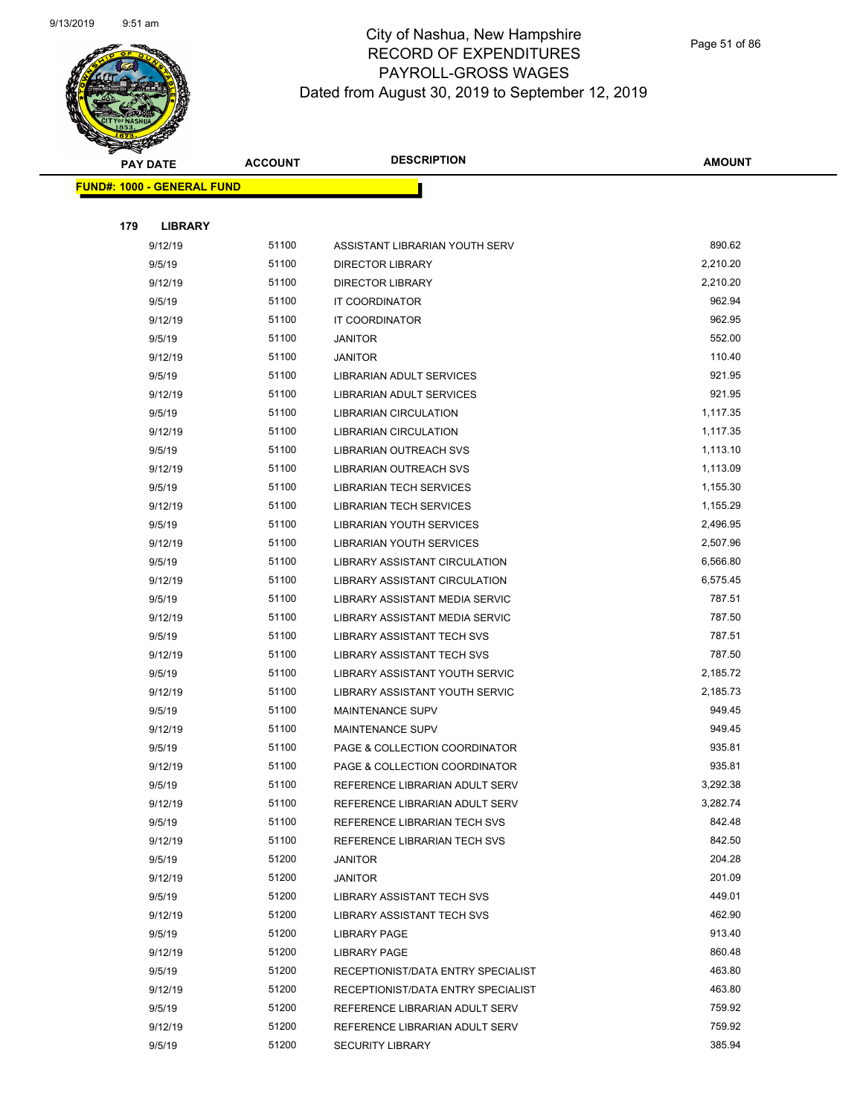

Page 51 of 86

|     | <b>PAY DATE</b>                   | <b>ACCOUNT</b> | <b>DESCRIPTION</b>                 | <b>AMOUNT</b> |
|-----|-----------------------------------|----------------|------------------------------------|---------------|
|     | <b>FUND#: 1000 - GENERAL FUND</b> |                |                                    |               |
|     |                                   |                |                                    |               |
| 179 | <b>LIBRARY</b>                    |                |                                    |               |
|     | 9/12/19                           | 51100          | ASSISTANT LIBRARIAN YOUTH SERV     | 890.62        |
|     | 9/5/19                            | 51100          | <b>DIRECTOR LIBRARY</b>            | 2,210.20      |
|     | 9/12/19                           | 51100          | <b>DIRECTOR LIBRARY</b>            | 2,210.20      |
|     | 9/5/19                            | 51100          | <b>IT COORDINATOR</b>              | 962.94        |
|     | 9/12/19                           | 51100          | <b>IT COORDINATOR</b>              | 962.95        |
|     | 9/5/19                            | 51100          | <b>JANITOR</b>                     | 552.00        |
|     | 9/12/19                           | 51100          | <b>JANITOR</b>                     | 110.40        |
|     | 9/5/19                            | 51100          | LIBRARIAN ADULT SERVICES           | 921.95        |
|     | 9/12/19                           | 51100          | LIBRARIAN ADULT SERVICES           | 921.95        |
|     | 9/5/19                            | 51100          | <b>LIBRARIAN CIRCULATION</b>       | 1,117.35      |
|     | 9/12/19                           | 51100          | <b>LIBRARIAN CIRCULATION</b>       | 1,117.35      |
|     | 9/5/19                            | 51100          | LIBRARIAN OUTREACH SVS             | 1,113.10      |
|     | 9/12/19                           | 51100          | LIBRARIAN OUTREACH SVS             | 1,113.09      |
|     | 9/5/19                            | 51100          | <b>LIBRARIAN TECH SERVICES</b>     | 1,155.30      |
|     | 9/12/19                           | 51100          | <b>LIBRARIAN TECH SERVICES</b>     | 1,155.29      |
|     | 9/5/19                            | 51100          | LIBRARIAN YOUTH SERVICES           | 2,496.95      |
|     | 9/12/19                           | 51100          | LIBRARIAN YOUTH SERVICES           | 2,507.96      |
|     | 9/5/19                            | 51100          | LIBRARY ASSISTANT CIRCULATION      | 6,566.80      |
|     | 9/12/19                           | 51100          | LIBRARY ASSISTANT CIRCULATION      | 6,575.45      |
|     | 9/5/19                            | 51100          | LIBRARY ASSISTANT MEDIA SERVIC     | 787.51        |
|     | 9/12/19                           | 51100          | LIBRARY ASSISTANT MEDIA SERVIC     | 787.50        |
|     | 9/5/19                            | 51100          | LIBRARY ASSISTANT TECH SVS         | 787.51        |
|     | 9/12/19                           | 51100          | LIBRARY ASSISTANT TECH SVS         | 787.50        |
|     | 9/5/19                            | 51100          | LIBRARY ASSISTANT YOUTH SERVIC     | 2,185.72      |
|     | 9/12/19                           | 51100          | LIBRARY ASSISTANT YOUTH SERVIC     | 2,185.73      |
|     | 9/5/19                            | 51100          | <b>MAINTENANCE SUPV</b>            | 949.45        |
|     | 9/12/19                           | 51100          | MAINTENANCE SUPV                   | 949.45        |
|     | 9/5/19                            | 51100          | PAGE & COLLECTION COORDINATOR      | 935.81        |
|     | 9/12/19                           | 51100          | PAGE & COLLECTION COORDINATOR      | 935.81        |
|     | 9/5/19                            | 51100          | REFERENCE LIBRARIAN ADULT SERV     | 3,292.38      |
|     | 9/12/19                           | 51100          | REFERENCE LIBRARIAN ADULT SERV     | 3,282.74      |
|     | 9/5/19                            | 51100          | REFERENCE LIBRARIAN TECH SVS       | 842.48        |
|     | 9/12/19                           | 51100          | REFERENCE LIBRARIAN TECH SVS       | 842.50        |
|     | 9/5/19                            | 51200          | <b>JANITOR</b>                     | 204.28        |
|     | 9/12/19                           | 51200          | <b>JANITOR</b>                     | 201.09        |
|     | 9/5/19                            | 51200          | LIBRARY ASSISTANT TECH SVS         | 449.01        |
|     | 9/12/19                           | 51200          | LIBRARY ASSISTANT TECH SVS         | 462.90        |
|     | 9/5/19                            | 51200          | <b>LIBRARY PAGE</b>                | 913.40        |
|     | 9/12/19                           | 51200          | <b>LIBRARY PAGE</b>                | 860.48        |
|     | 9/5/19                            | 51200          | RECEPTIONIST/DATA ENTRY SPECIALIST | 463.80        |
|     | 9/12/19                           | 51200          | RECEPTIONIST/DATA ENTRY SPECIALIST | 463.80        |
|     | 9/5/19                            | 51200          | REFERENCE LIBRARIAN ADULT SERV     | 759.92        |
|     | 9/12/19                           | 51200          | REFERENCE LIBRARIAN ADULT SERV     | 759.92        |
|     | 9/5/19                            | 51200          | <b>SECURITY LIBRARY</b>            | 385.94        |
|     |                                   |                |                                    |               |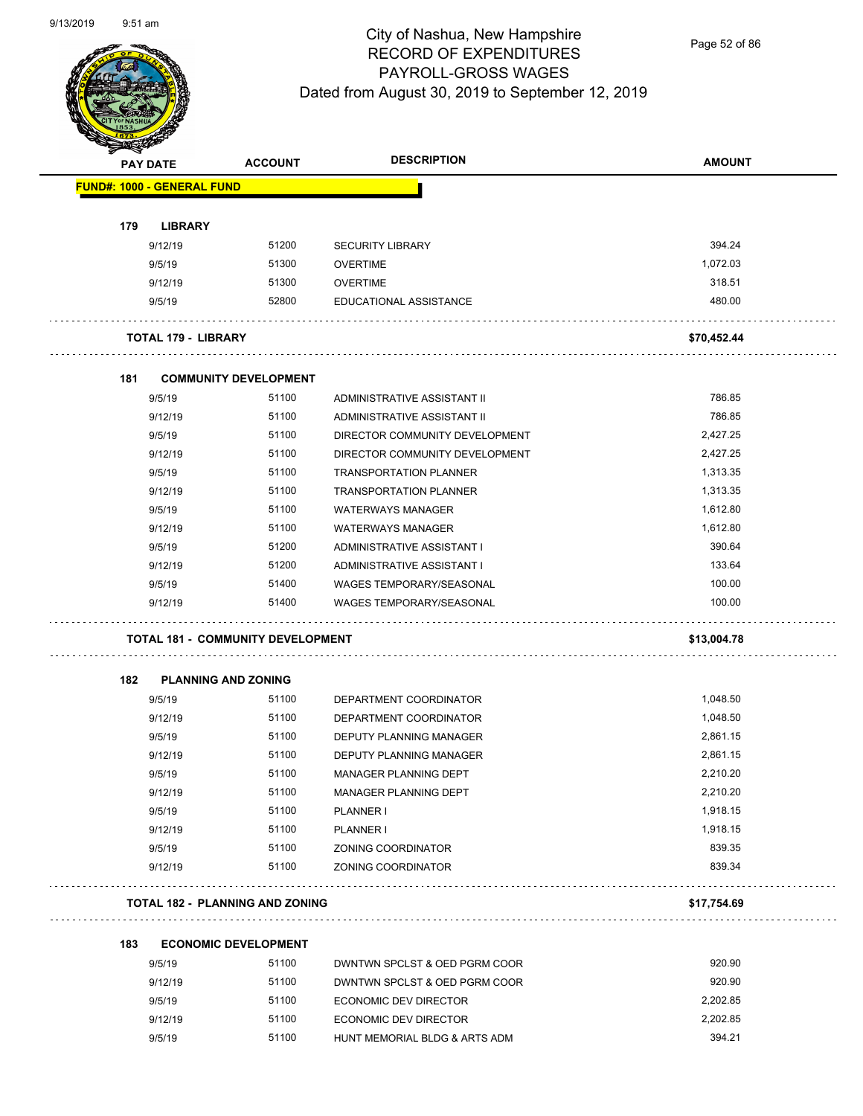

Page 52 of 86

| <b>PAY DATE</b>                   | <b>ACCOUNT</b>                           | <b>DESCRIPTION</b>              | <b>AMOUNT</b> |
|-----------------------------------|------------------------------------------|---------------------------------|---------------|
| <b>FUND#: 1000 - GENERAL FUND</b> |                                          |                                 |               |
| 179<br><b>LIBRARY</b>             |                                          |                                 |               |
| 9/12/19                           | 51200                                    | <b>SECURITY LIBRARY</b>         | 394.24        |
| 9/5/19                            | 51300                                    | <b>OVERTIME</b>                 | 1,072.03      |
| 9/12/19                           | 51300                                    | <b>OVERTIME</b>                 | 318.51        |
| 9/5/19                            | 52800                                    | EDUCATIONAL ASSISTANCE          | 480.00        |
| <b>TOTAL 179 - LIBRARY</b>        |                                          |                                 | \$70,452.44   |
| 181                               | <b>COMMUNITY DEVELOPMENT</b>             |                                 |               |
| 9/5/19                            | 51100                                    | ADMINISTRATIVE ASSISTANT II     | 786.85        |
| 9/12/19                           | 51100                                    | ADMINISTRATIVE ASSISTANT II     | 786.85        |
| 9/5/19                            | 51100                                    | DIRECTOR COMMUNITY DEVELOPMENT  | 2,427.25      |
| 9/12/19                           | 51100                                    | DIRECTOR COMMUNITY DEVELOPMENT  | 2,427.25      |
| 9/5/19                            | 51100                                    | <b>TRANSPORTATION PLANNER</b>   | 1,313.35      |
| 9/12/19                           | 51100                                    | <b>TRANSPORTATION PLANNER</b>   | 1,313.35      |
| 9/5/19                            | 51100                                    | <b>WATERWAYS MANAGER</b>        | 1,612.80      |
| 9/12/19                           | 51100                                    | <b>WATERWAYS MANAGER</b>        | 1,612.80      |
| 9/5/19                            | 51200                                    | ADMINISTRATIVE ASSISTANT I      | 390.64        |
| 9/12/19                           | 51200                                    | ADMINISTRATIVE ASSISTANT I      | 133.64        |
| 9/5/19                            | 51400                                    | WAGES TEMPORARY/SEASONAL        | 100.00        |
| 9/12/19                           | 51400                                    | <b>WAGES TEMPORARY/SEASONAL</b> | 100.00        |
|                                   | <b>TOTAL 181 - COMMUNITY DEVELOPMENT</b> |                                 | \$13,004.78   |
| 182                               | <b>PLANNING AND ZONING</b>               |                                 |               |
| 9/5/19                            | 51100                                    | DEPARTMENT COORDINATOR          | 1,048.50      |
| 9/12/19                           | 51100                                    | DEPARTMENT COORDINATOR          | 1,048.50      |
| 9/5/19                            | 51100                                    | DEPUTY PLANNING MANAGER         | 2,861.15      |
| 9/12/19                           | 51100                                    | DEPUTY PLANNING MANAGER         | 2,861.15      |
| 9/5/19                            | 51100                                    | MANAGER PLANNING DEPT           | 2,210.20      |
| 9/12/19                           | 51100                                    | MANAGER PLANNING DEPT           | 2,210.20      |
| 9/5/19                            | 51100                                    | PLANNER I                       | 1,918.15      |
| 9/12/19                           | 51100                                    | PLANNER I                       | 1,918.15      |
| 9/5/19                            | 51100                                    | ZONING COORDINATOR              | 839.35        |
| 9/12/19                           | 51100                                    | ZONING COORDINATOR              | 839.34        |
|                                   | <b>TOTAL 182 - PLANNING AND ZONING</b>   |                                 | \$17,754.69   |
| 183                               | <b>ECONOMIC DEVELOPMENT</b>              |                                 |               |
| 9/5/19                            | 51100                                    | DWNTWN SPCLST & OED PGRM COOR   | 920.90        |
|                                   |                                          |                                 |               |

| 9/5/19  | 51100 | DWNTWN SPCLST & OED PGRM COOR | 920.90   |
|---------|-------|-------------------------------|----------|
| 9/12/19 | 51100 | DWNTWN SPCLST & OED PGRM COOR | 920.90   |
| 9/5/19  | 51100 | ECONOMIC DEV DIRECTOR         | 2.202.85 |
| 9/12/19 | 51100 | ECONOMIC DEV DIRECTOR         | 2.202.85 |
| 9/5/19  | 51100 | HUNT MEMORIAL BLDG & ARTS ADM | 394.21   |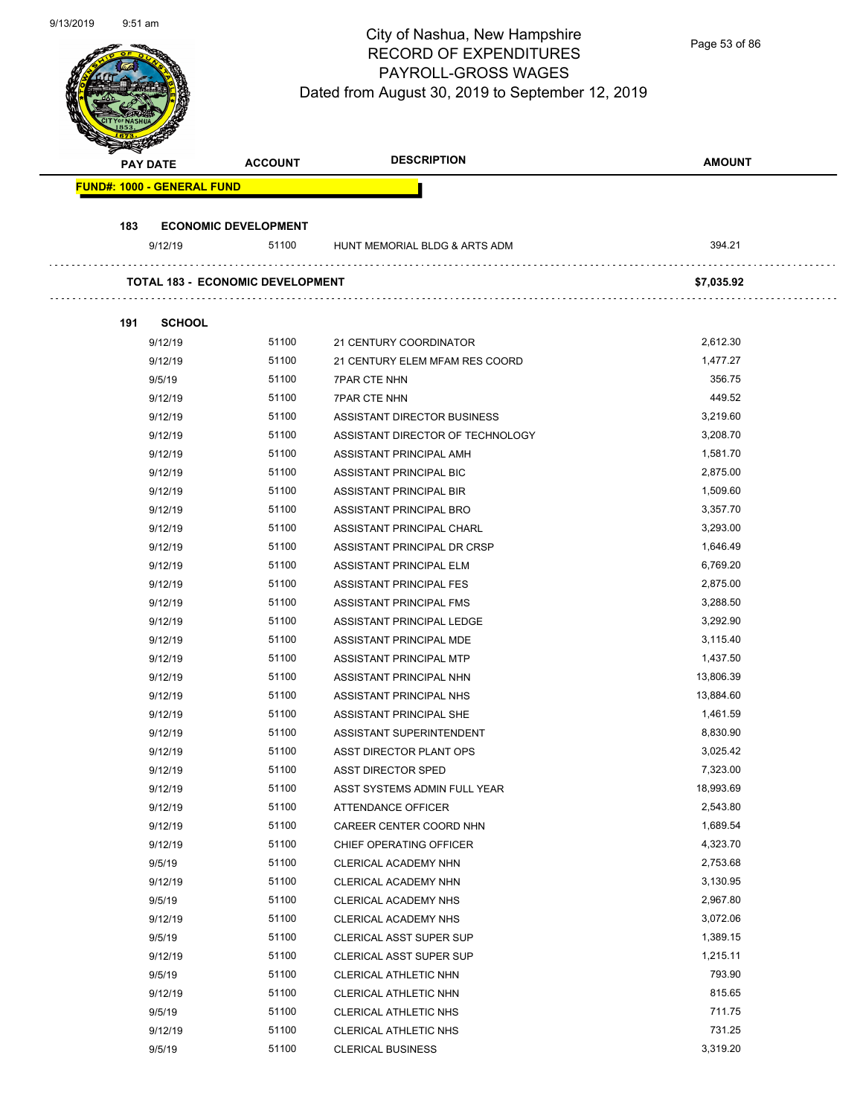Page 53 of 86

| <b>PAY DATE</b>                   | <b>ACCOUNT</b>                   | <b>DESCRIPTION</b>               | <b>AMOUNT</b> |
|-----------------------------------|----------------------------------|----------------------------------|---------------|
| <b>FUND#: 1000 - GENERAL FUND</b> |                                  |                                  |               |
| 183                               | <b>ECONOMIC DEVELOPMENT</b>      |                                  |               |
| 9/12/19                           | 51100                            | HUNT MEMORIAL BLDG & ARTS ADM    | 394.21        |
|                                   | TOTAL 183 - ECONOMIC DEVELOPMENT |                                  | \$7,035.92    |
| <b>SCHOOL</b><br>191              |                                  |                                  |               |
| 9/12/19                           | 51100                            | 21 CENTURY COORDINATOR           | 2,612.30      |
| 9/12/19                           | 51100                            | 21 CENTURY ELEM MFAM RES COORD   | 1,477.27      |
| 9/5/19                            | 51100                            | <b>7PAR CTE NHN</b>              | 356.75        |
| 9/12/19                           | 51100                            | <b>7PAR CTE NHN</b>              | 449.52        |
| 9/12/19                           | 51100                            | ASSISTANT DIRECTOR BUSINESS      | 3,219.60      |
| 9/12/19                           | 51100                            | ASSISTANT DIRECTOR OF TECHNOLOGY | 3,208.70      |
| 9/12/19                           | 51100                            | ASSISTANT PRINCIPAL AMH          | 1,581.70      |
| 9/12/19                           | 51100                            | <b>ASSISTANT PRINCIPAL BIC</b>   | 2,875.00      |
| 9/12/19                           | 51100                            | ASSISTANT PRINCIPAL BIR          | 1,509.60      |
| 9/12/19                           | 51100                            | ASSISTANT PRINCIPAL BRO          | 3,357.70      |
| 9/12/19                           | 51100                            | ASSISTANT PRINCIPAL CHARL        | 3,293.00      |
| 9/12/19                           | 51100                            | ASSISTANT PRINCIPAL DR CRSP      | 1,646.49      |
| 9/12/19                           | 51100                            | ASSISTANT PRINCIPAL ELM          | 6,769.20      |
| 9/12/19                           | 51100                            | ASSISTANT PRINCIPAL FES          | 2,875.00      |
| 9/12/19                           | 51100                            | ASSISTANT PRINCIPAL FMS          | 3,288.50      |
| 9/12/19                           | 51100                            | ASSISTANT PRINCIPAL LEDGE        | 3,292.90      |
| 9/12/19                           | 51100                            | ASSISTANT PRINCIPAL MDE          | 3,115.40      |
| 9/12/19                           | 51100                            | ASSISTANT PRINCIPAL MTP          | 1,437.50      |
| 9/12/19                           | 51100                            | ASSISTANT PRINCIPAL NHN          | 13,806.39     |
| 9/12/19                           | 51100                            | ASSISTANT PRINCIPAL NHS          | 13,884.60     |
| 9/12/19                           | 51100                            | ASSISTANT PRINCIPAL SHE          | 1,461.59      |
| 9/12/19                           | 51100                            | ASSISTANT SUPERINTENDENT         | 8,830.90      |
| 9/12/19                           | 51100                            | ASST DIRECTOR PLANT OPS          | 3,025.42      |
| 9/12/19                           | 51100                            | <b>ASST DIRECTOR SPED</b>        | 7,323.00      |
| 9/12/19                           | 51100                            | ASST SYSTEMS ADMIN FULL YEAR     | 18,993.69     |
| 9/12/19                           | 51100                            | ATTENDANCE OFFICER               | 2,543.80      |
| 9/12/19                           | 51100                            | CAREER CENTER COORD NHN          | 1,689.54      |
| 9/12/19                           | 51100                            | CHIEF OPERATING OFFICER          | 4,323.70      |
| 9/5/19                            | 51100                            | CLERICAL ACADEMY NHN             | 2,753.68      |
| 9/12/19                           | 51100                            | CLERICAL ACADEMY NHN             | 3,130.95      |
| 9/5/19                            | 51100                            | CLERICAL ACADEMY NHS             | 2,967.80      |
| 9/12/19                           | 51100                            | CLERICAL ACADEMY NHS             | 3,072.06      |
| 9/5/19                            | 51100                            | <b>CLERICAL ASST SUPER SUP</b>   | 1,389.15      |
| 9/12/19                           | 51100                            | CLERICAL ASST SUPER SUP          | 1,215.11      |
|                                   | 51100                            |                                  | 793.90        |
| 9/5/19                            |                                  | CLERICAL ATHLETIC NHN            |               |
| 9/12/19                           | 51100                            | CLERICAL ATHLETIC NHN            | 815.65        |
| 9/5/19                            | 51100                            | CLERICAL ATHLETIC NHS            | 711.75        |
| 9/12/19                           | 51100                            | CLERICAL ATHLETIC NHS            | 731.25        |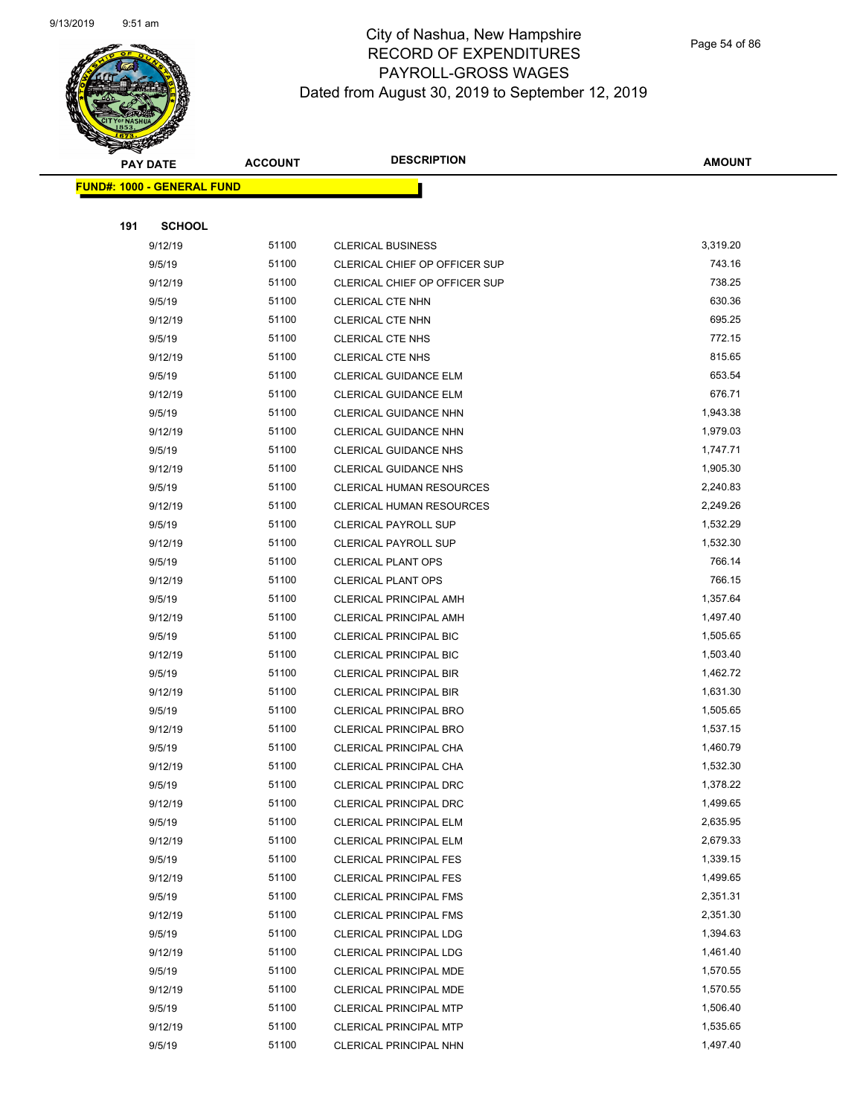

Page 54 of 86

|     | <b>PAY DATE</b>                   | <b>ACCOUNT</b> | <b>DESCRIPTION</b>              | <b>AMOUNT</b> |
|-----|-----------------------------------|----------------|---------------------------------|---------------|
|     | <b>FUND#: 1000 - GENERAL FUND</b> |                |                                 |               |
|     |                                   |                |                                 |               |
| 191 | <b>SCHOOL</b>                     |                |                                 |               |
|     | 9/12/19                           | 51100          | <b>CLERICAL BUSINESS</b>        | 3,319.20      |
|     | 9/5/19                            | 51100          | CLERICAL CHIEF OP OFFICER SUP   | 743.16        |
|     | 9/12/19                           | 51100          | CLERICAL CHIEF OP OFFICER SUP   | 738.25        |
|     | 9/5/19                            | 51100          | <b>CLERICAL CTE NHN</b>         | 630.36        |
|     | 9/12/19                           | 51100          | <b>CLERICAL CTE NHN</b>         | 695.25        |
|     | 9/5/19                            | 51100          | <b>CLERICAL CTE NHS</b>         | 772.15        |
|     | 9/12/19                           | 51100          | <b>CLERICAL CTE NHS</b>         | 815.65        |
|     | 9/5/19                            | 51100          | CLERICAL GUIDANCE ELM           | 653.54        |
|     | 9/12/19                           | 51100          | CLERICAL GUIDANCE ELM           | 676.71        |
|     | 9/5/19                            | 51100          | CLERICAL GUIDANCE NHN           | 1,943.38      |
|     | 9/12/19                           | 51100          | CLERICAL GUIDANCE NHN           | 1,979.03      |
|     | 9/5/19                            | 51100          | <b>CLERICAL GUIDANCE NHS</b>    | 1,747.71      |
|     | 9/12/19                           | 51100          | <b>CLERICAL GUIDANCE NHS</b>    | 1,905.30      |
|     | 9/5/19                            | 51100          | <b>CLERICAL HUMAN RESOURCES</b> | 2,240.83      |
|     | 9/12/19                           | 51100          | <b>CLERICAL HUMAN RESOURCES</b> | 2,249.26      |
|     | 9/5/19                            | 51100          | <b>CLERICAL PAYROLL SUP</b>     | 1,532.29      |
|     | 9/12/19                           | 51100          | <b>CLERICAL PAYROLL SUP</b>     | 1,532.30      |
|     | 9/5/19                            | 51100          | <b>CLERICAL PLANT OPS</b>       | 766.14        |
|     | 9/12/19                           | 51100          | <b>CLERICAL PLANT OPS</b>       | 766.15        |
|     | 9/5/19                            | 51100          | <b>CLERICAL PRINCIPAL AMH</b>   | 1,357.64      |
|     | 9/12/19                           | 51100          | CLERICAL PRINCIPAL AMH          | 1,497.40      |
|     | 9/5/19                            | 51100          | <b>CLERICAL PRINCIPAL BIC</b>   | 1,505.65      |
|     | 9/12/19                           | 51100          | <b>CLERICAL PRINCIPAL BIC</b>   | 1,503.40      |
|     | 9/5/19                            | 51100          | <b>CLERICAL PRINCIPAL BIR</b>   | 1,462.72      |
|     | 9/12/19                           | 51100          | <b>CLERICAL PRINCIPAL BIR</b>   | 1,631.30      |
|     | 9/5/19                            | 51100          | CLERICAL PRINCIPAL BRO          | 1,505.65      |
|     | 9/12/19                           | 51100          | <b>CLERICAL PRINCIPAL BRO</b>   | 1,537.15      |
|     | 9/5/19                            | 51100          | CLERICAL PRINCIPAL CHA          | 1,460.79      |
|     | 9/12/19                           | 51100          | CLERICAL PRINCIPAL CHA          | 1,532.30      |
|     | 9/5/19                            | 51100          | <b>CLERICAL PRINCIPAL DRC</b>   | 1,378.22      |
|     | 9/12/19                           | 51100          | CLERICAL PRINCIPAL DRC          | 1,499.65      |
|     | 9/5/19                            | 51100          | CLERICAL PRINCIPAL ELM          | 2,635.95      |
|     | 9/12/19                           | 51100          | <b>CLERICAL PRINCIPAL ELM</b>   | 2,679.33      |
|     | 9/5/19                            | 51100          | <b>CLERICAL PRINCIPAL FES</b>   | 1,339.15      |
|     | 9/12/19                           | 51100          | <b>CLERICAL PRINCIPAL FES</b>   | 1,499.65      |
|     | 9/5/19                            | 51100          | <b>CLERICAL PRINCIPAL FMS</b>   | 2,351.31      |
|     | 9/12/19                           | 51100          | <b>CLERICAL PRINCIPAL FMS</b>   | 2,351.30      |
|     | 9/5/19                            | 51100          | CLERICAL PRINCIPAL LDG          | 1,394.63      |
|     | 9/12/19                           | 51100          | CLERICAL PRINCIPAL LDG          | 1,461.40      |
|     | 9/5/19                            | 51100          | <b>CLERICAL PRINCIPAL MDE</b>   | 1,570.55      |
|     | 9/12/19                           | 51100          | <b>CLERICAL PRINCIPAL MDE</b>   | 1,570.55      |
|     | 9/5/19                            | 51100          | <b>CLERICAL PRINCIPAL MTP</b>   | 1,506.40      |
|     | 9/12/19                           | 51100          | <b>CLERICAL PRINCIPAL MTP</b>   | 1,535.65      |
|     | 9/5/19                            | 51100          | CLERICAL PRINCIPAL NHN          | 1,497.40      |
|     |                                   |                |                                 |               |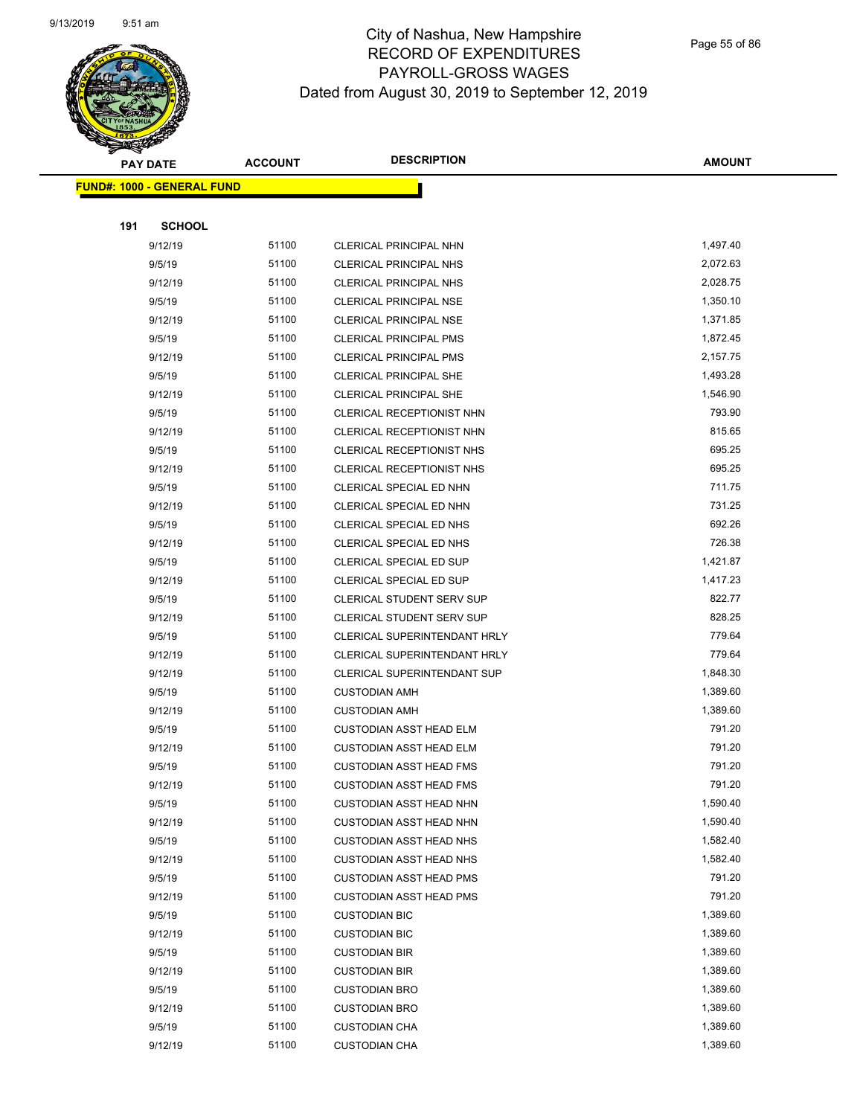

Page 55 of 86

|     | <b>PAY DATE</b>                   | <b>ACCOUNT</b> | <b>DESCRIPTION</b>               | <b>AMOUNT</b>        |
|-----|-----------------------------------|----------------|----------------------------------|----------------------|
|     | <b>FUND#: 1000 - GENERAL FUND</b> |                |                                  |                      |
|     |                                   |                |                                  |                      |
| 191 | <b>SCHOOL</b>                     |                |                                  |                      |
|     | 9/12/19                           | 51100          | CLERICAL PRINCIPAL NHN           | 1,497.40             |
|     | 9/5/19                            | 51100          | <b>CLERICAL PRINCIPAL NHS</b>    | 2,072.63             |
|     | 9/12/19                           | 51100          | <b>CLERICAL PRINCIPAL NHS</b>    | 2,028.75             |
|     | 9/5/19                            | 51100          | <b>CLERICAL PRINCIPAL NSE</b>    | 1,350.10             |
|     | 9/12/19                           | 51100          | <b>CLERICAL PRINCIPAL NSE</b>    | 1,371.85             |
|     | 9/5/19                            | 51100          | CLERICAL PRINCIPAL PMS           | 1,872.45             |
|     | 9/12/19                           | 51100          | <b>CLERICAL PRINCIPAL PMS</b>    | 2,157.75             |
|     | 9/5/19                            | 51100          | CLERICAL PRINCIPAL SHE           | 1,493.28             |
|     | 9/12/19                           | 51100          | CLERICAL PRINCIPAL SHE           | 1,546.90             |
|     | 9/5/19                            | 51100          | <b>CLERICAL RECEPTIONIST NHN</b> | 793.90               |
|     | 9/12/19                           | 51100          | CLERICAL RECEPTIONIST NHN        | 815.65               |
|     | 9/5/19                            | 51100          | <b>CLERICAL RECEPTIONIST NHS</b> | 695.25               |
|     | 9/12/19                           | 51100          | <b>CLERICAL RECEPTIONIST NHS</b> | 695.25               |
|     | 9/5/19                            | 51100          | CLERICAL SPECIAL ED NHN          | 711.75               |
|     | 9/12/19                           | 51100          | CLERICAL SPECIAL ED NHN          | 731.25               |
|     | 9/5/19                            | 51100          | CLERICAL SPECIAL ED NHS          | 692.26               |
|     | 9/12/19                           | 51100          | CLERICAL SPECIAL ED NHS          | 726.38               |
|     | 9/5/19                            | 51100          | CLERICAL SPECIAL ED SUP          | 1,421.87             |
|     | 9/12/19                           | 51100          | CLERICAL SPECIAL ED SUP          | 1,417.23             |
|     | 9/5/19                            | 51100          | <b>CLERICAL STUDENT SERV SUP</b> | 822.77               |
|     | 9/12/19                           | 51100          | <b>CLERICAL STUDENT SERV SUP</b> | 828.25               |
|     | 9/5/19                            | 51100          | CLERICAL SUPERINTENDANT HRLY     | 779.64               |
|     | 9/12/19                           | 51100          | CLERICAL SUPERINTENDANT HRLY     | 779.64               |
|     | 9/12/19                           | 51100          | CLERICAL SUPERINTENDANT SUP      | 1,848.30             |
|     | 9/5/19                            | 51100          | <b>CUSTODIAN AMH</b>             | 1,389.60             |
|     | 9/12/19                           | 51100          | <b>CUSTODIAN AMH</b>             | 1,389.60             |
|     | 9/5/19                            | 51100          | <b>CUSTODIAN ASST HEAD ELM</b>   | 791.20               |
|     | 9/12/19                           | 51100          | <b>CUSTODIAN ASST HEAD ELM</b>   | 791.20               |
|     | 9/5/19                            | 51100          | <b>CUSTODIAN ASST HEAD FMS</b>   | 791.20               |
|     | 9/12/19                           | 51100          | CUSTODIAN ASST HEAD FMS          | 791.20               |
|     | 9/5/19                            | 51100          | <b>CUSTODIAN ASST HEAD NHN</b>   | 1,590.40             |
|     | 9/12/19                           | 51100          | <b>CUSTODIAN ASST HEAD NHN</b>   | 1,590.40             |
|     | 9/5/19                            | 51100          | <b>CUSTODIAN ASST HEAD NHS</b>   | 1,582.40             |
|     | 9/12/19                           | 51100          | <b>CUSTODIAN ASST HEAD NHS</b>   | 1,582.40             |
|     | 9/5/19                            | 51100          | <b>CUSTODIAN ASST HEAD PMS</b>   | 791.20               |
|     | 9/12/19                           | 51100          | <b>CUSTODIAN ASST HEAD PMS</b>   | 791.20               |
|     | 9/5/19                            | 51100          | <b>CUSTODIAN BIC</b>             | 1,389.60             |
|     | 9/12/19                           | 51100          | <b>CUSTODIAN BIC</b>             | 1,389.60             |
|     | 9/5/19                            | 51100          | <b>CUSTODIAN BIR</b>             | 1,389.60             |
|     | 9/12/19                           | 51100          | <b>CUSTODIAN BIR</b>             | 1,389.60             |
|     | 9/5/19                            | 51100          | <b>CUSTODIAN BRO</b>             | 1,389.60             |
|     | 9/12/19                           | 51100          | <b>CUSTODIAN BRO</b>             | 1,389.60             |
|     | 9/5/19                            | 51100          | <b>CUSTODIAN CHA</b>             | 1,389.60<br>1,389.60 |
|     | 9/12/19                           | 51100          | <b>CUSTODIAN CHA</b>             |                      |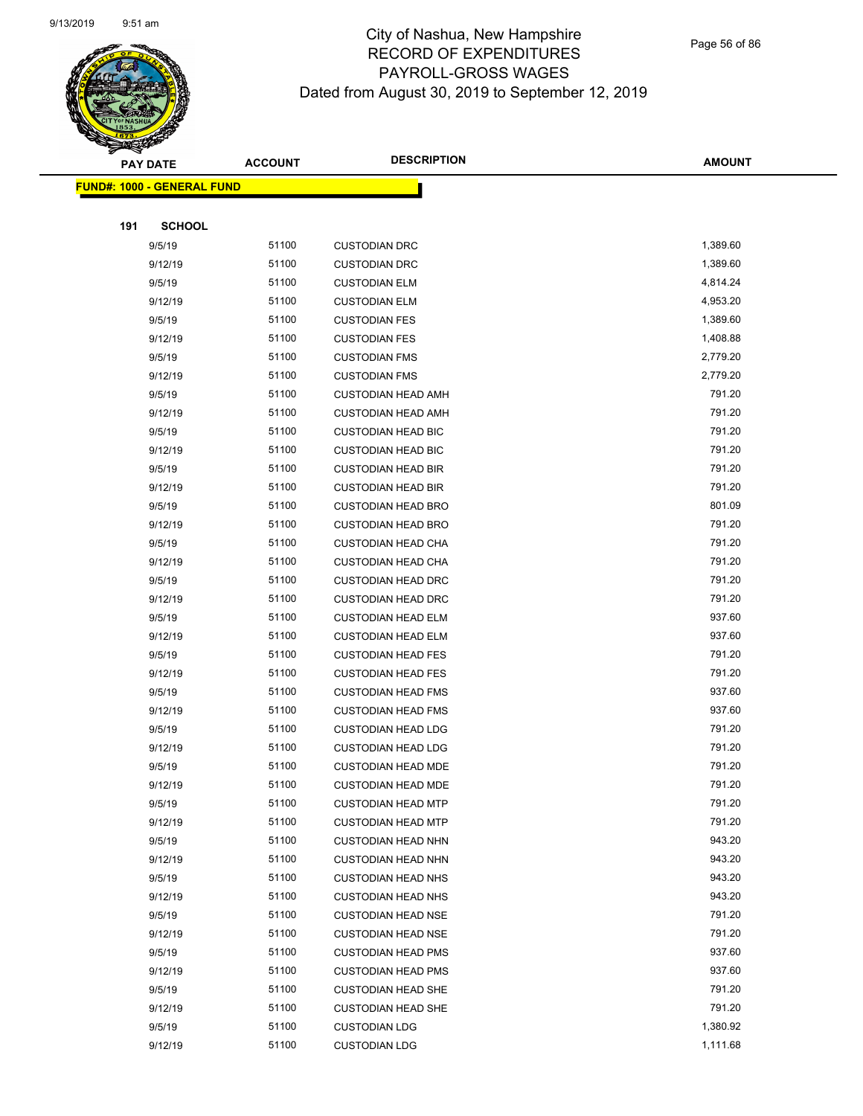

Page 56 of 86

|     | <b>PAY DATE</b>                    | <b>ACCOUNT</b> | <b>DESCRIPTION</b>        | <b>AMOUNT</b> |
|-----|------------------------------------|----------------|---------------------------|---------------|
|     | <u> FUND#: 1000 - GENERAL FUND</u> |                |                           |               |
|     |                                    |                |                           |               |
| 191 | <b>SCHOOL</b>                      |                |                           |               |
|     | 9/5/19                             | 51100          | <b>CUSTODIAN DRC</b>      | 1,389.60      |
|     | 9/12/19                            | 51100          | <b>CUSTODIAN DRC</b>      | 1,389.60      |
|     | 9/5/19                             | 51100          | <b>CUSTODIAN ELM</b>      | 4,814.24      |
|     | 9/12/19                            | 51100          | <b>CUSTODIAN ELM</b>      | 4,953.20      |
|     | 9/5/19                             | 51100          | <b>CUSTODIAN FES</b>      | 1,389.60      |
|     | 9/12/19                            | 51100          | <b>CUSTODIAN FES</b>      | 1,408.88      |
|     | 9/5/19                             | 51100          | <b>CUSTODIAN FMS</b>      | 2,779.20      |
|     | 9/12/19                            | 51100          | <b>CUSTODIAN FMS</b>      | 2,779.20      |
|     | 9/5/19                             | 51100          | <b>CUSTODIAN HEAD AMH</b> | 791.20        |
|     | 9/12/19                            | 51100          | <b>CUSTODIAN HEAD AMH</b> | 791.20        |
|     | 9/5/19                             | 51100          | <b>CUSTODIAN HEAD BIC</b> | 791.20        |
|     | 9/12/19                            | 51100          | <b>CUSTODIAN HEAD BIC</b> | 791.20        |
|     | 9/5/19                             | 51100          | <b>CUSTODIAN HEAD BIR</b> | 791.20        |
|     | 9/12/19                            | 51100          | <b>CUSTODIAN HEAD BIR</b> | 791.20        |
|     | 9/5/19                             | 51100          | <b>CUSTODIAN HEAD BRO</b> | 801.09        |
|     | 9/12/19                            | 51100          | <b>CUSTODIAN HEAD BRO</b> | 791.20        |
|     | 9/5/19                             | 51100          | <b>CUSTODIAN HEAD CHA</b> | 791.20        |
|     | 9/12/19                            | 51100          | <b>CUSTODIAN HEAD CHA</b> | 791.20        |
|     | 9/5/19                             | 51100          | <b>CUSTODIAN HEAD DRC</b> | 791.20        |
|     | 9/12/19                            | 51100          | <b>CUSTODIAN HEAD DRC</b> | 791.20        |
|     | 9/5/19                             | 51100          | <b>CUSTODIAN HEAD ELM</b> | 937.60        |
|     | 9/12/19                            | 51100          | <b>CUSTODIAN HEAD ELM</b> | 937.60        |
|     | 9/5/19                             | 51100          | <b>CUSTODIAN HEAD FES</b> | 791.20        |
|     | 9/12/19                            | 51100          | <b>CUSTODIAN HEAD FES</b> | 791.20        |
|     | 9/5/19                             | 51100          | <b>CUSTODIAN HEAD FMS</b> | 937.60        |
|     | 9/12/19                            | 51100          | <b>CUSTODIAN HEAD FMS</b> | 937.60        |
|     | 9/5/19                             | 51100          | <b>CUSTODIAN HEAD LDG</b> | 791.20        |
|     | 9/12/19                            | 51100          | <b>CUSTODIAN HEAD LDG</b> | 791.20        |
|     | 9/5/19                             | 51100          | <b>CUSTODIAN HEAD MDE</b> | 791.20        |
|     | 9/12/19                            | 51100          | <b>CUSTODIAN HEAD MDE</b> | 791.20        |
|     | 9/5/19                             | 51100          | <b>CUSTODIAN HEAD MTP</b> | 791.20        |
|     | 9/12/19                            | 51100          | <b>CUSTODIAN HEAD MTP</b> | 791.20        |
|     | 9/5/19                             | 51100          | <b>CUSTODIAN HEAD NHN</b> | 943.20        |
|     | 9/12/19                            | 51100          | <b>CUSTODIAN HEAD NHN</b> | 943.20        |
|     | 9/5/19                             | 51100          | <b>CUSTODIAN HEAD NHS</b> | 943.20        |
|     | 9/12/19                            | 51100          | <b>CUSTODIAN HEAD NHS</b> | 943.20        |
|     | 9/5/19                             | 51100          | <b>CUSTODIAN HEAD NSE</b> | 791.20        |
|     | 9/12/19                            | 51100          | <b>CUSTODIAN HEAD NSE</b> | 791.20        |
|     | 9/5/19                             | 51100          | <b>CUSTODIAN HEAD PMS</b> | 937.60        |
|     | 9/12/19                            | 51100          | <b>CUSTODIAN HEAD PMS</b> | 937.60        |
|     | 9/5/19                             | 51100          | <b>CUSTODIAN HEAD SHE</b> | 791.20        |
|     | 9/12/19                            | 51100          | <b>CUSTODIAN HEAD SHE</b> | 791.20        |
|     | 9/5/19                             | 51100          | <b>CUSTODIAN LDG</b>      | 1,380.92      |
|     | 9/12/19                            | 51100          | <b>CUSTODIAN LDG</b>      | 1,111.68      |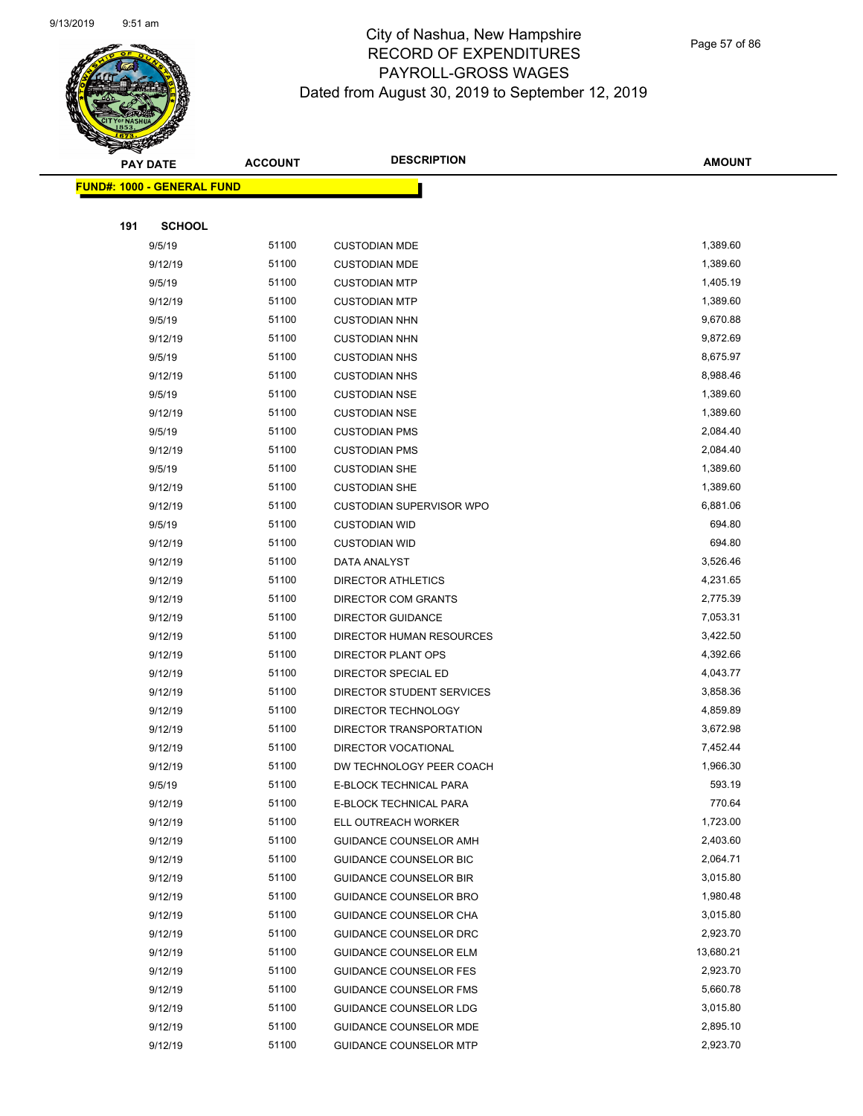

Page 57 of 86

|     | <b>PAY DATE</b>                    | <b>ACCOUNT</b> | <b>DESCRIPTION</b>            | <b>AMOUNT</b> |
|-----|------------------------------------|----------------|-------------------------------|---------------|
|     | <u> FUND#: 1000 - GENERAL FUND</u> |                |                               |               |
|     |                                    |                |                               |               |
| 191 | <b>SCHOOL</b>                      |                |                               |               |
|     | 9/5/19                             | 51100          | <b>CUSTODIAN MDE</b>          | 1,389.60      |
|     | 9/12/19                            | 51100          | <b>CUSTODIAN MDE</b>          | 1,389.60      |
|     | 9/5/19                             | 51100          | <b>CUSTODIAN MTP</b>          | 1,405.19      |
|     | 9/12/19                            | 51100          | <b>CUSTODIAN MTP</b>          | 1,389.60      |
|     | 9/5/19                             | 51100          | <b>CUSTODIAN NHN</b>          | 9,670.88      |
|     | 9/12/19                            | 51100          | <b>CUSTODIAN NHN</b>          | 9,872.69      |
|     | 9/5/19                             | 51100          | <b>CUSTODIAN NHS</b>          | 8,675.97      |
|     | 9/12/19                            | 51100          | <b>CUSTODIAN NHS</b>          | 8,988.46      |
|     | 9/5/19                             | 51100          | <b>CUSTODIAN NSE</b>          | 1,389.60      |
|     | 9/12/19                            | 51100          | <b>CUSTODIAN NSE</b>          | 1,389.60      |
|     | 9/5/19                             | 51100          | <b>CUSTODIAN PMS</b>          | 2,084.40      |
|     | 9/12/19                            | 51100          | <b>CUSTODIAN PMS</b>          | 2,084.40      |
|     | 9/5/19                             | 51100          | <b>CUSTODIAN SHE</b>          | 1,389.60      |
|     | 9/12/19                            | 51100          | <b>CUSTODIAN SHE</b>          | 1,389.60      |
|     | 9/12/19                            | 51100          | CUSTODIAN SUPERVISOR WPO      | 6,881.06      |
|     | 9/5/19                             | 51100          | <b>CUSTODIAN WID</b>          | 694.80        |
|     | 9/12/19                            | 51100          | <b>CUSTODIAN WID</b>          | 694.80        |
|     | 9/12/19                            | 51100          | DATA ANALYST                  | 3,526.46      |
|     | 9/12/19                            | 51100          | <b>DIRECTOR ATHLETICS</b>     | 4,231.65      |
|     | 9/12/19                            | 51100          | DIRECTOR COM GRANTS           | 2,775.39      |
|     | 9/12/19                            | 51100          | <b>DIRECTOR GUIDANCE</b>      | 7,053.31      |
|     | 9/12/19                            | 51100          | DIRECTOR HUMAN RESOURCES      | 3,422.50      |
|     | 9/12/19                            | 51100          | DIRECTOR PLANT OPS            | 4,392.66      |
|     | 9/12/19                            | 51100          | DIRECTOR SPECIAL ED           | 4,043.77      |
|     | 9/12/19                            | 51100          | DIRECTOR STUDENT SERVICES     | 3,858.36      |
|     | 9/12/19                            | 51100          | DIRECTOR TECHNOLOGY           | 4,859.89      |
|     | 9/12/19                            | 51100          | DIRECTOR TRANSPORTATION       | 3,672.98      |
|     | 9/12/19                            | 51100          | DIRECTOR VOCATIONAL           | 7,452.44      |
|     | 9/12/19                            | 51100          | DW TECHNOLOGY PEER COACH      | 1,966.30      |
|     | 9/5/19                             | 51100          | E-BLOCK TECHNICAL PARA        | 593.19        |
|     | 9/12/19                            | 51100          | E-BLOCK TECHNICAL PARA        | 770.64        |
|     | 9/12/19                            | 51100          | ELL OUTREACH WORKER           | 1,723.00      |
|     | 9/12/19                            | 51100          | GUIDANCE COUNSELOR AMH        | 2,403.60      |
|     | 9/12/19                            | 51100          | GUIDANCE COUNSELOR BIC        | 2,064.71      |
|     | 9/12/19                            | 51100          | <b>GUIDANCE COUNSELOR BIR</b> | 3,015.80      |
|     | 9/12/19                            | 51100          | <b>GUIDANCE COUNSELOR BRO</b> | 1,980.48      |
|     | 9/12/19                            | 51100          | <b>GUIDANCE COUNSELOR CHA</b> | 3,015.80      |
|     | 9/12/19                            | 51100          | GUIDANCE COUNSELOR DRC        | 2,923.70      |
|     | 9/12/19                            | 51100          | <b>GUIDANCE COUNSELOR ELM</b> | 13,680.21     |
|     | 9/12/19                            | 51100          | <b>GUIDANCE COUNSELOR FES</b> | 2,923.70      |
|     | 9/12/19                            | 51100          | <b>GUIDANCE COUNSELOR FMS</b> | 5,660.78      |
|     | 9/12/19                            | 51100          | <b>GUIDANCE COUNSELOR LDG</b> | 3,015.80      |
|     | 9/12/19                            | 51100          | <b>GUIDANCE COUNSELOR MDE</b> | 2,895.10      |
|     | 9/12/19                            | 51100          | <b>GUIDANCE COUNSELOR MTP</b> | 2,923.70      |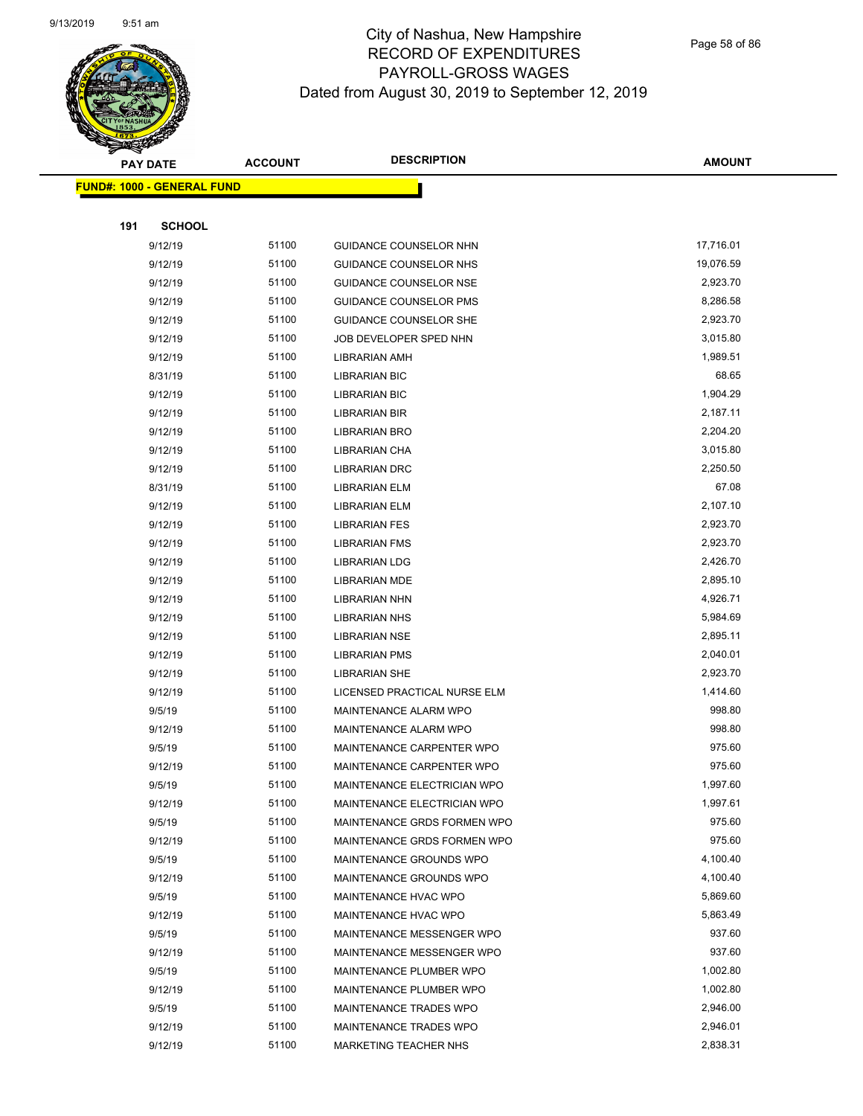

Page 58 of 86

|     | <b>PAY DATE</b>                    | <b>ACCOUNT</b> | <b>DESCRIPTION</b>            | <b>AMOUNT</b> |
|-----|------------------------------------|----------------|-------------------------------|---------------|
|     | <u> FUND#: 1000 - GENERAL FUND</u> |                |                               |               |
|     |                                    |                |                               |               |
| 191 | <b>SCHOOL</b>                      |                |                               |               |
|     | 9/12/19                            | 51100          | GUIDANCE COUNSELOR NHN        | 17,716.01     |
|     | 9/12/19                            | 51100          | GUIDANCE COUNSELOR NHS        | 19,076.59     |
|     | 9/12/19                            | 51100          | <b>GUIDANCE COUNSELOR NSE</b> | 2,923.70      |
|     | 9/12/19                            | 51100          | <b>GUIDANCE COUNSELOR PMS</b> | 8,286.58      |
|     | 9/12/19                            | 51100          | <b>GUIDANCE COUNSELOR SHE</b> | 2,923.70      |
|     | 9/12/19                            | 51100          | JOB DEVELOPER SPED NHN        | 3,015.80      |
|     | 9/12/19                            | 51100          | <b>LIBRARIAN AMH</b>          | 1,989.51      |
|     | 8/31/19                            | 51100          | <b>LIBRARIAN BIC</b>          | 68.65         |
|     | 9/12/19                            | 51100          | <b>LIBRARIAN BIC</b>          | 1,904.29      |
|     | 9/12/19                            | 51100          | <b>LIBRARIAN BIR</b>          | 2,187.11      |
|     | 9/12/19                            | 51100          | <b>LIBRARIAN BRO</b>          | 2,204.20      |
|     | 9/12/19                            | 51100          | LIBRARIAN CHA                 | 3,015.80      |
|     | 9/12/19                            | 51100          | <b>LIBRARIAN DRC</b>          | 2,250.50      |
|     | 8/31/19                            | 51100          | <b>LIBRARIAN ELM</b>          | 67.08         |
|     | 9/12/19                            | 51100          | <b>LIBRARIAN ELM</b>          | 2,107.10      |
|     | 9/12/19                            | 51100          | <b>LIBRARIAN FES</b>          | 2,923.70      |
|     | 9/12/19                            | 51100          | <b>LIBRARIAN FMS</b>          | 2,923.70      |
|     | 9/12/19                            | 51100          | <b>LIBRARIAN LDG</b>          | 2,426.70      |
|     | 9/12/19                            | 51100          | <b>LIBRARIAN MDE</b>          | 2,895.10      |
|     | 9/12/19                            | 51100          | <b>LIBRARIAN NHN</b>          | 4,926.71      |
|     | 9/12/19                            | 51100          | <b>LIBRARIAN NHS</b>          | 5,984.69      |
|     | 9/12/19                            | 51100          | <b>LIBRARIAN NSE</b>          | 2,895.11      |
|     | 9/12/19                            | 51100          | <b>LIBRARIAN PMS</b>          | 2,040.01      |
|     | 9/12/19                            | 51100          | <b>LIBRARIAN SHE</b>          | 2,923.70      |
|     | 9/12/19                            | 51100          | LICENSED PRACTICAL NURSE ELM  | 1,414.60      |
|     | 9/5/19                             | 51100          | MAINTENANCE ALARM WPO         | 998.80        |
|     | 9/12/19                            | 51100          | MAINTENANCE ALARM WPO         | 998.80        |
|     | 9/5/19                             | 51100          | MAINTENANCE CARPENTER WPO     | 975.60        |
|     | 9/12/19                            | 51100          | MAINTENANCE CARPENTER WPO     | 975.60        |
|     | 9/5/19                             | 51100          | MAINTENANCE ELECTRICIAN WPO   | 1,997.60      |
|     | 9/12/19                            | 51100          | MAINTENANCE ELECTRICIAN WPO   | 1,997.61      |
|     | 9/5/19                             | 51100          | MAINTENANCE GRDS FORMEN WPO   | 975.60        |
|     | 9/12/19                            | 51100          | MAINTENANCE GRDS FORMEN WPO   | 975.60        |
|     | 9/5/19                             | 51100          | MAINTENANCE GROUNDS WPO       | 4,100.40      |
|     | 9/12/19                            | 51100          | MAINTENANCE GROUNDS WPO       | 4,100.40      |
|     | 9/5/19                             | 51100          | MAINTENANCE HVAC WPO          | 5,869.60      |
|     | 9/12/19                            | 51100          | MAINTENANCE HVAC WPO          | 5,863.49      |
|     | 9/5/19                             | 51100          | MAINTENANCE MESSENGER WPO     | 937.60        |
|     | 9/12/19                            | 51100          | MAINTENANCE MESSENGER WPO     | 937.60        |
|     | 9/5/19                             | 51100          | MAINTENANCE PLUMBER WPO       | 1,002.80      |
|     | 9/12/19                            | 51100          | MAINTENANCE PLUMBER WPO       | 1,002.80      |
|     | 9/5/19                             | 51100          | MAINTENANCE TRADES WPO        | 2,946.00      |
|     | 9/12/19                            | 51100          | MAINTENANCE TRADES WPO        | 2,946.01      |
|     | 9/12/19                            | 51100          | MARKETING TEACHER NHS         | 2,838.31      |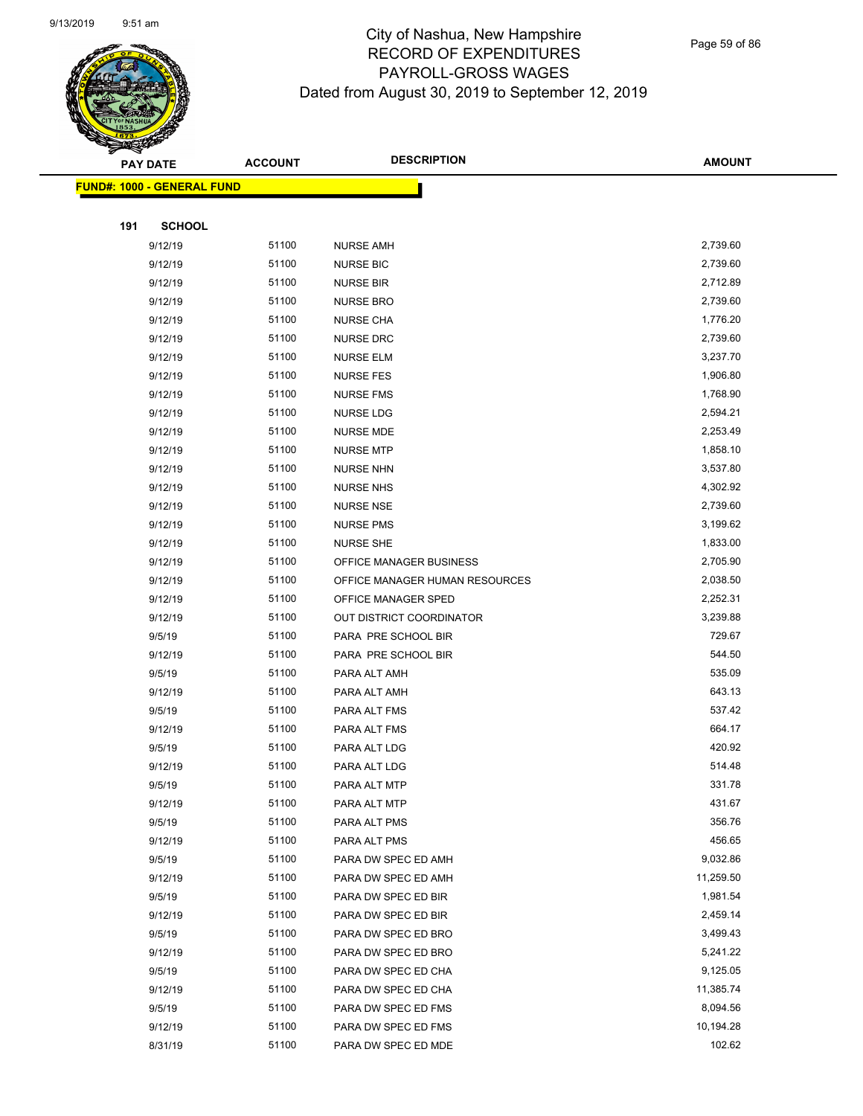

Page 59 of 86

|     | <b>PAY DATE</b>                   | <b>ACCOUNT</b> | <b>DESCRIPTION</b>             | <b>AMOUNT</b> |
|-----|-----------------------------------|----------------|--------------------------------|---------------|
|     | <b>FUND#: 1000 - GENERAL FUND</b> |                |                                |               |
|     |                                   |                |                                |               |
| 191 | <b>SCHOOL</b>                     |                |                                |               |
|     | 9/12/19                           | 51100          | <b>NURSE AMH</b>               | 2,739.60      |
|     | 9/12/19                           | 51100          | <b>NURSE BIC</b>               | 2,739.60      |
|     | 9/12/19                           | 51100          | <b>NURSE BIR</b>               | 2,712.89      |
|     | 9/12/19                           | 51100          | <b>NURSE BRO</b>               | 2,739.60      |
|     | 9/12/19                           | 51100          | <b>NURSE CHA</b>               | 1,776.20      |
|     | 9/12/19                           | 51100          | <b>NURSE DRC</b>               | 2,739.60      |
|     | 9/12/19                           | 51100          | <b>NURSE ELM</b>               | 3,237.70      |
|     | 9/12/19                           | 51100          | <b>NURSE FES</b>               | 1,906.80      |
|     | 9/12/19                           | 51100          | <b>NURSE FMS</b>               | 1,768.90      |
|     | 9/12/19                           | 51100          | NURSE LDG                      | 2,594.21      |
|     | 9/12/19                           | 51100          | <b>NURSE MDE</b>               | 2,253.49      |
|     | 9/12/19                           | 51100          | <b>NURSE MTP</b>               | 1,858.10      |
|     | 9/12/19                           | 51100          | <b>NURSE NHN</b>               | 3,537.80      |
|     | 9/12/19                           | 51100          | <b>NURSE NHS</b>               | 4,302.92      |
|     | 9/12/19                           | 51100          | <b>NURSE NSE</b>               | 2,739.60      |
|     | 9/12/19                           | 51100          | <b>NURSE PMS</b>               | 3,199.62      |
|     | 9/12/19                           | 51100          | <b>NURSE SHE</b>               | 1,833.00      |
|     | 9/12/19                           | 51100          | OFFICE MANAGER BUSINESS        | 2,705.90      |
|     | 9/12/19                           | 51100          | OFFICE MANAGER HUMAN RESOURCES | 2,038.50      |
|     | 9/12/19                           | 51100          | OFFICE MANAGER SPED            | 2,252.31      |
|     | 9/12/19                           | 51100          | OUT DISTRICT COORDINATOR       | 3,239.88      |
|     | 9/5/19                            | 51100          | PARA PRE SCHOOL BIR            | 729.67        |
|     | 9/12/19                           | 51100          | PARA PRE SCHOOL BIR            | 544.50        |
|     | 9/5/19                            | 51100          | PARA ALT AMH                   | 535.09        |
|     | 9/12/19                           | 51100          | PARA ALT AMH                   | 643.13        |
|     | 9/5/19                            | 51100          | PARA ALT FMS                   | 537.42        |
|     | 9/12/19                           | 51100          | PARA ALT FMS                   | 664.17        |
|     | 9/5/19                            | 51100          | PARA ALT LDG                   | 420.92        |
|     | 9/12/19                           | 51100          | PARA ALT LDG                   | 514.48        |
|     | 9/5/19                            | 51100          | PARA ALT MTP                   | 331.78        |
|     | 9/12/19                           | 51100          | PARA ALT MTP                   | 431.67        |
|     | 9/5/19                            | 51100          | PARA ALT PMS                   | 356.76        |
|     | 9/12/19                           | 51100          | PARA ALT PMS                   | 456.65        |
|     | 9/5/19                            | 51100          | PARA DW SPEC ED AMH            | 9,032.86      |
|     | 9/12/19                           | 51100          | PARA DW SPEC ED AMH            | 11,259.50     |
|     | 9/5/19                            | 51100          | PARA DW SPEC ED BIR            | 1,981.54      |
|     | 9/12/19                           | 51100          | PARA DW SPEC ED BIR            | 2,459.14      |
|     | 9/5/19                            | 51100          | PARA DW SPEC ED BRO            | 3,499.43      |
|     | 9/12/19                           | 51100          | PARA DW SPEC ED BRO            | 5,241.22      |
|     | 9/5/19                            | 51100          | PARA DW SPEC ED CHA            | 9,125.05      |
|     | 9/12/19                           | 51100          | PARA DW SPEC ED CHA            | 11,385.74     |
|     | 9/5/19                            | 51100          | PARA DW SPEC ED FMS            | 8,094.56      |
|     | 9/12/19                           | 51100          | PARA DW SPEC ED FMS            | 10,194.28     |
|     | 8/31/19                           | 51100          | PARA DW SPEC ED MDE            | 102.62        |
|     |                                   |                |                                |               |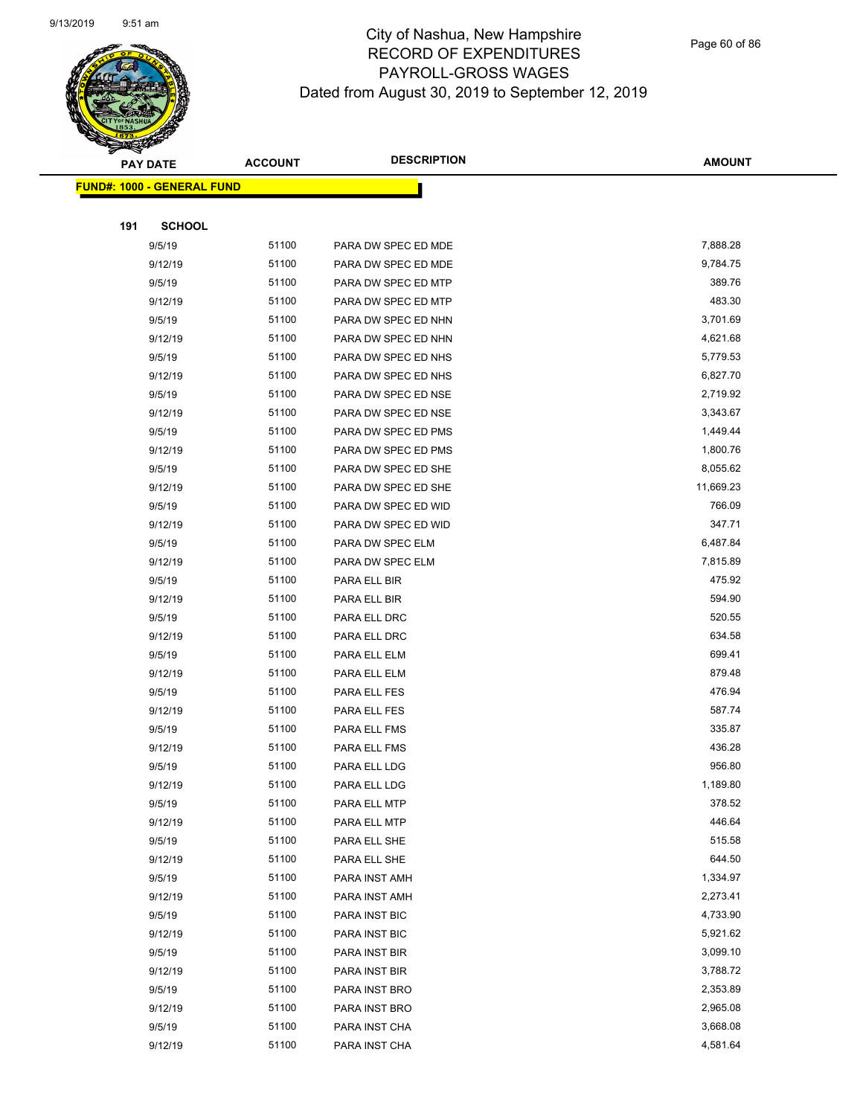

Page 60 of 86

|     | <b>PAY DATE</b>                   | <b>ACCOUNT</b> | <b>DESCRIPTION</b>  | <b>AMOUNT</b>        |
|-----|-----------------------------------|----------------|---------------------|----------------------|
|     | <b>FUND#: 1000 - GENERAL FUND</b> |                |                     |                      |
|     |                                   |                |                     |                      |
| 191 | <b>SCHOOL</b>                     |                |                     |                      |
|     | 9/5/19                            | 51100          | PARA DW SPEC ED MDE | 7,888.28             |
|     | 9/12/19                           | 51100          | PARA DW SPEC ED MDE | 9,784.75             |
|     | 9/5/19                            | 51100          | PARA DW SPEC ED MTP | 389.76               |
|     | 9/12/19                           | 51100          | PARA DW SPEC ED MTP | 483.30               |
|     | 9/5/19                            | 51100          | PARA DW SPEC ED NHN | 3,701.69             |
|     | 9/12/19                           | 51100          | PARA DW SPEC ED NHN | 4,621.68             |
|     | 9/5/19                            | 51100          | PARA DW SPEC ED NHS | 5,779.53             |
|     | 9/12/19                           | 51100          | PARA DW SPEC ED NHS | 6,827.70             |
|     | 9/5/19                            | 51100          | PARA DW SPEC ED NSE | 2,719.92             |
|     | 9/12/19                           | 51100          | PARA DW SPEC ED NSE | 3,343.67             |
|     | 9/5/19                            | 51100          | PARA DW SPEC ED PMS | 1,449.44             |
|     | 9/12/19                           | 51100          | PARA DW SPEC ED PMS | 1,800.76             |
|     | 9/5/19                            | 51100          | PARA DW SPEC ED SHE | 8,055.62             |
|     | 9/12/19                           | 51100          | PARA DW SPEC ED SHE | 11,669.23            |
|     | 9/5/19                            | 51100          | PARA DW SPEC ED WID | 766.09               |
|     | 9/12/19                           | 51100          | PARA DW SPEC ED WID | 347.71               |
|     | 9/5/19                            | 51100          | PARA DW SPEC ELM    | 6,487.84             |
|     | 9/12/19                           | 51100          | PARA DW SPEC ELM    | 7,815.89             |
|     | 9/5/19                            | 51100          | PARA ELL BIR        | 475.92               |
|     | 9/12/19                           | 51100          | PARA ELL BIR        | 594.90               |
|     | 9/5/19                            | 51100          | PARA ELL DRC        | 520.55               |
|     | 9/12/19                           | 51100          | PARA ELL DRC        | 634.58               |
|     | 9/5/19                            | 51100          | PARA ELL ELM        | 699.41               |
|     | 9/12/19                           | 51100          | PARA ELL ELM        | 879.48               |
|     | 9/5/19                            | 51100          | PARA ELL FES        | 476.94               |
|     | 9/12/19                           | 51100          | PARA ELL FES        | 587.74               |
|     | 9/5/19                            | 51100          | PARA ELL FMS        | 335.87               |
|     | 9/12/19                           | 51100          | PARA ELL FMS        | 436.28               |
|     | 9/5/19                            | 51100          | PARA ELL LDG        | 956.80               |
|     | 9/12/19                           | 51100          | PARA ELL LDG        | 1,189.80             |
|     | 9/5/19                            | 51100          | PARA ELL MTP        | 378.52               |
|     | 9/12/19                           | 51100          | PARA ELL MTP        | 446.64               |
|     | 9/5/19                            | 51100          | PARA ELL SHE        | 515.58               |
|     | 9/12/19                           | 51100          | PARA ELL SHE        | 644.50               |
|     | 9/5/19                            | 51100          | PARA INST AMH       | 1,334.97             |
|     | 9/12/19                           | 51100          | PARA INST AMH       | 2,273.41             |
|     | 9/5/19                            | 51100          | PARA INST BIC       | 4,733.90             |
|     | 9/12/19                           | 51100          | PARA INST BIC       | 5,921.62             |
|     | 9/5/19                            | 51100          | PARA INST BIR       | 3,099.10             |
|     | 9/12/19                           | 51100          | PARA INST BIR       | 3,788.72             |
|     | 9/5/19                            | 51100<br>51100 | PARA INST BRO       | 2,353.89<br>2,965.08 |
|     | 9/12/19                           |                | PARA INST BRO       |                      |
|     | 9/5/19                            | 51100<br>51100 | PARA INST CHA       | 3,668.08<br>4,581.64 |
|     | 9/12/19                           |                | PARA INST CHA       |                      |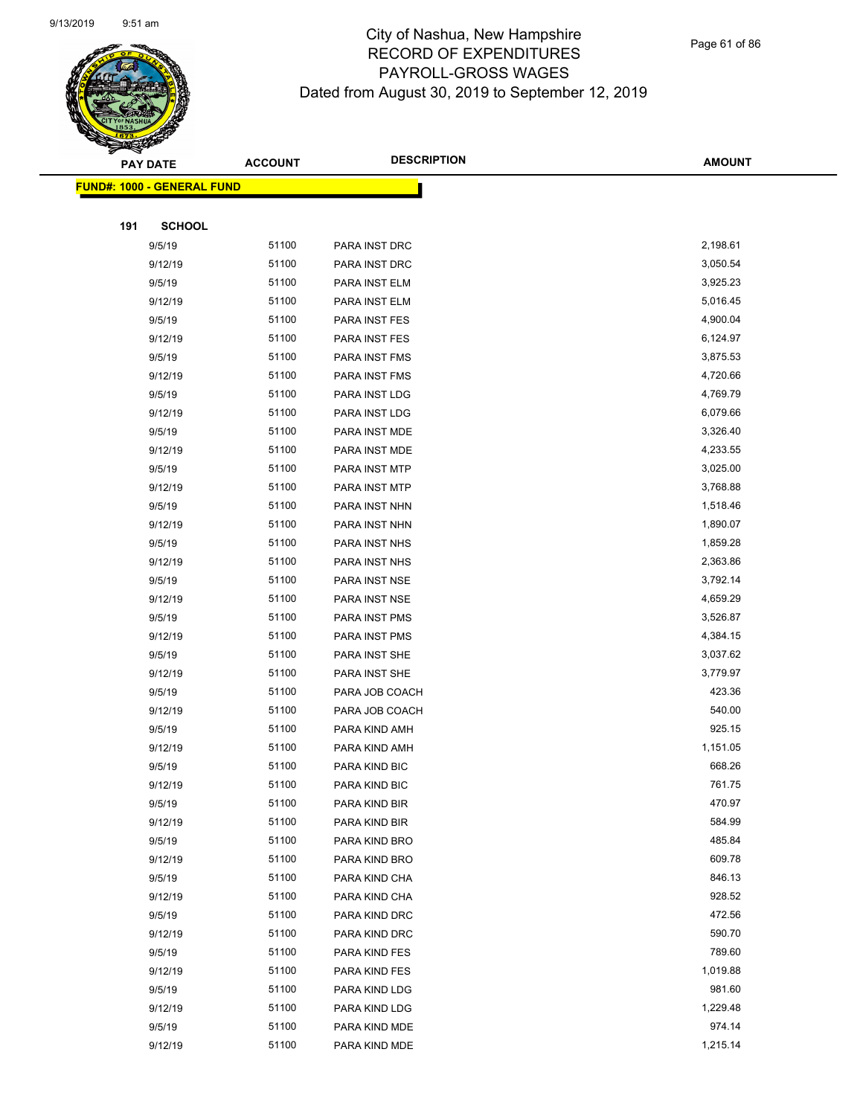

| <b>PAY DATE</b>                    | <b>ACCOUNT</b> | <b>DESCRIPTION</b> | <b>AMOUNT</b> |
|------------------------------------|----------------|--------------------|---------------|
| <u> FUND#: 1000 - GENERAL FUND</u> |                |                    |               |
|                                    |                |                    |               |
| 191<br><b>SCHOOL</b>               |                |                    |               |
| 9/5/19                             | 51100          | PARA INST DRC      | 2,198.61      |
| 9/12/19                            | 51100          | PARA INST DRC      | 3,050.54      |
| 9/5/19                             | 51100          | PARA INST ELM      | 3,925.23      |
| 9/12/19                            | 51100          | PARA INST ELM      | 5,016.45      |
| 9/5/19                             | 51100          | PARA INST FES      | 4,900.04      |
| 9/12/19                            | 51100          | PARA INST FES      | 6,124.97      |
| 9/5/19                             | 51100          | PARA INST FMS      | 3,875.53      |
| 9/12/19                            | 51100          | PARA INST FMS      | 4,720.66      |
| 9/5/19                             | 51100          | PARA INST LDG      | 4,769.79      |
| 9/12/19                            | 51100          | PARA INST LDG      | 6,079.66      |
| 9/5/19                             | 51100          | PARA INST MDE      | 3,326.40      |
| 9/12/19                            | 51100          | PARA INST MDE      | 4,233.55      |
| 9/5/19                             | 51100          | PARA INST MTP      | 3,025.00      |
| 9/12/19                            | 51100          | PARA INST MTP      | 3,768.88      |
| 9/5/19                             | 51100          | PARA INST NHN      | 1,518.46      |
| 9/12/19                            | 51100          | PARA INST NHN      | 1,890.07      |
| 9/5/19                             | 51100          | PARA INST NHS      | 1,859.28      |
| 9/12/19                            | 51100          | PARA INST NHS      | 2,363.86      |
| 9/5/19                             | 51100          | PARA INST NSE      | 3,792.14      |
| 9/12/19                            | 51100          | PARA INST NSE      | 4,659.29      |
| 9/5/19                             | 51100          | PARA INST PMS      | 3,526.87      |
| 9/12/19                            | 51100          | PARA INST PMS      | 4,384.15      |
| 9/5/19                             | 51100          | PARA INST SHE      | 3,037.62      |
| 9/12/19                            | 51100          | PARA INST SHE      | 3,779.97      |
| 9/5/19                             | 51100          | PARA JOB COACH     | 423.36        |
| 9/12/19                            | 51100          | PARA JOB COACH     | 540.00        |
| 9/5/19                             | 51100          | PARA KIND AMH      | 925.15        |
| 9/12/19                            | 51100          | PARA KIND AMH      | 1,151.05      |
| 9/5/19                             | 51100          | PARA KIND BIC      | 668.26        |
| 9/12/19                            | 51100          | PARA KIND BIC      | 761.75        |
| 9/5/19                             | 51100          | PARA KIND BIR      | 470.97        |
| 9/12/19                            | 51100          | PARA KIND BIR      | 584.99        |
| 9/5/19                             | 51100          | PARA KIND BRO      | 485.84        |
| 9/12/19                            | 51100          | PARA KIND BRO      | 609.78        |
| 9/5/19                             | 51100          | PARA KIND CHA      | 846.13        |
| 9/12/19                            | 51100          | PARA KIND CHA      | 928.52        |
| 9/5/19                             | 51100          | PARA KIND DRC      | 472.56        |
| 9/12/19                            | 51100          | PARA KIND DRC      | 590.70        |
| 9/5/19                             | 51100          | PARA KIND FES      | 789.60        |
| 9/12/19                            | 51100          | PARA KIND FES      | 1,019.88      |
| 9/5/19                             | 51100          | PARA KIND LDG      | 981.60        |
| 9/12/19                            | 51100          | PARA KIND LDG      | 1,229.48      |
| 9/5/19                             | 51100          | PARA KIND MDE      | 974.14        |
| 9/12/19                            | 51100          | PARA KIND MDE      | 1,215.14      |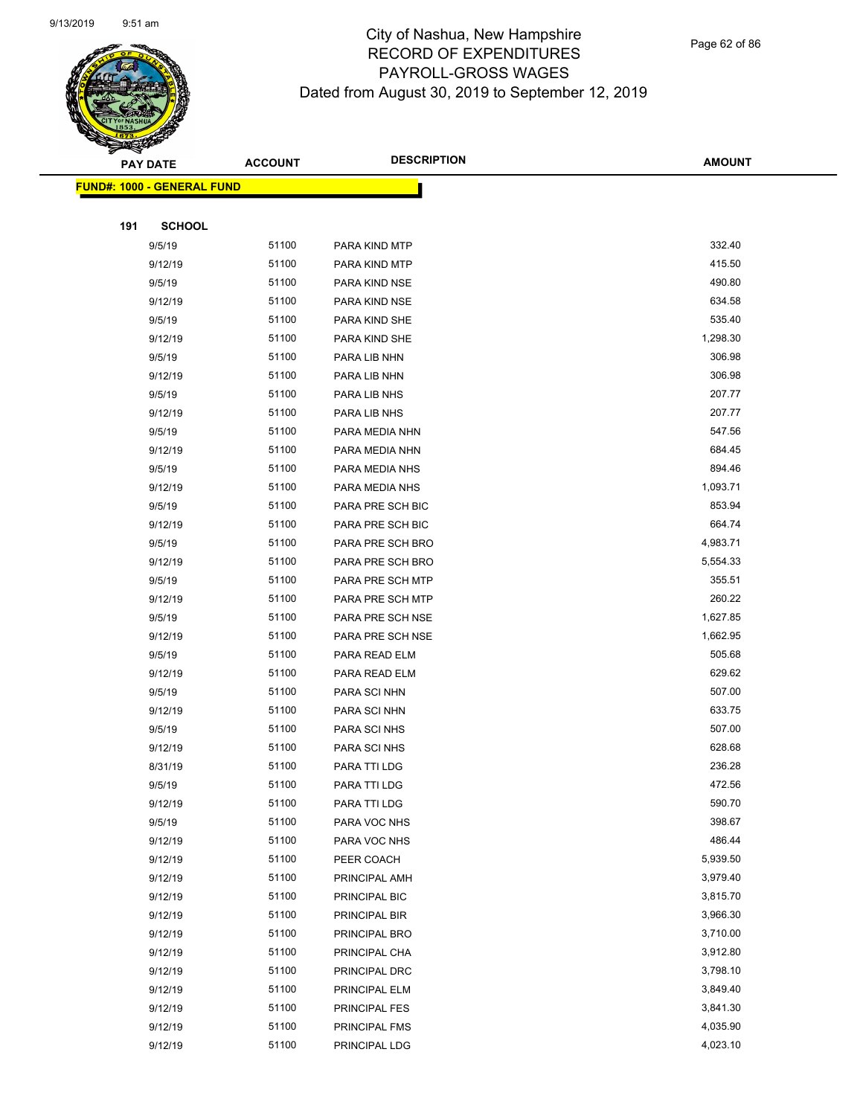

Page 62 of 86

|     | <b>PAY DATE</b>                   | <b>ACCOUNT</b> | <b>DESCRIPTION</b>   | <b>AMOUNT</b> |
|-----|-----------------------------------|----------------|----------------------|---------------|
|     | <b>FUND#: 1000 - GENERAL FUND</b> |                |                      |               |
|     |                                   |                |                      |               |
| 191 | <b>SCHOOL</b>                     |                |                      |               |
|     | 9/5/19                            | 51100          | PARA KIND MTP        | 332.40        |
|     | 9/12/19                           | 51100          | PARA KIND MTP        | 415.50        |
|     | 9/5/19                            | 51100          | PARA KIND NSE        | 490.80        |
|     | 9/12/19                           | 51100          | PARA KIND NSE        | 634.58        |
|     | 9/5/19                            | 51100          | PARA KIND SHE        | 535.40        |
|     | 9/12/19                           | 51100          | PARA KIND SHE        | 1,298.30      |
|     | 9/5/19                            | 51100          | PARA LIB NHN         | 306.98        |
|     | 9/12/19                           | 51100          | PARA LIB NHN         | 306.98        |
|     | 9/5/19                            | 51100          | PARA LIB NHS         | 207.77        |
|     | 9/12/19                           | 51100          | PARA LIB NHS         | 207.77        |
|     | 9/5/19                            | 51100          | PARA MEDIA NHN       | 547.56        |
|     | 9/12/19                           | 51100          | PARA MEDIA NHN       | 684.45        |
|     | 9/5/19                            | 51100          | PARA MEDIA NHS       | 894.46        |
|     | 9/12/19                           | 51100          | PARA MEDIA NHS       | 1,093.71      |
|     | 9/5/19                            | 51100          | PARA PRE SCH BIC     | 853.94        |
|     | 9/12/19                           | 51100          | PARA PRE SCH BIC     | 664.74        |
|     | 9/5/19                            | 51100          | PARA PRE SCH BRO     | 4,983.71      |
|     | 9/12/19                           | 51100          | PARA PRE SCH BRO     | 5,554.33      |
|     | 9/5/19                            | 51100          | PARA PRE SCH MTP     | 355.51        |
|     | 9/12/19                           | 51100          | PARA PRE SCH MTP     | 260.22        |
|     | 9/5/19                            | 51100          | PARA PRE SCH NSE     | 1,627.85      |
|     | 9/12/19                           | 51100          | PARA PRE SCH NSE     | 1,662.95      |
|     | 9/5/19                            | 51100          | PARA READ ELM        | 505.68        |
|     | 9/12/19                           | 51100          | PARA READ ELM        | 629.62        |
|     | 9/5/19                            | 51100          | PARA SCI NHN         | 507.00        |
|     | 9/12/19                           | 51100          | PARA SCI NHN         | 633.75        |
|     | 9/5/19                            | 51100          | PARA SCI NHS         | 507.00        |
|     | 9/12/19                           | 51100          | PARA SCI NHS         | 628.68        |
|     | 8/31/19                           | 51100          | PARA TTI LDG         | 236.28        |
|     | 9/5/19                            | 51100          | PARA TTI LDG         | 472.56        |
|     | 9/12/19                           | 51100          | PARA TTI LDG         | 590.70        |
|     | 9/5/19                            | 51100          | PARA VOC NHS         | 398.67        |
|     | 9/12/19                           | 51100          | PARA VOC NHS         | 486.44        |
|     | 9/12/19                           | 51100          | PEER COACH           | 5,939.50      |
|     | 9/12/19                           | 51100          | PRINCIPAL AMH        | 3,979.40      |
|     | 9/12/19                           | 51100          | PRINCIPAL BIC        | 3,815.70      |
|     | 9/12/19                           | 51100          | PRINCIPAL BIR        | 3,966.30      |
|     | 9/12/19                           | 51100          | PRINCIPAL BRO        | 3,710.00      |
|     | 9/12/19                           | 51100          | PRINCIPAL CHA        | 3,912.80      |
|     | 9/12/19                           | 51100          | PRINCIPAL DRC        | 3,798.10      |
|     | 9/12/19                           | 51100          | PRINCIPAL ELM        | 3,849.40      |
|     | 9/12/19                           | 51100          | <b>PRINCIPAL FES</b> | 3,841.30      |
|     | 9/12/19                           | 51100          | PRINCIPAL FMS        | 4,035.90      |
|     | 9/12/19                           | 51100          | PRINCIPAL LDG        | 4,023.10      |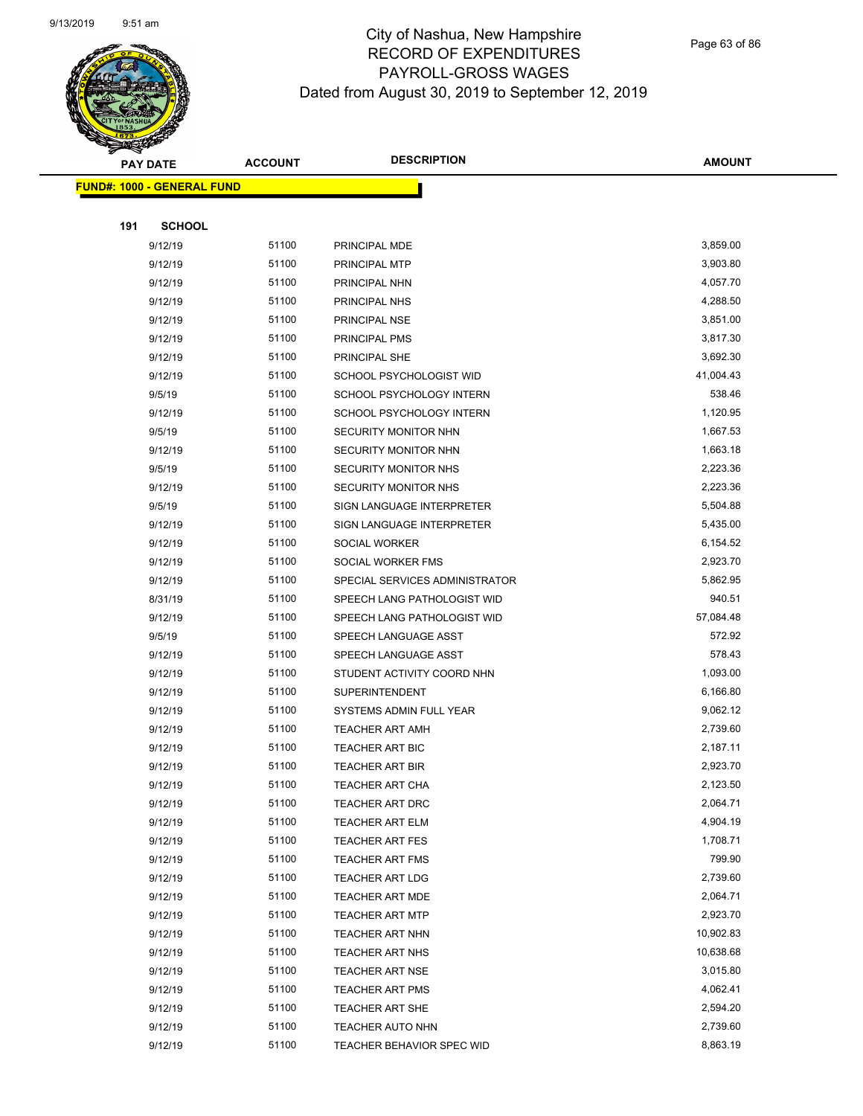

Page 63 of 86

|     | <b>PAY DATE</b>                   | <b>ACCOUNT</b> | <b>DESCRIPTION</b>             | <b>AMOUNT</b>        |
|-----|-----------------------------------|----------------|--------------------------------|----------------------|
|     | <b>FUND#: 1000 - GENERAL FUND</b> |                |                                |                      |
|     |                                   |                |                                |                      |
| 191 | <b>SCHOOL</b>                     |                |                                |                      |
|     | 9/12/19                           | 51100          | PRINCIPAL MDE                  | 3,859.00             |
|     | 9/12/19                           | 51100          | PRINCIPAL MTP                  | 3,903.80             |
|     | 9/12/19                           | 51100          | PRINCIPAL NHN                  | 4,057.70             |
|     | 9/12/19                           | 51100          | PRINCIPAL NHS                  | 4,288.50             |
|     | 9/12/19                           | 51100          | PRINCIPAL NSE                  | 3,851.00             |
|     | 9/12/19                           | 51100          | PRINCIPAL PMS                  | 3,817.30             |
|     | 9/12/19                           | 51100          | <b>PRINCIPAL SHE</b>           | 3,692.30             |
|     | 9/12/19                           | 51100          | SCHOOL PSYCHOLOGIST WID        | 41,004.43            |
|     | 9/5/19                            | 51100          | SCHOOL PSYCHOLOGY INTERN       | 538.46               |
|     | 9/12/19                           | 51100          | SCHOOL PSYCHOLOGY INTERN       | 1,120.95             |
|     | 9/5/19                            | 51100          | SECURITY MONITOR NHN           | 1,667.53             |
|     | 9/12/19                           | 51100          | <b>SECURITY MONITOR NHN</b>    | 1,663.18             |
|     | 9/5/19                            | 51100          | SECURITY MONITOR NHS           | 2,223.36             |
|     | 9/12/19                           | 51100          | SECURITY MONITOR NHS           | 2,223.36             |
|     | 9/5/19                            | 51100          | SIGN LANGUAGE INTERPRETER      | 5,504.88             |
|     | 9/12/19                           | 51100          | SIGN LANGUAGE INTERPRETER      | 5,435.00             |
|     | 9/12/19                           | 51100          | SOCIAL WORKER                  | 6,154.52             |
|     | 9/12/19                           | 51100          | SOCIAL WORKER FMS              | 2,923.70             |
|     | 9/12/19                           | 51100          | SPECIAL SERVICES ADMINISTRATOR | 5,862.95             |
|     | 8/31/19                           | 51100          | SPEECH LANG PATHOLOGIST WID    | 940.51               |
|     | 9/12/19                           | 51100          | SPEECH LANG PATHOLOGIST WID    | 57,084.48            |
|     | 9/5/19                            | 51100          | SPEECH LANGUAGE ASST           | 572.92               |
|     | 9/12/19                           | 51100          | SPEECH LANGUAGE ASST           | 578.43               |
|     | 9/12/19                           | 51100          | STUDENT ACTIVITY COORD NHN     | 1,093.00             |
|     | 9/12/19                           | 51100          | <b>SUPERINTENDENT</b>          | 6,166.80             |
|     | 9/12/19                           | 51100          | SYSTEMS ADMIN FULL YEAR        | 9,062.12             |
|     | 9/12/19                           | 51100          | <b>TEACHER ART AMH</b>         | 2,739.60             |
|     | 9/12/19                           | 51100          | <b>TEACHER ART BIC</b>         | 2,187.11             |
|     | 9/12/19                           | 51100          | <b>TEACHER ART BIR</b>         | 2,923.70             |
|     | 9/12/19                           | 51100          | <b>TEACHER ART CHA</b>         | 2,123.50             |
|     | 9/12/19                           | 51100          | TEACHER ART DRC                | 2,064.71             |
|     | 9/12/19                           | 51100          | <b>TEACHER ART ELM</b>         | 4,904.19             |
|     | 9/12/19                           | 51100          | <b>TEACHER ART FES</b>         | 1,708.71             |
|     | 9/12/19                           | 51100          | TEACHER ART FMS                | 799.90               |
|     | 9/12/19                           | 51100          | <b>TEACHER ART LDG</b>         | 2,739.60             |
|     | 9/12/19                           | 51100          | <b>TEACHER ART MDE</b>         | 2,064.71             |
|     | 9/12/19                           | 51100          | <b>TEACHER ART MTP</b>         | 2,923.70             |
|     | 9/12/19                           | 51100          | <b>TEACHER ART NHN</b>         | 10,902.83            |
|     | 9/12/19                           | 51100          | TEACHER ART NHS                | 10,638.68            |
|     | 9/12/19                           | 51100          | <b>TEACHER ART NSE</b>         | 3,015.80             |
|     | 9/12/19                           | 51100<br>51100 | <b>TEACHER ART PMS</b>         | 4,062.41<br>2,594.20 |
|     | 9/12/19                           |                | <b>TEACHER ART SHE</b>         |                      |
|     | 9/12/19                           | 51100<br>51100 | <b>TEACHER AUTO NHN</b>        | 2,739.60<br>8,863.19 |
|     | 9/12/19                           |                | TEACHER BEHAVIOR SPEC WID      |                      |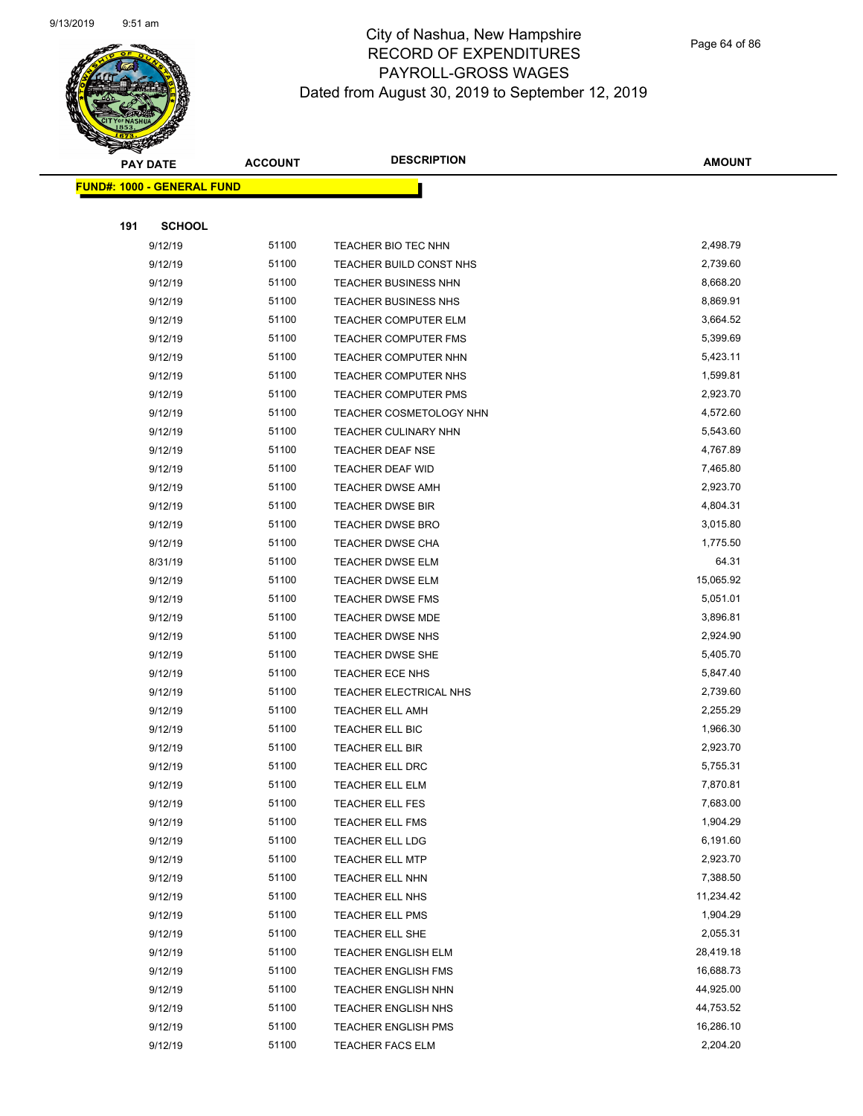

Page 64 of 86

|     | <b>PAY DATE</b>                   | <b>ACCOUNT</b> | <b>DESCRIPTION</b>                        | <b>AMOUNT</b>        |
|-----|-----------------------------------|----------------|-------------------------------------------|----------------------|
|     | <b>FUND#: 1000 - GENERAL FUND</b> |                |                                           |                      |
|     |                                   |                |                                           |                      |
| 191 | <b>SCHOOL</b>                     |                |                                           |                      |
|     | 9/12/19                           | 51100          | TEACHER BIO TEC NHN                       | 2,498.79             |
|     | 9/12/19                           | 51100          | TEACHER BUILD CONST NHS                   | 2,739.60             |
|     | 9/12/19                           | 51100          | <b>TEACHER BUSINESS NHN</b>               | 8,668.20             |
|     | 9/12/19                           | 51100          | TEACHER BUSINESS NHS                      | 8,869.91             |
|     | 9/12/19                           | 51100          | <b>TEACHER COMPUTER ELM</b>               | 3,664.52             |
|     | 9/12/19                           | 51100          | TEACHER COMPUTER FMS                      | 5,399.69             |
|     | 9/12/19                           | 51100          | TEACHER COMPUTER NHN                      | 5,423.11             |
|     | 9/12/19                           | 51100          | TEACHER COMPUTER NHS                      | 1,599.81             |
|     | 9/12/19                           | 51100          | <b>TEACHER COMPUTER PMS</b>               | 2,923.70             |
|     | 9/12/19                           | 51100          | TEACHER COSMETOLOGY NHN                   | 4,572.60             |
|     | 9/12/19                           | 51100          | TEACHER CULINARY NHN                      | 5,543.60             |
|     | 9/12/19                           | 51100          | <b>TEACHER DEAF NSE</b>                   | 4,767.89             |
|     | 9/12/19                           | 51100          | TEACHER DEAF WID                          | 7,465.80             |
|     | 9/12/19                           | 51100          | <b>TEACHER DWSE AMH</b>                   | 2,923.70             |
|     | 9/12/19                           | 51100          | <b>TEACHER DWSE BIR</b>                   | 4,804.31             |
|     | 9/12/19                           | 51100          | TEACHER DWSE BRO                          | 3,015.80             |
|     | 9/12/19                           | 51100          | TEACHER DWSE CHA                          | 1,775.50             |
|     | 8/31/19                           | 51100          | <b>TEACHER DWSE ELM</b>                   | 64.31                |
|     | 9/12/19                           | 51100          | <b>TEACHER DWSE ELM</b>                   | 15,065.92            |
|     | 9/12/19                           | 51100          | TEACHER DWSE FMS                          | 5,051.01             |
|     | 9/12/19                           | 51100          | <b>TEACHER DWSE MDE</b>                   | 3,896.81             |
|     | 9/12/19                           | 51100          | <b>TEACHER DWSE NHS</b>                   | 2,924.90             |
|     | 9/12/19                           | 51100          | <b>TEACHER DWSE SHE</b>                   | 5,405.70             |
|     | 9/12/19                           | 51100          | TEACHER ECE NHS                           | 5,847.40             |
|     | 9/12/19                           | 51100          | TEACHER ELECTRICAL NHS                    | 2,739.60             |
|     | 9/12/19                           | 51100          | TEACHER ELL AMH                           | 2,255.29             |
|     | 9/12/19                           | 51100          | TEACHER ELL BIC                           | 1,966.30             |
|     | 9/12/19                           | 51100          | TEACHER ELL BIR                           | 2,923.70             |
|     | 9/12/19                           | 51100<br>51100 | TEACHER ELL DRC                           | 5,755.31             |
|     | 9/12/19                           |                | TEACHER ELL ELM                           | 7,870.81             |
|     | 9/12/19<br>9/12/19                | 51100<br>51100 | TEACHER ELL FES                           | 7,683.00<br>1,904.29 |
|     | 9/12/19                           | 51100          | <b>TEACHER ELL FMS</b><br>TEACHER ELL LDG | 6,191.60             |
|     | 9/12/19                           | 51100          | <b>TEACHER ELL MTP</b>                    | 2,923.70             |
|     | 9/12/19                           | 51100          | TEACHER ELL NHN                           | 7,388.50             |
|     | 9/12/19                           | 51100          | TEACHER ELL NHS                           | 11,234.42            |
|     | 9/12/19                           | 51100          | TEACHER ELL PMS                           | 1,904.29             |
|     | 9/12/19                           | 51100          | TEACHER ELL SHE                           | 2,055.31             |
|     | 9/12/19                           | 51100          | <b>TEACHER ENGLISH ELM</b>                | 28,419.18            |
|     | 9/12/19                           | 51100          | <b>TEACHER ENGLISH FMS</b>                | 16,688.73            |
|     | 9/12/19                           | 51100          | <b>TEACHER ENGLISH NHN</b>                | 44,925.00            |
|     | 9/12/19                           | 51100          | <b>TEACHER ENGLISH NHS</b>                | 44,753.52            |
|     | 9/12/19                           | 51100          | <b>TEACHER ENGLISH PMS</b>                | 16,286.10            |
|     | 9/12/19                           | 51100          | TEACHER FACS ELM                          | 2,204.20             |
|     |                                   |                |                                           |                      |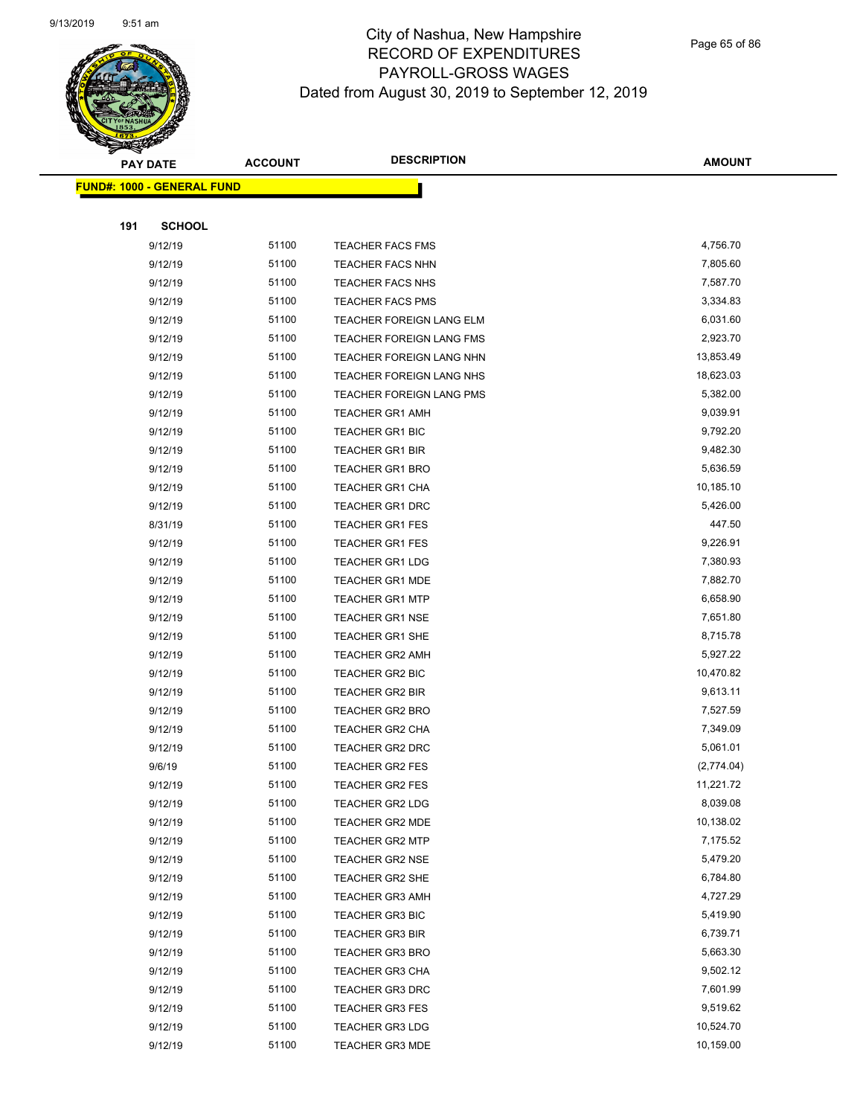

Page 65 of 86

|     | <b>PAY DATE</b>                   | <b>ACCOUNT</b> | <b>DESCRIPTION</b>       | <b>AMOUNT</b> |
|-----|-----------------------------------|----------------|--------------------------|---------------|
|     | <b>FUND#: 1000 - GENERAL FUND</b> |                |                          |               |
|     |                                   |                |                          |               |
| 191 | <b>SCHOOL</b>                     |                |                          |               |
|     | 9/12/19                           | 51100          | TEACHER FACS FMS         | 4,756.70      |
|     | 9/12/19                           | 51100          | <b>TEACHER FACS NHN</b>  | 7,805.60      |
|     | 9/12/19                           | 51100          | <b>TEACHER FACS NHS</b>  | 7,587.70      |
|     | 9/12/19                           | 51100          | <b>TEACHER FACS PMS</b>  | 3,334.83      |
|     | 9/12/19                           | 51100          | TEACHER FOREIGN LANG ELM | 6,031.60      |
|     | 9/12/19                           | 51100          | TEACHER FOREIGN LANG FMS | 2,923.70      |
|     | 9/12/19                           | 51100          | TEACHER FOREIGN LANG NHN | 13,853.49     |
|     | 9/12/19                           | 51100          | TEACHER FOREIGN LANG NHS | 18,623.03     |
|     | 9/12/19                           | 51100          | TEACHER FOREIGN LANG PMS | 5,382.00      |
|     | 9/12/19                           | 51100          | <b>TEACHER GR1 AMH</b>   | 9,039.91      |
|     | 9/12/19                           | 51100          | <b>TEACHER GR1 BIC</b>   | 9,792.20      |
|     | 9/12/19                           | 51100          | <b>TEACHER GR1 BIR</b>   | 9,482.30      |
|     | 9/12/19                           | 51100          | <b>TEACHER GR1 BRO</b>   | 5,636.59      |
|     | 9/12/19                           | 51100          | TEACHER GR1 CHA          | 10,185.10     |
|     | 9/12/19                           | 51100          | <b>TEACHER GR1 DRC</b>   | 5,426.00      |
|     | 8/31/19                           | 51100          | <b>TEACHER GR1 FES</b>   | 447.50        |
|     | 9/12/19                           | 51100          | <b>TEACHER GR1 FES</b>   | 9,226.91      |
|     | 9/12/19                           | 51100          | <b>TEACHER GR1 LDG</b>   | 7,380.93      |
|     | 9/12/19                           | 51100          | <b>TEACHER GR1 MDE</b>   | 7,882.70      |
|     | 9/12/19                           | 51100          | <b>TEACHER GR1 MTP</b>   | 6,658.90      |
|     | 9/12/19                           | 51100          | <b>TEACHER GR1 NSE</b>   | 7,651.80      |
|     | 9/12/19                           | 51100          | <b>TEACHER GR1 SHE</b>   | 8,715.78      |
|     | 9/12/19                           | 51100          | <b>TEACHER GR2 AMH</b>   | 5,927.22      |
|     | 9/12/19                           | 51100          | TEACHER GR2 BIC          | 10,470.82     |
|     | 9/12/19                           | 51100          | TEACHER GR2 BIR          | 9,613.11      |
|     | 9/12/19                           | 51100          | <b>TEACHER GR2 BRO</b>   | 7,527.59      |
|     | 9/12/19                           | 51100          | TEACHER GR2 CHA          | 7,349.09      |
|     | 9/12/19                           | 51100          | <b>TEACHER GR2 DRC</b>   | 5,061.01      |
|     | 9/6/19                            | 51100          | TEACHER GR2 FES          | (2,774.04)    |
|     | 9/12/19                           | 51100          | <b>TEACHER GR2 FES</b>   | 11,221.72     |
|     | 9/12/19                           | 51100          | <b>TEACHER GR2 LDG</b>   | 8,039.08      |
|     | 9/12/19                           | 51100          | <b>TEACHER GR2 MDE</b>   | 10,138.02     |
|     | 9/12/19                           | 51100          | <b>TEACHER GR2 MTP</b>   | 7,175.52      |
|     | 9/12/19                           | 51100          | <b>TEACHER GR2 NSE</b>   | 5,479.20      |
|     | 9/12/19                           | 51100          | <b>TEACHER GR2 SHE</b>   | 6,784.80      |
|     | 9/12/19                           | 51100          | <b>TEACHER GR3 AMH</b>   | 4,727.29      |
|     | 9/12/19                           | 51100          | <b>TEACHER GR3 BIC</b>   | 5,419.90      |
|     | 9/12/19                           | 51100          | <b>TEACHER GR3 BIR</b>   | 6,739.71      |
|     | 9/12/19                           | 51100          | <b>TEACHER GR3 BRO</b>   | 5,663.30      |
|     | 9/12/19                           | 51100          | <b>TEACHER GR3 CHA</b>   | 9,502.12      |
|     | 9/12/19                           | 51100          | <b>TEACHER GR3 DRC</b>   | 7,601.99      |
|     | 9/12/19                           | 51100          | <b>TEACHER GR3 FES</b>   | 9,519.62      |
|     | 9/12/19                           | 51100          | <b>TEACHER GR3 LDG</b>   | 10,524.70     |
|     | 9/12/19                           | 51100          | <b>TEACHER GR3 MDE</b>   | 10,159.00     |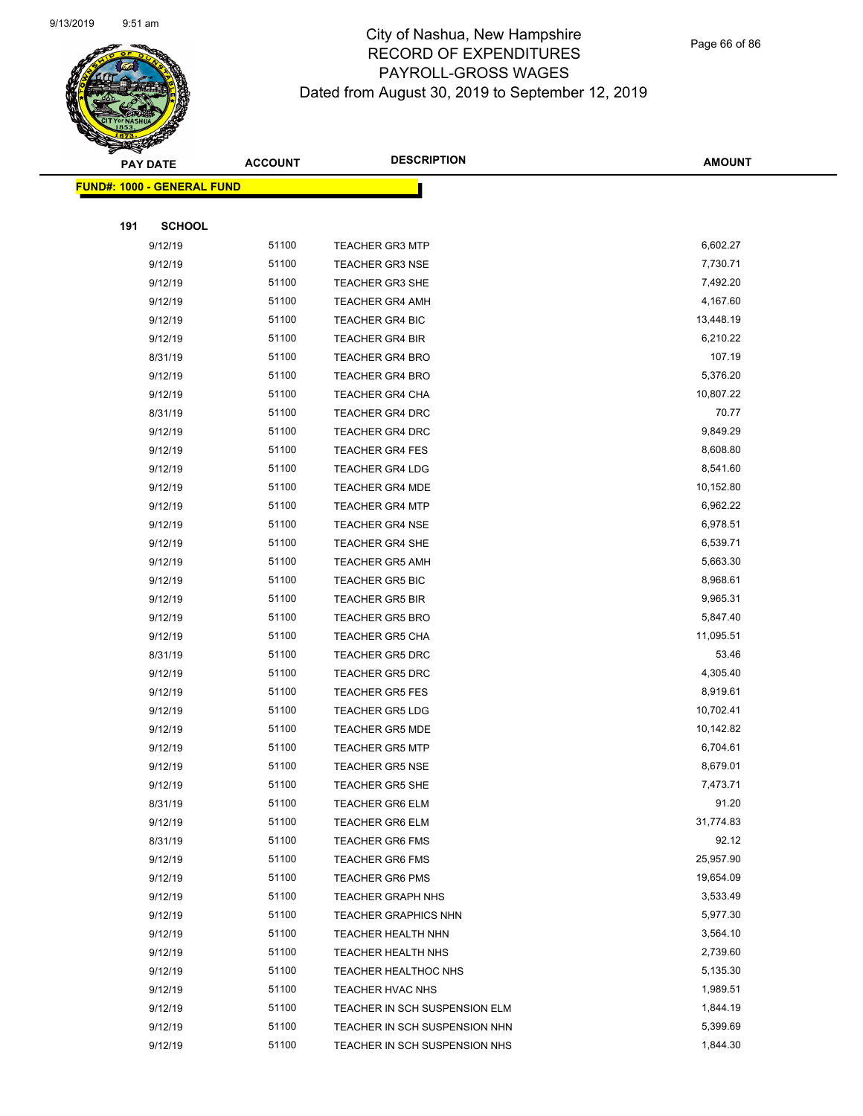

Page 66 of 86

|     | <b>PAY DATE</b>                   | <b>ACCOUNT</b> | <b>DESCRIPTION</b>            | <b>AMOUNT</b> |
|-----|-----------------------------------|----------------|-------------------------------|---------------|
|     | <b>FUND#: 1000 - GENERAL FUND</b> |                |                               |               |
|     |                                   |                |                               |               |
| 191 | <b>SCHOOL</b>                     |                |                               |               |
|     | 9/12/19                           | 51100          | <b>TEACHER GR3 MTP</b>        | 6,602.27      |
|     | 9/12/19                           | 51100          | <b>TEACHER GR3 NSE</b>        | 7,730.71      |
|     | 9/12/19                           | 51100          | <b>TEACHER GR3 SHE</b>        | 7,492.20      |
|     | 9/12/19                           | 51100          | <b>TEACHER GR4 AMH</b>        | 4,167.60      |
|     | 9/12/19                           | 51100          | <b>TEACHER GR4 BIC</b>        | 13,448.19     |
|     | 9/12/19                           | 51100          | <b>TEACHER GR4 BIR</b>        | 6,210.22      |
|     | 8/31/19                           | 51100          | <b>TEACHER GR4 BRO</b>        | 107.19        |
|     | 9/12/19                           | 51100          | <b>TEACHER GR4 BRO</b>        | 5,376.20      |
|     | 9/12/19                           | 51100          | TEACHER GR4 CHA               | 10,807.22     |
|     | 8/31/19                           | 51100          | <b>TEACHER GR4 DRC</b>        | 70.77         |
|     | 9/12/19                           | 51100          | <b>TEACHER GR4 DRC</b>        | 9,849.29      |
|     | 9/12/19                           | 51100          | <b>TEACHER GR4 FES</b>        | 8,608.80      |
|     | 9/12/19                           | 51100          | <b>TEACHER GR4 LDG</b>        | 8,541.60      |
|     | 9/12/19                           | 51100          | <b>TEACHER GR4 MDE</b>        | 10,152.80     |
|     | 9/12/19                           | 51100          | <b>TEACHER GR4 MTP</b>        | 6,962.22      |
|     | 9/12/19                           | 51100          | <b>TEACHER GR4 NSE</b>        | 6,978.51      |
|     | 9/12/19                           | 51100          | <b>TEACHER GR4 SHE</b>        | 6,539.71      |
|     | 9/12/19                           | 51100          | <b>TEACHER GR5 AMH</b>        | 5,663.30      |
|     | 9/12/19                           | 51100          | <b>TEACHER GR5 BIC</b>        | 8,968.61      |
|     | 9/12/19                           | 51100          | <b>TEACHER GR5 BIR</b>        | 9,965.31      |
|     | 9/12/19                           | 51100          | <b>TEACHER GR5 BRO</b>        | 5,847.40      |
|     | 9/12/19                           | 51100          | <b>TEACHER GR5 CHA</b>        | 11,095.51     |
|     | 8/31/19                           | 51100          | <b>TEACHER GR5 DRC</b>        | 53.46         |
|     | 9/12/19                           | 51100          | TEACHER GR5 DRC               | 4,305.40      |
|     | 9/12/19                           | 51100          | <b>TEACHER GR5 FES</b>        | 8,919.61      |
|     | 9/12/19                           | 51100          | <b>TEACHER GR5 LDG</b>        | 10,702.41     |
|     | 9/12/19                           | 51100          | <b>TEACHER GR5 MDE</b>        | 10,142.82     |
|     | 9/12/19                           | 51100          | <b>TEACHER GR5 MTP</b>        | 6,704.61      |
|     | 9/12/19                           | 51100          | <b>TEACHER GR5 NSE</b>        | 8,679.01      |
|     | 9/12/19                           | 51100          | <b>TEACHER GR5 SHE</b>        | 7,473.71      |
|     | 8/31/19                           | 51100          | <b>TEACHER GR6 ELM</b>        | 91.20         |
|     | 9/12/19                           | 51100          | <b>TEACHER GR6 ELM</b>        | 31,774.83     |
|     | 8/31/19                           | 51100          | <b>TEACHER GR6 FMS</b>        | 92.12         |
|     | 9/12/19                           | 51100          | <b>TEACHER GR6 FMS</b>        | 25,957.90     |
|     | 9/12/19                           | 51100          | <b>TEACHER GR6 PMS</b>        | 19,654.09     |
|     | 9/12/19                           | 51100          | <b>TEACHER GRAPH NHS</b>      | 3,533.49      |
|     | 9/12/19                           | 51100          | <b>TEACHER GRAPHICS NHN</b>   | 5,977.30      |
|     | 9/12/19                           | 51100          | TEACHER HEALTH NHN            | 3,564.10      |
|     | 9/12/19                           | 51100          | TEACHER HEALTH NHS            | 2,739.60      |
|     | 9/12/19                           | 51100          | TEACHER HEALTHOC NHS          | 5,135.30      |
|     | 9/12/19                           | 51100          | TEACHER HVAC NHS              | 1,989.51      |
|     | 9/12/19                           | 51100          | TEACHER IN SCH SUSPENSION ELM | 1,844.19      |
|     | 9/12/19                           | 51100          | TEACHER IN SCH SUSPENSION NHN | 5,399.69      |
|     | 9/12/19                           | 51100          | TEACHER IN SCH SUSPENSION NHS | 1,844.30      |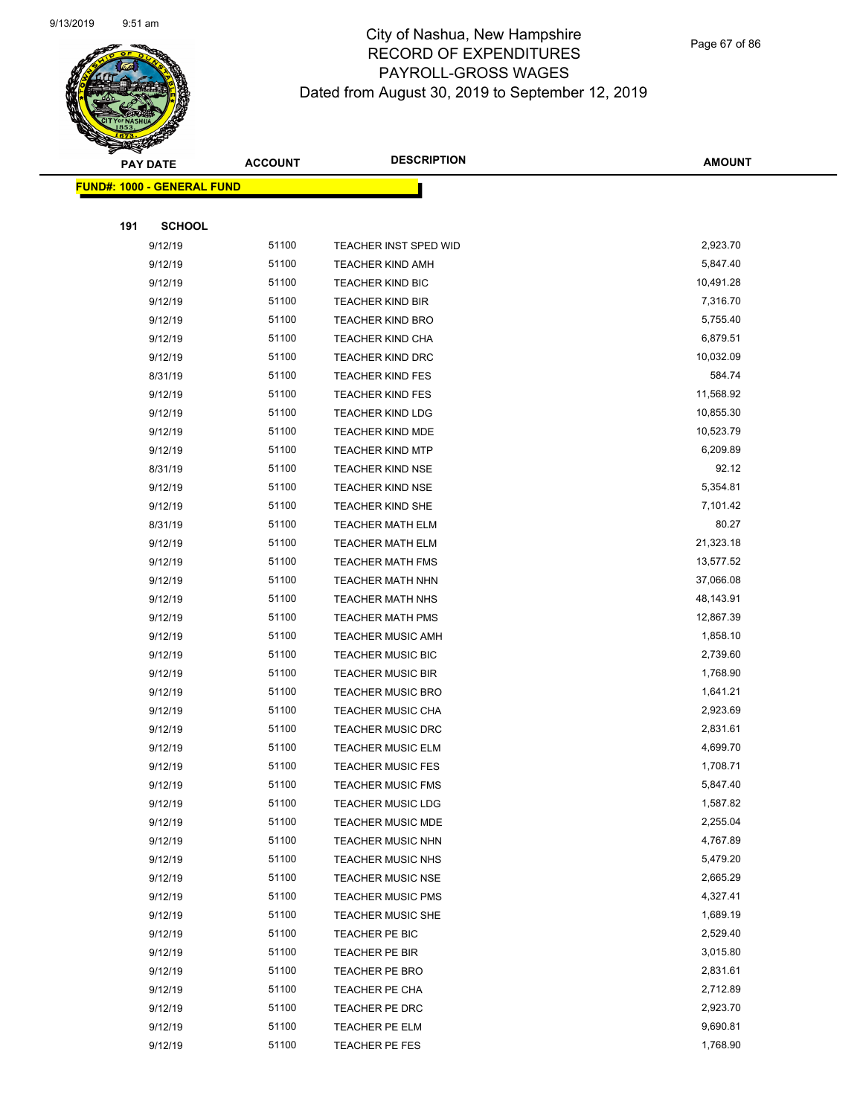

Page 67 of 86

|     | <b>PAY DATE</b>                   | <b>ACCOUNT</b> | <b>DESCRIPTION</b>       | <b>AMOUNT</b> |
|-----|-----------------------------------|----------------|--------------------------|---------------|
|     | <b>FUND#: 1000 - GENERAL FUND</b> |                |                          |               |
|     |                                   |                |                          |               |
| 191 | <b>SCHOOL</b>                     |                |                          |               |
|     | 9/12/19                           | 51100          | TEACHER INST SPED WID    | 2,923.70      |
|     | 9/12/19                           | 51100          | <b>TEACHER KIND AMH</b>  | 5,847.40      |
|     | 9/12/19                           | 51100          | <b>TEACHER KIND BIC</b>  | 10,491.28     |
|     | 9/12/19                           | 51100          | <b>TEACHER KIND BIR</b>  | 7,316.70      |
|     | 9/12/19                           | 51100          | <b>TEACHER KIND BRO</b>  | 5,755.40      |
|     | 9/12/19                           | 51100          | TEACHER KIND CHA         | 6,879.51      |
|     | 9/12/19                           | 51100          | <b>TEACHER KIND DRC</b>  | 10,032.09     |
|     | 8/31/19                           | 51100          | <b>TEACHER KIND FES</b>  | 584.74        |
|     | 9/12/19                           | 51100          | <b>TEACHER KIND FES</b>  | 11,568.92     |
|     | 9/12/19                           | 51100          | <b>TEACHER KIND LDG</b>  | 10,855.30     |
|     | 9/12/19                           | 51100          | <b>TEACHER KIND MDE</b>  | 10,523.79     |
|     | 9/12/19                           | 51100          | <b>TEACHER KIND MTP</b>  | 6,209.89      |
|     | 8/31/19                           | 51100          | <b>TEACHER KIND NSE</b>  | 92.12         |
|     | 9/12/19                           | 51100          | <b>TEACHER KIND NSE</b>  | 5,354.81      |
|     | 9/12/19                           | 51100          | <b>TEACHER KIND SHE</b>  | 7,101.42      |
|     | 8/31/19                           | 51100          | <b>TEACHER MATH ELM</b>  | 80.27         |
|     | 9/12/19                           | 51100          | <b>TEACHER MATH ELM</b>  | 21,323.18     |
|     | 9/12/19                           | 51100          | <b>TEACHER MATH FMS</b>  | 13,577.52     |
|     | 9/12/19                           | 51100          | <b>TEACHER MATH NHN</b>  | 37,066.08     |
|     | 9/12/19                           | 51100          | <b>TEACHER MATH NHS</b>  | 48,143.91     |
|     | 9/12/19                           | 51100          | <b>TEACHER MATH PMS</b>  | 12,867.39     |
|     | 9/12/19                           | 51100          | <b>TEACHER MUSIC AMH</b> | 1,858.10      |
|     | 9/12/19                           | 51100          | <b>TEACHER MUSIC BIC</b> | 2,739.60      |
|     | 9/12/19                           | 51100          | <b>TEACHER MUSIC BIR</b> | 1,768.90      |
|     | 9/12/19                           | 51100          | <b>TEACHER MUSIC BRO</b> | 1,641.21      |
|     | 9/12/19                           | 51100          | <b>TEACHER MUSIC CHA</b> | 2,923.69      |
|     | 9/12/19                           | 51100          | <b>TEACHER MUSIC DRC</b> | 2,831.61      |
|     | 9/12/19                           | 51100          | <b>TEACHER MUSIC ELM</b> | 4,699.70      |
|     | 9/12/19                           | 51100          | <b>TEACHER MUSIC FES</b> | 1,708.71      |
|     | 9/12/19                           | 51100          | <b>TEACHER MUSIC FMS</b> | 5,847.40      |
|     | 9/12/19                           | 51100          | <b>TEACHER MUSIC LDG</b> | 1,587.82      |
|     | 9/12/19                           | 51100          | <b>TEACHER MUSIC MDE</b> | 2,255.04      |
|     | 9/12/19                           | 51100          | <b>TEACHER MUSIC NHN</b> | 4,767.89      |
|     | 9/12/19                           | 51100          | TEACHER MUSIC NHS        | 5,479.20      |
|     | 9/12/19                           | 51100          | <b>TEACHER MUSIC NSE</b> | 2,665.29      |
|     | 9/12/19                           | 51100          | <b>TEACHER MUSIC PMS</b> | 4,327.41      |
|     | 9/12/19                           | 51100          | <b>TEACHER MUSIC SHE</b> | 1,689.19      |
|     | 9/12/19                           | 51100          | TEACHER PE BIC           | 2,529.40      |
|     | 9/12/19                           | 51100          | TEACHER PE BIR           | 3,015.80      |
|     | 9/12/19                           | 51100          | TEACHER PE BRO           | 2,831.61      |
|     | 9/12/19                           | 51100          | TEACHER PE CHA           | 2,712.89      |
|     | 9/12/19                           | 51100          | TEACHER PE DRC           | 2,923.70      |
|     | 9/12/19                           | 51100          | TEACHER PE ELM           | 9,690.81      |
|     | 9/12/19                           | 51100          | TEACHER PE FES           | 1,768.90      |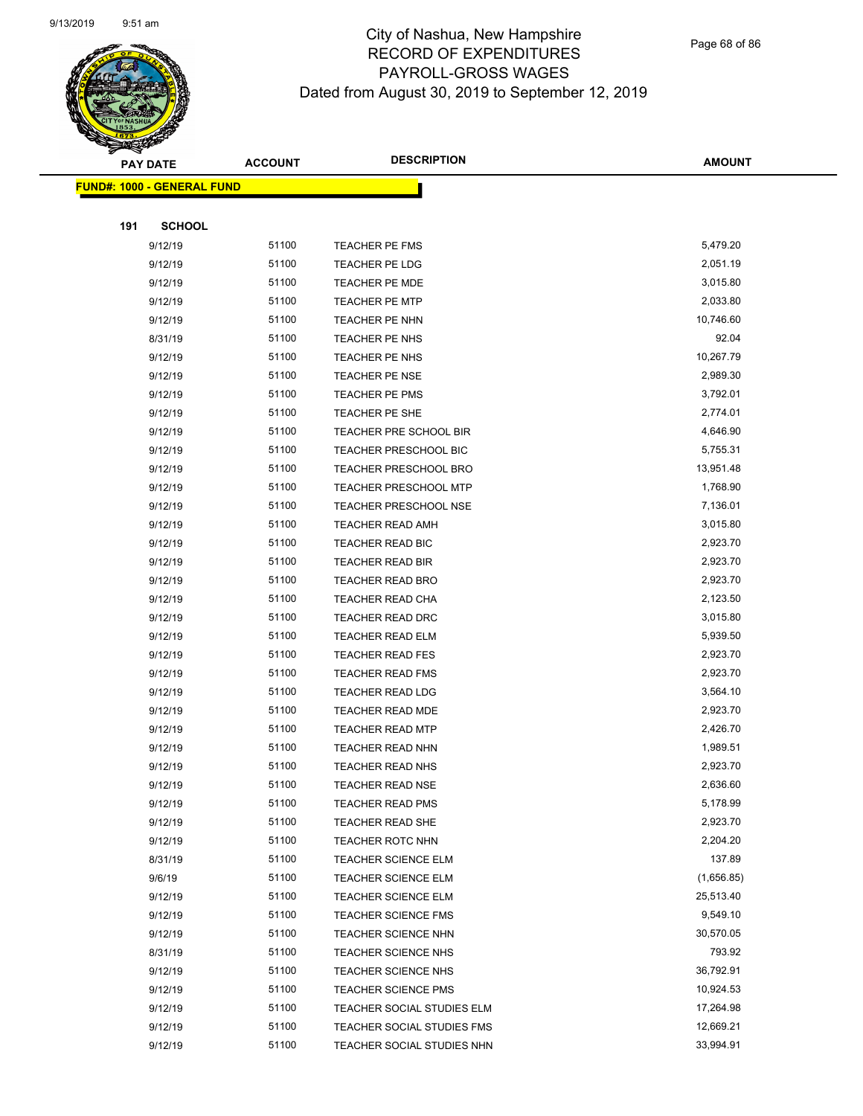

Page 68 of 86

|     | <b>PAY DATE</b>                    | <b>ACCOUNT</b> | <b>DESCRIPTION</b>           | <b>AMOUNT</b> |
|-----|------------------------------------|----------------|------------------------------|---------------|
|     | <u> FUND#: 1000 - GENERAL FUND</u> |                |                              |               |
|     |                                    |                |                              |               |
| 191 | <b>SCHOOL</b>                      |                |                              |               |
|     | 9/12/19                            | 51100          | TEACHER PE FMS               | 5,479.20      |
|     | 9/12/19                            | 51100          | TEACHER PE LDG               | 2,051.19      |
|     | 9/12/19                            | 51100          | <b>TEACHER PE MDE</b>        | 3,015.80      |
|     | 9/12/19                            | 51100          | <b>TEACHER PE MTP</b>        | 2,033.80      |
|     | 9/12/19                            | 51100          | TEACHER PE NHN               | 10,746.60     |
|     | 8/31/19                            | 51100          | TEACHER PE NHS               | 92.04         |
|     | 9/12/19                            | 51100          | TEACHER PE NHS               | 10,267.79     |
|     | 9/12/19                            | 51100          | TEACHER PE NSE               | 2,989.30      |
|     | 9/12/19                            | 51100          | TEACHER PE PMS               | 3,792.01      |
|     | 9/12/19                            | 51100          | TEACHER PE SHE               | 2,774.01      |
|     | 9/12/19                            | 51100          | TEACHER PRE SCHOOL BIR       | 4,646.90      |
|     | 9/12/19                            | 51100          | <b>TEACHER PRESCHOOL BIC</b> | 5,755.31      |
|     | 9/12/19                            | 51100          | <b>TEACHER PRESCHOOL BRO</b> | 13,951.48     |
|     | 9/12/19                            | 51100          | TEACHER PRESCHOOL MTP        | 1,768.90      |
|     | 9/12/19                            | 51100          | <b>TEACHER PRESCHOOL NSE</b> | 7,136.01      |
|     | 9/12/19                            | 51100          | TEACHER READ AMH             | 3,015.80      |
|     | 9/12/19                            | 51100          | TEACHER READ BIC             | 2,923.70      |
|     | 9/12/19                            | 51100          | <b>TEACHER READ BIR</b>      | 2,923.70      |
|     | 9/12/19                            | 51100          | <b>TEACHER READ BRO</b>      | 2,923.70      |
|     | 9/12/19                            | 51100          | <b>TEACHER READ CHA</b>      | 2,123.50      |
|     | 9/12/19                            | 51100          | TEACHER READ DRC             | 3,015.80      |
|     | 9/12/19                            | 51100          | TEACHER READ ELM             | 5,939.50      |
|     | 9/12/19                            | 51100          | <b>TEACHER READ FES</b>      | 2,923.70      |
|     | 9/12/19                            | 51100          | <b>TEACHER READ FMS</b>      | 2,923.70      |
|     | 9/12/19                            | 51100          | TEACHER READ LDG             | 3,564.10      |
|     | 9/12/19                            | 51100          | TEACHER READ MDE             | 2,923.70      |
|     | 9/12/19                            | 51100          | <b>TEACHER READ MTP</b>      | 2,426.70      |
|     | 9/12/19                            | 51100          | <b>TEACHER READ NHN</b>      | 1,989.51      |
|     | 9/12/19                            | 51100          | TEACHER READ NHS             | 2,923.70      |
|     | 9/12/19                            | 51100          | TEACHER READ NSE             | 2,636.60      |
|     | 9/12/19                            | 51100          | <b>TEACHER READ PMS</b>      | 5,178.99      |
|     | 9/12/19                            | 51100          | TEACHER READ SHE             | 2,923.70      |
|     | 9/12/19                            | 51100          | TEACHER ROTC NHN             | 2,204.20      |
|     | 8/31/19                            | 51100          | <b>TEACHER SCIENCE ELM</b>   | 137.89        |
|     | 9/6/19                             | 51100          | TEACHER SCIENCE ELM          | (1,656.85)    |
|     | 9/12/19                            | 51100          | <b>TEACHER SCIENCE ELM</b>   | 25,513.40     |
|     | 9/12/19                            | 51100          | <b>TEACHER SCIENCE FMS</b>   | 9,549.10      |
|     | 9/12/19                            | 51100          | <b>TEACHER SCIENCE NHN</b>   | 30,570.05     |
|     | 8/31/19                            | 51100          | <b>TEACHER SCIENCE NHS</b>   | 793.92        |
|     | 9/12/19                            | 51100          | TEACHER SCIENCE NHS          | 36,792.91     |
|     | 9/12/19                            | 51100          | <b>TEACHER SCIENCE PMS</b>   | 10,924.53     |
|     | 9/12/19                            | 51100          | TEACHER SOCIAL STUDIES ELM   | 17,264.98     |
|     | 9/12/19                            | 51100          | TEACHER SOCIAL STUDIES FMS   | 12,669.21     |
|     | 9/12/19                            | 51100          | TEACHER SOCIAL STUDIES NHN   | 33,994.91     |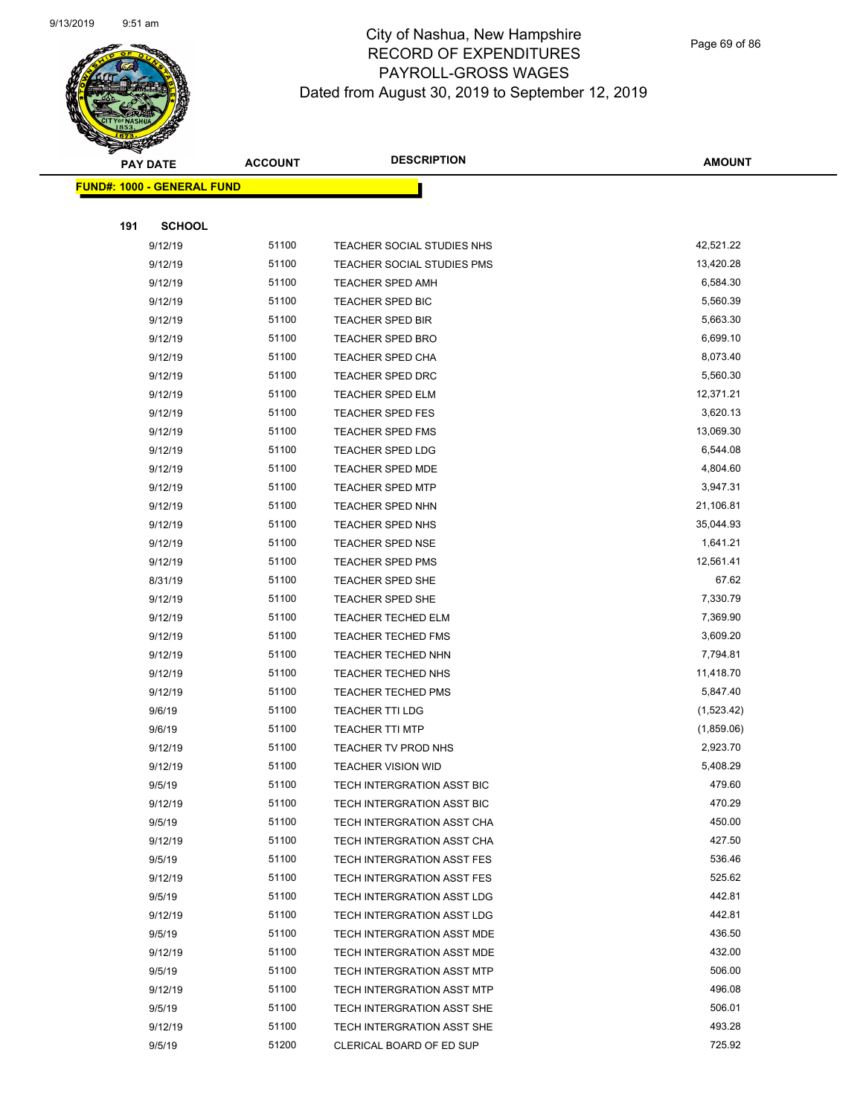

Page 69 of 86

|     | <b>PAY DATE</b>                   | <b>ACCOUNT</b> | <b>DESCRIPTION</b>                | <b>AMOUNT</b> |
|-----|-----------------------------------|----------------|-----------------------------------|---------------|
|     | <b>FUND#: 1000 - GENERAL FUND</b> |                |                                   |               |
|     |                                   |                |                                   |               |
| 191 | <b>SCHOOL</b>                     |                |                                   |               |
|     | 9/12/19                           | 51100          | TEACHER SOCIAL STUDIES NHS        | 42,521.22     |
|     | 9/12/19                           | 51100          | <b>TEACHER SOCIAL STUDIES PMS</b> | 13,420.28     |
|     | 9/12/19                           | 51100          | <b>TEACHER SPED AMH</b>           | 6,584.30      |
|     | 9/12/19                           | 51100          | TEACHER SPED BIC                  | 5,560.39      |
|     | 9/12/19                           | 51100          | <b>TEACHER SPED BIR</b>           | 5,663.30      |
|     | 9/12/19                           | 51100          | <b>TEACHER SPED BRO</b>           | 6,699.10      |
|     | 9/12/19                           | 51100          | <b>TEACHER SPED CHA</b>           | 8,073.40      |
|     | 9/12/19                           | 51100          | <b>TEACHER SPED DRC</b>           | 5,560.30      |
|     | 9/12/19                           | 51100          | <b>TEACHER SPED ELM</b>           | 12,371.21     |
|     | 9/12/19                           | 51100          | <b>TEACHER SPED FES</b>           | 3,620.13      |
|     | 9/12/19                           | 51100          | <b>TEACHER SPED FMS</b>           | 13,069.30     |
|     | 9/12/19                           | 51100          | <b>TEACHER SPED LDG</b>           | 6,544.08      |
|     | 9/12/19                           | 51100          | <b>TEACHER SPED MDE</b>           | 4,804.60      |
|     | 9/12/19                           | 51100          | <b>TEACHER SPED MTP</b>           | 3,947.31      |
|     | 9/12/19                           | 51100          | <b>TEACHER SPED NHN</b>           | 21,106.81     |
|     | 9/12/19                           | 51100          | TEACHER SPED NHS                  | 35,044.93     |
|     | 9/12/19                           | 51100          | TEACHER SPED NSE                  | 1,641.21      |
|     | 9/12/19                           | 51100          | <b>TEACHER SPED PMS</b>           | 12,561.41     |
|     | 8/31/19                           | 51100          | TEACHER SPED SHE                  | 67.62         |
|     | 9/12/19                           | 51100          | TEACHER SPED SHE                  | 7,330.79      |
|     | 9/12/19                           | 51100          | <b>TEACHER TECHED ELM</b>         | 7,369.90      |
|     | 9/12/19                           | 51100          | TEACHER TECHED FMS                | 3,609.20      |
|     | 9/12/19                           | 51100          | <b>TEACHER TECHED NHN</b>         | 7,794.81      |
|     | 9/12/19                           | 51100          | <b>TEACHER TECHED NHS</b>         | 11,418.70     |
|     | 9/12/19                           | 51100          | <b>TEACHER TECHED PMS</b>         | 5,847.40      |
|     | 9/6/19                            | 51100          | <b>TEACHER TTI LDG</b>            | (1,523.42)    |
|     | 9/6/19                            | 51100          | <b>TEACHER TTI MTP</b>            | (1,859.06)    |
|     | 9/12/19                           | 51100          | TEACHER TV PROD NHS               | 2,923.70      |
|     | 9/12/19                           | 51100          | <b>TEACHER VISION WID</b>         | 5,408.29      |
|     | 9/5/19                            | 51100          | TECH INTERGRATION ASST BIC        | 479.60        |
|     | 9/12/19                           | 51100          | TECH INTERGRATION ASST BIC        | 470.29        |
|     | 9/5/19                            | 51100          | TECH INTERGRATION ASST CHA        | 450.00        |
|     | 9/12/19                           | 51100          | TECH INTERGRATION ASST CHA        | 427.50        |
|     | 9/5/19                            | 51100          | TECH INTERGRATION ASST FES        | 536.46        |
|     | 9/12/19                           | 51100          | TECH INTERGRATION ASST FES        | 525.62        |
|     | 9/5/19                            | 51100          | TECH INTERGRATION ASST LDG        | 442.81        |
|     | 9/12/19                           | 51100          | TECH INTERGRATION ASST LDG        | 442.81        |
|     | 9/5/19                            | 51100          | TECH INTERGRATION ASST MDE        | 436.50        |
|     | 9/12/19                           | 51100          | TECH INTERGRATION ASST MDE        | 432.00        |
|     | 9/5/19                            | 51100          | TECH INTERGRATION ASST MTP        | 506.00        |
|     | 9/12/19                           | 51100          | TECH INTERGRATION ASST MTP        | 496.08        |
|     | 9/5/19                            | 51100          | TECH INTERGRATION ASST SHE        | 506.01        |
|     | 9/12/19                           | 51100          | TECH INTERGRATION ASST SHE        | 493.28        |
|     | 9/5/19                            | 51200          | CLERICAL BOARD OF ED SUP          | 725.92        |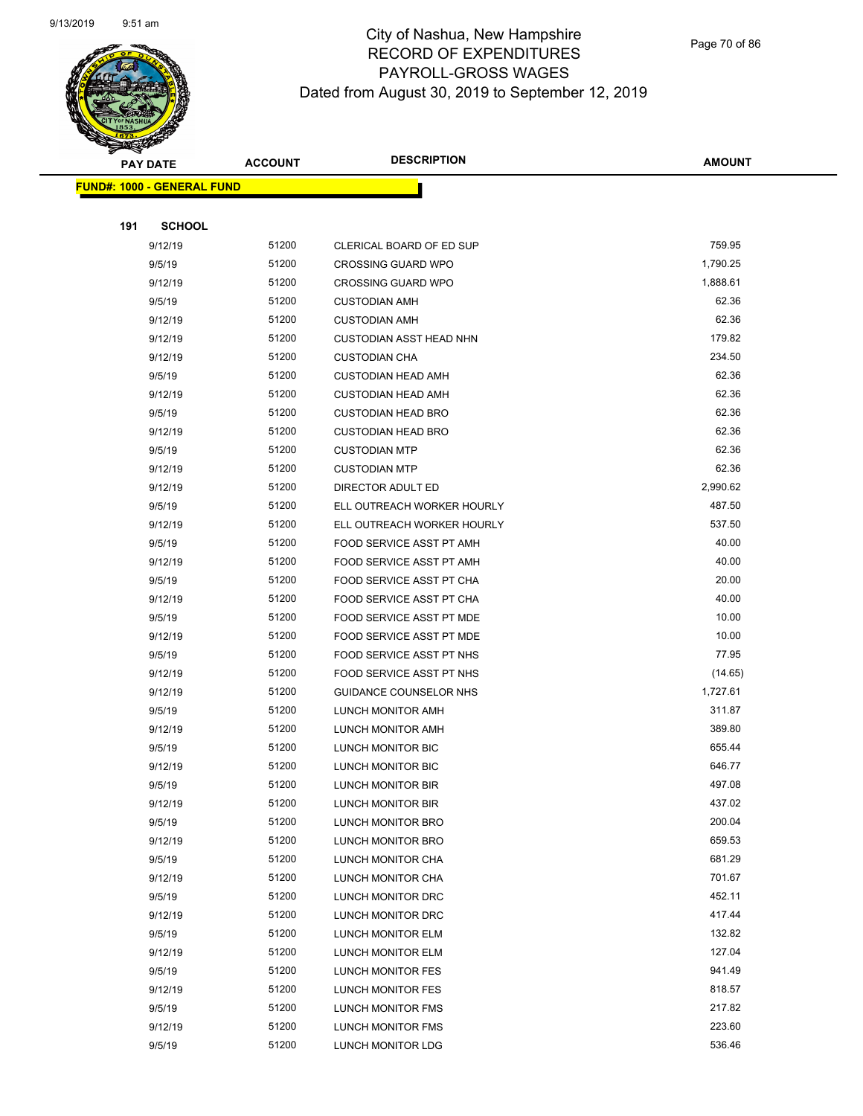

Page 70 of 86

| <b>PAY DATE</b>                   | <b>ACCOUNT</b> | <b>DESCRIPTION</b>             | <b>AMOUNT</b> |
|-----------------------------------|----------------|--------------------------------|---------------|
| <b>FUND#: 1000 - GENERAL FUND</b> |                |                                |               |
|                                   |                |                                |               |
| 191<br><b>SCHOOL</b>              |                |                                |               |
| 9/12/19                           | 51200          | CLERICAL BOARD OF ED SUP       | 759.95        |
| 9/5/19                            | 51200          | <b>CROSSING GUARD WPO</b>      | 1,790.25      |
| 9/12/19                           | 51200          | <b>CROSSING GUARD WPO</b>      | 1,888.61      |
| 9/5/19                            | 51200          | <b>CUSTODIAN AMH</b>           | 62.36         |
| 9/12/19                           | 51200          | <b>CUSTODIAN AMH</b>           | 62.36         |
| 9/12/19                           | 51200          | <b>CUSTODIAN ASST HEAD NHN</b> | 179.82        |
| 9/12/19                           | 51200          | <b>CUSTODIAN CHA</b>           | 234.50        |
| 9/5/19                            | 51200          | <b>CUSTODIAN HEAD AMH</b>      | 62.36         |
| 9/12/19                           | 51200          | <b>CUSTODIAN HEAD AMH</b>      | 62.36         |
| 9/5/19                            | 51200          | <b>CUSTODIAN HEAD BRO</b>      | 62.36         |
| 9/12/19                           | 51200          | <b>CUSTODIAN HEAD BRO</b>      | 62.36         |
| 9/5/19                            | 51200          | <b>CUSTODIAN MTP</b>           | 62.36         |
| 9/12/19                           | 51200          | <b>CUSTODIAN MTP</b>           | 62.36         |
| 9/12/19                           | 51200          | DIRECTOR ADULT ED              | 2,990.62      |
| 9/5/19                            | 51200          | ELL OUTREACH WORKER HOURLY     | 487.50        |
| 9/12/19                           | 51200          | ELL OUTREACH WORKER HOURLY     | 537.50        |
| 9/5/19                            | 51200          | FOOD SERVICE ASST PT AMH       | 40.00         |
| 9/12/19                           | 51200          | FOOD SERVICE ASST PT AMH       | 40.00         |
| 9/5/19                            | 51200          | FOOD SERVICE ASST PT CHA       | 20.00         |
| 9/12/19                           | 51200          | FOOD SERVICE ASST PT CHA       | 40.00         |
| 9/5/19                            | 51200          | FOOD SERVICE ASST PT MDE       | 10.00         |
| 9/12/19                           | 51200          | FOOD SERVICE ASST PT MDE       | 10.00         |
| 9/5/19                            | 51200          | FOOD SERVICE ASST PT NHS       | 77.95         |
| 9/12/19                           | 51200          | FOOD SERVICE ASST PT NHS       | (14.65)       |
| 9/12/19                           | 51200          | GUIDANCE COUNSELOR NHS         | 1,727.61      |
| 9/5/19                            | 51200          | LUNCH MONITOR AMH              | 311.87        |
| 9/12/19                           | 51200          | LUNCH MONITOR AMH              | 389.80        |
| 9/5/19                            | 51200          | LUNCH MONITOR BIC              | 655.44        |
| 9/12/19                           | 51200          | LUNCH MONITOR BIC              | 646.77        |
| 9/5/19                            | 51200          | LUNCH MONITOR BIR              | 497.08        |
| 9/12/19                           | 51200          | LUNCH MONITOR BIR              | 437.02        |
| 9/5/19                            | 51200          | LUNCH MONITOR BRO              | 200.04        |
| 9/12/19                           | 51200          | LUNCH MONITOR BRO              | 659.53        |
| 9/5/19                            | 51200          | LUNCH MONITOR CHA              | 681.29        |
| 9/12/19                           | 51200          | LUNCH MONITOR CHA              | 701.67        |
| 9/5/19                            | 51200          | LUNCH MONITOR DRC              | 452.11        |
| 9/12/19                           | 51200          | LUNCH MONITOR DRC              | 417.44        |
| 9/5/19                            | 51200          | LUNCH MONITOR ELM              | 132.82        |
| 9/12/19                           | 51200          | LUNCH MONITOR ELM              | 127.04        |
| 9/5/19                            | 51200          | LUNCH MONITOR FES              | 941.49        |
| 9/12/19                           | 51200          | LUNCH MONITOR FES              | 818.57        |
| 9/5/19                            | 51200          | LUNCH MONITOR FMS              | 217.82        |
| 9/12/19                           | 51200          | LUNCH MONITOR FMS              | 223.60        |
| 9/5/19                            | 51200          | LUNCH MONITOR LDG              | 536.46        |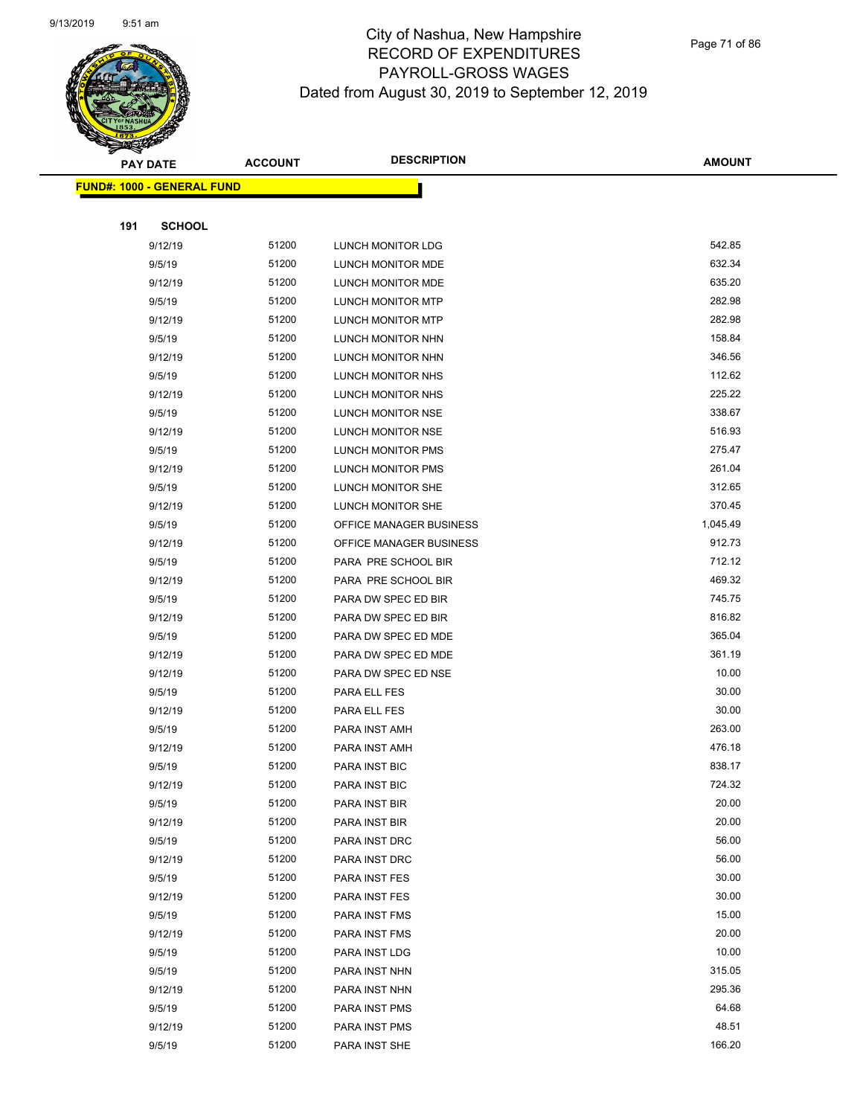

Page 71 of 86

|     | <b>PAY DATE</b>                   | <b>ACCOUNT</b> | <b>DESCRIPTION</b>       | <b>AMOUNT</b> |
|-----|-----------------------------------|----------------|--------------------------|---------------|
|     | <b>FUND#: 1000 - GENERAL FUND</b> |                |                          |               |
|     |                                   |                |                          |               |
| 191 | <b>SCHOOL</b>                     |                |                          |               |
|     | 9/12/19                           | 51200          | LUNCH MONITOR LDG        | 542.85        |
|     | 9/5/19                            | 51200          | LUNCH MONITOR MDE        | 632.34        |
|     | 9/12/19                           | 51200          | LUNCH MONITOR MDE        | 635.20        |
|     | 9/5/19                            | 51200          | LUNCH MONITOR MTP        | 282.98        |
|     | 9/12/19                           | 51200          | LUNCH MONITOR MTP        | 282.98        |
|     | 9/5/19                            | 51200          | LUNCH MONITOR NHN        | 158.84        |
|     | 9/12/19                           | 51200          | LUNCH MONITOR NHN        | 346.56        |
|     | 9/5/19                            | 51200          | LUNCH MONITOR NHS        | 112.62        |
|     | 9/12/19                           | 51200          | LUNCH MONITOR NHS        | 225.22        |
|     | 9/5/19                            | 51200          | LUNCH MONITOR NSE        | 338.67        |
|     | 9/12/19                           | 51200          | LUNCH MONITOR NSE        | 516.93        |
|     | 9/5/19                            | 51200          | <b>LUNCH MONITOR PMS</b> | 275.47        |
|     | 9/12/19                           | 51200          | LUNCH MONITOR PMS        | 261.04        |
|     | 9/5/19                            | 51200          | LUNCH MONITOR SHE        | 312.65        |
|     | 9/12/19                           | 51200          | LUNCH MONITOR SHE        | 370.45        |
|     | 9/5/19                            | 51200          | OFFICE MANAGER BUSINESS  | 1,045.49      |
|     | 9/12/19                           | 51200          | OFFICE MANAGER BUSINESS  | 912.73        |
|     | 9/5/19                            | 51200          | PARA PRE SCHOOL BIR      | 712.12        |
|     | 9/12/19                           | 51200          | PARA PRE SCHOOL BIR      | 469.32        |
|     | 9/5/19                            | 51200          | PARA DW SPEC ED BIR      | 745.75        |
|     | 9/12/19                           | 51200          | PARA DW SPEC ED BIR      | 816.82        |
|     | 9/5/19                            | 51200          | PARA DW SPEC ED MDE      | 365.04        |
|     | 9/12/19                           | 51200          | PARA DW SPEC ED MDE      | 361.19        |
|     | 9/12/19                           | 51200          | PARA DW SPEC ED NSE      | 10.00         |
|     | 9/5/19                            | 51200          | PARA ELL FES             | 30.00         |
|     | 9/12/19                           | 51200          | PARA ELL FES             | 30.00         |
|     | 9/5/19                            | 51200          | PARA INST AMH            | 263.00        |
|     | 9/12/19                           | 51200          | PARA INST AMH            | 476.18        |
|     | 9/5/19                            | 51200          | <b>PARA INST BIC</b>     | 838.17        |
|     | 9/12/19                           | 51200          | PARA INST BIC            | 724.32        |
|     | 9/5/19                            | 51200          | PARA INST BIR            | 20.00         |
|     | 9/12/19                           | 51200          | PARA INST BIR            | 20.00         |
|     | 9/5/19                            | 51200          | PARA INST DRC            | 56.00         |
|     | 9/12/19                           | 51200          | PARA INST DRC            | 56.00         |
|     | 9/5/19                            | 51200          | PARA INST FES            | 30.00         |
|     | 9/12/19                           | 51200          | PARA INST FES            | 30.00         |
|     | 9/5/19                            | 51200          | PARA INST FMS            | 15.00         |
|     | 9/12/19                           | 51200          | PARA INST FMS            | 20.00         |
|     | 9/5/19                            | 51200          | PARA INST LDG            | 10.00         |
|     | 9/5/19                            | 51200          | PARA INST NHN            | 315.05        |
|     | 9/12/19                           | 51200          | PARA INST NHN            | 295.36        |
|     | 9/5/19                            | 51200          | PARA INST PMS            | 64.68         |
|     | 9/12/19                           | 51200          | PARA INST PMS            | 48.51         |
|     | 9/5/19                            | 51200          | PARA INST SHE            | 166.20        |
|     |                                   |                |                          |               |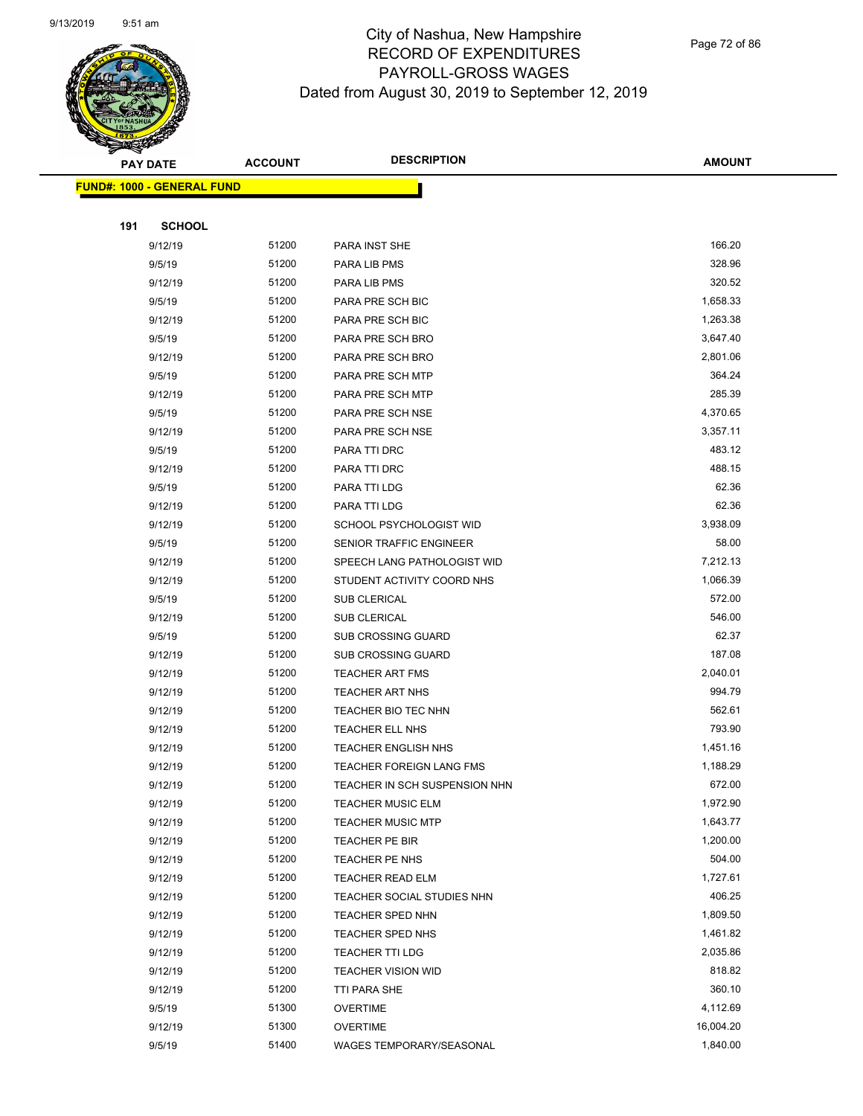

Page 72 of 86

|     | <b>PAY DATE</b>                   | <b>ACCOUNT</b> | <b>DESCRIPTION</b>                                    | <b>AMOUNT</b>      |
|-----|-----------------------------------|----------------|-------------------------------------------------------|--------------------|
|     | <b>FUND#: 1000 - GENERAL FUND</b> |                |                                                       |                    |
|     |                                   |                |                                                       |                    |
| 191 | <b>SCHOOL</b>                     |                |                                                       |                    |
|     | 9/12/19                           | 51200          | PARA INST SHE                                         | 166.20             |
|     | 9/5/19                            | 51200          | PARA LIB PMS                                          | 328.96             |
|     | 9/12/19                           | 51200          | PARA LIB PMS                                          | 320.52             |
|     | 9/5/19                            | 51200          | PARA PRE SCH BIC                                      | 1,658.33           |
|     | 9/12/19                           | 51200          | PARA PRE SCH BIC                                      | 1,263.38           |
|     | 9/5/19                            | 51200          | PARA PRE SCH BRO                                      | 3,647.40           |
|     | 9/12/19                           | 51200          | PARA PRE SCH BRO                                      | 2,801.06           |
|     | 9/5/19                            | 51200          | PARA PRE SCH MTP                                      | 364.24             |
|     | 9/12/19                           | 51200          | PARA PRE SCH MTP                                      | 285.39             |
|     | 9/5/19                            | 51200          | PARA PRE SCH NSE                                      | 4,370.65           |
|     | 9/12/19                           | 51200          | PARA PRE SCH NSE                                      | 3,357.11           |
|     | 9/5/19                            | 51200          | PARA TTI DRC                                          | 483.12             |
|     | 9/12/19                           | 51200          | PARA TTI DRC                                          | 488.15             |
|     | 9/5/19                            | 51200          | PARA TTI LDG                                          | 62.36              |
|     | 9/12/19                           | 51200          | PARA TTI LDG                                          | 62.36              |
|     | 9/12/19                           | 51200          | SCHOOL PSYCHOLOGIST WID                               | 3,938.09           |
|     | 9/5/19                            | 51200          | <b>SENIOR TRAFFIC ENGINEER</b>                        | 58.00              |
|     | 9/12/19                           | 51200          | SPEECH LANG PATHOLOGIST WID                           | 7,212.13           |
|     | 9/12/19                           | 51200          | STUDENT ACTIVITY COORD NHS                            | 1,066.39           |
|     | 9/5/19                            | 51200          | <b>SUB CLERICAL</b>                                   | 572.00             |
|     | 9/12/19                           | 51200          | <b>SUB CLERICAL</b>                                   | 546.00             |
|     | 9/5/19                            | 51200          | SUB CROSSING GUARD                                    | 62.37              |
|     | 9/12/19                           | 51200          | <b>SUB CROSSING GUARD</b>                             | 187.08             |
|     | 9/12/19                           | 51200          | <b>TEACHER ART FMS</b>                                | 2,040.01           |
|     | 9/12/19                           | 51200          | <b>TEACHER ART NHS</b>                                | 994.79             |
|     | 9/12/19                           | 51200          | TEACHER BIO TEC NHN                                   | 562.61             |
|     | 9/12/19                           | 51200          | <b>TEACHER ELL NHS</b>                                | 793.90             |
|     | 9/12/19                           | 51200          | <b>TEACHER ENGLISH NHS</b>                            | 1,451.16           |
|     | 9/12/19                           | 51200          | <b>TEACHER FOREIGN LANG FMS</b>                       | 1,188.29           |
|     | 9/12/19                           | 51200          | TEACHER IN SCH SUSPENSION NHN                         | 672.00             |
|     | 9/12/19                           | 51200          | <b>TEACHER MUSIC ELM</b>                              | 1,972.90           |
|     | 9/12/19                           | 51200          | <b>TEACHER MUSIC MTP</b>                              | 1,643.77           |
|     | 9/12/19                           | 51200          | <b>TEACHER PE BIR</b><br>TEACHER PE NHS               | 1,200.00<br>504.00 |
|     | 9/12/19<br>9/12/19                | 51200<br>51200 |                                                       | 1,727.61           |
|     | 9/12/19                           | 51200          | <b>TEACHER READ ELM</b><br>TEACHER SOCIAL STUDIES NHN | 406.25             |
|     | 9/12/19                           | 51200          | <b>TEACHER SPED NHN</b>                               | 1,809.50           |
|     | 9/12/19                           | 51200          | <b>TEACHER SPED NHS</b>                               | 1,461.82           |
|     | 9/12/19                           | 51200          | <b>TEACHER TTI LDG</b>                                | 2,035.86           |
|     | 9/12/19                           | 51200          | <b>TEACHER VISION WID</b>                             | 818.82             |
|     | 9/12/19                           | 51200          | TTI PARA SHE                                          | 360.10             |
|     | 9/5/19                            | 51300          | OVERTIME                                              | 4,112.69           |
|     | 9/12/19                           | 51300          | <b>OVERTIME</b>                                       | 16,004.20          |
|     | 9/5/19                            | 51400          | WAGES TEMPORARY/SEASONAL                              | 1,840.00           |
|     |                                   |                |                                                       |                    |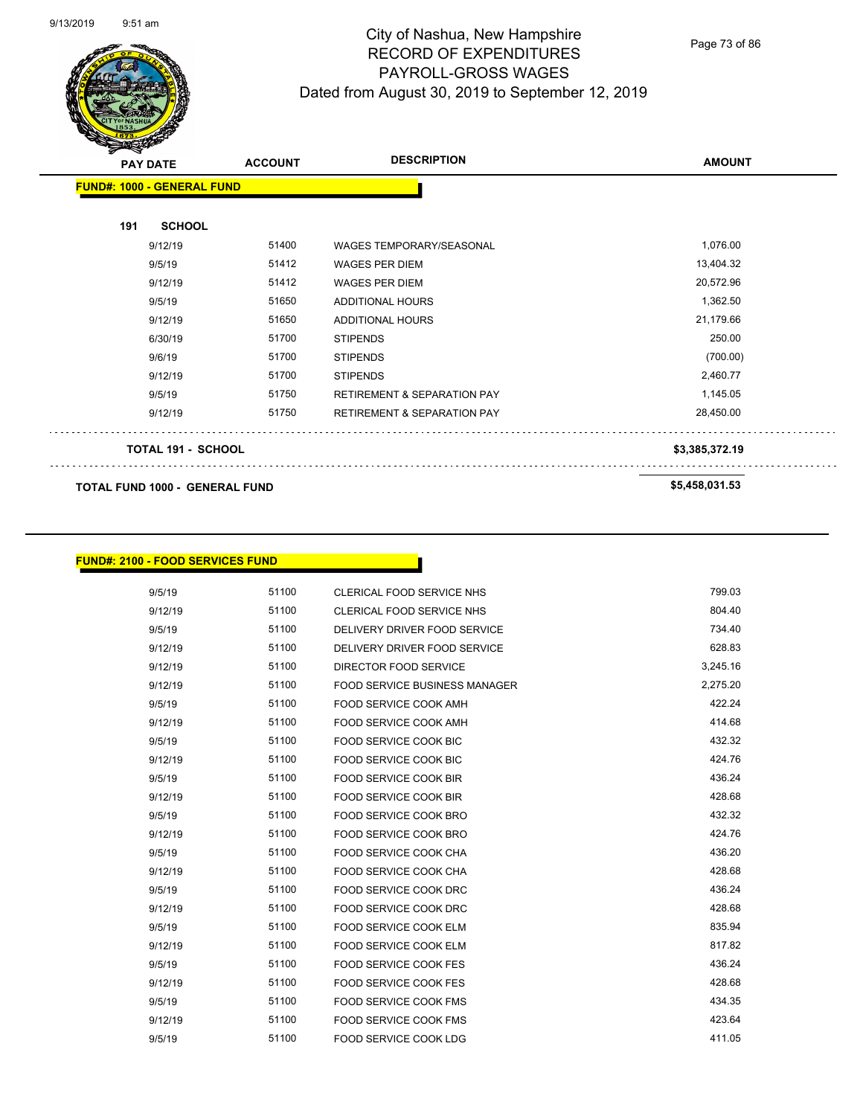

Page 73 of 86

| $\mathscr{D} \mathscr{A}$<br><b>PAY DATE</b> |                           | <b>ACCOUNT</b> | <b>DESCRIPTION</b>                     | <b>AMOUNT</b>  |
|----------------------------------------------|---------------------------|----------------|----------------------------------------|----------------|
| <b>FUND#: 1000 - GENERAL FUND</b>            |                           |                |                                        |                |
| 191                                          | <b>SCHOOL</b>             |                |                                        |                |
|                                              | 9/12/19                   | 51400          | WAGES TEMPORARY/SEASONAL               | 1,076.00       |
|                                              | 9/5/19                    | 51412          | <b>WAGES PER DIEM</b>                  | 13,404.32      |
|                                              | 9/12/19                   | 51412          | <b>WAGES PER DIEM</b>                  | 20,572.96      |
|                                              | 9/5/19                    | 51650          | ADDITIONAL HOURS                       | 1,362.50       |
|                                              | 9/12/19                   | 51650          | <b>ADDITIONAL HOURS</b>                | 21,179.66      |
|                                              | 6/30/19                   | 51700          | <b>STIPENDS</b>                        | 250.00         |
|                                              | 9/6/19                    | 51700          | <b>STIPENDS</b>                        | (700.00)       |
|                                              | 9/12/19                   | 51700          | <b>STIPENDS</b>                        | 2,460.77       |
|                                              | 9/5/19                    | 51750          | <b>RETIREMENT &amp; SEPARATION PAY</b> | 1,145.05       |
|                                              | 9/12/19                   | 51750          | RETIREMENT & SEPARATION PAY            | 28,450.00      |
|                                              | <b>TOTAL 191 - SCHOOL</b> |                |                                        | \$3,385,372.19 |
| <b>TOTAL FUND 1000 - GENERAL FUND</b>        |                           |                |                                        | \$5,458,031.53 |

#### **FUND#: 2100 - FOOD SERVICES FUND**

| 9/5/19  | 51100 | <b>CLERICAL FOOD SERVICE NHS</b>     | 799.03   |
|---------|-------|--------------------------------------|----------|
| 9/12/19 | 51100 | <b>CLERICAL FOOD SERVICE NHS</b>     | 804.40   |
| 9/5/19  | 51100 | DELIVERY DRIVER FOOD SERVICE         | 734.40   |
| 9/12/19 | 51100 | DELIVERY DRIVER FOOD SERVICE         | 628.83   |
| 9/12/19 | 51100 | DIRECTOR FOOD SERVICE                | 3,245.16 |
| 9/12/19 | 51100 | <b>FOOD SERVICE BUSINESS MANAGER</b> | 2,275.20 |
| 9/5/19  | 51100 | <b>FOOD SERVICE COOK AMH</b>         | 422.24   |
| 9/12/19 | 51100 | FOOD SERVICE COOK AMH                | 414.68   |
| 9/5/19  | 51100 | <b>FOOD SERVICE COOK BIC</b>         | 432.32   |
| 9/12/19 | 51100 | FOOD SERVICE COOK BIC                | 424.76   |
| 9/5/19  | 51100 | <b>FOOD SERVICE COOK BIR</b>         | 436.24   |
| 9/12/19 | 51100 | <b>FOOD SERVICE COOK BIR</b>         | 428.68   |
| 9/5/19  | 51100 | FOOD SERVICE COOK BRO                | 432.32   |
| 9/12/19 | 51100 | FOOD SERVICE COOK BRO                | 424.76   |
| 9/5/19  | 51100 | <b>FOOD SERVICE COOK CHA</b>         | 436.20   |
| 9/12/19 | 51100 | <b>FOOD SERVICE COOK CHA</b>         | 428.68   |
| 9/5/19  | 51100 | <b>FOOD SERVICE COOK DRC</b>         | 436.24   |
| 9/12/19 | 51100 | FOOD SERVICE COOK DRC                | 428.68   |
| 9/5/19  | 51100 | FOOD SERVICE COOK ELM                | 835.94   |
| 9/12/19 | 51100 | <b>FOOD SERVICE COOK ELM</b>         | 817.82   |
| 9/5/19  | 51100 | <b>FOOD SERVICE COOK FES</b>         | 436.24   |
| 9/12/19 | 51100 | <b>FOOD SERVICE COOK FES</b>         | 428.68   |
| 9/5/19  | 51100 | FOOD SERVICE COOK FMS                | 434.35   |
| 9/12/19 | 51100 | <b>FOOD SERVICE COOK FMS</b>         | 423.64   |
| 9/5/19  | 51100 | <b>FOOD SERVICE COOK LDG</b>         | 411.05   |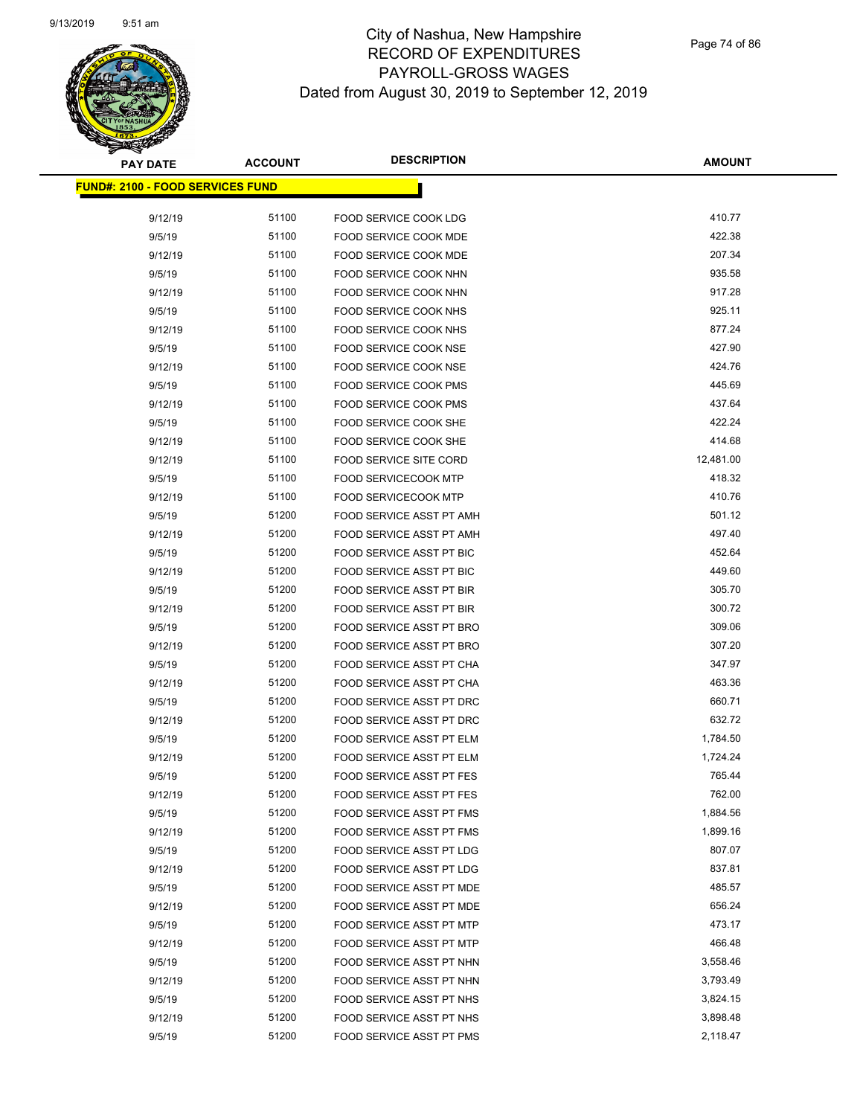# **PAY DATE ACCOUNT DESCRIPTION**

# City of Nashua, New Hampshire RECORD OF EXPENDITURES PAYROLL-GROSS WAGES Dated from August 30, 2019 to September 12, 2019

Page 74 of 86

| <b>PAY DATE</b>                         | <b>ACCOUNT</b> | <b>DESCRIPTION</b>                                    | <b>AMOUNT</b>    |
|-----------------------------------------|----------------|-------------------------------------------------------|------------------|
| <b>FUND#: 2100 - FOOD SERVICES FUND</b> |                |                                                       |                  |
|                                         |                |                                                       |                  |
| 9/12/19                                 | 51100          | FOOD SERVICE COOK LDG                                 | 410.77           |
| 9/5/19                                  | 51100          | FOOD SERVICE COOK MDE                                 | 422.38           |
| 9/12/19                                 | 51100          | <b>FOOD SERVICE COOK MDE</b>                          | 207.34           |
| 9/5/19                                  | 51100          | FOOD SERVICE COOK NHN                                 | 935.58<br>917.28 |
| 9/12/19                                 | 51100          | FOOD SERVICE COOK NHN                                 | 925.11           |
| 9/5/19                                  | 51100          | FOOD SERVICE COOK NHS<br><b>FOOD SERVICE COOK NHS</b> |                  |
| 9/12/19                                 | 51100          |                                                       | 877.24           |
| 9/5/19                                  | 51100<br>51100 | <b>FOOD SERVICE COOK NSE</b>                          | 427.90<br>424.76 |
| 9/12/19                                 | 51100          | FOOD SERVICE COOK NSE                                 | 445.69           |
| 9/5/19<br>9/12/19                       | 51100          | FOOD SERVICE COOK PMS                                 | 437.64           |
|                                         | 51100          | <b>FOOD SERVICE COOK PMS</b><br>FOOD SERVICE COOK SHE | 422.24           |
| 9/5/19<br>9/12/19                       | 51100          | <b>FOOD SERVICE COOK SHE</b>                          | 414.68           |
| 9/12/19                                 | 51100          | <b>FOOD SERVICE SITE CORD</b>                         | 12,481.00        |
| 9/5/19                                  | 51100          | <b>FOOD SERVICECOOK MTP</b>                           | 418.32           |
| 9/12/19                                 | 51100          | <b>FOOD SERVICECOOK MTP</b>                           | 410.76           |
| 9/5/19                                  | 51200          | FOOD SERVICE ASST PT AMH                              | 501.12           |
| 9/12/19                                 | 51200          | FOOD SERVICE ASST PT AMH                              | 497.40           |
| 9/5/19                                  | 51200          | FOOD SERVICE ASST PT BIC                              | 452.64           |
| 9/12/19                                 | 51200          | FOOD SERVICE ASST PT BIC                              | 449.60           |
| 9/5/19                                  | 51200          | FOOD SERVICE ASST PT BIR                              | 305.70           |
| 9/12/19                                 | 51200          | FOOD SERVICE ASST PT BIR                              | 300.72           |
| 9/5/19                                  | 51200          | FOOD SERVICE ASST PT BRO                              | 309.06           |
| 9/12/19                                 | 51200          | FOOD SERVICE ASST PT BRO                              | 307.20           |
| 9/5/19                                  | 51200          | FOOD SERVICE ASST PT CHA                              | 347.97           |
| 9/12/19                                 | 51200          | FOOD SERVICE ASST PT CHA                              | 463.36           |
| 9/5/19                                  | 51200          | FOOD SERVICE ASST PT DRC                              | 660.71           |
| 9/12/19                                 | 51200          | FOOD SERVICE ASST PT DRC                              | 632.72           |
| 9/5/19                                  | 51200          | FOOD SERVICE ASST PT ELM                              | 1,784.50         |
| 9/12/19                                 | 51200          | FOOD SERVICE ASST PT ELM                              | 1,724.24         |
| 9/5/19                                  | 51200          | <b>FOOD SERVICE ASST PT FES</b>                       | 765.44           |
| 9/12/19                                 | 51200          | <b>FOOD SERVICE ASST PT FES</b>                       | 762.00           |
| 9/5/19                                  | 51200          | FOOD SERVICE ASST PT FMS                              | 1,884.56         |
| 9/12/19                                 | 51200          | FOOD SERVICE ASST PT FMS                              | 1,899.16         |
| 9/5/19                                  | 51200          | FOOD SERVICE ASST PT LDG                              | 807.07           |
| 9/12/19                                 | 51200          | FOOD SERVICE ASST PT LDG                              | 837.81           |
| 9/5/19                                  | 51200          | FOOD SERVICE ASST PT MDE                              | 485.57           |
| 9/12/19                                 | 51200          | FOOD SERVICE ASST PT MDE                              | 656.24           |
| 9/5/19                                  | 51200          | FOOD SERVICE ASST PT MTP                              | 473.17           |
| 9/12/19                                 | 51200          | FOOD SERVICE ASST PT MTP                              | 466.48           |
| 9/5/19                                  | 51200          | <b>FOOD SERVICE ASST PT NHN</b>                       | 3,558.46         |
| 9/12/19                                 | 51200          | FOOD SERVICE ASST PT NHN                              | 3,793.49         |
| 9/5/19                                  | 51200          | FOOD SERVICE ASST PT NHS                              | 3,824.15         |
| 9/12/19                                 | 51200          | FOOD SERVICE ASST PT NHS                              | 3,898.48         |
| 9/5/19                                  | 51200          | FOOD SERVICE ASST PT PMS                              | 2,118.47         |
|                                         |                |                                                       |                  |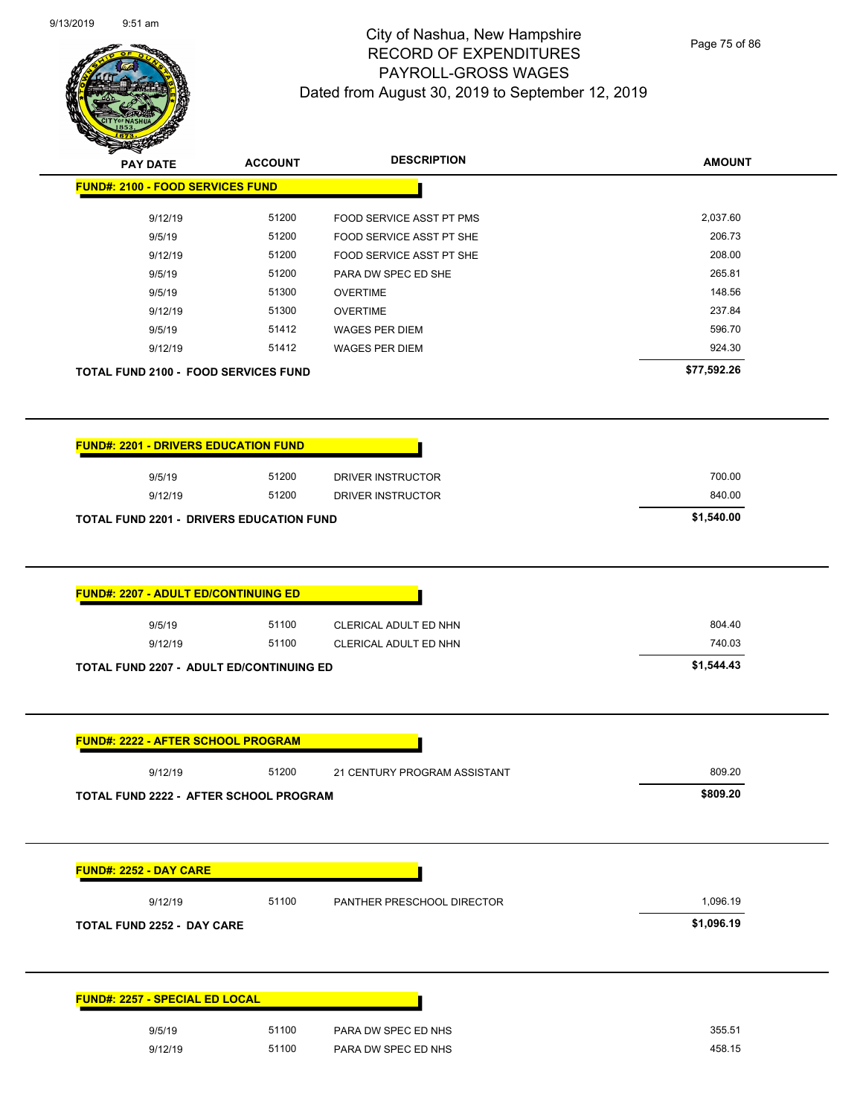

Page 75 of 86

| <b>PAY DATE</b>                                                                                                                        | <b>ACCOUNT</b> | <b>DESCRIPTION</b>                             | <b>AMOUNT</b>                  |
|----------------------------------------------------------------------------------------------------------------------------------------|----------------|------------------------------------------------|--------------------------------|
| <b>FUND#: 2100 - FOOD SERVICES FUND</b>                                                                                                |                |                                                |                                |
| 9/12/19                                                                                                                                | 51200          | FOOD SERVICE ASST PT PMS                       | 2,037.60                       |
| 9/5/19                                                                                                                                 | 51200          | FOOD SERVICE ASST PT SHE                       | 206.73                         |
| 9/12/19                                                                                                                                | 51200          | FOOD SERVICE ASST PT SHE                       | 208.00                         |
| 9/5/19                                                                                                                                 | 51200          | PARA DW SPEC ED SHE                            | 265.81                         |
| 9/5/19                                                                                                                                 | 51300          | <b>OVERTIME</b>                                | 148.56                         |
| 9/12/19                                                                                                                                | 51300          | <b>OVERTIME</b>                                | 237.84                         |
| 9/5/19                                                                                                                                 | 51412          | <b>WAGES PER DIEM</b>                          | 596.70                         |
| 9/12/19                                                                                                                                | 51412          | <b>WAGES PER DIEM</b>                          | 924.30                         |
| <b>TOTAL FUND 2100 - FOOD SERVICES FUND</b>                                                                                            |                |                                                | \$77,592.26                    |
| <b>FUND#: 2201 - DRIVERS EDUCATION FUND</b>                                                                                            |                |                                                |                                |
| 9/5/19                                                                                                                                 | 51200          | DRIVER INSTRUCTOR                              | 700.00                         |
| 9/12/19                                                                                                                                | 51200          | DRIVER INSTRUCTOR                              | 840.00                         |
| <b>TOTAL FUND 2201 - DRIVERS EDUCATION FUND</b>                                                                                        |                |                                                | \$1,540.00                     |
|                                                                                                                                        |                |                                                |                                |
| 9/5/19<br>9/12/19                                                                                                                      | 51100<br>51100 | CLERICAL ADULT ED NHN<br>CLERICAL ADULT ED NHN | 804.40<br>740.03<br>\$1,544.43 |
| 9/12/19                                                                                                                                | 51200          | 21 CENTURY PROGRAM ASSISTANT                   | 809.20                         |
| <b>TOTAL FUND 2207 - ADULT ED/CONTINUING ED</b><br><b>FUND#: 2222 - AFTER SCHOOL PROGRAM</b><br>TOTAL FUND 2222 - AFTER SCHOOL PROGRAM |                |                                                | \$809.20                       |
| <b>FUND#: 2252 - DAY CARE</b>                                                                                                          |                |                                                |                                |
| 9/12/19                                                                                                                                | 51100          | PANTHER PRESCHOOL DIRECTOR                     | 1,096.19                       |
| <b>TOTAL FUND 2252 - DAY CARE</b>                                                                                                      |                |                                                | \$1,096.19                     |
| <b>FUND#: 2257 - SPECIAL ED LOCAL</b>                                                                                                  |                |                                                |                                |
| 9/5/19                                                                                                                                 | 51100          | PARA DW SPEC ED NHS                            | 355.51                         |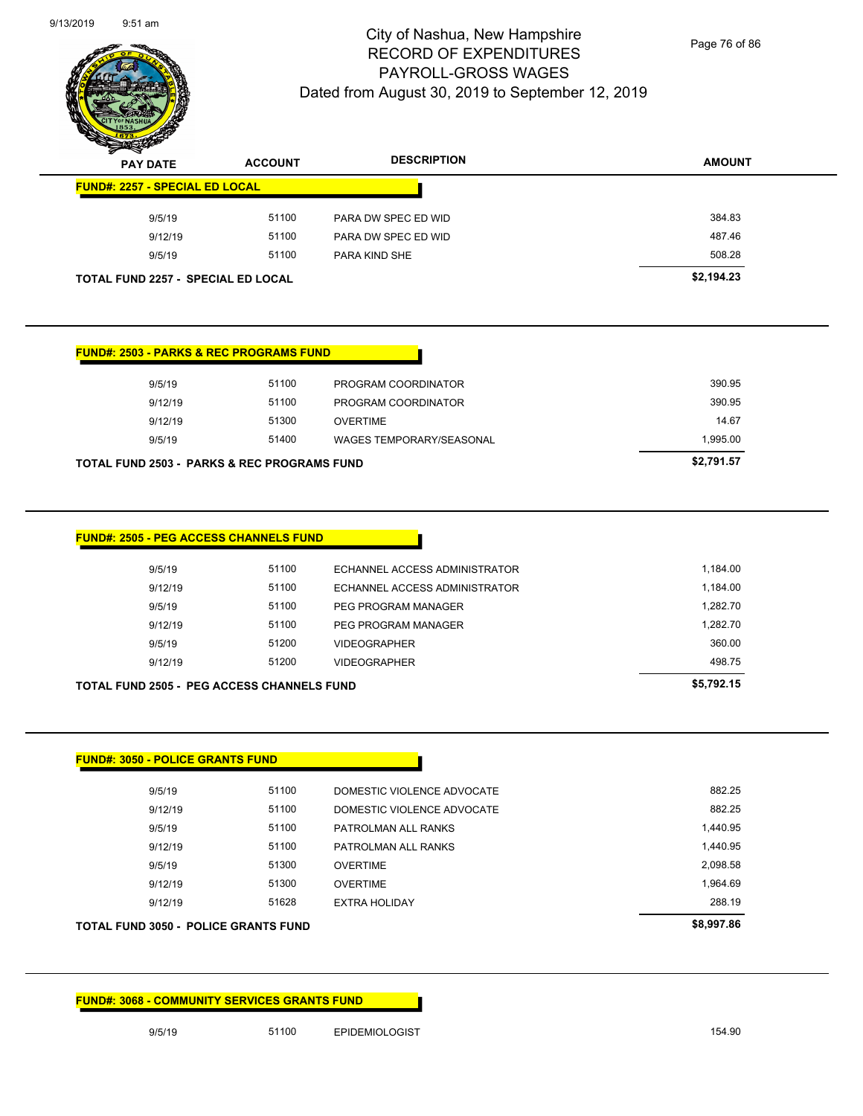

Page 76 of 86

| $\sim$<br><b>PAY DATE</b>                 | <b>ACCOUNT</b> | <b>DESCRIPTION</b>  | <b>AMOUNT</b> |
|-------------------------------------------|----------------|---------------------|---------------|
| <b>FUND#: 2257 - SPECIAL ED LOCAL</b>     |                |                     |               |
| 9/5/19                                    | 51100          | PARA DW SPEC ED WID | 384.83        |
| 9/12/19                                   | 51100          | PARA DW SPEC ED WID | 487.46        |
| 9/5/19                                    | 51100          | PARA KIND SHE       | 508.28        |
| <b>TOTAL FUND 2257 - SPECIAL ED LOCAL</b> |                |                     | \$2,194.23    |

| TOTAL FUND 2503 - PARKS & REC PROGRAMS FUND |         | \$2,791.57 |                          |          |
|---------------------------------------------|---------|------------|--------------------------|----------|
|                                             | 9/5/19  | 51400      | WAGES TEMPORARY/SEASONAL | 1.995.00 |
|                                             | 9/12/19 | 51300      | <b>OVERTIME</b>          | 14.67    |
|                                             | 9/12/19 | 51100      | PROGRAM COORDINATOR      | 390.95   |
|                                             | 9/5/19  | 51100      | PROGRAM COORDINATOR      | 390.95   |
|                                             |         |            |                          |          |

| 9/5/19  | 51100 | ECHANNEL ACCESS ADMINISTRATOR | 1,184.00 |
|---------|-------|-------------------------------|----------|
| 9/12/19 | 51100 | ECHANNEL ACCESS ADMINISTRATOR | 1.184.00 |
| 9/5/19  | 51100 | PEG PROGRAM MANAGER           | 1.282.70 |
| 9/12/19 | 51100 | PEG PROGRAM MANAGER           | 1.282.70 |
| 9/5/19  | 51200 | <b>VIDEOGRAPHER</b>           | 360.00   |
| 9/12/19 | 51200 | <b>VIDEOGRAPHER</b>           | 498.75   |

| TOTAL FUND 3050 -  POLICE GRANTS FUND |       |                            | \$8,997.86 |
|---------------------------------------|-------|----------------------------|------------|
| 9/12/19                               | 51628 | <b>EXTRA HOLIDAY</b>       | 288.19     |
| 9/12/19                               | 51300 | <b>OVERTIME</b>            | 1,964.69   |
| 9/5/19                                | 51300 | <b>OVERTIME</b>            | 2,098.58   |
| 9/12/19                               | 51100 | PATROLMAN ALL RANKS        | 1,440.95   |
| 9/5/19                                | 51100 | PATROLMAN ALL RANKS        | 1,440.95   |
| 9/12/19                               | 51100 | DOMESTIC VIOLENCE ADVOCATE | 882.25     |
| 9/5/19                                | 51100 | DOMESTIC VIOLENCE ADVOCATE | 882.25     |
|                                       |       |                            |            |

#### **FUND#: 3068 - COMMUNITY SERVICES GRANTS FUND**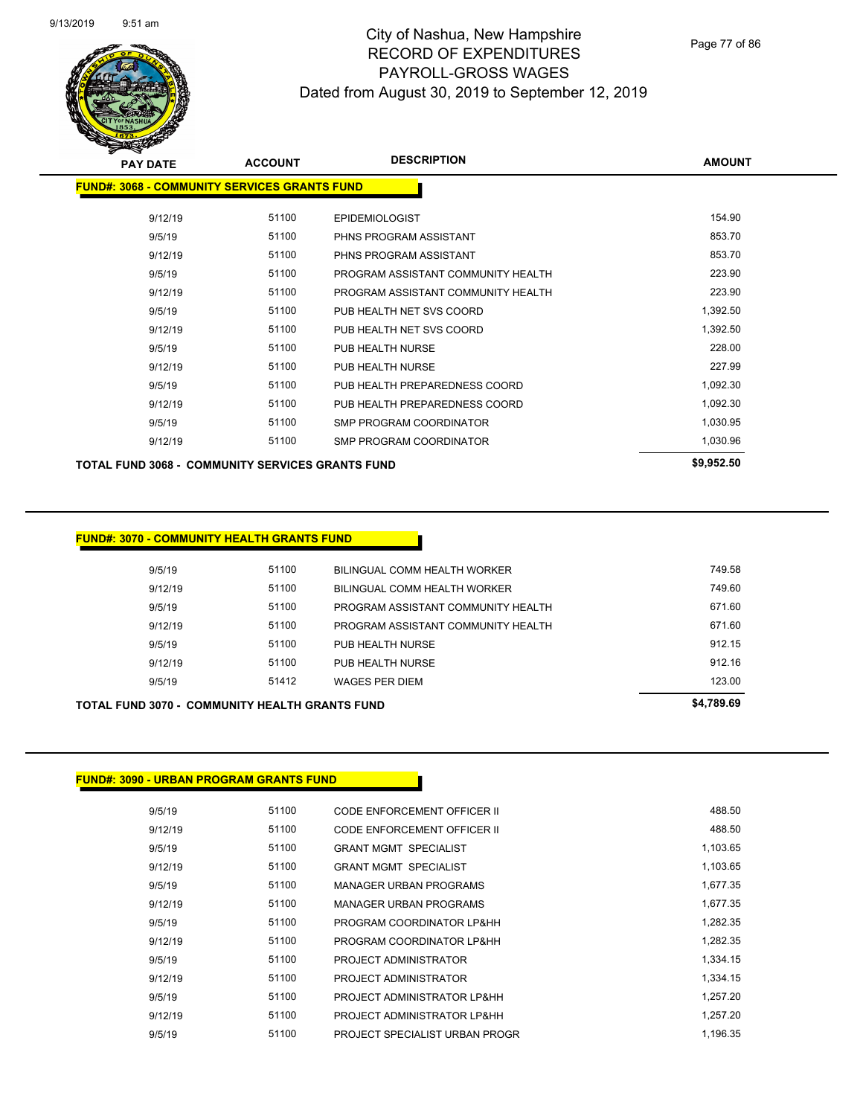

Page 77 of 86

| <b>PAY DATE</b>                                         | <b>ACCOUNT</b> | <b>DESCRIPTION</b>                 | <b>AMOUNT</b> |
|---------------------------------------------------------|----------------|------------------------------------|---------------|
| <b>FUND#: 3068 - COMMUNITY SERVICES GRANTS FUND</b>     |                |                                    |               |
| 9/12/19                                                 | 51100          | <b>EPIDEMIOLOGIST</b>              | 154.90        |
| 9/5/19                                                  | 51100          | PHNS PROGRAM ASSISTANT             | 853.70        |
| 9/12/19                                                 | 51100          | PHNS PROGRAM ASSISTANT             | 853.70        |
| 9/5/19                                                  | 51100          | PROGRAM ASSISTANT COMMUNITY HEALTH | 223.90        |
| 9/12/19                                                 | 51100          | PROGRAM ASSISTANT COMMUNITY HEALTH | 223.90        |
| 9/5/19                                                  | 51100          | PUB HEALTH NET SVS COORD           | 1,392.50      |
| 9/12/19                                                 | 51100          | PUB HEALTH NET SVS COORD           | 1,392.50      |
| 9/5/19                                                  | 51100          | PUB HEALTH NURSE                   | 228.00        |
| 9/12/19                                                 | 51100          | PUB HEALTH NURSE                   | 227.99        |
| 9/5/19                                                  | 51100          | PUB HEALTH PREPAREDNESS COORD      | 1,092.30      |
| 9/12/19                                                 | 51100          | PUB HEALTH PREPAREDNESS COORD      | 1,092.30      |
| 9/5/19                                                  | 51100          | SMP PROGRAM COORDINATOR            | 1,030.95      |
| 9/12/19                                                 | 51100          | SMP PROGRAM COORDINATOR            | 1,030.96      |
| <b>TOTAL FUND 3068 - COMMUNITY SERVICES GRANTS FUND</b> |                |                                    | \$9,952.50    |

#### **FUND#: 3070 - COMMUNITY HEALTH GRANTS FUND**

|         | <b>TOTAL FUND 3070 - COMMUNITY HEALTH GRANTS FUND</b> |                                     | \$4,789.69 |
|---------|-------------------------------------------------------|-------------------------------------|------------|
| 9/5/19  | 51412                                                 | WAGES PER DIEM                      | 123.00     |
| 9/12/19 | 51100                                                 | PUB HEALTH NURSE                    | 912.16     |
| 9/5/19  | 51100                                                 | PUB HEALTH NURSE                    | 912.15     |
| 9/12/19 | 51100                                                 | PROGRAM ASSISTANT COMMUNITY HEALTH  | 671.60     |
| 9/5/19  | 51100                                                 | PROGRAM ASSISTANT COMMUNITY HEALTH  | 671.60     |
| 9/12/19 | 51100                                                 | <b>BILINGUAL COMM HEALTH WORKER</b> | 749.60     |
| 9/5/19  | 51100                                                 | BILINGUAL COMM HEALTH WORKER        | 749.58     |
|         |                                                       |                                     |            |

#### **FUND#: 3090 - URBAN PROGRAM GRANTS FUND**

| 9/5/19  | 51100 | CODE ENFORCEMENT OFFICER II    | 488.50   |
|---------|-------|--------------------------------|----------|
| 9/12/19 | 51100 | CODE ENFORCEMENT OFFICER II    | 488.50   |
| 9/5/19  | 51100 | <b>GRANT MGMT SPECIALIST</b>   | 1,103.65 |
| 9/12/19 | 51100 | <b>GRANT MGMT SPECIALIST</b>   | 1,103.65 |
| 9/5/19  | 51100 | <b>MANAGER URBAN PROGRAMS</b>  | 1.677.35 |
| 9/12/19 | 51100 | <b>MANAGER URBAN PROGRAMS</b>  | 1.677.35 |
| 9/5/19  | 51100 | PROGRAM COORDINATOR LP&HH      | 1,282.35 |
| 9/12/19 | 51100 | PROGRAM COORDINATOR LP&HH      | 1,282.35 |
| 9/5/19  | 51100 | PROJECT ADMINISTRATOR          | 1,334.15 |
| 9/12/19 | 51100 | PROJECT ADMINISTRATOR          | 1,334.15 |
| 9/5/19  | 51100 | PROJECT ADMINISTRATOR LP&HH    | 1.257.20 |
| 9/12/19 | 51100 | PROJECT ADMINISTRATOR LP&HH    | 1.257.20 |
| 9/5/19  | 51100 | PROJECT SPECIALIST URBAN PROGR | 1.196.35 |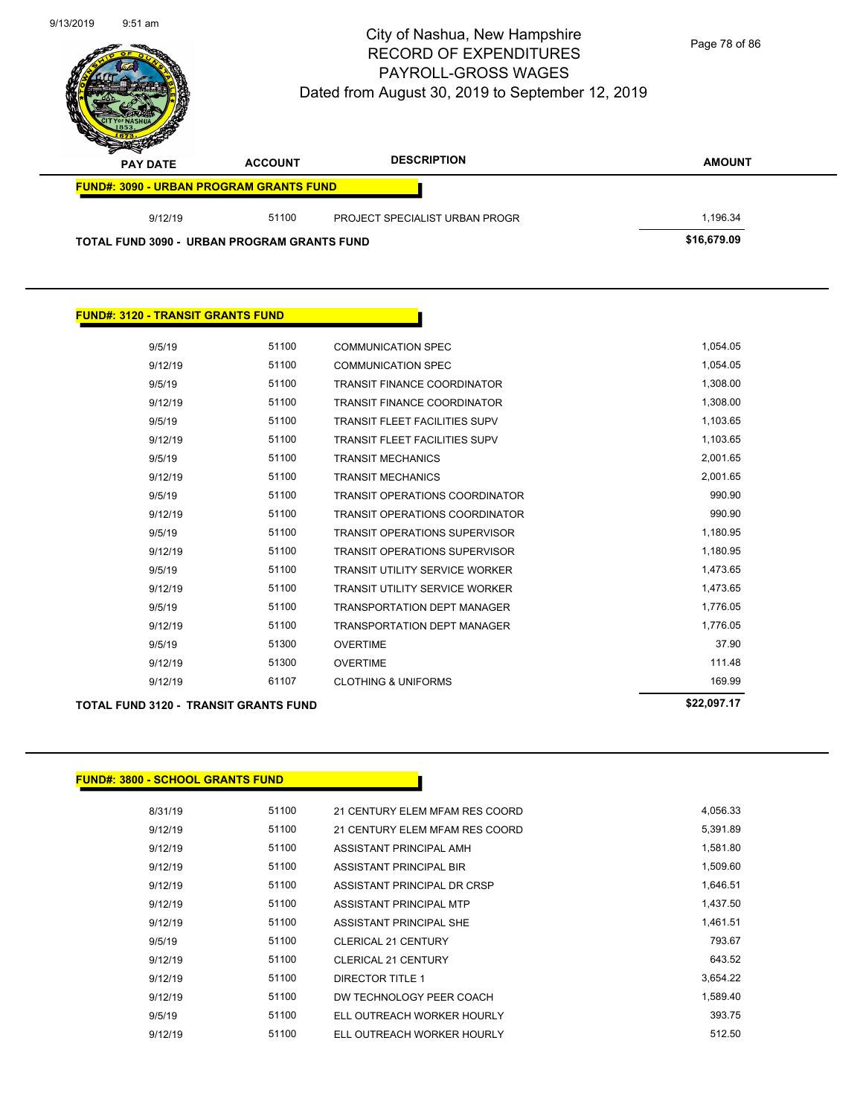

| 9/12/19<br>9/12/19 | 61107 | <b>CLOTHING &amp; UNIFORMS</b>        | 169.99   |
|--------------------|-------|---------------------------------------|----------|
|                    |       |                                       |          |
|                    | 51300 | <b>OVERTIME</b>                       | 111.48   |
| 9/5/19             | 51300 | <b>OVERTIME</b>                       | 37.90    |
| 9/12/19            | 51100 | <b>TRANSPORTATION DEPT MANAGER</b>    | 1,776.05 |
| 9/5/19             | 51100 | <b>TRANSPORTATION DEPT MANAGER</b>    | 1,776.05 |
| 9/12/19            | 51100 | <b>TRANSIT UTILITY SERVICE WORKER</b> | 1,473.65 |
| 9/5/19             | 51100 | <b>TRANSIT UTILITY SERVICE WORKER</b> | 1,473.65 |
| 9/12/19            | 51100 | <b>TRANSIT OPERATIONS SUPERVISOR</b>  | 1,180.95 |
| 9/5/19             | 51100 | <b>TRANSIT OPERATIONS SUPERVISOR</b>  | 1,180.95 |
| 9/12/19            | 51100 | <b>TRANSIT OPERATIONS COORDINATOR</b> | 990.90   |
| 9/5/19             | 51100 | <b>TRANSIT OPERATIONS COORDINATOR</b> | 990.90   |
| 9/12/19            | 51100 | <b>TRANSIT MECHANICS</b>              | 2,001.65 |
| 9/5/19             | 51100 | <b>TRANSIT MECHANICS</b>              | 2,001.65 |
| 9/12/19            | 51100 | <b>TRANSIT FLEET FACILITIES SUPV</b>  | 1,103.65 |
| 9/5/19             | 51100 | <b>TRANSIT FLEET FACILITIES SUPV</b>  | 1,103.65 |
| 9/12/19            | 51100 | <b>TRANSIT FINANCE COORDINATOR</b>    | 1,308.00 |
| 9/5/19             | 51100 | <b>TRANSIT FINANCE COORDINATOR</b>    | 1,308.00 |
| 9/12/19            | 51100 | <b>COMMUNICATION SPEC</b>             | 1,054.05 |
| 9/5/19             | 51100 | <b>COMMUNICATION SPEC</b>             | 1,054.05 |
|                    |       |                                       |          |

r

#### **FUND#: 3800 - SCHOOL GRANTS FUND**

**FUND#: 3120 - TRANSIT GRANTS FUND**

| 8/31/19 | 51100 | 21 CENTURY ELEM MFAM RES COORD | 4,056.33 |
|---------|-------|--------------------------------|----------|
| 9/12/19 | 51100 | 21 CENTURY ELEM MFAM RES COORD | 5,391.89 |
| 9/12/19 | 51100 | ASSISTANT PRINCIPAL AMH        | 1,581.80 |
| 9/12/19 | 51100 | ASSISTANT PRINCIPAL BIR        | 1,509.60 |
| 9/12/19 | 51100 | ASSISTANT PRINCIPAL DR CRSP    | 1,646.51 |
| 9/12/19 | 51100 | ASSISTANT PRINCIPAL MTP        | 1,437.50 |
| 9/12/19 | 51100 | ASSISTANT PRINCIPAL SHE        | 1,461.51 |
| 9/5/19  | 51100 | CLERICAL 21 CENTURY            | 793.67   |
| 9/12/19 | 51100 | CLERICAL 21 CENTURY            | 643.52   |
| 9/12/19 | 51100 | DIRECTOR TITLE 1               | 3,654.22 |
| 9/12/19 | 51100 | DW TECHNOLOGY PEER COACH       | 1.589.40 |
| 9/5/19  | 51100 | ELL OUTREACH WORKER HOURLY     | 393.75   |
| 9/12/19 | 51100 | ELL OUTREACH WORKER HOURLY     | 512.50   |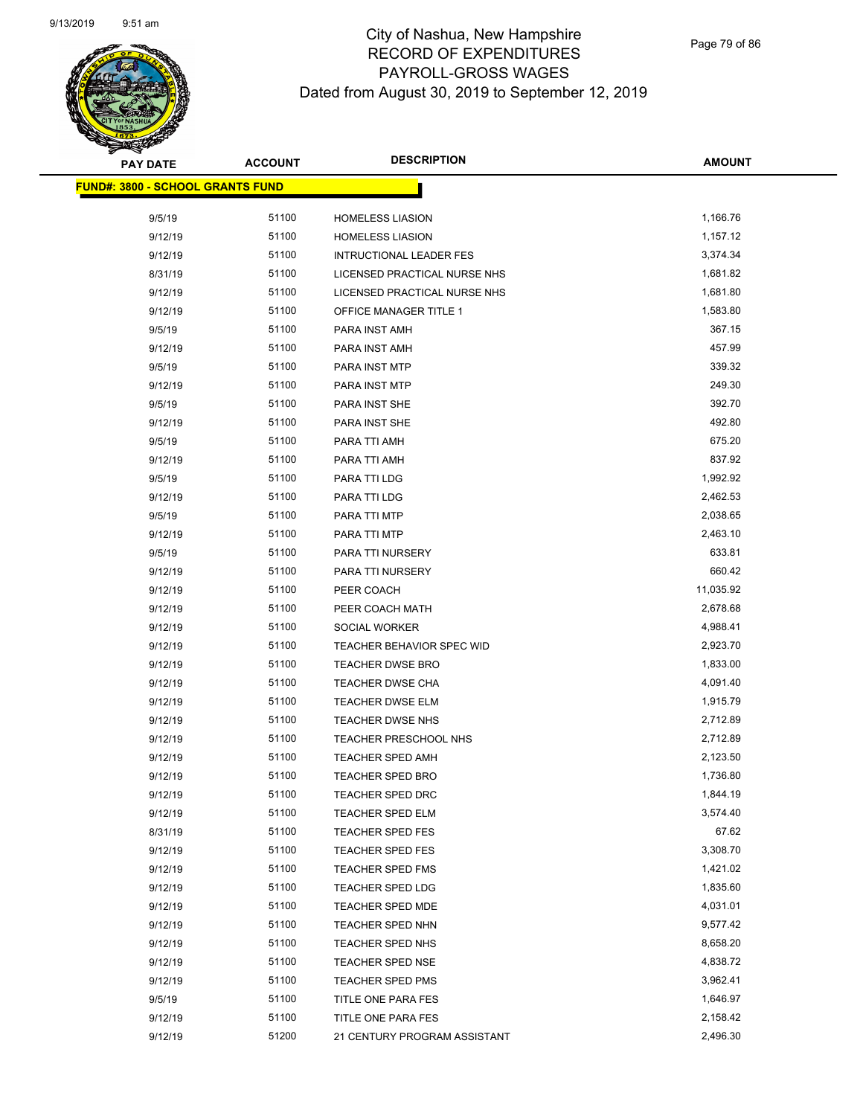

| <b>PAY DATE</b>                         | <b>ACCOUNT</b> | <b>DESCRIPTION</b>                          | <b>AMOUNT</b>        |
|-----------------------------------------|----------------|---------------------------------------------|----------------------|
| <b>FUND#: 3800 - SCHOOL GRANTS FUND</b> |                |                                             |                      |
|                                         |                |                                             |                      |
| 9/5/19                                  | 51100          | <b>HOMELESS LIASION</b>                     | 1,166.76             |
| 9/12/19                                 | 51100          | <b>HOMELESS LIASION</b>                     | 1,157.12             |
| 9/12/19                                 | 51100          | <b>INTRUCTIONAL LEADER FES</b>              | 3,374.34             |
| 8/31/19                                 | 51100          | LICENSED PRACTICAL NURSE NHS                | 1,681.82             |
| 9/12/19                                 | 51100          | LICENSED PRACTICAL NURSE NHS                | 1,681.80             |
| 9/12/19                                 | 51100          | OFFICE MANAGER TITLE 1                      | 1,583.80             |
| 9/5/19                                  | 51100          | PARA INST AMH                               | 367.15               |
| 9/12/19                                 | 51100          | PARA INST AMH                               | 457.99               |
| 9/5/19                                  | 51100          | PARA INST MTP                               | 339.32               |
| 9/12/19                                 | 51100          | PARA INST MTP                               | 249.30               |
| 9/5/19                                  | 51100          | PARA INST SHE                               | 392.70               |
| 9/12/19                                 | 51100          | PARA INST SHE                               | 492.80               |
| 9/5/19                                  | 51100          | PARA TTI AMH                                | 675.20               |
| 9/12/19                                 | 51100          | PARA TTI AMH                                | 837.92               |
| 9/5/19                                  | 51100          | PARA TTI LDG                                | 1,992.92             |
| 9/12/19                                 | 51100          | PARA TTI LDG                                | 2,462.53             |
| 9/5/19                                  | 51100          | PARA TTI MTP                                | 2,038.65             |
| 9/12/19                                 | 51100          | PARA TTI MTP                                | 2,463.10             |
| 9/5/19                                  | 51100          | PARA TTI NURSERY                            | 633.81               |
| 9/12/19                                 | 51100          | PARA TTI NURSERY                            | 660.42               |
| 9/12/19                                 | 51100          | PEER COACH                                  | 11,035.92            |
| 9/12/19                                 | 51100          | PEER COACH MATH                             | 2,678.68             |
| 9/12/19                                 | 51100          | <b>SOCIAL WORKER</b>                        | 4,988.41             |
| 9/12/19                                 | 51100          | <b>TEACHER BEHAVIOR SPEC WID</b>            | 2,923.70             |
| 9/12/19                                 | 51100          | <b>TEACHER DWSE BRO</b>                     | 1,833.00             |
| 9/12/19                                 | 51100          | TEACHER DWSE CHA                            | 4,091.40             |
| 9/12/19                                 | 51100          | TEACHER DWSE ELM                            | 1,915.79             |
| 9/12/19                                 | 51100          | <b>TEACHER DWSE NHS</b>                     | 2,712.89             |
| 9/12/19                                 | 51100          | TEACHER PRESCHOOL NHS                       | 2,712.89             |
| 9/12/19<br>9/12/19                      | 51100<br>51100 | TEACHER SPED AMH<br><b>TEACHER SPED BRO</b> | 2,123.50<br>1,736.80 |
|                                         | 51100          |                                             | 1,844.19             |
| 9/12/19<br>9/12/19                      | 51100          | <b>TEACHER SPED DRC</b><br>TEACHER SPED ELM | 3,574.40             |
| 8/31/19                                 | 51100          | <b>TEACHER SPED FES</b>                     | 67.62                |
| 9/12/19                                 | 51100          | <b>TEACHER SPED FES</b>                     | 3,308.70             |
| 9/12/19                                 | 51100          | TEACHER SPED FMS                            | 1,421.02             |
| 9/12/19                                 | 51100          | TEACHER SPED LDG                            | 1,835.60             |
| 9/12/19                                 | 51100          | TEACHER SPED MDE                            | 4,031.01             |
| 9/12/19                                 | 51100          | TEACHER SPED NHN                            | 9,577.42             |
| 9/12/19                                 | 51100          |                                             | 8,658.20             |
| 9/12/19                                 | 51100          | <b>TEACHER SPED NHS</b><br>TEACHER SPED NSE | 4,838.72             |
| 9/12/19                                 | 51100          | TEACHER SPED PMS                            | 3,962.41             |
| 9/5/19                                  | 51100          | TITLE ONE PARA FES                          | 1,646.97             |
| 9/12/19                                 | 51100          | TITLE ONE PARA FES                          | 2,158.42             |
| 9/12/19                                 | 51200          |                                             | 2,496.30             |
|                                         |                | 21 CENTURY PROGRAM ASSISTANT                |                      |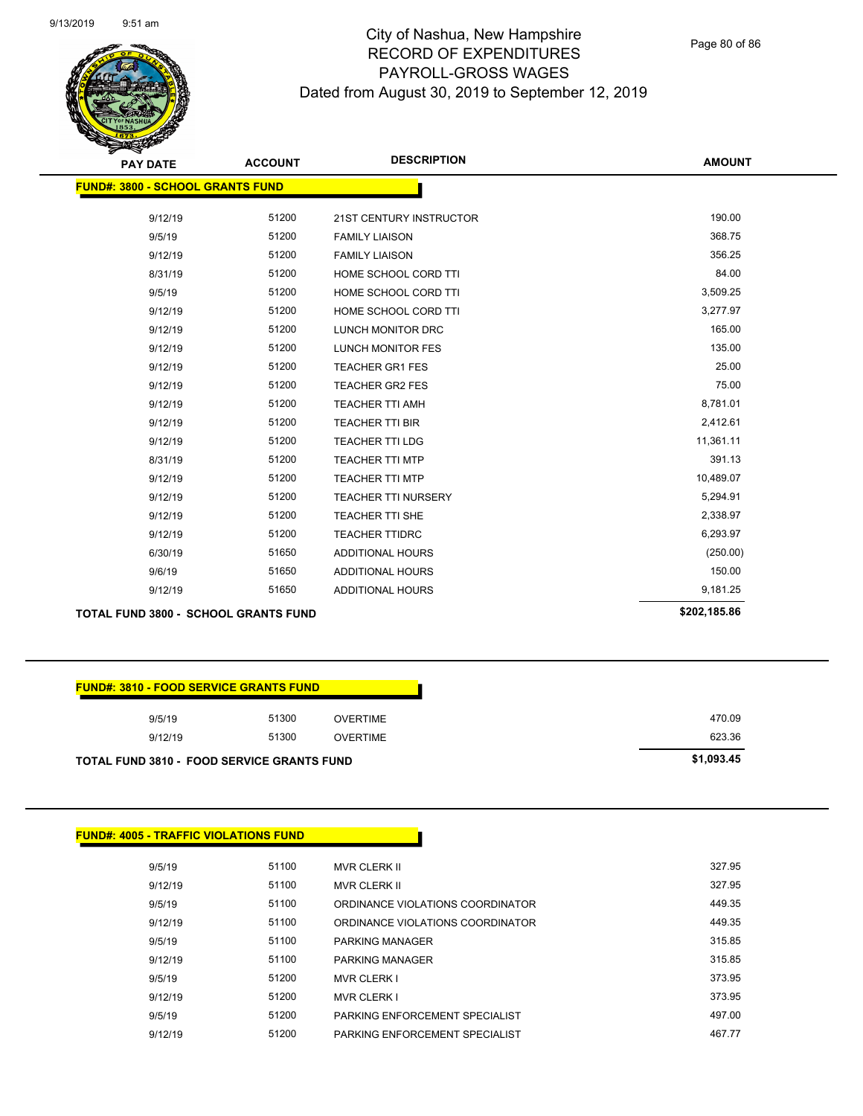Page 80 of 86

| <b>PAY DATE</b>                         | <b>ACCOUNT</b> | <b>DESCRIPTION</b>         | <b>AMOUNT</b> |
|-----------------------------------------|----------------|----------------------------|---------------|
| <b>FUND#: 3800 - SCHOOL GRANTS FUND</b> |                |                            |               |
|                                         |                |                            |               |
| 9/12/19                                 | 51200          | 21ST CENTURY INSTRUCTOR    | 190.00        |
| 9/5/19                                  | 51200          | <b>FAMILY LIAISON</b>      | 368.75        |
| 9/12/19                                 | 51200          | <b>FAMILY LIAISON</b>      | 356.25        |
| 8/31/19                                 | 51200          | HOME SCHOOL CORD TTI       | 84.00         |
| 9/5/19                                  | 51200          | HOME SCHOOL CORD TTI       | 3,509.25      |
| 9/12/19                                 | 51200          | HOME SCHOOL CORD TTI       | 3,277.97      |
| 9/12/19                                 | 51200          | LUNCH MONITOR DRC          | 165.00        |
| 9/12/19                                 | 51200          | LUNCH MONITOR FES          | 135.00        |
| 9/12/19                                 | 51200          | <b>TEACHER GR1 FES</b>     | 25.00         |
| 9/12/19                                 | 51200          | <b>TEACHER GR2 FES</b>     | 75.00         |
| 9/12/19                                 | 51200          | TEACHER TTI AMH            | 8,781.01      |
| 9/12/19                                 | 51200          | TEACHER TTI BIR            | 2,412.61      |
| 9/12/19                                 | 51200          | <b>TEACHER TTI LDG</b>     | 11,361.11     |
| 8/31/19                                 | 51200          | <b>TEACHER TTI MTP</b>     | 391.13        |
| 9/12/19                                 | 51200          | <b>TEACHER TTI MTP</b>     | 10,489.07     |
| 9/12/19                                 | 51200          | <b>TEACHER TTI NURSERY</b> | 5,294.91      |
| 9/12/19                                 | 51200          | TEACHER TTI SHE            | 2,338.97      |
| 9/12/19                                 | 51200          | <b>TEACHER TTIDRC</b>      | 6,293.97      |
| 6/30/19                                 | 51650          | ADDITIONAL HOURS           | (250.00)      |
| 9/6/19                                  | 51650          | ADDITIONAL HOURS           | 150.00        |
| 9/12/19                                 | 51650          | <b>ADDITIONAL HOURS</b>    | 9,181.25      |
| TOTAL FUND 3800 - SCHOOL CRANTS FUND    |                |                            | \$202.185.86  |

#### **TOTAL FUND 3800 - SCHOOL GRANTS FUND \$202,185.86**

| <b>FUND#: 3810 - FOOD SERVICE GRANTS FUND</b>     |       |                 |  |
|---------------------------------------------------|-------|-----------------|--|
| 9/5/19                                            | 51300 | <b>OVERTIME</b> |  |
| 9/12/19                                           | 51300 | <b>OVERTIME</b> |  |
| <b>TOTAL FUND 3810 - FOOD SERVICE GRANTS FUND</b> |       |                 |  |

|         | <b>FUND#: 4005 - TRAFFIC VIOLATIONS FUND</b> |                                  |
|---------|----------------------------------------------|----------------------------------|
| 9/5/19  | 51100                                        | <b>MVR CLERK II</b>              |
| 9/12/19 | 51100                                        | <b>MVR CLERK II</b>              |
| 9/5/19  | 51100                                        | ORDINANCE VIOLATIONS COORDINATOR |
| 9/12/19 | 51100                                        | ORDINANCE VIOLATIONS COORDINATOR |
| 9/5/19  | 51100                                        | PARKING MANAGER                  |
| 9/12/19 | 51100                                        | <b>PARKING MANAGER</b>           |
| 9/5/19  | 51200                                        | <b>MVR CLERK I</b>               |
| 9/12/19 | 51200                                        | <b>MVR CLERK I</b>               |
| 9/5/19  | 51200                                        | PARKING ENFORCEMENT SPECIALIST   |
| 9/12/19 | 51200                                        | PARKING ENFORCEMENT SPECIALIST   |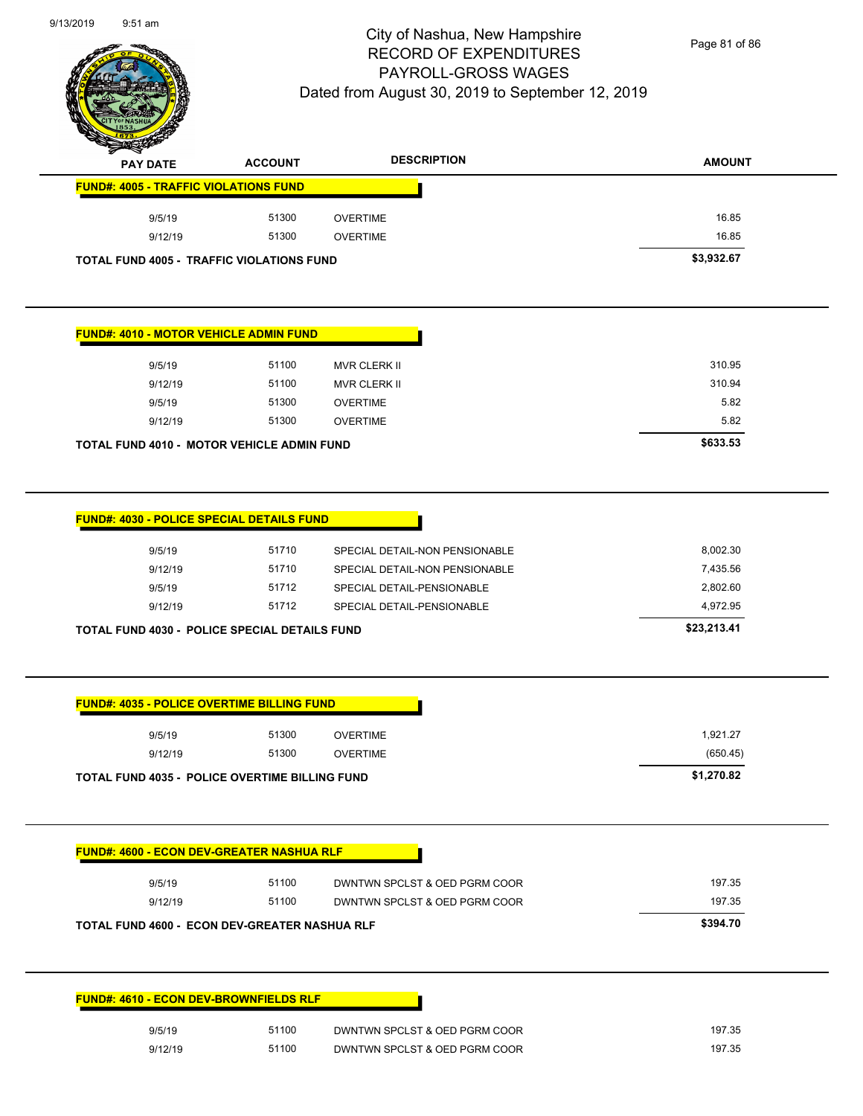

Page 81 of 86

| $\mathscr{D} \rightarrow \mathscr{D}$ | <b>PAY DATE</b> | <b>ACCOUNT</b>                                   | <b>DESCRIPTION</b> | <b>AMOUNT</b> |
|---------------------------------------|-----------------|--------------------------------------------------|--------------------|---------------|
|                                       |                 | <b>FUND#: 4005 - TRAFFIC VIOLATIONS FUND</b>     |                    |               |
|                                       | 9/5/19          | 51300                                            | <b>OVERTIME</b>    | 16.85         |
|                                       | 9/12/19         | 51300                                            | OVERTIME           | 16.85         |
|                                       |                 | <b>TOTAL FUND 4005 - TRAFFIC VIOLATIONS FUND</b> |                    | \$3,932.67    |

| <b>FUND#: 4010 - MOTOR VEHICLE ADMIN FUND</b> |         |                                                   |                     |  |  |
|-----------------------------------------------|---------|---------------------------------------------------|---------------------|--|--|
|                                               | 9/5/19  | 51100                                             | <b>MVR CLERK II</b> |  |  |
|                                               | 9/12/19 | 51100                                             | MVR CLERK II        |  |  |
|                                               | 9/5/19  | 51300                                             | <b>OVERTIME</b>     |  |  |
|                                               | 9/12/19 | 51300                                             | <b>OVERTIME</b>     |  |  |
|                                               |         | <b>TOTAL FUND 4010 - MOTOR VEHICLE ADMIN FUND</b> |                     |  |  |

| <b>FUND#: 4030 - POLICE SPECIAL DETAILS FUND</b>     |       |                                |             |
|------------------------------------------------------|-------|--------------------------------|-------------|
| 9/5/19                                               | 51710 | SPECIAL DETAIL-NON PENSIONABLE | 8,002.30    |
| 9/12/19                                              | 51710 | SPECIAL DETAIL-NON PENSIONABLE | 7,435.56    |
| 9/5/19                                               | 51712 | SPECIAL DETAIL-PENSIONABLE     | 2,802.60    |
| 9/12/19                                              | 51712 | SPECIAL DETAIL-PENSIONABLE     | 4,972.95    |
| <b>TOTAL FUND 4030 - POLICE SPECIAL DETAILS FUND</b> |       |                                | \$23,213.41 |

| 9/12/19                                               | 51300<br>51300 | <b>OVERTIME</b><br><b>OVERTIME</b> | 1,921.27<br>(650.45) |
|-------------------------------------------------------|----------------|------------------------------------|----------------------|
| <b>TOTAL FUND 4035 - POLICE OVERTIME BILLING FUND</b> |                |                                    | \$1,270.82           |
| <b>FUND#: 4600 - ECON DEV-GREATER NASHUA RLF</b>      |                |                                    |                      |
| 9/5/19                                                | 51100          | DWNTWN SPCLST & OED PGRM COOR      | 197.35               |
| 9/12/19                                               | 51100          | DWNTWN SPCLST & OED PGRM COOR      | 197.35               |
| <b>TOTAL FUND 4600 - ECON DEV-GREATER NASHUA RLF</b>  |                |                                    | \$394.70             |
|                                                       |                |                                    |                      |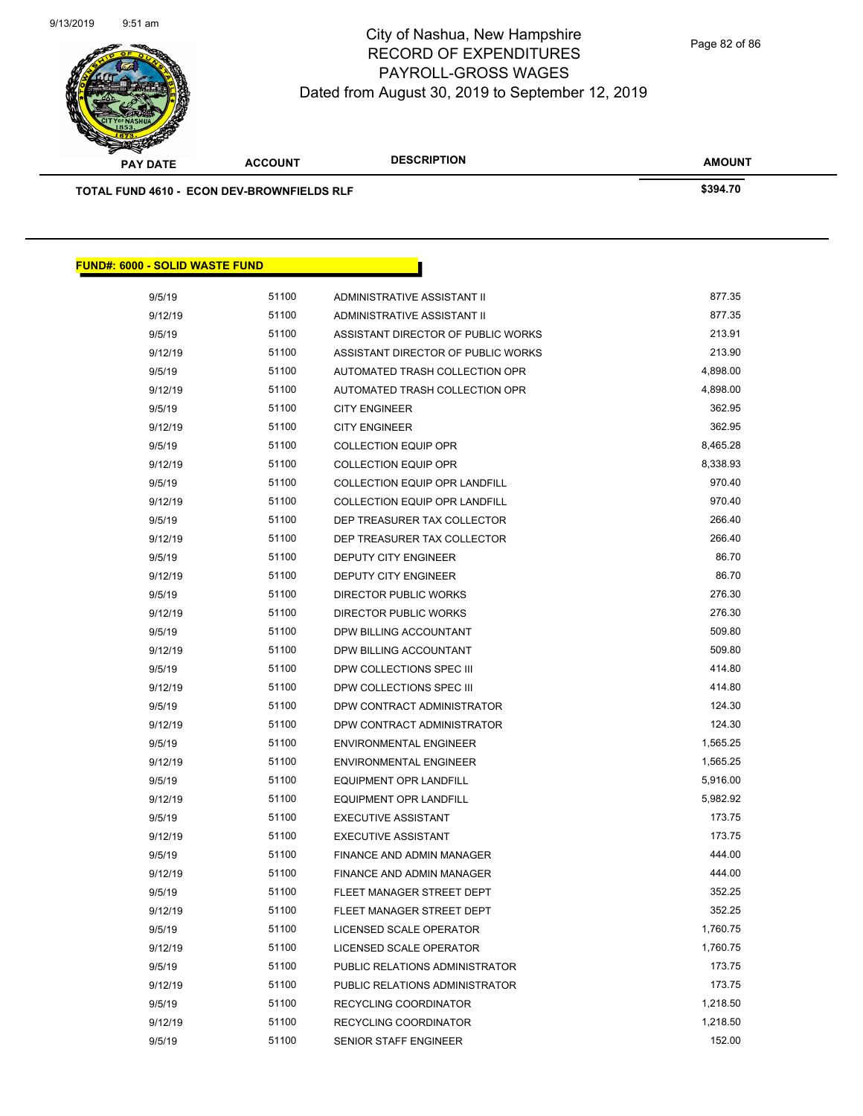

**AMOUNT PAY DATE ACCOUNT DESCRIPTION TOTAL FUND 4610 - ECON DEV-BROWNFIELDS RLF \$394.70 FUND#: 6000 - SOLID WASTE FUND**

| 9/5/19  | 51100 | ADMINISTRATIVE ASSISTANT II        | 877.35   |
|---------|-------|------------------------------------|----------|
| 9/12/19 | 51100 | ADMINISTRATIVE ASSISTANT II        | 877.35   |
| 9/5/19  | 51100 | ASSISTANT DIRECTOR OF PUBLIC WORKS | 213.91   |
| 9/12/19 | 51100 | ASSISTANT DIRECTOR OF PUBLIC WORKS | 213.90   |
| 9/5/19  | 51100 | AUTOMATED TRASH COLLECTION OPR     | 4,898.00 |
| 9/12/19 | 51100 | AUTOMATED TRASH COLLECTION OPR     | 4,898.00 |
| 9/5/19  | 51100 | <b>CITY ENGINEER</b>               | 362.95   |
| 9/12/19 | 51100 | <b>CITY ENGINEER</b>               | 362.95   |
| 9/5/19  | 51100 | <b>COLLECTION EQUIP OPR</b>        | 8,465.28 |
| 9/12/19 | 51100 | <b>COLLECTION EQUIP OPR</b>        | 8,338.93 |
| 9/5/19  | 51100 | COLLECTION EQUIP OPR LANDFILL      | 970.40   |
| 9/12/19 | 51100 | COLLECTION EQUIP OPR LANDFILL      | 970.40   |
| 9/5/19  | 51100 | DEP TREASURER TAX COLLECTOR        | 266.40   |
| 9/12/19 | 51100 | DEP TREASURER TAX COLLECTOR        | 266.40   |
| 9/5/19  | 51100 | DEPUTY CITY ENGINEER               | 86.70    |
| 9/12/19 | 51100 | DEPUTY CITY ENGINEER               | 86.70    |
| 9/5/19  | 51100 | DIRECTOR PUBLIC WORKS              | 276.30   |
| 9/12/19 | 51100 | DIRECTOR PUBLIC WORKS              | 276.30   |
| 9/5/19  | 51100 | DPW BILLING ACCOUNTANT             | 509.80   |
| 9/12/19 | 51100 | DPW BILLING ACCOUNTANT             | 509.80   |
| 9/5/19  | 51100 | DPW COLLECTIONS SPEC III           | 414.80   |
| 9/12/19 | 51100 | DPW COLLECTIONS SPEC III           | 414.80   |
| 9/5/19  | 51100 | DPW CONTRACT ADMINISTRATOR         | 124.30   |
| 9/12/19 | 51100 | DPW CONTRACT ADMINISTRATOR         | 124.30   |
| 9/5/19  | 51100 | <b>ENVIRONMENTAL ENGINEER</b>      | 1,565.25 |
| 9/12/19 | 51100 | <b>ENVIRONMENTAL ENGINEER</b>      | 1,565.25 |
| 9/5/19  | 51100 | EQUIPMENT OPR LANDFILL             | 5,916.00 |
| 9/12/19 | 51100 | EQUIPMENT OPR LANDFILL             | 5,982.92 |
| 9/5/19  | 51100 | <b>EXECUTIVE ASSISTANT</b>         | 173.75   |
| 9/12/19 | 51100 | <b>EXECUTIVE ASSISTANT</b>         | 173.75   |
| 9/5/19  | 51100 | FINANCE AND ADMIN MANAGER          | 444.00   |
| 9/12/19 | 51100 | FINANCE AND ADMIN MANAGER          | 444.00   |
| 9/5/19  | 51100 | FLEET MANAGER STREET DEPT          | 352.25   |
| 9/12/19 | 51100 | FLEET MANAGER STREET DEPT          | 352.25   |
| 9/5/19  | 51100 | LICENSED SCALE OPERATOR            | 1,760.75 |
| 9/12/19 | 51100 | LICENSED SCALE OPERATOR            | 1,760.75 |
| 9/5/19  | 51100 | PUBLIC RELATIONS ADMINISTRATOR     | 173.75   |
| 9/12/19 | 51100 | PUBLIC RELATIONS ADMINISTRATOR     | 173.75   |
| 9/5/19  | 51100 | RECYCLING COORDINATOR              | 1,218.50 |
| 9/12/19 | 51100 | RECYCLING COORDINATOR              | 1,218.50 |
| 9/5/19  | 51100 | <b>SENIOR STAFF ENGINEER</b>       | 152.00   |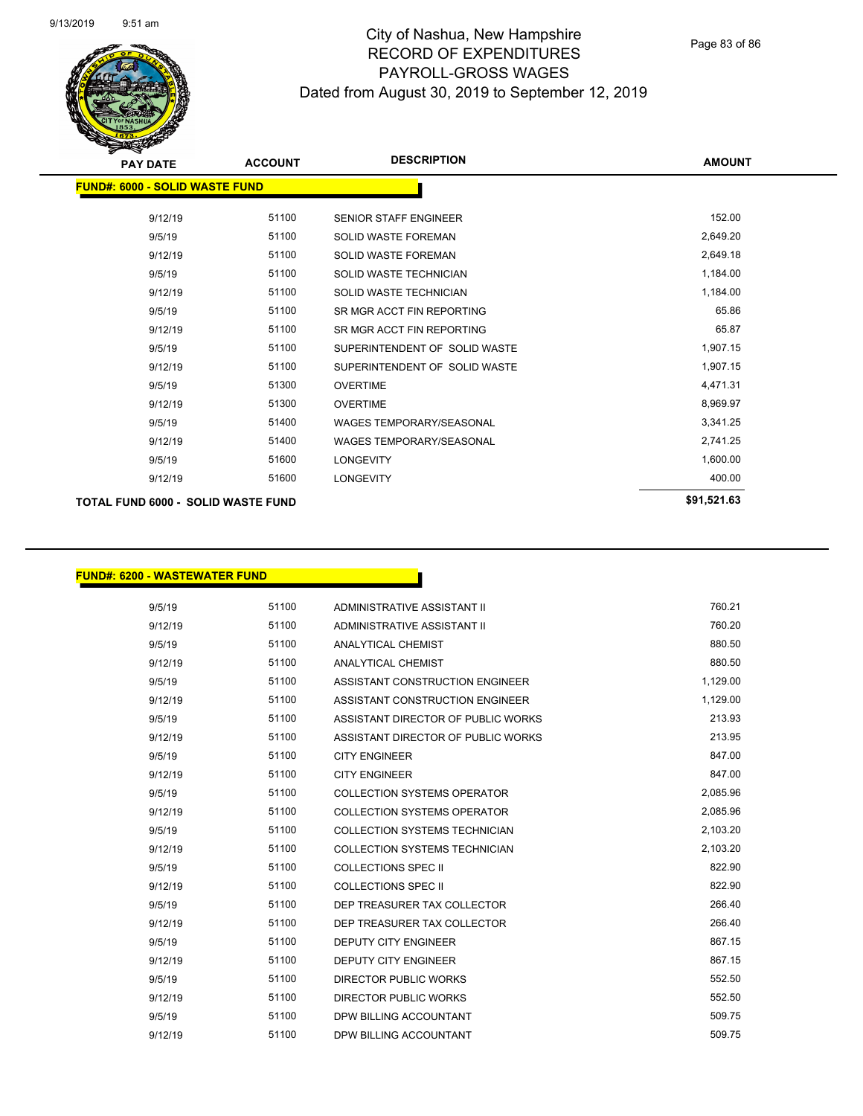

Page 83 of 86

| <b>PAY DATE</b>                           | <b>ACCOUNT</b> | <b>DESCRIPTION</b>              | <b>AMOUNT</b> |
|-------------------------------------------|----------------|---------------------------------|---------------|
| <b>FUND#: 6000 - SOLID WASTE FUND</b>     |                |                                 |               |
| 9/12/19                                   | 51100          | <b>SENIOR STAFF ENGINEER</b>    | 152.00        |
| 9/5/19                                    | 51100          | <b>SOLID WASTE FOREMAN</b>      | 2,649.20      |
| 9/12/19                                   | 51100          | <b>SOLID WASTE FOREMAN</b>      | 2,649.18      |
| 9/5/19                                    | 51100          | <b>SOLID WASTE TECHNICIAN</b>   | 1,184.00      |
| 9/12/19                                   | 51100          | <b>SOLID WASTE TECHNICIAN</b>   | 1,184.00      |
| 9/5/19                                    | 51100          | SR MGR ACCT FIN REPORTING       | 65.86         |
| 9/12/19                                   | 51100          | SR MGR ACCT FIN REPORTING       | 65.87         |
| 9/5/19                                    | 51100          | SUPERINTENDENT OF SOLID WASTE   | 1,907.15      |
| 9/12/19                                   | 51100          | SUPERINTENDENT OF SOLID WASTE   | 1,907.15      |
| 9/5/19                                    | 51300          | <b>OVERTIME</b>                 | 4,471.31      |
| 9/12/19                                   | 51300          | <b>OVERTIME</b>                 | 8,969.97      |
| 9/5/19                                    | 51400          | <b>WAGES TEMPORARY/SEASONAL</b> | 3,341.25      |
| 9/12/19                                   | 51400          | <b>WAGES TEMPORARY/SEASONAL</b> | 2,741.25      |
| 9/5/19                                    | 51600          | <b>LONGEVITY</b>                | 1,600.00      |
| 9/12/19                                   | 51600          | <b>LONGEVITY</b>                | 400.00        |
| <b>TOTAL FUND 6000 - SOLID WASTE FUND</b> |                |                                 | \$91,521.63   |
|                                           |                |                                 |               |

#### **FUND#: 6200 - WASTEWATER FUND**

| 9/5/19  | 51100 | ADMINISTRATIVE ASSISTANT II          | 760.21   |
|---------|-------|--------------------------------------|----------|
| 9/12/19 | 51100 | ADMINISTRATIVE ASSISTANT II          | 760.20   |
| 9/5/19  | 51100 | ANALYTICAL CHEMIST                   | 880.50   |
| 9/12/19 | 51100 | <b>ANALYTICAL CHEMIST</b>            | 880.50   |
| 9/5/19  | 51100 | ASSISTANT CONSTRUCTION ENGINEER      | 1,129.00 |
| 9/12/19 | 51100 | ASSISTANT CONSTRUCTION ENGINEER      | 1,129.00 |
| 9/5/19  | 51100 | ASSISTANT DIRECTOR OF PUBLIC WORKS   | 213.93   |
| 9/12/19 | 51100 | ASSISTANT DIRECTOR OF PUBLIC WORKS   | 213.95   |
| 9/5/19  | 51100 | <b>CITY ENGINEER</b>                 | 847.00   |
| 9/12/19 | 51100 | <b>CITY ENGINEER</b>                 | 847.00   |
| 9/5/19  | 51100 | <b>COLLECTION SYSTEMS OPERATOR</b>   | 2,085.96 |
| 9/12/19 | 51100 | <b>COLLECTION SYSTEMS OPERATOR</b>   | 2,085.96 |
| 9/5/19  | 51100 | COLLECTION SYSTEMS TECHNICIAN        | 2,103.20 |
| 9/12/19 | 51100 | <b>COLLECTION SYSTEMS TECHNICIAN</b> | 2,103.20 |
| 9/5/19  | 51100 | <b>COLLECTIONS SPEC II</b>           | 822.90   |
| 9/12/19 | 51100 | <b>COLLECTIONS SPEC II</b>           | 822.90   |
| 9/5/19  | 51100 | DEP TREASURER TAX COLLECTOR          | 266.40   |
| 9/12/19 | 51100 | DEP TREASURER TAX COLLECTOR          | 266.40   |
| 9/5/19  | 51100 | <b>DEPUTY CITY ENGINEER</b>          | 867.15   |
| 9/12/19 | 51100 | <b>DEPUTY CITY ENGINEER</b>          | 867.15   |
| 9/5/19  | 51100 | <b>DIRECTOR PUBLIC WORKS</b>         | 552.50   |
| 9/12/19 | 51100 | <b>DIRECTOR PUBLIC WORKS</b>         | 552.50   |
| 9/5/19  | 51100 | DPW BILLING ACCOUNTANT               | 509.75   |
| 9/12/19 | 51100 | DPW BILLING ACCOUNTANT               | 509.75   |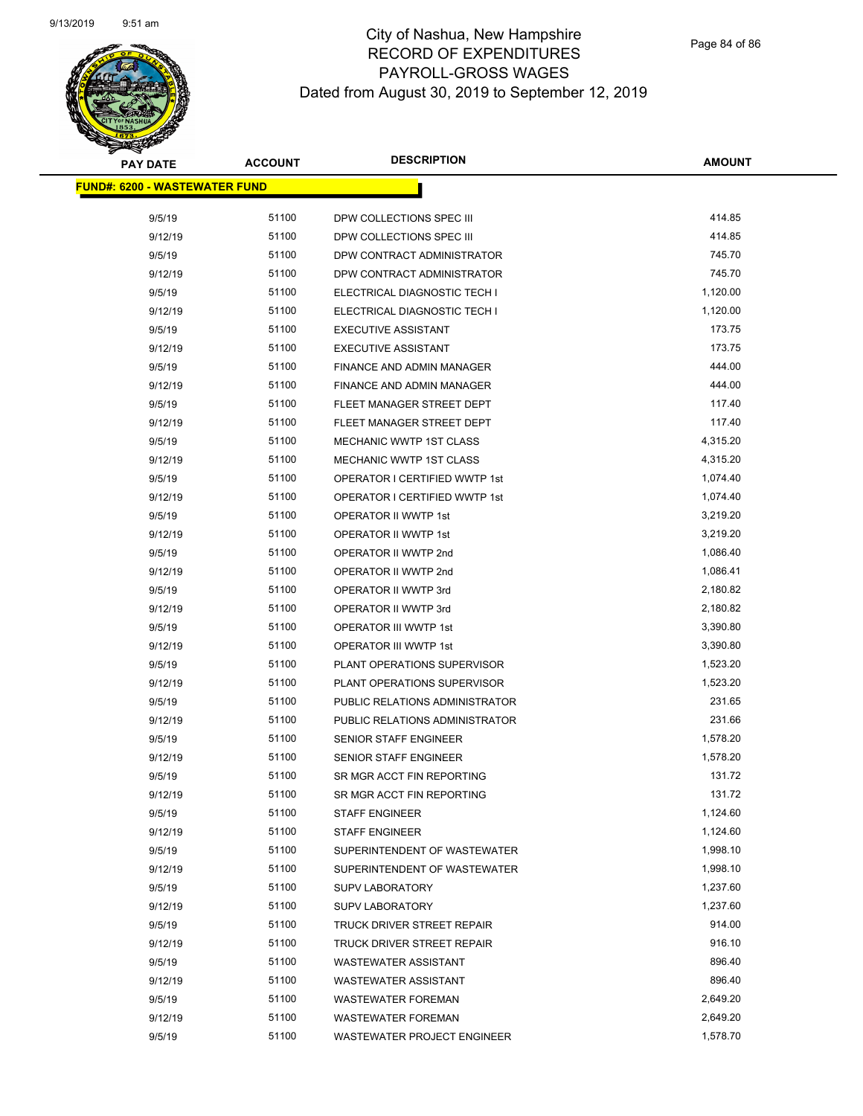

Page 84 of 86

| <b>PAY DATE</b>                      | <b>ACCOUNT</b> | <b>DESCRIPTION</b>                   | AMOUNT           |
|--------------------------------------|----------------|--------------------------------------|------------------|
| <b>FUND#: 6200 - WASTEWATER FUND</b> |                |                                      |                  |
|                                      |                |                                      |                  |
| 9/5/19                               | 51100          | DPW COLLECTIONS SPEC III             | 414.85           |
| 9/12/19                              | 51100          | DPW COLLECTIONS SPEC III             | 414.85           |
| 9/5/19                               | 51100          | DPW CONTRACT ADMINISTRATOR           | 745.70           |
| 9/12/19                              | 51100          | DPW CONTRACT ADMINISTRATOR           | 745.70           |
| 9/5/19                               | 51100          | ELECTRICAL DIAGNOSTIC TECH I         | 1,120.00         |
| 9/12/19                              | 51100          | ELECTRICAL DIAGNOSTIC TECH I         | 1,120.00         |
| 9/5/19                               | 51100          | <b>EXECUTIVE ASSISTANT</b>           | 173.75           |
| 9/12/19                              | 51100          | <b>EXECUTIVE ASSISTANT</b>           | 173.75           |
| 9/5/19                               | 51100          | FINANCE AND ADMIN MANAGER            | 444.00           |
| 9/12/19                              | 51100          | FINANCE AND ADMIN MANAGER            | 444.00           |
| 9/5/19                               | 51100          | FLEET MANAGER STREET DEPT            | 117.40           |
| 9/12/19                              | 51100          | FLEET MANAGER STREET DEPT            | 117.40           |
| 9/5/19                               | 51100          | <b>MECHANIC WWTP 1ST CLASS</b>       | 4,315.20         |
| 9/12/19                              | 51100          | MECHANIC WWTP 1ST CLASS              | 4,315.20         |
| 9/5/19                               | 51100          | <b>OPERATOR I CERTIFIED WWTP 1st</b> | 1,074.40         |
| 9/12/19                              | 51100          | OPERATOR I CERTIFIED WWTP 1st        | 1,074.40         |
| 9/5/19                               | 51100          | OPERATOR II WWTP 1st                 | 3,219.20         |
| 9/12/19                              | 51100          | OPERATOR II WWTP 1st                 | 3,219.20         |
| 9/5/19                               | 51100          | OPERATOR II WWTP 2nd                 | 1,086.40         |
| 9/12/19                              | 51100          | OPERATOR II WWTP 2nd                 | 1,086.41         |
| 9/5/19                               | 51100          | OPERATOR II WWTP 3rd                 | 2,180.82         |
| 9/12/19                              | 51100          | OPERATOR II WWTP 3rd                 | 2,180.82         |
| 9/5/19                               | 51100          | OPERATOR III WWTP 1st                | 3,390.80         |
| 9/12/19                              | 51100          | OPERATOR III WWTP 1st                | 3,390.80         |
| 9/5/19                               | 51100          | PLANT OPERATIONS SUPERVISOR          | 1,523.20         |
| 9/12/19                              | 51100          | PLANT OPERATIONS SUPERVISOR          | 1,523.20         |
| 9/5/19                               | 51100          | PUBLIC RELATIONS ADMINISTRATOR       | 231.65           |
| 9/12/19                              | 51100          | PUBLIC RELATIONS ADMINISTRATOR       | 231.66           |
| 9/5/19                               | 51100          | <b>SENIOR STAFF ENGINEER</b>         | 1,578.20         |
| 9/12/19                              | 51100          | <b>SENIOR STAFF ENGINEER</b>         | 1,578.20         |
| 9/5/19                               | 51100          | SR MGR ACCT FIN REPORTING            | 131.72           |
| 9/12/19                              | 51100          | SR MGR ACCT FIN REPORTING            | 131.72           |
| 9/5/19                               | 51100          | <b>STAFF ENGINEER</b>                | 1,124.60         |
| 9/12/19                              | 51100          | <b>STAFF ENGINEER</b>                | 1,124.60         |
| 9/5/19                               | 51100          | SUPERINTENDENT OF WASTEWATER         | 1,998.10         |
| 9/12/19                              | 51100          | SUPERINTENDENT OF WASTEWATER         | 1,998.10         |
| 9/5/19                               | 51100          | <b>SUPV LABORATORY</b>               | 1,237.60         |
| 9/12/19                              | 51100          | <b>SUPV LABORATORY</b>               | 1,237.60         |
| 9/5/19                               | 51100          | TRUCK DRIVER STREET REPAIR           | 914.00<br>916.10 |
| 9/12/19                              | 51100          | TRUCK DRIVER STREET REPAIR           |                  |
| 9/5/19                               | 51100          | <b>WASTEWATER ASSISTANT</b>          | 896.40           |
| 9/12/19                              | 51100          | <b>WASTEWATER ASSISTANT</b>          | 896.40           |
| 9/5/19                               | 51100          | <b>WASTEWATER FOREMAN</b>            | 2,649.20         |
| 9/12/19                              | 51100          | <b>WASTEWATER FOREMAN</b>            | 2,649.20         |
| 9/5/19                               | 51100          | WASTEWATER PROJECT ENGINEER          | 1,578.70         |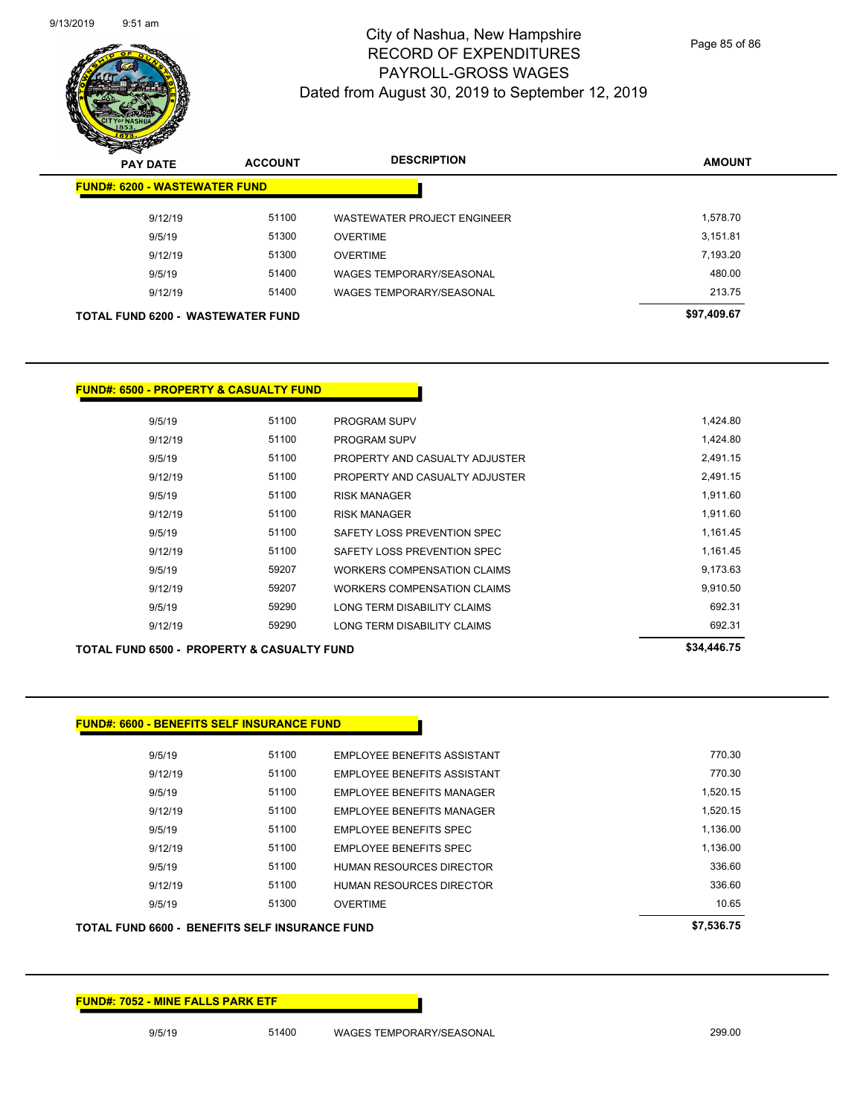

Page 85 of 86

| $\boldsymbol{z}$<br>⊸<br><b>PAY DATE</b> | <b>ACCOUNT</b> | <b>DESCRIPTION</b>                 | <b>AMOUNT</b> |
|------------------------------------------|----------------|------------------------------------|---------------|
| <b>FUND#: 6200 - WASTEWATER FUND</b>     |                |                                    |               |
| 9/12/19                                  | 51100          | <b>WASTEWATER PROJECT ENGINEER</b> | 1.578.70      |
| 9/5/19                                   | 51300          | <b>OVERTIME</b>                    | 3.151.81      |
| 9/12/19                                  | 51300          | <b>OVERTIME</b>                    | 7,193.20      |
| 9/5/19                                   | 51400          | <b>WAGES TEMPORARY/SEASONAL</b>    | 480.00        |
| 9/12/19                                  | 51400          | <b>WAGES TEMPORARY/SEASONAL</b>    | 213.75        |
| <b>TOTAL FUND 6200 - WASTEWATER FUND</b> | \$97,409.67    |                                    |               |

#### **FUND#: 6500 - PROPERTY & CASUALTY FUND**

| 9/5/19  | 51100 | <b>PROGRAM SUPV</b>                | 1,424.80 |
|---------|-------|------------------------------------|----------|
| 9/12/19 | 51100 | <b>PROGRAM SUPV</b>                | 1,424.80 |
| 9/5/19  | 51100 | PROPERTY AND CASUALTY ADJUSTER     | 2.491.15 |
| 9/12/19 | 51100 | PROPERTY AND CASUALTY ADJUSTER     | 2,491.15 |
| 9/5/19  | 51100 | <b>RISK MANAGER</b>                | 1,911.60 |
| 9/12/19 | 51100 | <b>RISK MANAGER</b>                | 1,911.60 |
| 9/5/19  | 51100 | SAFETY LOSS PREVENTION SPEC        | 1,161.45 |
| 9/12/19 | 51100 | SAFFTY LOSS PREVENTION SPEC        | 1,161.45 |
| 9/5/19  | 59207 | <b>WORKERS COMPENSATION CLAIMS</b> | 9,173.63 |
| 9/12/19 | 59207 | WORKERS COMPENSATION CLAIMS        | 9,910.50 |
| 9/5/19  | 59290 | LONG TERM DISABILITY CLAIMS        | 692.31   |
| 9/12/19 | 59290 | LONG TERM DISABILITY CLAIMS        | 692.31   |

| 9/12/19                                               | 59290 | LONG TERM DISABILITY CLAIMS | 692.31      |
|-------------------------------------------------------|-------|-----------------------------|-------------|
| <b>TOTAL FUND 6500 - PROPERTY &amp; CASUALTY FUND</b> |       |                             | \$34,446.75 |

#### **FUND#: 6600 - BENEFITS SELF INSURANCE FUND**

| 9/5/19  | 51100 | EMPLOYEE BENEFITS ASSISTANT      | 770.30   |
|---------|-------|----------------------------------|----------|
| 9/12/19 | 51100 | EMPLOYEE BENEFITS ASSISTANT      | 770.30   |
| 9/5/19  | 51100 | EMPLOYEE BENEFITS MANAGER        | 1.520.15 |
| 9/12/19 | 51100 | <b>EMPLOYEE BENEFITS MANAGER</b> | 1.520.15 |
| 9/5/19  | 51100 | <b>EMPLOYEE BENEFITS SPEC</b>    | 1.136.00 |
| 9/12/19 | 51100 | <b>EMPLOYEE BENEFITS SPEC</b>    | 1.136.00 |
| 9/5/19  | 51100 | <b>HUMAN RESOURCES DIRECTOR</b>  | 336.60   |
| 9/12/19 | 51100 | HUMAN RESOURCES DIRECTOR         | 336.60   |
| 9/5/19  | 51300 | <b>OVERTIME</b>                  | 10.65    |
|         |       |                                  |          |

#### **TOTAL FUND 6600 - BENEFITS SELF INSURANCE FUND \$7,536.75**

**FUND#: 7052 - MINE FALLS PARK ETF**